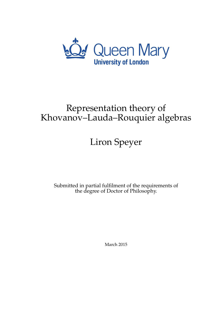

# Representation theory of Khovanov–Lauda–Rouquier algebras

# Liron Speyer

Submitted in partial fulfilment of the requirements of the degree of Doctor of Philosophy.

March 2015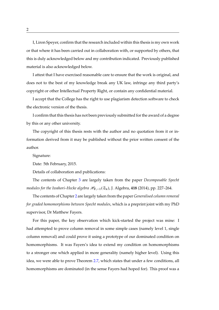I, Liron Speyer, confirm that the research included within this thesis is my own work or that where it has been carried out in collaboration with, or supported by others, that this is duly acknowledged below and my contribution indicated. Previously published material is also acknowledged below.

I attest that I have exercised reasonable care to ensure that the work is original, and does not to the best of my knowledge break any UK law, infringe any third party's copyright or other Intellectual Property Right, or contain any confidential material.

I accept that the College has the right to use plagiarism detection software to check the electronic version of the thesis.

I confirm that this thesis has not been previously submitted for the award of a degree by this or any other university.

The copyright of this thesis rests with the author and no quotation from it or information derived from it may be published without the prior written consent of the author.

Signature:

Date: 5th February, 2015.

Details of collaboration and publications:

The contents of Chapter [3](#page-78-0) are largely taken from the paper *Decomposable Specht modules for the Iwahori–Hecke algebra*  $\mathcal{H}_{F,-1}(\mathfrak{S}_n)$ , J. Algebra, **418** (2014), pp. 227–264.

The contents of Chapter [2](#page-44-0) are largely taken from the paper *Generalised column removal for graded homomorphisms between Specht modules*, which is a preprint joint with my PhD supervisor, Dr Matthew Fayers.

For this paper, the key observation which kick-started the project was mine: I had attempted to prove column removal in some simple cases (namely level 1, single column removal) and could prove it using a prototype of our dominated condition on homomorphisms. It was Fayers's idea to extend my condition on homomorphisms to a stronger one which applied in more generality (namely higher level). Using this idea, we were able to prove Theorem [2.7,](#page-49-0) which states that under a few conditions, all homomorphisms are dominated (in the sense Fayers had hoped for). This proof was a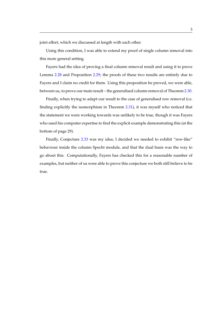joint effort, which we discussed at length with each other.

Using this condition, I was able to extend my proof of single column removal into this more general setting.

Fayers had the idea of proving a final column removal result and using it to prove Lemma [2.28](#page-69-0) and Proposition [2.29;](#page-69-1) the proofs of these two results are entirely due to Fayers and I claim no credit for them. Using this proposition he proved, we were able, between us, to prove our main result – the generalised column removal of Theorem [2.30.](#page-72-0)

Finally, when trying to adapt our result to the case of generalised row removal (i.e. finding explicitly the isomorphism in Theorem [2.31\)](#page-73-0), it was myself who noticed that the statement we were working towards was unlikely to be true, though it was Fayers who used his computer expertise to find the explicit example demonstrating this (at the bottom of page 29).

Finally, Conjecture [2.33](#page-76-0) was my idea; I decided we needed to exhibit "row-like" behaviour inside the column Specht module, and that the dual basis was the way to go about this. Computationally, Fayers has checked this for a reasonable number of examples, but neither of us were able to prove this conjecture we both still believe to be true.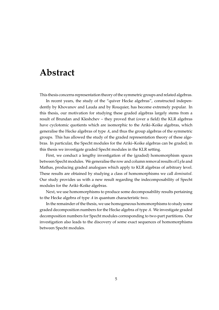# <span id="page-4-0"></span>**Abstract**

This thesis concerns representation theory of the symmetric groups and related algebras.

In recent years, the study of the "quiver Hecke algebras", constructed independently by Khovanov and Lauda and by Rouquier, has become extremely popular. In this thesis, our motivation for studying these graded algebras largely stems from a result of Brundan and Kleshchev – they proved that (over a field) the KLR algebras have cyclotomic quotients which are isomorphic to the Ariki–Koike algebras, which generalise the Hecke algebras of type A, and thus the group algebras of the symmetric groups. This has allowed the study of the graded representation theory of these algebras. In particular, the Specht modules for the Ariki–Koike algebras can be graded; in this thesis we investigate graded Specht modules in the KLR setting.

First, we conduct a lengthy investigation of the (graded) homomorphism spaces between Specht modules. We generalise the row and column removal results of Lyle and Mathas, producing graded analogues which apply to KLR algebras of arbitrary level. These results are obtained by studying a class of homomorphisms we call *dominated*. Our study provides us with a new result regarding the indecomposability of Specht modules for the Ariki–Koike algebras.

Next, we use homomorphisms to produce some decomposability results pertaining to the Hecke algebra of type A in quantum characteristic two.

In the remainder of the thesis, we use homogeneous homomorphisms to study some graded decomposition numbers for the Hecke algebra of type A. We investigate graded decomposition numbers for Specht modules corresponding to two-part partitions. Our investigation also leads to the discovery of some exact sequences of homomorphisms between Specht modules.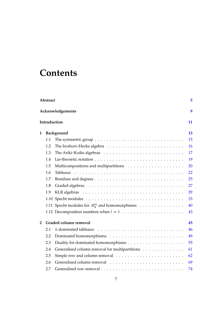# **Contents**

| Abstract<br>5 |                    |                                                                                               |    |  |  |
|---------------|--------------------|-----------------------------------------------------------------------------------------------|----|--|--|
|               |                    | Acknowledgements                                                                              | 9  |  |  |
|               | Introduction<br>11 |                                                                                               |    |  |  |
| 1             |                    | Background                                                                                    | 15 |  |  |
|               | 1.1                | The symmetric group $\dots \dots \dots \dots \dots \dots \dots \dots \dots \dots \dots \dots$ | 15 |  |  |
|               | 1.2                | The Iwahori-Hecke algebra $\dots \dots \dots \dots \dots \dots \dots \dots \dots \dots$       | 16 |  |  |
|               | 1.3                |                                                                                               | 17 |  |  |
|               | 1.4                |                                                                                               | 19 |  |  |
|               | 1.5                |                                                                                               | 20 |  |  |
|               | 1.6                |                                                                                               | 22 |  |  |
|               | 1.7                |                                                                                               | 25 |  |  |
|               | 1.8                |                                                                                               | 27 |  |  |
|               | 1.9                |                                                                                               | 29 |  |  |
|               |                    |                                                                                               | 33 |  |  |
|               |                    | 1.11 Specht modules for $\mathcal{H}_n^k$ and homomorphisms                                   | 40 |  |  |
|               |                    | 1.12 Decomposition numbers when $l = 1, \ldots, \ldots, \ldots, \ldots, \ldots, \ldots$       | 43 |  |  |
| 2             |                    | Graded column removal                                                                         | 45 |  |  |
|               | 2.1                |                                                                                               | 46 |  |  |
|               | 2.2                |                                                                                               | 49 |  |  |
|               | 2.3                |                                                                                               | 55 |  |  |
|               | 2.4                | Generalised column removal for multipartitions                                                | 61 |  |  |
|               | 2.5                |                                                                                               | 62 |  |  |
|               | 2.6                |                                                                                               | 69 |  |  |
|               | 2.7                |                                                                                               | 74 |  |  |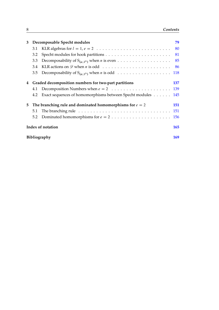| 3  | Decomposable Specht modules |                                                                                             | 79  |  |
|----|-----------------------------|---------------------------------------------------------------------------------------------|-----|--|
|    |                             | 3.1 KLR algebras for $l = 1, e = 2, \ldots, \ldots, \ldots, \ldots, \ldots, \ldots, \ldots$ | 80  |  |
|    | 3.2                         |                                                                                             | 81  |  |
|    | 3.3                         |                                                                                             |     |  |
|    | 3.4                         |                                                                                             | 86  |  |
|    |                             |                                                                                             |     |  |
| 4  |                             | Graded decomposition numbers for two-part partitions                                        | 137 |  |
|    |                             |                                                                                             |     |  |
|    | 4.2                         | Exact sequences of homomorphisms between Specht modules 145                                 |     |  |
| 5. |                             | The branching rule and dominated homomorphisms for $e = 2$                                  | 151 |  |
|    | 5.1                         |                                                                                             |     |  |
|    |                             |                                                                                             |     |  |
|    | Index of notation           |                                                                                             |     |  |
|    | Bibliography                |                                                                                             |     |  |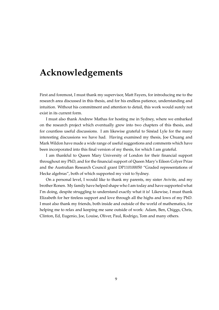# <span id="page-8-0"></span>**Acknowledgements**

First and foremost, I must thank my supervisor, Matt Fayers, for introducing me to the research area discussed in this thesis, and for his endless patience, understanding and intuition. Without his commitment and attention to detail, this work would surely not exist in its current form.

I must also thank Andrew Mathas for hosting me in Sydney, where we embarked on the research project which eventually grew into two chapters of this thesis, and for countless useful discussions. I am likewise grateful to Sinead Lyle for the many interesting discussions we have had. Having examined my thesis, Joe Chuang and Mark Wildon have made a wide range of useful suggestions and comments which have been incorporated into this final version of my thesis, for which I am grateful.

I am thankful to Queen Mary University of London for their financial support throughout my PhD, and for the financial support of Queen Mary's Eileen Colyer Prize and the Australian Research Council grant DP110100050 "Graded representations of Hecke algebras", both of which supported my visit to Sydney.

On a personal level, I would like to thank my parents, my sister Avivite, and my brother Ronen. My family have helped shape who I am today and have supported what I'm doing, despite struggling to understand exactly what it is! Likewise, I must thank Elizabeth for her tireless support and love through all the highs and lows of my PhD. I must also thank my friends, both inside and outside of the world of mathematics, for helping me to relax and keeping me sane outside of work: Adam, Ben, Chiggs, Chris, Clinton, Ed, Eugenio, Joe, Louise, Oliver, Paul, Rodrigo, Tom and many others.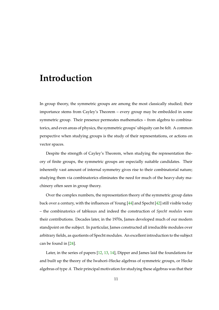# <span id="page-10-0"></span>**Introduction**

In group theory, the symmetric groups are among the most classically studied; their importance stems from Cayley's Theorem – every group may be embedded in some symmetric group. Their presence permeates mathematics – from algebra to combinatorics, and even areas of physics, the symmetric groups' ubiquity can be felt. A common perspective when studying groups is the study of their representations, or actions on vector spaces.

Despite the strength of Cayley's Theorem, when studying the representation theory of finite groups, the symmetric groups are especially suitable candidates. Their inherently vast amount of internal symmetry gives rise to their combinatorial nature; studying them via combinatorics eliminates the need for much of the heavy-duty machinery often seen in group theory.

Over the complex numbers, the representation theory of the symmetric group dates back over a century, with the influences of Young [\[44\]](#page-171-0) and Specht [\[42\]](#page-171-1) still visible today – the combinatorics of tableaux and indeed the construction of *Specht modules* were their contributions. Decades later, in the 1970s, James developed much of our modern standpoint on the subject. In particular, James constructed all irreducible modules over arbitrary fields, as quotients of Specht modules. An excellent introduction to the subject can be found in [\[24\]](#page-170-0).

Later, in the series of papers [\[12,](#page-169-0) [13,](#page-169-1) [14\]](#page-169-2), Dipper and James laid the foundations for and built up the theory of the Iwahori–Hecke algebras of symmetric groups, or Hecke algebras of type A. Their principal motivation for studying these algebras was that their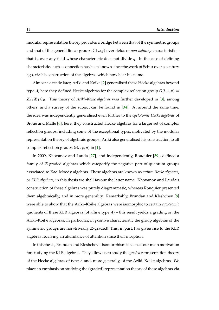modular representation theory provides a bridge between that of the symmetric groups and that of the general linear groups  $GL_n(q)$  over fields of *non-defining* characteristic – that is, over any field whose characteristic does not divide  $q$ . In the case of defining characteristic, such a connection has been known since the work of Schur over a century ago, via his construction of the algebras which now bear his name.

Almost a decade later, Ariki and Koike [\[2\]](#page-168-1) generalised these Hecke algebras beyond type A; here they defined Hecke algebras for the complex reflection group  $G(l, 1, n) =$  $\mathbb{Z}/l\mathbb{Z}\wr\mathfrak{S}_n$ . This theory of *Ariki–Koike algebras* was further developed in [\[3\]](#page-168-2), among others, and a survey of the subject can be found in [\[34\]](#page-171-2). At around the same time, the idea was independently generalised even further to the *cyclotomic Hecke algebras* of Broue and Malle  $[6]$  $[6]$ ; here, they constructed Hecke algebras for a larger set of complex reflection groups, including some of the exceptional types, motivated by the modular representation theory of algebraic groups. Ariki also generalised his construction to all complex reflection groups  $G(l, p, n)$  in [\[1\]](#page-168-4).

In 2009, Khovanov and Lauda [\[27\]](#page-170-1), and independently, Rouquier [\[39\]](#page-171-3), defined a family of Z-graded algebras which categorify the negative part of quantum groups associated to Kac–Moody algebras. These algebras are known as *quiver Hecke algebras*, or *KLR algebras*; in this thesis we shall favour the latter name. Khovanov and Lauda's construction of these algebras was purely diagrammatic, whereas Rouquier presented them algebraically, and in more generality. Remarkably, Brundan and Kleshchev [\[8\]](#page-168-5) were able to show that the Ariki–Koike algebras were isomorphic to certain *cyclotomic* quotients of these KLR algebras (of affine type  $A$ ) – this result yields a grading on the Ariki–Koike algebras; in particular, in positive characteristic the group algebras of the symmetric groups are non-trivially Z-graded! This, in part, has given rise to the KLR algebras receiving an abundance of attention since their inception.

In this thesis, Brundan and Kleshchev's isomorphism is seen as our main motivation for studying the KLR algebras. They allow us to study the *graded* representation theory of the Hecke algebras of type A and, more generally, of the Ariki–Koike algebras. We place an emphasis on studying the (graded) representation theory of these algebras via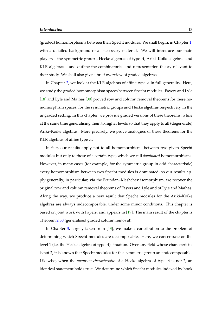(graded) homomorphisms between their Specht modules. We shall begin, in Chapter [1,](#page-14-0) with a detailed background of all necessary material. We will introduce our main players – the symmetric groups, Hecke algebras of type A, Ariki–Koike algebras and KLR algebras – and outline the combinatorics and representation theory relevant to their study. We shall also give a brief overview of graded algebras.

In Chapter [2,](#page-44-0) we look at the KLR algebras of affine type  $A$  in full generality. Here, we study the graded homomorphism spaces between Specht modules. Fayers and Lyle [\[18\]](#page-169-3) and Lyle and Mathas [\[30\]](#page-170-2) proved row and column removal theorems for these homomorphism spaces, for the symmetric groups and Hecke algebras respectively, in the ungraded setting. In this chapter, we provide graded versions of these theorems, while at the same time generalising them to higher levels so that they apply to all (degenerate) Ariki–Koike algebras. More precisely, we prove analogues of these theorems for the KLR algebras of affine type A.

In fact, our results apply not to all homomorphisms between two given Specht modules but only to those of a certain type, which we call *dominated* homomorphisms. However, in many cases (for example, for the symmetric group in odd characteristic) every homomorphism between two Specht modules is dominated, so our results apply generally; in particular, via the Brundan–Kleshchev isomorphism, we recover the original row and column removal theorems of Fayers and Lyle and of Lyle and Mathas. Along the way, we produce a new result that Specht modules for the Ariki–Koike algebras are always indecomposable, under some minor conditions. This chapter is based on joint work with Fayers, and appears in [\[19\]](#page-169-4). The main result of the chapter is Theorem [2.30](#page-72-0) (generalised graded column removal).

In Chapter [3,](#page-78-0) largely taken from [\[43\]](#page-171-4), we make a contribution to the problem of determining which Specht modules are decomposable. Here, we concentrate on the level 1 (i.e. the Hecke algebra of type A) situation. Over any field whose characteristic is not 2, it is known that Specht modules for the symmetric group are indecomposable. Likewise, when the *quantum characteristic* of a Hecke algebra of type A is not 2, an identical statement holds true. We determine which Specht modules indexed by hook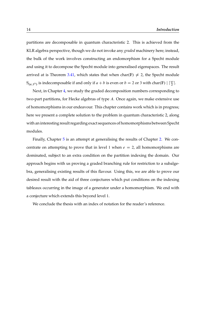partitions are decomposable in quantum characteristic 2. This is achieved from the KLR algebra perspective, though we do not invoke any *graded* machinery here; instead, the bulk of the work involves constructing an endomorphism for a Specht module and using it to decompose the Specht module into generalised eigenspaces. The result arrived at is Theorem [3.41,](#page-135-0) which states that when char(F)  $\neq$  2, the Specht module  $S_{(a,1^b)}$  is indecomposable if and only if  $a + b$  is even or  $b = 2$  or 3 with char(F)  $| \lceil \frac{a}{2} \rceil$ .

Next, in Chapter [4,](#page-136-0) we study the graded decomposition numbers corresponding to two-part partitions, for Hecke algebras of type A. Once again, we make extensive use of homomorphisms in our endeavour. This chapter contains work which is in progress; here we present a complete solution to the problem in quantum characteristic 2, along with an interesting result regarding exact sequences of homomorphisms between Specht modules.

Finally, Chapter [5](#page-150-0) is an attempt at generalising the results of Chapter [2.](#page-44-0) We concentrate on attempting to prove that in level 1 when  $e = 2$ , all homomorphisms are dominated, subject to an extra condition on the partition indexing the domain. Our approach begins with us proving a graded branching rule for restriction to a subalgebra, generalising existing results of this flavour. Using this, we are able to prove our desired result with the aid of three conjectures which put conditions on the indexing tableaux occurring in the image of a generator under a homomorphism. We end with a conjecture which extends this beyond level 1.

We conclude the thesis with an index of notation for the reader's reference.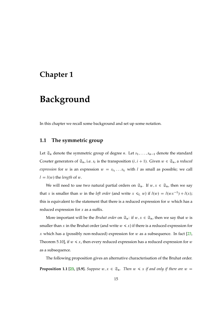## <span id="page-14-0"></span>**Chapter 1**

# **Background**

In this chapter we recall some background and set up some notation.

### <span id="page-14-1"></span>**1.1 The symmetric group**

Let  $\mathfrak{S}_n$  denote the symmetric group of degree *n*. Let  $s_1, \ldots, s_{n-1}$  denote the standard Coxeter generators of  $\mathfrak{S}_n$ , i.e.  $s_i$  is the transposition  $(i, i + 1)$ . Given  $w \in \mathfrak{S}_n$ , a *reduced expression* for w is an expression  $w = s_{i_1} \dots s_{i_l}$  with l as small as possible; we call  $l = l(w)$  the *length* of w.

We will need to use two natural partial orders on  $\mathfrak{S}_n$ . If  $w, x \in \mathfrak{S}_n$ , then we say that x is smaller than w in the *left order* (and write  $x \leq L$  w) if  $l(w) = l(wx^{-1}) + l(x)$ ; this is equivalent to the statement that there is a reduced expression for  $w$  which has a reduced expression for  $x$  as a suffix.

More important will be the *Bruhat order* on  $\mathfrak{S}_n$ : if  $w, x \in \mathfrak{S}_n$ , then we say that w is smaller than x in the Bruhat order (and write  $w \leq x$ ) if there is a reduced expression for x which has a (possibly non-reduced) expression for  $w$  as a subsequence. In fact [\[23,](#page-170-3) Theorem 5.10], if  $w \leq x$ , then every reduced expression has a reduced expression for  $w$ as a subsequence.

The following proposition gives an alternative characterisation of the Bruhat order. **Proposition 1.1 [\[23,](#page-170-3) §5.9].** *Suppose*  $w, x \in \mathfrak{S}_n$ . *Then*  $w \leq x$  *if and only if there are*  $w =$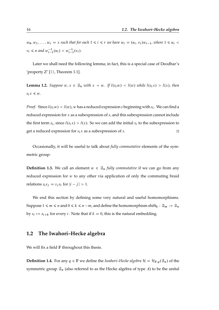$w_0, w_1, \ldots, w_r = x$  such that for each  $1 \le i \le r$  *we have*  $w_i = (u_i, v_i)w_{i-1}$ , where  $1 \le u_i$  $v_i \le n$  and  $w_{i-1}^{-1}(u_i) < w_{i-1}^{-1}(v_i)$ .

Later we shall need the following lemma; in fact, this is a special case of Deodhar's 'property  $Z'$  [\[11,](#page-169-5) Theorem 1.1].

**Lemma 1.2.** *Suppose*  $w, x \in \mathfrak{S}_n$  *with*  $x \prec w$ *.* If  $l(s_i w) \prec l(w)$  *while*  $l(s_i x) > l(x)$ *, then*  $s_i x \leq w$ .

*Proof.* Since  $l(s_i w) < l(w)$ , w has a reduced expression s beginning with  $s_i$ . We can find a reduced expression for  $x$  as a subexpression of  $s$ , and this subexpression cannot include the first term  $s_i$ , since  $l(s_i x) > l(x)$ . So we can add the initial  $s_i$  to the subexpression to get a reduced expression for  $s_i x$  as a subexpression of s.

Occasionally, it will be useful to talk about *fully commutative* elements of the symmetric group:

**Definition 1.3.** We call an element  $w \in \mathfrak{S}_n$  *fully commutative* if we can go from any reduced expression for w to any other via application of only the commuting braid relations  $s_i s_j = s_j s_i$  for  $|i - j| > 1$ .

We end this section by defining some very natural and useful homomorphisms. Suppose  $1 \le m \le n$  and  $0 \le k \le n-m$ , and define the homomorphism shift $_k : \mathfrak{S}_m \to \mathfrak{S}_n$ by  $s_i \mapsto s_{i+k}$  for every i. Note that if  $k = 0$ , this is the natural embedding.

#### <span id="page-15-0"></span>**1.2 The Iwahori–Hecke algebra**

We will fix a field  $F$  throughout this thesis.

**Definition 1.4.** For any  $q \in \mathbb{F}$  we define the *Iwahori–Hecke algebra*  $\mathcal{H} = \mathcal{H}_{\mathbb{F},q}(\mathfrak{S}_n)$  of the symmetric group  $\mathfrak{S}_n$  (also referred to as the Hecke algebra of type A) to be the unital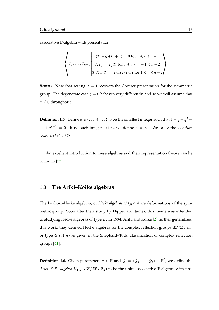associative F-algebra with presentation

$$
\left\{\n\begin{aligned}\nT_1, \ldots, T_{n-1} & \begin{cases}\n(T_i - q)(T_i + 1) = 0 \text{ for } 1 \leq i \leq n - 1 \\
T_i T_j = T_j T_i \text{ for } 1 \leq i < j - 1 \leq n - 2 \\
T_i T_{i+1} T_i = T_{i+1} T_i T_{i+1} \text{ for } 1 \leq i \leq n - 2\n\end{cases}\n\end{aligned}\n\right\}.
$$

*Remark.* Note that setting  $q = 1$  recovers the Coxeter presentation for the symmetric group. The degenerate case  $q = 0$  behaves very differently, and so we will assume that  $q \neq 0$  throughout.

**Definition 1.5.** Define  $e \in \{2, 3, 4, ...\}$  to be the smallest integer such that  $1 + q + q^2 +$  $\cdots + q^{e-1} = 0$ . If no such integer exists, we define  $e = \infty$ . We call e the *quantum characteristic* of H.

An excellent introduction to these algebras and their representation theory can be found in [\[33\]](#page-170-4).

### <span id="page-16-0"></span>**1.3 The Ariki–Koike algebras**

The Iwahori–Hecke algebras, or *Hecke algebras of type* A are deformations of the symmetric group. Soon after their study by Dipper and James, this theme was extended to studying Hecke algebras of type B. In 1994, Ariki and Koike [\[2\]](#page-168-1) further generalised this work; they defined Hecke algebras for the complex reflection groups  $\mathbb{Z}/l\mathbb{Z} \wr \mathfrak{S}_n$ , or type  $G(l, 1, n)$  as given in the Shephard–Todd classification of complex reflection groups [\[41\]](#page-171-5).

**Definition 1.6.** Given parameters  $q \in \mathbb{F}$  and  $Q = (Q_1, \ldots, Q_l) \in \mathbb{F}^l$ , we define the *Ariki–Koike algebra*  $\mathcal{H}_{F,q,O}(\mathbb{Z}/l\mathbb{Z} \setminus \mathfrak{S}_n)$  to be the unital associative F-algebra with pre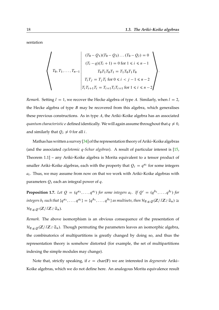sentation

$$
T_0, T_1, \ldots, T_{n-1} \n\begin{cases} (T_0 - Q_1)(T_0 - Q_2) \ldots (T_0 - Q_l) = 0 \\ (T_i - q)(T_i + 1) = 0 \text{ for } 1 \le i \le n - 1 \\ T_0 T_1 T_0 T_1 = T_1 T_0 T_1 T_0 \\ T_i T_j = T_j T_i \text{ for } 0 \le i < j - 1 \le n - 2 \\ T_i T_{i+1} T_i = T_{i+1} T_i T_{i+1} \text{ for } 1 \le i \le n - 2 \end{cases}.
$$

*Remark.* Setting  $l = 1$ , we recover the Hecke algebra of type A. Similarly, when  $l = 2$ , the Hecke algebra of type  $B$  may be recovered from this algebra, which generalises these previous constructions. As in type  $A$ , the Ariki–Koike algebra has an associated *quantum characteristic e* defined identically. We will again assume throughout that  $q \neq 0$ , and similarly that  $Q_i \neq 0$  for all *i*.

Mathas has written a survey [\[34\]](#page-171-2) of the representation theory of Ariki–Koike algebras (and the associated *cyclotomic* q*-Schur algebras*). A result of particular interest is [\[15,](#page-169-6) Theorem 1.1] – any Ariki–Koike algebra is Morita equivalent to a tensor product of smaller Ariki–Koike algebras, each with the property that  $Q_i = q^{a_i}$  for some integers  $a_i$ . Thus, we may assume from now on that we work with Ariki–Koike algebras with parameters  $Q_i$  each an integral power of q.

**Proposition 1.7.** Let  $Q = (q^{a_1}, \ldots, q^{a_l})$  for some integers  $a_i$ . If  $Q' = (q^{b_1}, \ldots, q^{b_l})$  for  $integers$   $b_i$   $such$  that  $\{q^{a_1}, \ldots, q^{a_l}\} = \{q^{b_1}, \ldots, q^{b_l}\}$  as multisets, then  $\mathcal{H}_{\mathbb{F},q,Q}(\mathbb{Z}/l\mathbb{Z} \wr \mathfrak{S}_n) \cong \mathbb{Z}$  $\mathcal{H}_{\mathbb{F},q,O'}(\mathbb{Z}/l\mathbb{Z}\wr\mathfrak{S}_n).$ 

*Remark.* The above isomorphism is an obvious consequence of the presentation of  $\mathcal{H}_{F,a,O}(\mathbb{Z}/l\mathbb{Z})$   $\mathfrak{S}_n$ ). Though permuting the parameters leaves an isomorphic algebra, the combinatorics of multipartitions is greatly changed by doing so, and thus the representation theory is somehow distorted (for example, the set of multipartitions indexing the simple modules may change).

Note that, strictly speaking, if  $e = \text{char}(\mathbb{F})$  we are interested in *degenerate* Ariki– Koike algebras, which we do not define here. An analogous Morita equivalence result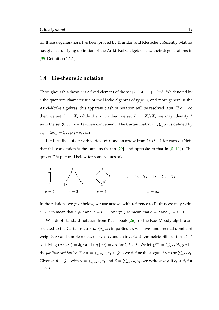for these degenerations has been proved by Brundan and Kleshchev. Recently, Mathas has given a unifying definition of the Ariki–Koike algebras and their degenerations in [\[35,](#page-171-6) Definition 1.1.1].

#### <span id="page-18-0"></span>**1.4 Lie-theoretic notation**

Throughout this thesis *e* is a fixed element of the set  $\{2, 3, 4, ...\} \cup \{\infty\}$ . We denoted by  $e$  the quantum characteristic of the Hecke algebras of type  $A$ , and more generally, the Ariki–Koike algebras; this apparent clash of notation will be resolved later. If  $e = \infty$ then we set  $I := \mathbb{Z}$ , while if  $e < \infty$  then we set  $I := \mathbb{Z}/e\mathbb{Z}$ ; we may identify I with the set  $\{0, \ldots, e-1\}$  when convenient. The Cartan matrix  $(a_{ij})_{i,j\in I}$  is defined by  $a_{ij} = 2\delta_{i,j} - \delta_{i,(j+1)} - \delta_{i,(j-1)}.$ 

Let  $\Gamma$  be the quiver with vertex set I and an arrow from i to  $i - 1$  for each i. (Note that this convention is the same as that in  $[29]$ , and opposite to that in  $[8, 10]$  $[8, 10]$  $[8, 10]$ .) The quiver  $\Gamma$  is pictured below for some values of e.



In the relations we give below, we use arrows with reference to  $\Gamma$ ; thus we may write  $i \rightarrow j$  to mean that  $e \neq 2$  and  $j = i - 1$ , or  $i \rightleftarrows j$  to mean that  $e = 2$  and  $j = i - 1$ .

We adopt standard notation from Kac's book [\[26\]](#page-170-6) for the Kac–Moody algebra associated to the Cartan matrix  $(a_{ij})_{i,j\in I}$ ; in particular, we have fundamental dominant weights  $\Lambda_i$  and simple roots  $\alpha_i$  for  $i \in I$ , and an invariant symmetric bilinear form ( | ) satisfying  $(\Lambda_i | \alpha_j) = \delta_{i,j}$  and  $(\alpha_i | \alpha_j) = a_{ij}$  for  $i, j \in I$ . We let  $Q^+ := \bigoplus_{i \in I} \mathbb{Z}_{\geq 0} \alpha_i$  be the *positive root lattice*. For  $\alpha = \sum_{i \in I} c_i \alpha_i \in Q^+$ , we define the *height* of  $\alpha$  to be  $\sum_{i \in I} c_i$ . Given  $\alpha, \beta \in Q^+$  with  $\alpha = \sum_{i \in I} c_i \alpha_i$  and  $\beta = \sum_{i \in I} d_i \alpha_i$ , we write  $\alpha \ge \beta$  if  $c_i \ge d_i$  for each i.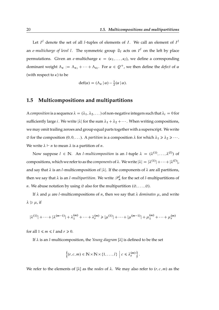Let  $I^l$  denote the set of all *l*-tuples of elements of *I*. We call an element of  $I^l$ an *e-multicharge of level l*. The symmetric group  $\mathfrak{S}_l$  acts on  $I^l$  on the left by place permutations. Given an *e*-multicharge  $\kappa = (\kappa_1, \ldots, \kappa_l)$ , we define a corresponding dominant weight  $\Lambda_{\kappa} := \Lambda_{\kappa_1} + \cdots + \Lambda_{\kappa_l}$ . For  $\alpha \in Q^+$ , we then define the *defect* of  $\alpha$ (with respect to  $\kappa$ ) to be

$$
\operatorname{def}(\alpha) = (\Lambda_{\kappa} \,|\, \alpha) - \frac{1}{2}(\alpha \,|\, \alpha).
$$

### <span id="page-19-0"></span>**1.5 Multicompositions and multipartitions**

A *composition* is a sequence  $\lambda = (\lambda_1, \lambda_2, ...)$  of non-negative integers such that  $\lambda_i = 0$  for sufficiently large *i*. We write  $|\lambda|$  for the sum  $\lambda_1 + \lambda_2 + \cdots$ . When writing compositions, we may omit trailing zeroes and group equal parts together with a superscript. We write  $\emptyset$  for the composition  $(0, 0, ...)$ . A *partition* is a composition  $\lambda$  for which  $\lambda_1 \ge \lambda_2 \ge ...$ . We write  $\lambda \vdash n$  to mean  $\lambda$  is a partition of *n*.

Now suppose  $l \in \mathbb{N}$ . An *l-multicomposition* is an *l*-tuple  $\lambda = (\lambda^{(1)}, \ldots, \lambda^{(l)})$  of compositions, which we refer to as the *components* of  $\lambda$ . We write  $|\lambda| = |\lambda^{(1)}| + \cdots + |\lambda^{(l)}|$ , and say that  $\lambda$  is an *l*-multicomposition of  $|\lambda|$ . If the components of  $\lambda$  are all partitions, then we say that  $\lambda$  is an *l-multipartition*. We write  $\mathscr{P}_n^l$  for the set of *l*-multipartitions of *n*. We abuse notation by using  $\emptyset$  also for the multipartition  $(\emptyset, \ldots, \emptyset)$ .

If  $\lambda$  and  $\mu$  are *l*-multicompositions of *n*, then we say that  $\lambda$  *dominates*  $\mu$ , and write  $\lambda \geqslant \mu$ , if

$$
|\lambda^{(1)}| + \dots + |\lambda^{(m-1)}| + \lambda_1^{(m)} + \dots + \lambda_r^{(m)} \ge |\mu^{(1)}| + \dots + |\mu^{(m-1)}| + \mu_1^{(m)} + \dots + \mu_r^{(m)}
$$

for all  $1 \le m \le l$  and  $r \ge 0$ .

If  $\lambda$  is an *l*-multicomposition, the *Young diagram*  $[\lambda]$  is defined to be the set

$$
\left\{ (r, c, m) \in \mathbb{N} \times \mathbb{N} \times \{1, ..., l\} \middle| c \leq \lambda_r^{(m)} \right\}.
$$

We refer to the elements of  $[\lambda]$  as the *nodes* of  $\lambda$ . We may also refer to  $(r, c, m)$  as the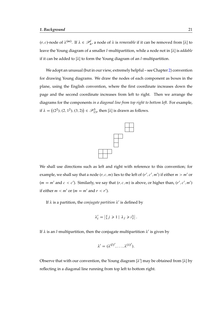$(r, c)$ -node of  $\lambda^{(m)}$ . If  $\lambda \in \mathcal{P}_n^l$ , a node of  $\lambda$  is *removable* if it can be removed from [ $\lambda$ ] to leave the Young diagram of a smaller *l*-multipartition, while a node not in [ $\lambda$ ] is *addable* if it can be added to  $[\lambda]$  to form the Young diagram of an *l*-multipartition.

We adopt an unusual (but in our view, extremely helpful – see Chapter [2\)](#page-44-0) convention for drawing Young diagrams. We draw the nodes of each component as boxes in the plane, using the English convention, where the first coordinate increases down the page and the second coordinate increases from left to right. Then we arrange the diagrams for the components *in a diagonal line from top right to bottom left*. For example, if  $\lambda = ((2^2), (2, 1^2), (3, 2)) \in \mathscr{P}_{13}^3$ , then [ $\lambda$ ] is drawn as follows.



We shall use directions such as left and right with reference to this convention; for example, we shall say that a node  $(r, c, m)$  lies to the left of  $(r', c', m')$  if either  $m > m'$  or  $(m = m'$  and  $c < c'$ ). Similarly, we say that  $(r, c, m)$  is above, or higher than,  $(r', c', m')$ if either  $m < m'$  or  $(m = m'$  and  $r < r'$ ).

If  $\lambda$  is a partition, the *conjugate partition*  $\lambda'$  is defined by

$$
\lambda'_i = \left| \left\{ j \geq 1 \mid \lambda_j \geq i \right\} \right|.
$$

If  $\lambda$  is an *l*-multipartition, then the conjugate multipartition  $\lambda'$  is given by

$$
\lambda'=(\lambda^{(l)'},\ldots,\lambda^{(1)'}).
$$

Observe that with our convention, the Young diagram  $[\lambda']$  may be obtained from  $[\lambda]$  by reflecting in a diagonal line running from top left to bottom right.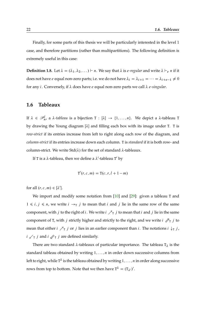Finally, for some parts of this thesis we will be particularly interested in the level 1 case, and therefore partitions (rather than multipartitions). The following definition is extremely useful in this case:

**Definition 1.8.** Let  $\lambda = (\lambda_1, \lambda_2, ...) \vdash n$ . We say that  $\lambda$  is *e-regular* and write  $\lambda \vdash_e n$  if it does not have e equal non-zero parts; i.e. we do not have  $\lambda_i = \lambda_{i+1} = \cdots = \lambda_{i+e-1} \neq 0$ for any *i*. Conversely, if  $\lambda$  does have *e* equal non-zero parts we call  $\lambda$  *e-singular*.

#### <span id="page-21-0"></span>**1.6 Tableaux**

If  $\lambda \in \mathscr{P}_n^l$ , a  $\lambda$ -tableau is a bijection  $T : [\lambda] \to \{1, \ldots, n\}$ . We depict a  $\lambda$ -tableau T by drawing the Young diagram  $[\lambda]$  and filling each box with its image under T. T is *row-strict* if its entries increase from left to right along each row of the diagram, and *column-strict* if its entries increase down each column. T is *standard* if it is both row- and column-strict. We write  $Std(\lambda)$  for the set of standard  $\lambda$ -tableaux.

If T is a  $\lambda$ -tableau, then we define a  $\lambda'$ -tableau T' by

$$
\mathbf{T}'(r,c,m) = \mathbf{T}(c,r,l+1-m)
$$

for all  $(r, c, m) \in [\lambda']$ .

We import and modify some notation from [\[10\]](#page-169-7) and [\[29\]](#page-170-5): given a tableau T and  $1 \le i, j \le n$ , we write  $i \rightarrow_\text{T} j$  to mean that i and j lie in the same row of the same component, with j to the right of i. We write  $i \nearrow_T j$  to mean that i and j lie in the same component of T, with j strictly higher and strictly to the right, and we write  $i \nearrow_T j$  to mean that either  $i \nearrow_T j$  or  $j$  lies in an earlier component than  $i$ . The notations  $i \downarrow_T j$ ,  $i \swarrow_{\text{T}} j$  and  $i \not\!\swarrow_{\text{T}} j$  are defined similarly.

There are two standard  $\lambda$ -tableaux of particular importance. The tableau  $T_{\lambda}$  is the standard tableau obtained by writing  $1, \ldots, n$  in order down successive columns from left to right, while T<sup> $\lambda$ </sup> is the tableau obtained by writing 1, . . . ,  $n$  in order along successive rows from top to bottom. Note that we then have  $T^{\lambda} = (T_{\lambda})'.$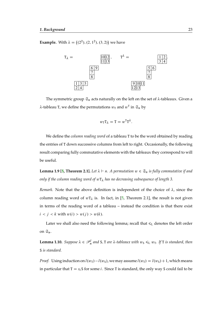**Example.** With  $\lambda = ((2^2), (2, 1^2), (3, 2))$  we have



The symmetric group  $\mathfrak{S}_n$  acts naturally on the left on the set of  $\lambda$ -tableaux. Given a  $\lambda$ -tableau T, we define the permutations  $w_T$  and  $w^T$  in  $\mathfrak{S}_n$  by

$$
w_{\rm T}T_{\lambda}=T=w^{\rm T}T^{\lambda}.
$$

We define the *column reading word* of a tableau T to be the word obtained by reading the entries of T down successive columns from left to right. Occasionally, the following result comparing fully commutative elements with the tableaux they correspond to will be useful.

<span id="page-22-0"></span>**Lemma 1.9 [\[5,](#page-168-6) Theorem 2.1].** Let  $\lambda \vdash n$ . A permutation  $w \in \mathfrak{S}_n$  is fully commutative if and *only if the column reading word of* wT *has no decreasing subsequence of length 3.*

*Remark.* Note that the above definition is independent of the choice of  $\lambda$ , since the column reading word of  $wT_\lambda$  is. In fact, in [\[5,](#page-168-6) Theorem 2.1], the result is not given in terms of the reading word of a tableau – instead the condition is that there exist  $i < j < k$  with  $w(i) > w(j) > w(k)$ .

Later we shall also need the following lemma; recall that  $\leq L$  denotes the left order on  $\mathfrak{S}_n$ .

**Lemma 1.10.** Suppose  $\lambda \in \mathcal{P}_n^l$  and S, T are  $\lambda$ -tableaux with  $w_S \leq_L w_T$ . If T is standard, then S *is standard.*

*Proof.* Using induction on  $l(w_T) - l(w_S)$ , we may assume  $l(w_T) = l(w_S) + 1$ , which means in particular that  $T = s_iS$  for some *i*. Since T is standard, the only way S could fail to be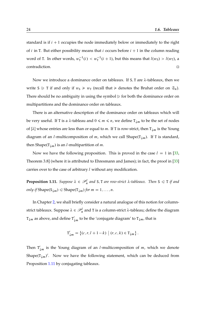standard is if  $i + 1$  occupies the node immediately below or immediately to the right of *i* in T. But either possibility means that *i* occurs before  $i + 1$  in the column reading word of T. In other words,  $w_T^{-1}(i) < w_T^{-1}(i+1)$ , but this means that  $l(w_S) > l(w_T)$ , a contradiction.

Now we introduce a dominance order on tableaux. If S, T are  $\lambda$ -tableaux, then we write S  $\triangleright$  T if and only if  $w_S \ge w_T$  (recall that  $\ge$  denotes the Bruhat order on  $\mathfrak{S}_n$ ). There should be no ambiguity in using the symbol  $\geq$  for both the dominance order on multipartitions and the dominance order on tableaux.

There is an alternative description of the dominance order on tableaux which will be very useful. If T is a  $\lambda$ -tableau and  $0 \le m \le n$ , we define  $T_{\mu m}$  to be the set of nodes of [ $\lambda$ ] whose entries are less than or equal to m. If T is row-strict, then  $T_{\downarrow m}$  is the Young diagram of an *l*-multicomposition of *m*, which we call Shape( $T_{\downarrow m}$ ). If T is standard, then Shape( $T_{\downarrow m}$ ) is an *l*-multipartition of *m*.

Now we have the following proposition. This is proved in the case  $l = 1$  in [\[33,](#page-170-4) Theorem 3.8] (where it is attributed to Ehresmann and James); in fact, the proof in [\[33\]](#page-170-4) carries over to the case of arbitrary *l* without any modification.

<span id="page-23-0"></span>**Proposition 1.11.** Suppose  $\lambda \in \mathcal{P}_n^l$  and S, T are row-strict  $\lambda$ -tableaux. Then S  $\leq$  T if and *only if* Shape( $S_{\downarrow m}$ )  $\leq$  Shape( $T_{\downarrow m}$ ) *for*  $m = 1, ..., n$ .

In Chapter [2,](#page-44-0) we shall briefly consider a natural analogue of this notion for columnstrict tableaux. Suppose  $\lambda \in \mathscr{P}_n^l$  and T is a column-strict  $\lambda$ -tableau; define the diagram  $T_{\downarrow m}$  as above, and define T<sup>'</sup>  $\downarrow_{m}$  to be the 'conjugate diagram' to T $_{\downarrow m}$ , that is

$$
\mathbf{T}'_{\downarrow m} = \{ (c, r, l + 1 - k) \mid (r, c, k) \in \mathbf{T}_{\downarrow m} \}.
$$

Then  $T'$  $\downarrow_{m}$  is the Young diagram of an *l*-multicomposition of *m*, which we denote Shape( $T_{\downarrow m}$ )'. Now we have the following statement, which can be deduced from Proposition [1.11](#page-23-0) by conjugating tableaux.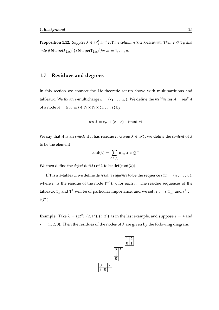**Proposition 1.12.** Suppose  $\lambda \in \mathcal{P}_n^l$  and S, T are column-strict  $\lambda$ -tableaux. Then S  $\leq$  T *if and only if* Shape $(S_{\downarrow m})' \geq$  Shape $(T_{\downarrow m})'$  *for*  $m = 1, ..., n$ *.* 

### <span id="page-24-0"></span>**1.7 Residues and degrees**

In this section we connect the Lie-theoretic set-up above with multipartitions and tableaux. We fix an *e*-multicharge  $\kappa = (\kappa_1, \ldots, \kappa_l)$ . We define the *residue* res  $A = \text{res}^{\kappa} A$ of a node  $A = (r, c, m) \in \mathbb{N} \times \mathbb{N} \times \{1, ..., l\}$  by

$$
res A = \kappa_m + (c - r) \pmod{e}.
$$

We say that A is an *i*-node if it has residue *i*. Given  $\lambda \in \mathcal{P}_n^l$ , we define the *content* of  $\lambda$ to be the element

$$
cont(\lambda) = \sum_{A \in [\lambda]} \alpha_{\text{res } A} \in Q^+.
$$

We then define the *defect* def( $\lambda$ ) of  $\lambda$  to be def(cont( $\lambda$ )).

If T is a  $\lambda$ -tableau, we define its *residue sequence* to be the sequence  $i(T) = (i_1, \ldots, i_n)$ , where  $i_r$  is the residue of the node  $T^{-1}(r)$ , for each r. The residue sequences of the tableaux  $T_{\lambda}$  and  $T^{\lambda}$  will be of particular importance, and we set  $i_{\lambda} := i(T_{\lambda})$  and  $i^{\lambda} :=$  $i(\mathsf{T}^{\lambda}).$ 

**Example.** Take  $\lambda = ((2^2), (2, 1^2), (3, 2))$  as in the last example, and suppose  $e = 4$  and  $\kappa = (1, 2, 0)$ . Then the residues of the nodes of  $\lambda$  are given by the following diagram.

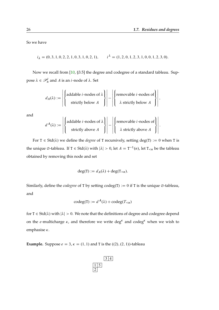:

So we have

 $i_{\lambda} = (0, 3, 1, 0, 2, 2, 1, 0, 3, 1, 0, 2, 1),$   $i^{\lambda} = (1, 2, 0, 1, 2, 3, 1, 0, 0, 1, 2, 3, 0).$ 

Now we recall from [\[10,](#page-169-7) §3.5] the degree and codegree of a standard tableau. Suppose  $\lambda \in \mathscr{P}_n^l$  and  $A$  is an *i*-node of  $\lambda$ . Set

$$
d_A(\lambda) := \left| \left\{ \begin{aligned} &\text{addable } i \text{-nodes of } \lambda \\ &\text{strictly below } A \end{aligned} \right\} \right| - \left| \left\{ \begin{aligned} &\text{removable } i \text{-nodes of} \\ &\lambda \text{ strictly below } A \end{aligned} \right\} \right|,
$$

and

$$
d^{A}(\lambda) := \left| \left\{ \begin{aligned} &\text{addable } i \text{-nodes of } \lambda \\ &\text{strictly above } A \end{aligned} \right\} \right| - \left| \left\{ \begin{aligned} &\text{removable } i \text{-nodes of} \\ &\lambda \text{ strictly above } A \end{aligned} \right\} \right|
$$

For  $T \in Std(\lambda)$  we define the *degree* of T recursively, setting deg $(T) := 0$  when T is the unique  $\emptyset$ -tableau. If  $T \in \text{Std}(\lambda)$  with  $|\lambda| > 0$ , let  $A = T^{-1}(n)$ , let  $T_{\le n}$  be the tableau obtained by removing this node and set

$$
\deg(T) := d_A(\lambda) + \deg(T_{\le n}).
$$

Similarly, define the *codegree* of T by setting  $codeg(T) := 0$  if T is the unique  $\emptyset$ -tableau, and

$$
codeg(T) := d^A(\lambda) + codeg(T_{
$$

for  $T \in Std(\lambda)$  with  $|\lambda| > 0$ . We note that the definitions of degree and codegree depend on the *e*-multicharge  $\kappa$ , and therefore we write deg<sup> $\kappa$ </sup> and codeg<sup> $\kappa$ </sup> when we wish to emphasise  $\kappa$ .

**Example.** Suppose  $e = 3$ ,  $\kappa = (1, 1)$  and T is the  $((2), (2, 1))$ -tableau

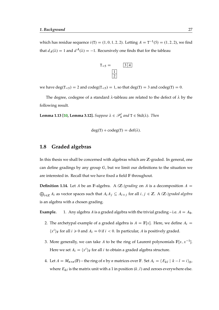which has residue sequence  $i(T) = (1, 0, 1, 2, 2)$ . Letting  $A = T^{-1}(5) = (1, 2, 2)$ , we find that  $d_A(\lambda) = 1$  and  $d^A(\lambda) = -1$ . Recursively one finds that for the tableau



we have deg $(T_{<5})$  = 2 and codeg $(T_{<5})$  = 1, so that deg $(T)$  = 3 and codeg $(T)$  = 0.

The degree, codegree of a standard  $\lambda$ -tableau are related to the defect of  $\lambda$  by the following result.

**Lemma 1.13 [\[10,](#page-169-7) Lemma 3.12].** *Suppose*  $\lambda \in \mathcal{P}_n^l$  and  $T \in \text{Std}(\lambda)$ *. Then* 

$$
deg(T) + codeg(T) = def(\lambda).
$$

#### <span id="page-26-0"></span>**1.8 Graded algebras**

In this thesis we shall be concerned with algebras which are  $\mathbb{Z}$ -graded. In general, one can define gradings by any group  $G$ , but we limit our definitions to the situation we are interested in. Recall that we have fixed a field F throughout.

**Definition 1.14.** Let A be an F-algebra. A  $(Z$ -)*grading* on A is a decomposition  $A =$  $\bigoplus_{i\in\mathbb{Z}}A_i$  as vector spaces such that  $A_iA_j\subseteq A_{i+j}$  for all  $i, j \in \mathbb{Z}$ . A *(Z<sub>r</sub>-)graded algebra* is an algebra with a chosen grading.

**Example.** 1. Any algebra A is a graded algebra with the trivial grading – i.e.  $A = A_0$ .

- 2. The archetypal example of a graded algebra is  $A = \mathbb{F}[x]$ . Here, we define  $A_i =$  $\langle x^i \rangle_F$  for all  $i \ge 0$  and  $A_i = 0$  if  $i < 0$ . In particular, A is positively graded.
- 3. More generally, we can take A to be the ring of Laurent polynomials  $\mathbb{F}[x, x^{-1}]$ . Here we set  $A_i = \langle x^i \rangle_F$  for all i to obtain a graded algebra structure.
- 4. Let  $A = M_{n \times n}(\mathbb{F})$  the ring of n by n matrices over  $\mathbb{F}$ . Set  $A_i = \langle E_{kl} | k l = i \rangle_{\mathbb{F}}$ where  $E_{kl}$  is the matrix unit with a 1 in position  $(k, l)$  and zeroes everywhere else.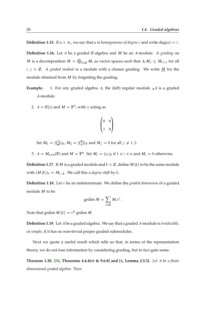**Definition 1.15.** If  $a \in A_i$ , we say that a is *homogeneous of degree i* and write deg $(a) = i$ .

**Definition 1.16.** Let A be a graded F-algebra and M be an A-module. A *grading* on M is a decomposition  $M = \bigoplus_{i \in \mathbb{Z}} M_i$  as vector spaces such that  $A_i M_j \subseteq M_{i+j}$  for all  $i, j \in \mathbb{Z}$ . A *graded module* is a module with a chosen grading. We write <u>M</u> for the module obtained from  $M$  by forgetting the grading.

**Example.** 1. For any graded algebra  $A$ , the (left) regular module  $_A A$  is a graded A-module.

2.  $A = \mathbb{F}[x]$  and  $M = \mathbb{F}^2$ , with x acting as

$$
\begin{pmatrix} 0 & 0 \\ 1 & 0 \end{pmatrix}.
$$

Set  $M_1 = \langle \begin{pmatrix} 1 \\ 0 \end{pmatrix}$  $\langle \begin{smallmatrix} 1\ 0 \end{smallmatrix} \rangle \rangle_\mathbb{F}$ ,  $M_2 = \langle \begin{smallmatrix} 0\ 1 \end{smallmatrix} \rangle$  $\binom{0}{1}$   $\ket{F}$  and  $M_j = 0$  for all  $j \neq 1, 2$ .

3.  $A = M_{n \times n}(\mathbb{F})$  and  $M = \mathbb{F}^n$ . Set  $M_i = \langle e_i \rangle_{\mathbb{F}}$  if  $1 \le i \le n$  and  $M_i = 0$  otherwise.

**Definition 1.17.** If *M* is a graded module and  $k \in \mathbb{Z}$ , define  $M \langle k \rangle$  to be the same module with  $(M\langle k\rangle)_i = M_{i-k}$ . We call this a *degree shift* by k.

**Definition 1.18.** Let v be an indeterminate. We define the *graded dimension* of a graded module M to be

$$
\operatorname{grdim} M = \sum_{i \in \mathbb{Z}} M_i v^i.
$$

Note that grdim  $M\langle k \rangle = v^k$  grdim  $M$ .

**Definition 1.19.** Let A be a graded algebra. We say that a graded A-module is *irreducible*, or *simple*, if it has no non-trivial proper graded submodules.

Next we quote a useful result which tells us that, in terms of the representation theory, we do not lose information by considering grading, but in fact gain some.

**Theorem 1.20. [\[38,](#page-171-7) Theorems 4.4.4(v) & 9.6.8] and [\[4,](#page-168-7) Lemma 2.5.3].** *Let* A *be a finite dimensional graded algebra. Then:*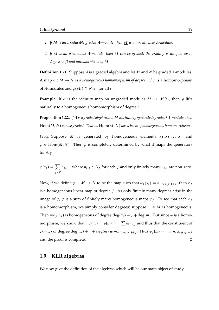- *1. If* M *is an irreducible graded* A*-module, then* M *is an irreducible* A*-module.*
- *2. If* M *is an irreducible* A*-module, then* M *can be graded; the grading is unique, up to degree shift and automorphism of* M*.*

**Definition 1.21.** Suppose A is a graded algebra and let M and N be graded A-modules. A map  $\varphi : M \to N$  is a *homogeneous homomorphism of degree r* if  $\varphi$  is a homomorphism of A-modules and  $\varphi(M_i) \subseteq N_{i+r}$  for all *i*.

**Example.** If  $\varphi$  is the identity map on ungraded modules  $\underline{M} \to M \langle i \rangle$ , then  $\varphi$  lifts naturally to a homogeneous homomorphism of degree i.

**Proposition 1.22.** *If* A *is a graded algebra and* M *is a finitely generated (graded)* A*-module, then*  $Hom(M, N)$  *can be graded. That is,*  $Hom(M, N)$  *has a basis of homogeneous homomorphisms.* 

*Proof.* Suppose M is generated by homogeneous elements  $x_1, x_2, \ldots, x_r$  and  $\varphi \in \text{Hom}(M, N)$ . Then  $\varphi$  is completely determined by what it maps the generators to. Say

$$
\varphi(x_i) = \sum_{j \in \mathbb{Z}} n_{i,j} \quad \text{where } n_{i,j} \in N_j \text{ for each } j \text{ and only finitely many } n_{i,j} \text{ are non-zero.}
$$

Now, if we define  $\varphi_j : M \to N$  to be the map such that  $\varphi_j(x_i) = n_{i,\text{deg}(x_i) + j}$ , then  $\varphi_j$ is a homogeneous linear map of degree  $j$ . As only finitely many degrees arise in the image of  $\varphi$ ,  $\varphi$  is a sum of finitely many homogeneous maps  $\varphi_i$ . To see that each  $\varphi_i$ is a homomorphism, we simply consider degrees; suppose  $m \in M$  is homogeneous. Then  $m\varphi_i(x_i)$  is homogeneous of degree deg $(x_i) + j + \deg(m)$ . But since  $\varphi$  is a homomorphism, we know that  $m\varphi(x_i) = \varphi(mx_i) = \sum mn_{i,j}$  and thus that the constituent of  $\varphi(mx_i)$  of degree  $\deg(x_i) + j + \deg(m)$  is  $mn_{i,\deg(x_i)+j}$ . Thus  $\varphi_j(mx_i) = mn_{i,\deg(x_i)+j}$ and the proof is complete.  $\Box$ 

## <span id="page-28-0"></span>**1.9 KLR algebras**

We now give the definition of the algebras which will be our main object of study.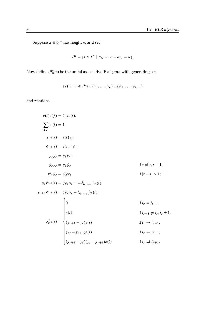Suppose  $\alpha \in Q^+$  has height *n*, and set

$$
I^{\alpha} = \{i \in I^n \mid \alpha_{i_1} + \cdots + \alpha_{i_n} = \alpha\}.
$$

Now define  $\mathcal{H}_\alpha$  to be the unital associative  $\mathbb{F}\text{-algebra with generating set}$ 

$$
\{e(i) | i \in I^{\alpha}\} \cup \{y_1, \ldots, y_n\} \cup \{\psi_1, \ldots, \psi_{n-1}\}\
$$

and relations

$$
e(i)e(j) = \delta_{i,j}e(i);
$$
  
\n
$$
\sum_{i \in I^{\alpha}} e(i) = 1;
$$
  
\n
$$
y_r e(i) = e(i)y_r;
$$
  
\n
$$
\psi_r e(i) = e(s_r i)\psi_r;
$$
  
\n
$$
y_r y_s = y_s y_r;
$$
  
\n
$$
\psi_r y_s = y_s \psi_r
$$
  
\nif  $s \neq r, r + 1$ ;  
\n
$$
\psi_r \psi_s = \psi_s \psi_r
$$
  
\nif  $|r - s| > 1$ ;  
\n
$$
y_r \psi_r e(i) = (\psi_r y_{r+1} - \delta_{i_r, i_{r+1}}) e(i);
$$
  
\n
$$
y_{r+1} \psi_r e(i) = (\psi_r y_r + \delta_{i_r, i_{r+1}}) e(i);
$$
  
\nif  $i_r = i_{r+1}$ ,  
\n
$$
\psi_r^2 e(i) = \begin{cases} 0 & \text{if } i_r = i_{r+1}, \\ 0 & \text{if } i_{r+1} \neq i_r, i_r \pm 1, \\ 0 & \text{if } i_r \rightarrow i_{r+1}, \\ (y_r - y_{r+1})e(i) & \text{if } i_r \in i_{r+1}, \\ (y_{r+1} - y_r)(y_r - y_{r+1})e(i) & \text{if } i_r \geq i_{r+1} \end{cases}
$$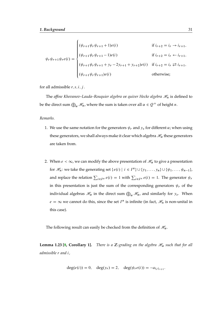$$
\psi_r \psi_{r+1} \psi_r e(i) = \begin{cases}\n(\psi_{r+1} \psi_r \psi_{r+1} + 1) e(i) & \text{if } i_{r+2} = i_r \to i_{r+1}, \\
(\psi_{r+1} \psi_r \psi_{r+1} - 1) e(i) & \text{if } i_{r+2} = i_r \leftarrow i_{r+1}, \\
(\psi_{r+1} \psi_r \psi_{r+1} + y_r - 2y_{r+1} + y_{r+2}) e(i) & \text{if } i_{r+2} = i_r \rightleftarrows i_{r+1}, \\
(\psi_{r+1} \psi_r \psi_{r+1}) e(i) & \text{otherwise};\n\end{cases}
$$

for all admissible  $r, s, i, j$ .

The *affine Khovanov–Lauda–Rouquier algebra* or *quiver Hecke algebra*  $\mathcal{H}_n$  is defined to be the direct sum  $\bigoplus_{\alpha}\mathscr{H}_{\alpha}$ , where the sum is taken over all  $\alpha\in\mathcal{Q}^+$  of height  $n.$ 

#### *Remarks.*

- 1. We use the same notation for the generators  $\psi_r$  and  $y_s$  for different  $\alpha$ ; when using these generators, we shall always make it clear which algebra  $\mathcal{H}_{\alpha}$  these generators are taken from.
- 2. When  $e < \infty$ , we can modify the above presentation of  $\mathcal{H}_{\alpha}$  to give a presentation for  $\mathcal{H}_n$ : we take the generating set  $\{e(i) | i \in I^n\} \cup \{y_1, \ldots, y_n\} \cup \{\psi_1, \ldots, \psi_{n-1}\},\$ and replace the relation  $\sum_{i \in I^{\alpha}} e(i) = 1$  with  $\sum_{i \in I^{n}} e(i) = 1$ . The generator  $\psi_{i}$ in this presentation is just the sum of the corresponding generators  $\psi_r$  of the individual algebras  $\mathscr{H}_{\alpha}$  in the direct sum  $\bigoplus_{\alpha}\mathscr{H}_{\alpha}$ , and similarly for  $y_s$ . When  $e = \infty$  we cannot do this, since the set  $I^n$  is infinite (in fact,  $\mathcal{H}_n$  is non-unital in this case).

The following result can easily be checked from the definition of  $\mathcal{H}_{\alpha}$ .

**Lemma 1.23 [\[8,](#page-168-5) Corollary 1].** *There is a Z-grading on the algebra*  $\mathcal{H}_{\alpha}$  such that for all *admissible* r *and* i*,*

$$
deg(e(i)) = 0
$$
,  $deg(y_r) = 2$ ,  $deg(\psi_r e(i)) = -a_{i_r i_{r+1}}$ .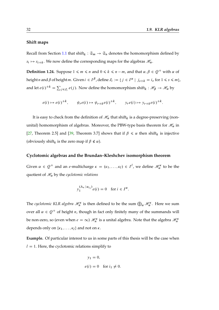#### **Shift maps**

Recall from Section [1.1](#page-14-1) that shift<sub>k</sub> :  $\mathfrak{S}_m \to \mathfrak{S}_n$  denotes the homomorphism defined by  $s_i \mapsto s_{i+k}$ . We now define the corresponding maps for the algebras  $\mathcal{H}_{\alpha}$ .

**Definition 1.24.** Suppose  $1 \le m \le n$  and  $0 \le k \le n-m$ , and that  $\alpha, \beta \in Q^+$  with  $\alpha$  of height n and  $\beta$  of height m. Given  $i \in I^{\beta}$ , define  $J_i := \{j \in I^{\alpha} \mid j_{s+k} = i_s \text{ for } 1 \leq s \leq m\}$ , and let  $e(i)^{+k} = \sum_{j \in J_i} e(j)$ . Now define the homomorphism shift<sub>k</sub> :  $\mathscr{H}_{\beta} \to \mathscr{H}_{\alpha}$  by

$$
e(i) \mapsto e(i)^{+k}, \qquad \psi_r e(i) \mapsto \psi_{r+k} e(i)^{+k}, \qquad y_r e(i) \mapsto y_{r+k} e(i)^{+k}.
$$

It is easy to check from the definition of  $\mathcal{H}_{\alpha}$  that shift<sub>k</sub> is a degree-preserving (nonunital) homomorphism of algebras. Moreover, the PBW-type basis theorem for  $\mathcal{H}_{\alpha}$  in [\[27,](#page-170-1) Theorem 2.5] and [\[39,](#page-171-3) Theorem 3.7] shows that if  $\beta \le \alpha$  then shift<sub>k</sub> is injective (obviously shift<sub>k</sub> is the zero map if  $\beta \nleq \alpha$ ).

#### **Cyclotomic algebras and the Brundan–Kleshchev isomorphism theorem**

Given  $\alpha \in Q^+$  and an e-multicharge  $\kappa = (\kappa_1, \ldots, \kappa_l) \in I^l$ , we define  $\mathcal{H}_\alpha^{\kappa}$  to be the quotient of  $\mathcal{H}_{\alpha}$  by the *cyclotomic relations* 

$$
y_1^{(\Lambda_{\kappa} | \alpha_{i_1})} e(i) = 0 \text{ for } i \in I^{\alpha}.
$$

The *cyclotomic KLR algebra*  $\mathscr{H}_n^{\kappa}$  is then defined to be the sum  $\bigoplus_{\alpha}\mathscr{H}_{\alpha}^{\kappa}$ . Here we sum over all  $\alpha \in Q^+$  of height *n*, though in fact only finitely many of the summands will be non-zero, so (even when  $e = \infty$ )  $\mathcal{H}_n^{\kappa}$  is a unital algebra. Note that the algebra  $\mathcal{H}_n^{\kappa}$ depends only on  $\{k_1, \ldots, k_l\}$  and not on  $\kappa$ .

**Example.** Of particular interest to us in some parts of this thesis will be the case when  $l = 1$ . Here, the cyclotomic relations simplify to

$$
y_1 = 0,
$$
  

$$
e(i) = 0 \quad \text{for } i_1 \neq 0.
$$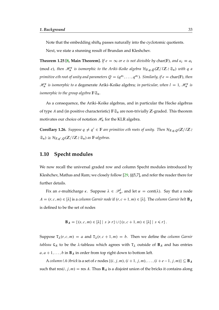Note that the embedding shift $_0$  passes naturally into the cyclotomic quotients.

Next, we state a stunning result of Brundan and Kleshchev.

**Theorem 1.25 [\[8,](#page-168-5) Main Theorem].** If  $e = \infty$  or e is not divisible by char(F), and  $\kappa_i \equiv a_i$ (mod *e*), then  $\mathcal{H}_n^{\kappa}$  is isomorphic to the Ariki–Koike algebra  $\mathcal{H}_{F,q,Q}(\mathbb{Z}/l\mathbb{Z}\wr \mathfrak{S}_n)$  with q a primitive eth root of unity and parameters  $Q = (q^{a_i}, \ldots, q^{a_l})$ . Similarly, if  $e = \text{char}(\mathbb{F})$ , then  $\mathcal{H}_n^{\kappa}$  is isomorphic to a degenerate Ariki–Koike algebra; in particular, when  $l = 1$ ,  $\mathcal{H}_n^{\kappa}$  is *isomorphic to the group algebra*  $\mathbb{F} \mathfrak{S}_n$ *.* 

As a consequence, the Ariki–Koike algebras, and in particular the Hecke algebras of type A and (in positive characteristic)  $\mathbb{F} \mathfrak{S}_n$  are non-trivially Z-graded. This theorem motivates our choice of notation  $\mathcal{H}_n$  for the KLR algebra.

**Corollary 1.26.** *Suppose*  $q \neq q' \in \mathbb{F}$  are primitive eth roots of unity. Then  $\mathcal{H}_{\mathbb{F},q,Q}(\mathbb{Z}/l\mathbb{Z})$  $\mathfrak{S}_n) \cong \mathcal{H}_{\mathbb{F},q',Q}(\mathbb{Z}/l\mathbb{Z}\wr \mathfrak{S}_n)$  as  $\mathbb{F}\text{-}algebras.$ 

## <span id="page-32-0"></span>**1.10 Specht modules**

We now recall the universal graded row and column Specht modules introduced by Kleshchev, Mathas and Ram; we closely follow [\[29,](#page-170-5) §§5,7], and refer the reader there for further details.

Fix an *e*-multicharge  $\kappa$ . Suppose  $\lambda \in \mathcal{P}_n^l$ , and let  $\alpha = \text{cont}(\lambda)$ . Say that a node  $A = (r, c, m) \in [\lambda]$  is a *column Garnir node* if  $(r, c + 1, m) \in [\lambda]$ . The *column Garnir belt* **B**<sub>A</sub> is defined to be the set of nodes

$$
\mathbf{B}_A = \{ (s, c, m) \in [\lambda] \mid s \geq r \} \cup \{ (s, c + 1, m) \in [\lambda] \mid s \leq r \}.
$$

Suppose  $T_{\lambda}(r, c, m) = a$  and  $T_{\lambda}(r, c + 1, m) = b$ . Then we define the *column Garnir tableau* G<sub>A</sub> to be the  $\lambda$ -tableau which agrees with T<sub> $\lambda$ </sub> outside of **B**<sub>A</sub> and has entries  $a, a + 1, \ldots, b$  in  $\mathbf{B}_A$  in order from top right down to bottom left.

A *column* (A-)brick is a set of e nodes  $\{(i, j, m), (i + 1, j, m), \ldots, (i + e - 1, j, m)\} \subseteq \mathbf{B}_A$ such that  $res(i, j, m) = res A$ . Thus  $B_A$  is a disjoint union of the bricks it contains along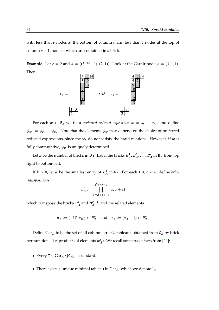with less than  $e$  nodes at the bottom of column  $c$  and less than  $e$  nodes at the top of column  $c + 1$ , none of which are contained in a brick.

**Example.** Let  $e = 2$  and  $\lambda = ((3, 2^2, 1^4), (2, 1))$ . Look at the Garnir node  $A = (3, 1, 1)$ . Then



For each  $w \in \mathfrak{S}_n$  we fix a *preferred reduced expression*  $w = s_{r_1} \ldots s_{r_a}$ , and define  $\psi_w := \psi_{r_1} \dots \psi_{r_a}$ . Note that the elements  $\psi_w$  may depend on the choice of preferred reduced expressions, since the  $\psi_r$  do not satisfy the braid relations. However, if w is fully commutative,  $\psi_w$  is uniquely determined.

Let k be the number of bricks in **B**<sub>A</sub>. Label the bricks  $B_A^1, B_A^2, \ldots, B_A^k$  in **B**<sub>A</sub> from top right to bottom left.

If  $k > 0$ , let *d* be the smallest entry of  $B_A^1$  in  $G_A$ . For each  $1 \le r < k$ , define *brick transpositions*

$$
w_A^r := \prod_{a=d+re-e}^{d+re-1} (a, a+e)
$$

which transpose the bricks  $B_A^r$  and  $B_A^{r+1}$  $\binom{r+1}{A}$ , and the related elements

$$
\sigma_A^r := (-1)^e \psi_{w_A^r} \in \mathcal{H}_\alpha \quad \text{and} \quad \tau_A^r := (\sigma_A^r + 1) \in \mathcal{H}_\alpha.
$$

Define Gar<sub>A</sub> to be the set of all column-strict  $\lambda$ -tableaux obtained from G<sub>A</sub> by brick permutations (i.e. products of elements  $w_A^r$ ). We recall some basic facts from [\[29\]](#page-170-5):

- Every  $T \in \text{Gar}_A \setminus \{G_A\}$  is standard.
- There exists a unique minimal tableau in  $Gar_A$ , which we denote  $T_A$ .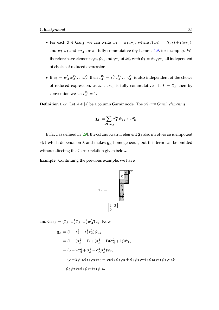- For each S  $\in$  Gar<sub>A</sub>, we can write  $w_S = u_Sw_{T_A}$ , where  $l(w_S) = l(u_S) + l(w_{T_A})$ , and  $w_{\mathsf{S}}, u_{\mathsf{S}}$  and  $w_{\mathsf{T}_A}$  are all fully commutative (by Lemma [1.9,](#page-22-0) for example). We therefore have elements  $\psi_S$ ,  $\psi_{u_S}$  and  $\psi_{T_A}$  of  $\mathcal{H}_{\alpha}$  with  $\psi_S = \psi_{u_S} \psi_{T_A}$  all independent of choice of reduced expression.
- If  $u_S = w_A^{r_1} w_A^{r_2}$  $\frac{r_2}{A} \ldots w_A^{r_a}$  $\int_A^{r_a}$  then  $\tau_A^{u_s} = \tau_A^{r_1}$  $\int_A^{r_1} \tau_A^{r_2}$  $\tau_A^{r_2} \ldots \tau_A^{r_a}$  $\frac{a}{A}$  is also independent of the choice of reduced expression, as  $s_{r_1} \dots s_{r_a}$  is fully commutative. If  $S = T_A$  then by convention we set  $\tau_A^{u_S} = 1$ .

**Definition 1.27.** Let  $A \in [\lambda]$  be a column Garnir node. The *column Garnir element* is

$$
\mathsf{g}_A := \sum_{\mathsf{S} \in \operatorname{Gar}_A} \tau_A^{u_{\mathsf{S}}} \psi_{\mathsf{T}_A} \in \mathscr{H}_\alpha.
$$

In fact, as defined in [\[29\]](#page-170-5), the column Garnir element  $g_A$  also involves an idempotent  $e(i)$  which depends on  $\lambda$  and makes  $g_A$  homogeneous, but this term can be omitted without affecting the Garnir relation given below.

**Example.** Continuing the previous example, we have

$$
T_A = \frac{\frac{4}{5} \frac{6}{11}}{\frac{7}{12}}
$$
  

$$
T_A = \frac{\frac{9}{9}}{\frac{10}{13}}
$$
  

$$
\frac{1}{2}
$$

and  $\text{Gar}_A = {\text{T}_A, w_A^2 \text{T}_A, w_A^1 w_A^2 \text{T}_A}.$  Now

$$
Q_A = (1 + \tau_A^2 + \tau_A^1 \tau_A^2) \psi_{T_A}
$$
  
=  $(1 + (\sigma_A^2 + 1) + (\sigma_A^1 + 1)(\sigma_A^2 + 1)) \psi_{T_A}$   
=  $(3 + 2\sigma_A^2 + \sigma_A^1 + \sigma_A^1 \sigma_A^2) \psi_{T_A}$   
=  $(3 + 2\psi_{10}\psi_{11}\psi_9\psi_{10} + \psi_8\psi_9\psi_7\psi_8 + \psi_8\psi_9\psi_{10}\psi_{11}\psi_9\psi_{10}) \cdot \psi_6\psi_7\psi_8\psi_9\psi_{12}\psi_{11}\psi_{10}.$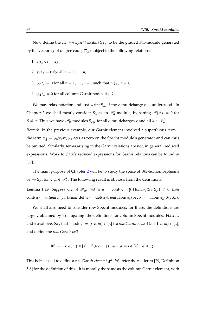Now define the *column Specht module*  $S_{\lambda|\kappa}$  to be the graded  $\mathcal{H}_{\alpha}$ -module generated by the vector  $z_{\lambda}$  of degree codeg(T<sub> $\lambda$ </sub>) subject to the following relations:

- 1.  $e(i_\lambda)z_\lambda = z_\lambda;$
- 2.  $v_r z_{\lambda} = 0$  for all  $r = 1, \ldots, n;$
- 3.  $\psi_r z_\lambda = 0$  for all  $r = 1, ..., n 1$  such that  $r \downarrow_{T_\lambda} r + 1$ ;
- 4.  $g_A z_{\lambda} = 0$  for all column Garnir nodes  $A \in \lambda$ .

We may relax notation and just write  $S_{\lambda}$ , if the *e*-multicharge  $\kappa$  is understood. In Chapter [2](#page-44-0) we shall mostly consider  $S_\lambda$  as an  $\mathcal{H}_n$ -module, by setting  $\mathcal{H}_\beta S_\lambda = 0$  for  $\beta \neq \alpha$ . Thus we have  $\mathscr{H}_n$ -modules  $S_{\lambda|\kappa}$  for all e-multicharges  $\kappa$  and all  $\lambda \in \mathscr{P}_n^l$ .

*Remark.* In the previous example, our Garnir element involved a superfluous term – the term  $\sigma_A^1 = \psi_8 \psi_9 \psi_7 \psi_8$  acts as zero on the Specht module's generator and can thus be omitted. Similarly, terms arising in the Garnir relations are not, in general, reduced expressions. Work to clarify reduced expressions for Garnir relations can be found in [\[17\]](#page-169-8).

The main purpose of Chapter [2](#page-44-0) will be to study the space of  $\mathcal{H}_n$ -homomorphisms  $S_{\lambda} \to S_{\mu}$ , for  $\lambda, \mu \in \mathscr{P}_n^l$ . The following result is obvious from the definitions.

**Lemma 1.28.** Suppose  $\lambda, \mu \in \mathcal{P}_n^l$ , and let  $\alpha = \text{cont}(\lambda)$ . If  $\text{Hom}_{\mathcal{H}_n}(S_\lambda, S_\mu) \neq 0$ , then  $cont(\mu) = \alpha$  (and in particular  $det(\lambda) = det(\mu)$ ), and  $Hom_{\mathcal{H}_n}(S_\lambda, S_\mu) = Hom_{\mathcal{H}_\alpha}(S_\lambda, S_\mu)$ .

We shall also need to consider row Specht modules; for these, the definitions are largely obtained by 'conjugating' the definitions for column Specht modules. Fix  $\kappa$ ,  $\lambda$ and  $\alpha$  as above. Say that a node  $A = (r, c, m) \in [\lambda]$  is a *row Garnir node* if  $(r + 1, c, m) \in [\lambda]$ , and define the *row Garnir belt*

$$
\mathbf{B}^A = \{ (r, d, m) \in [\lambda] \mid d \geq c \} \cup \{ (r+1, d, m) \in [\lambda] \mid d \leq c \}.
$$

This belt is used to define a *row Garnir element* g <sup>A</sup>. We refer the reader to [\[29,](#page-170-5) Definition 5.8] for the definition of this – it is morally the same as the column Garnir element, with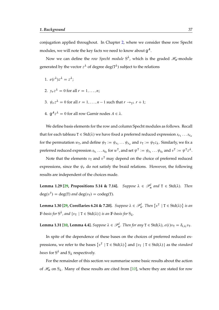conjugation applied throughout. In Chapter [2,](#page-44-0) where we consider these row Specht modules, we will note the key facts we need to know about  $\mathsf{g}^A$ .

Now we can define the *row Specht module*  $S^{\lambda}$ , which is the graded  $\mathscr{H}_{\alpha}$ -module generated by the vector  $z^{\lambda}$  of degree deg(T<sup> $\lambda$ </sup>) subject to the relations

- 1.  $e(i^{\lambda})z^{\lambda} = z^{\lambda};$
- 2.  $y_r z^{\lambda} = 0$  for all  $r = 1, \ldots, n;$
- 3.  $\psi_r z^{\lambda} = 0$  for all  $r = 1, \ldots, n 1$  such that  $r \to_{T^{\lambda}} r + 1$ ;
- 4.  $g^Az^{\lambda}=0$  for all row Garnir nodes  $A\in\lambda$ .

We define basis elements for the row and column Specht modules as follows. Recall that for each tableau  $T \in \text{Std}(\lambda)$  we have fixed a preferred reduced expression  $s_{r_1} \ldots s_{r_d}$ for the permutation  $w_T$ , and define  $\psi_T := \psi_{r_1} \dots \psi_{r_a}$  and  $v_T := \psi_{T} z_{\lambda}$ . Similarly, we fix a preferred reduced expression  $s_{t_1}\ldots s_{t_b}$  for  $w^T$ , and set  $\psi^T:=\psi_{t_1}\ldots \psi_{t_b}$  and  $v^T:=\psi^T z^\lambda$ .

Note that the elements  $v<sub>T</sub>$  and  $v<sup>T</sup>$  may depend on the choice of preferred reduced expressions, since the  $\psi_r$  do not satisfy the braid relations. However, the following results are independent of the choices made.

**Lemma 1.29 [\[29,](#page-170-0) Propositions 5.14 & 7.14].** Suppose  $\lambda \in \mathcal{P}_n^l$  and  $T \in \text{Std}(\lambda)$ . Then  $deg(v^T) = deg(T)$  *and*  $deg(v_T) = codeg(T)$ *.* 

**Lemma 1.30 [\[29,](#page-170-0) Corollaries 6.24 & 7.20].** Suppose  $\lambda \in \mathcal{P}_n^l$ . Then  $\{v^T \mid T \in \text{Std}(\lambda)\}\$  is an  $\mathbb{F}\text{-}basis$  for  $S^{\lambda}$ , and  $\{v_{T} \mid T \in \text{Std}(\lambda)\}$  is an  $\mathbb{F}\text{-}basis$  for  $S_{\lambda}$ .

**Lemma 1.31 [\[10,](#page-169-0) Lemma 4.4].** *Suppose*  $\lambda \in \mathscr{P}_n^l$ . *Then for any*  $T \in Std(\lambda)$ ,  $e(i)v_T = \delta_{i,i_T}v_T$ .

In spite of the dependence of these bases on the choices of preferred reduced expressions, we refer to the bases  $\{v^T \mid T \in \text{Std}(\lambda)\}\$  and  $\{v_T \mid T \in \text{Std}(\lambda)\}\$  as the *standard bases* for  $S^{\lambda}$  and  $S_{\lambda}$  respectively.

For the remainder of this section we summarise some basic results about the action of  $\mathcal{H}_{\alpha}$  on  $S_{\lambda}$ . Many of these results are cited from [\[10\]](#page-169-0), where they are stated for row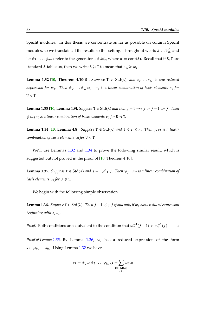Specht modules. In this thesis we concentrate as far as possible on column Specht modules, so we translate all the results to this setting. Throughout we fix  $\lambda \in \mathscr{P}_n^l$ , and let  $\psi_1, \ldots, \psi_{n-1}$  refer to the generators of  $\mathcal{H}_{\alpha}$ , where  $\alpha = \text{cont}(\lambda)$ . Recall that if S, T are standard  $\lambda$ -tableaux, then we write S  $\geq$  T to mean that  $w_S \geq w_T$ .

<span id="page-37-0"></span>**Lemma 1.32 [\[10,](#page-169-0) Theorem 4.10(i)].** Suppose  $T \in \text{Std}(\lambda)$ , and  $s_{j_1} \ldots s_{j_r}$  is any reduced expression for  $w_T$ . Then  $\psi_{j_1} \dots \psi_{j_r} z_\lambda - v_T$  is a linear combination of basis elements  $v_U$  for  $U \triangleleft T$ .

<span id="page-37-4"></span>**Lemma 1.33 [\[10,](#page-169-0) Lemma 4.9].** *Suppose*  $T \in \text{Std}(\lambda)$  *and that*  $j - 1 \rightarrow_T j$  *or*  $j - 1 \downarrow_T j$ *. Then*  $\psi_{j-1}v_T$  *is a linear combination of basis elements*  $v_U$  *for*  $U \triangleleft T$ *.* 

<span id="page-37-1"></span>**Lemma 1.34 [\[10,](#page-169-0) Lemma 4.8].** *Suppose*  $T \in \text{Std}(\lambda)$  *and*  $1 \le i \le n$ *. Then*  $y_i v_T$  *is a linear combination of basis elements*  $v_U$  *for*  $U \triangleleft T$ *.* 

We'll use Lemmas [1.32](#page-37-0) and [1.34](#page-37-1) to prove the following similar result, which is suggested but not proved in the proof of [\[10,](#page-169-0) Theorem 4.10].

<span id="page-37-2"></span>**Lemma 1.35.** *Suppose*  $T \in \text{Std}(\lambda)$  *and*  $j - 1 \mathcal{U}_T j$ *. Then*  $\psi_{j-1}v_T$  *is a linear combination of basis elements*  $v_U$  *for*  $U \le T$ *.* 

We begin with the following simple observation.

<span id="page-37-3"></span>**Lemma 1.36.** *Suppose*  $T \in \text{Std}(\lambda)$ *. Then*  $j - 1 \nleq T j$  *if and only if*  $w_T$  *has a reduced expression beginning with*  $s_{i-1}$ .

*Proof.* Both conditions are equivalent to the condition that  $w_T^{-1}(j-1) > w_T^{-1}(j)$ .  $\Box$ 

*Proof of Lemma* [1.35.](#page-37-2) By Lemma [1.36,](#page-37-3)  $w<sub>T</sub>$  has a reduced expression of the form  $s_{j-1}s_{k_1}\ldots s_{k_r}$ . Using Lemma [1.32](#page-37-0) we have

$$
v_{\mathrm{T}} = \psi_{j-1} \psi_{k_1} \dots \psi_{k_r} z_{\lambda} + \sum_{\substack{\mathrm{U} \in \mathrm{Std}(\lambda) \\ \mathrm{U} \leq \mathrm{T}}} a_{\mathrm{U}} v_{\mathrm{U}}
$$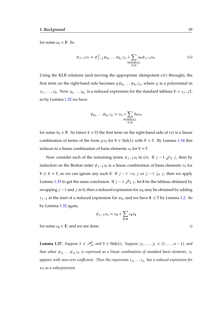for some  $a_U \in \mathbb{F}$ . So

$$
\psi_{j-1}v_{\mathsf{T}} = \psi_{j-1}^2 \psi_{k_1} \dots \psi_{k_r} z_{\lambda} + \sum_{\substack{\mathsf{U} \in \text{Std}(\lambda), \\ \mathsf{U} \leq \mathsf{T} \\ \mathsf{U} \leq \mathsf{T}}} a_{\mathsf{U}} \psi_{j-1} v_{\mathsf{U}}.
$$
\n
$$
(*)
$$

Using the KLR relations (and moving the appropriate idempotent  $e(i)$  through), the first term on the right-hand side becomes  $g\psi_{k_1} \dots \psi_{k_r} z_\lambda$ , where g is a polynomial in  $y_1, \ldots, y_n$ . Now  $s_{k_1} \ldots s_{k_r}$  is a reduced expression for the standard tableau S =  $s_{j-1}$ T, so by Lemma [1.32](#page-37-0) we have

$$
\psi_{k_1}\dots\psi_{k_r}z_\lambda=v_{\mathsf{S}}+\sum_{\substack{\mathtt{V}\in\mathsf{Std}(\lambda),\\ \mathtt{V}\triangleleft\mathsf{S}}}\mathit{b}_{\mathtt{V}}v_{\mathtt{V}}
$$

for some  $b_v \in \mathbb{F}$ . So (since S  $\leq$  T) the first term on the right-hand side of (\*) is a linear combination of terms of the form  $gv_\text{V}$  for  $\text{V} \in \text{Std}(\lambda)$  with  $\text{V} \triangleleft \text{T}$ . By Lemma [1.34](#page-37-1) this reduces to a linear combination of basis elements  $v<sub>V</sub>$  for  $V \triangleleft T$ .

Now consider each of the remaining terms  $\psi_{j-1}v_{\text{U}}$  in (\*). If  $j-1 \swarrow_{\text{U}} j$ , then by induction on the Bruhat order  $\psi_{j-1}v_{\text{U}}$  is a linear combination of basis elements  $v_{\text{V}}$  for  $V \le U \le T$ , so we can ignore any such U. If  $j - 1 \rightarrow_U j$  or  $j - 1 \downarrow_U j$ , then we apply Lemma [1.33](#page-37-4) to get the same conclusion. If  $j - 1 \mathcal{D}_U j$ , let R be the tableau obtained by swapping  $j - 1$  and j in U; then a reduced expression for  $w_R$  may be obtained by adding  $s_{j-1}$  at the start of a reduced expression for  $w_U$ , and we have R  $\leq$  T by Lemma [1.2.](#page-15-0) So by Lemma [1.32](#page-37-0) again,

$$
\psi_{j-1}v_{\mathtt{U}}=v_{\mathtt{R}}+\sum_{\mathtt{W}\lhd \mathtt{R}}c_{\mathtt{W}}v_{\mathtt{W}}
$$

for some  $c_W \in \mathbb{F}$ , and we are done.

<span id="page-38-0"></span>**Lemma 1.37.** Suppose  $\lambda \in \mathcal{P}_n^l$ , and  $T \in \text{Std}(\lambda)$ . Suppose  $j_1, \ldots, j_r \in \{1, \ldots, n-1\}$ , and that when  $\psi_{j_1} \dots \psi_{j_r}$ z is expressed as a linear combination of standard basis elements,  $v_{\texttt{T}}$ appears with non-zero coefficient. Then the expression s<sub>j1</sub> . . . s<sub>jr</sub> has a reduced expression for  $w_T$  *as a subexpression.* 

$$
\Box
$$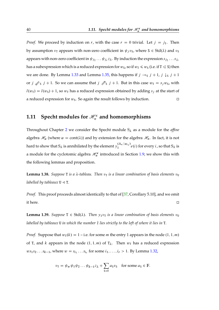*Proof.* We proceed by induction on r, with the case  $r = 0$  trivial. Let  $j = j_1$ . Then by assumption  $v_T$  appears with non-zero coefficient in  $\psi_i v_S$ , where  $S \in \text{Std}(\lambda)$  and  $v_S$ appears with non-zero coefficient in  $\psi_{j_2}\dots \psi_{j_r}$   $z_\lambda$  . By induction the expression  $s_{j_2}\dots s_{j_r}$ has a subexpression which is a reduced expression for  $w_S$ , so if  $w_T \leq w_S$  (i.e. if  $T \leq S$ ) then we are done. By Lemma [1.33](#page-37-4) and Lemma [1.35,](#page-37-2) this happens if  $j \rightarrow_S j + 1$ ,  $j \downarrow_S j + 1$ or  $j \nless s_j + 1$ . So we can assume that  $j \nless s_j + 1$ . But in this case  $w_T = s_j w_S$ , with  $l(w_T) = l(w_S) + 1$ , so  $w_T$  has a reduced expression obtained by adding  $s_i$  at the start of a reduced expression for  $w_s$ . So again the result follows by induction.

## <span id="page-39-2"></span>**1.11** Specht modules for  $\mathcal{H}_n^{\kappa}$  and homomorphisms

Throughout Chapter [2](#page-44-0) we consider the Specht module  $S_{\lambda}$  as a module for the *affine* algebra  $\mathcal{H}_{\alpha}$  (where  $\alpha = \text{cont}(\lambda)$ ) and by extension for the algebra  $\mathcal{H}_n$ . In fact, it is not hard to show that  $S_\lambda$  is annihilated by the element  $y_1^{(\Lambda_\kappa|\alpha_{i_1})}$  $\int_1^{(1)} e^{i t} e^{i t}$  for every *i*, so that  $S_\lambda$  is a module for the cyclotomic algebra  $\mathcal{H}_n^{\kappa}$  introduced in Section [1.9;](#page-28-0) we show this with the following lemmas and proposition.

<span id="page-39-0"></span>**Lemma 1.38.** *Suppose* T *is a*  $\lambda$ -tableau. Then  $v<sub>T</sub>$  *is a linear combination of basis elements*  $v<sub>U</sub>$ *labelled by tableaux*  $U \triangleleft T$ .

*Proof.* This proof proceeds almost identically to that of [\[37,](#page-171-0) Corollary 5.10], and we omit it here.

<span id="page-39-1"></span>**Lemma 1.39.** *Suppose*  $T \in Std(\lambda)$ *. Then*  $y_1v_T$  *is a linear combination of basis elements*  $v_U$ *labelled by tableaux* U *in which the number 1 lies strictly to the left of where it lies in* T*.*

*Proof.* Suppose that  $w_T(k) = 1 - i.e.$  for some *m* the entry 1 appears in the node  $(1, 1, m)$ of T, and k appears in the node  $(1, 1, m)$  of  $T_{\lambda}$ . Then  $w_T$  has a reduced expression  $ws_1 s_2 \dots s_{k-1}$ , where  $w = s_{i_1} \dots s_{i_r}$  for some  $i_1, \dots, i_r > 1$ . By Lemma [1.32,](#page-37-0)

$$
v_{\text{T}} = \psi_w \psi_1 \psi_2 \dots \psi_{k-1} z_{\lambda} + \sum_{\text{S}\vartriangleleft \text{T}} a_{\text{S}} v_{\text{S}}
$$
 for some  $a_{\text{S}} \in \mathbb{F}$ .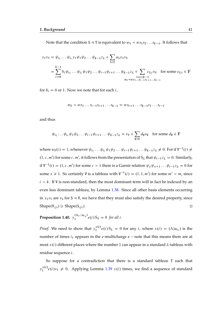Note that the condition S  $\triangleleft$  T is equivalent to  $w_S \prec ws_1 s_2 \ldots s_{k-1}$ . It follows that

$$
y_1v_T = \psi_{i_1} \dots \psi_{i_r} y_1 \psi_1 \psi_2 \dots \psi_{k-1} z_\lambda + \sum_{S \triangleleft T} a_S y_1 v_S
$$
  
= 
$$
\sum_{i=0}^{k-1} b_i \psi_{i_1} \dots \psi_{i_r} \psi_1 \psi_2 \dots \psi_{i-1} \psi_{i+1} \dots \psi_{k-1} z_\lambda + \sum_{\substack{1 \le i \le k-1 \\ w_U \prec w_S \cdot 1 \dots s_{i-1} s_i + 1 \dots s_{k-1}}} c_{U,i} v_U \text{ for some } c_{U,i} \in \mathbb{F}
$$

for  $b_i = 0$  or 1. Now we note that for each *i*,

$$
w_0 \prec ws_1 \ldots s_{i-1} s_{i+1} \ldots s_{k-1} = ws_{i+1} \ldots s_{k-1} s_1 \ldots s_{i-1}
$$

and thus

$$
\psi_{i_1} \dots \psi_{i_r} \psi_1 \psi_2 \dots \psi_{i-1} \psi_{i+1} \dots \psi_{k-1} z_\lambda = v_\nu + \sum_{\mathbf{W} \prec \mathbf{V}} d_{\mathbf{W}} v_\mathbf{W}
$$
 for some  $d_{\mathbf{W}} \in \mathbb{F}$ 

where  $w_{\mathbf{V}}(i) = 1$ , whenever  $\psi_{i_1} \dots \psi_{i_r} \psi_1 \psi_2 \dots \psi_{i-1} \psi_{i+1} \dots \psi_{k-1} z_{\lambda} \neq 0$ . For if  $\mathbf{V}^{-1}(i) \neq i$  $(1, c, m')$  for some  $c, m'$ , it follows from the presentation of  $S_{\lambda}$  that  $\psi_{i-1} z_{\lambda} = 0$ . Similarly, if  $V^{-1}(i) = (1, c, m')$  for some  $c > 1$  there is a Garnir relation  $\psi_x \psi_{x+1} \dots \psi_{i-1} z_\lambda = 0$  for some  $x \ge 1$ . So certainly V is a tableau with  $V^{-1}(i) = (1, 1, m')$  for some  $m' < m$ , since  $i < k$ . If V is non-standard, then the most dominant term will in fact be indexed by an even less dominant tableau, by Lemma [1.38.](#page-39-0) Since all other basis elements occurring in  $y_1v_T$  are  $v_S$  for S  $\triangleleft$  V, we have that they must also satisfy the desired property, since  $Shape(V_{\downarrow 1}) \geq$  Shape $(S_{\downarrow 1})$ .

**Proposition 1.40.**  $y_1^{(\Lambda_K | \alpha_{i_1})}$  $\int_1^{(\Lambda_K | \alpha_{i_1})} e(i) S_{\lambda} = 0$  for all *i*.

*Proof.* We need to show that  $y_1^{x(i)}$  $\chi_i^{(i)} e(i) S_{\lambda} = 0$  for any *i*, where  $x(i) = (\Lambda | \alpha_{i_1})$  is the number of times  $i_1$  appears in the *e*-multicharge  $\kappa$  – note that this means there are at most  $x(i)$  different places where the number 1 can appear in a standard  $\lambda$ -tableau with residue sequence i.

So suppose for a contradiction that there is a standard tableau T such that  $y_1^{x(i)}$  $\chi_1^{(i)} e(i) v_{\text{T}} \neq 0$ . Applying Lemma [1.39](#page-39-1)  $x(i)$  times, we find a sequence of standard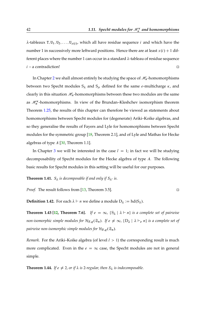$\lambda$ -tableaux T, U<sub>1</sub>, U<sub>2</sub>, ..., U<sub>x(i)</sub>, which all have residue sequence *i* and which have the number 1 in successively more leftward positions. Hence there are at least  $x(i) + 1$  different places where the number 1 can occur in a standard  $\lambda$ -tableau of residue sequence  $i - a$  contradiction!

In Chapter [2](#page-44-0) we shall almost entirely be studying the space of  $\mathcal{H}_n$ -homomorphisms between two Specht modules  $S_{\lambda}$  and  $S_{\mu}$  defined for the same e-multicharge  $\kappa$ , and clearly in this situation  $\mathcal{H}_n$ -homomorphisms between these two modules are the same as  $\mathcal{H}_n^{\kappa}$ -homomorphisms. In view of the Brundan–Kleshchev isomorphism theorem Theorem [1.25,](#page-32-0) the results of this chapter can therefore be viewed as statements about homomorphisms between Specht modules for (degenerate) Ariki–Koike algebras, and so they generalise the results of Fayers and Lyle for homomorphisms between Specht modules for the symmetric group [\[18,](#page-169-1) Theorem 2.1], and of Lyle and Mathas for Hecke algebras of type  $A$  [\[30,](#page-170-1) Theorem 1.1].

In Chapter [3](#page-78-0) we will be interested in the case  $l = 1$ ; in fact we will be studying decomposability of Specht modules for the Hecke algebra of type A. The following basic results for Specht modules in this setting will be useful for our purposes.

**Theorem 1.41.**  $S_{\lambda}$  *is decomposable if and only if*  $S_{\lambda}$ *' is.* 

*Proof.* The result follows from [\[13,](#page-169-2) Theorem 3.5].

**Definition 1.42.** For each  $\lambda \vdash n$  we define a module  $D_{\lambda} := hd(S_{\lambda})$ .

**Theorem 1.43 [\[12,](#page-169-3) Theorem 7.6].** *If*  $e = \infty$ ,  $\{S_{\lambda} | \lambda \vdash n\}$  *is a complete set of pairwise non-isomorphic simple modules for*  $\mathcal{H}_{F,q}(\mathfrak{S}_n)$ *. If*  $e \neq \infty$ ,  $\{D_\lambda \mid \lambda \vdash_e n\}$  *is a complete set of pairwise non-isomorphic simple modules for*  $\mathcal{H}_{F,q}(\mathfrak{S}_n)$ *.* 

*Remark.* For the Ariki–Koike algebra (of level  $l > 1$ ) the corresponding result is much more complicated. Even in the  $e = \infty$  case, the Specht modules are not in general simple.

**Theorem 1.44.** *If*  $e \neq 2$ , *or if*  $\lambda$  *is* 2*-regular*, *then*  $S_{\lambda}$  *is indecomposable.*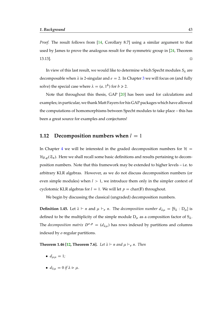*Proof.* The result follows from [\[14,](#page-169-4) Corollary 8.7] using a similar argument to that used by James to prove the analogous result for the symmetric group in [\[24,](#page-170-2) Theorem 13.13].

In view of this last result, we would like to determine which Specht modules  $S_\lambda$  are decomposable when  $\lambda$  is 2-singular and  $e = 2$ . In Chapter [3](#page-78-0) we will focus on (and fully solve) the special case where  $\lambda = (a, 1^b)$  for  $b \ge 2$ .

Note that throughout this thesis, GAP [\[20\]](#page-169-5) has been used for calculations and examples; in particular, we thank Matt Fayers for his GAP packages which have allowed the computations of homomorphisms between Specht modules to take place – this has been a great source for examples and conjectures!

## **1.12** Decomposition numbers when  $l = 1$

In Chapter [4](#page-136-0) we will be interested in the graded decomposition numbers for  $H =$  $\mathcal{H}_{F,q}(\mathfrak{S}_n)$ . Here we shall recall some basic definitions and results pertaining to decomposition numbers. Note that this framework may be extended to higher levels – i.e. to arbitrary KLR algebras. However, as we do not discuss decomposition numbers (or even simple modules) when  $l > 1$ , we introduce them only in the simpler context of cyclotomic KLR algebras for  $l = 1$ . We will let  $p = char(F)$  throughout.

We begin by discussing the classical (ungraded) decomposition numbers.

**Definition 1.45.** Let  $\lambda \vdash n$  and  $\mu \vdash_e n$ . The *decomposition number*  $d_{\lambda\mu} = [S_{\lambda} : D_{\mu}]$  is defined to be the multiplicity of the simple module  $D_{\mu}$  as a composition factor of  $S_{\lambda}$ . The *decomposition matrix*  $D^{e,p} = (d_{\lambda\mu})$  has rows indexed by partitions and columns indexed by e-regular partitions.

**Theorem 1.46 [\[12,](#page-169-3) Theorem 7.6].** *Let*  $\lambda \vdash n$  *and*  $\mu \vdash_e n$ *. Then* 

- $d_{\mu\mu} = 1$ *;*
- $d_{\lambda\mu} = 0$  if  $\lambda \triangleright \mu$ .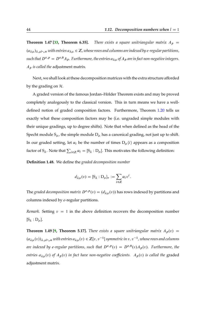**Theorem 1.47 [\[33,](#page-170-3) Theorem 6.35].** *There exists a square unitriangular matrix*  $A_p$  =  $(a_{\lambda\mu})_{\lambda,\mu\vdash_{e}n}$  with entries  $a_{\lambda\mu}\in\mathbb{Z}$ , whose rows and columns are indexed by e-regular partitions, *such that*  $D^{e,p} = D^{e,0}A_p$ . Furthermore, the entries  $a_{\lambda\mu}$  of  $A_p$  are in fact non-negative integers. A<sup>p</sup> *is called the* adjustment matrix*.*

Next, we shall look at these decomposition matrices with the extra structure afforded by the grading on  $H$ .

A graded version of the famous Jordan–Hölder Theorem exists and may be proved completely analogously to the classical version. This in turn means we have a welldefined notion of graded composition factors. Furthermore, Theorem [1.20](#page-27-0) tells us exactly what these composition factors may be (i.e. ungraded simple modules with their unique gradings, up to degree shifts). Note that when defined as the head of the Specht module  $S_{\mu}$ , the simple module  $D_{\mu}$  has a canonical grading, not just up to shift. In our graded setting, let  $\alpha_i$  be the number of times  $D_\mu\langle i\rangle$  appears as a composition factor of  $S_\lambda$ . Note that  $\sum_{i\in\mathbb{Z}}\alpha_i=[S_\lambda:D_\mu]$ . This motivates the following definition:

**Definition 1.48.** We define the *graded decomposition number*

$$
d_{\lambda\mu}(v) = [S_{\lambda} : D_{\mu}]_v := \sum_{i \in \mathbb{Z}} \alpha_i v^i.
$$

The *graded decomposition matrix*  $D^{e,p}(v) = (d_{\lambda\mu}(v))$  has rows indexed by partitions and columns indexed by e-regular partitions.

*Remark.* Setting  $v = 1$  in the above definition recovers the decomposition number  $[S_{\lambda}:D_{\mu}].$ 

**Theorem 1.49 [\[9,](#page-168-0) Theorem 5.17].** *There exists a square unitriangular matrix*  $A_p(v)$  =  $(a_{\lambda\mu}(v))_{\lambda,\mu\vdash_{e}n}$  with entries  $a_{\lambda\mu}(v)\in\mathbb{Z}[v,v^{-1}]$  symmetric in  $v, v^{-1}$ , whose rows and columns *are indexed by e-regular partitions, such that*  $D^{e,p}(v) = D^{e,0}(v)A_p(v)$ *. Furthermore, the entries*  $a_{\lambda\mu}(v)$  *of*  $A_p(v)$  *in fact have non-negative coefficients.*  $A_p(v)$  *is called the* graded adjustment matrix*.*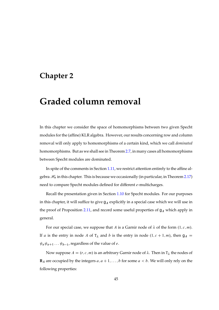# <span id="page-44-0"></span>**Chapter 2**

# **Graded column removal**

In this chapter we consider the space of homomorphisms between two given Specht modules for the (affine) KLR algebra. However, our results concerning row and column removal will only apply to homomorphisms of a certain kind, which we call *dominated* homomorphisms. But as we shall see in Theorem [2.7,](#page-49-0) in many cases all homomorphisms between Specht modules are dominated.

In spite of the comments in Section [1.11,](#page-39-2) we restrict attention entirely to the affine algebra  $\mathcal{H}_n$  in this chapter. This is because we occasionally (in particular, in Theorem [2.17\)](#page-56-0) need to compare Specht modules defined for different e-multicharges.

Recall the presentation given in Section [1.10](#page-32-1) for Specht modules. For our purposes in this chapter, it will suffice to give  $g_A$  explicitly in a special case which we will use in the proof of Proposition [2.11,](#page-51-0) and record some useful properties of  $g_A$  which apply in general.

For our special case, we suppose that A is a Garnir node of  $\lambda$  of the form  $(1, c, m)$ . If *a* is the entry in node *A* of  $T_{\lambda}$  and *b* is the entry in node  $(1, c + 1, m)$ , then  $g_A$  =  $\psi_a \psi_{a+1} \dots \psi_{b-1}$ , regardless of the value of *e*.

Now suppose  $A = (r, c, m)$  is an arbitrary Garnir node of  $\lambda$ . Then in T<sub> $\lambda$ </sub> the nodes of  **are occupied by the integers**  $a, a + 1, \ldots, b$  **for some**  $a < b$ **. We will only rely on the** following properties: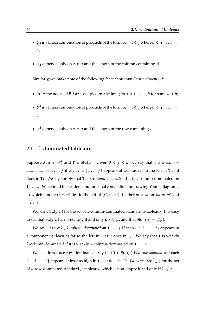- $g_A$  is a linear combination of products of the form  $\psi_{i_1} \dots \psi_{i_d}$  where  $a \le i_1, \dots, i_d$ b;
- $g_A$  depends only on e, r, a and the length of the column containing A.

Similarly, we make note of the following facts about *row Garnir element* g A:

- in  $T^{\lambda}$  the nodes of  $B^A$  are occupied by the integers  $a, a + 1, ..., b$  for some  $a < b$ ;
- $\bullet \, g^A$  is a linear combination of products of the form  $\psi_{i_1} \dots \psi_{i_d}$  where  $a \leq i_1, \dots, i_d < b$ b;
- $\mathfrak{g}^A$  depends only on *e*, *c*, *a* and the length of the row containing *A*.

#### **2.1 -dominated tableaux**

Suppose  $\lambda, \mu \in \mathcal{P}_n^l$  and  $T \in \text{Std}(\mu)$ . Given  $0 \leq j \leq n$ , we say that T is  $\lambda$ -column*dominated on*  $1, \ldots, j$  if each  $i \in \{1, \ldots, j\}$  appears at least as far to the left in T as it does in  $T_{\lambda}$ . We say simply that T is  $\lambda$ -column-dominated if it is  $\lambda$ -column-dominated on  $1, \ldots, n$ . We remind the reader of our unusual convention for drawing Young diagrams, in which a node  $(r, c, m)$  lies to the left of  $(r', c', m')$  if either  $m > m'$  or  $(m = m'$  and  $c \leqslant c'$ ).

We write Std<sub> $\lambda(\mu)$ </sub> for the set of  $\lambda$ -column-dominated standard  $\mu$ -tableaux. It is easy to see that  $Std_{\lambda}(\mu)$  is non-empty if and only if  $\lambda \ge \mu$ , and that  $Std_{\mu}(\mu) = \{T_{\mu}\}.$ 

We say T is *weakly*  $\lambda$ -column-dominated on  $1, \ldots, j$  if each  $i \in \{1, \ldots, j\}$  appears in a component at least as far to the left in T as it does in  $T_{\lambda}$ . We say that T is weakly  $\lambda$ -column-dominated if it is weakly  $\lambda$ -column-dominated on  $1, \ldots, n$ .

We also introduce row-dominance. Say that  $T \in \text{Std}(\mu)$  is  $\lambda$ -row-dominated if each  $i \in \{1, \ldots, n\}$  appears at least as high in T as it does in T<sup> $\lambda$ </sup>. We write Std $\lambda(\mu)$  for the set of  $\lambda$ -row-dominated standard  $\mu$ -tableaux, which is non-empty if and only if  $\lambda \leq \mu$ .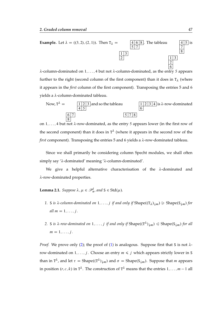

 $\lambda$ -column-dominated on 1, ..., 4 but not  $\lambda$ -column-dominated, as the entry 5 appears further to the right (second column of the first component) than it does in  $T_{\lambda}$  (where it appears in the *first* column of the first component). Transposing the entries 5 and 6 yields a  $\lambda$ -column-dominated tableau.

Now, 
$$
T^{\lambda} =
$$
  $\frac{1}{4} \frac{2}{5}$  and so the tableau  $\frac{1}{6}$   $\frac{1}{2} \frac{3}{4}$  is  $\lambda$ -row-dominated

on 1, ..., 4 but not  $\lambda$ -row-dominated, as the entry 5 appears lower (in the first row of the second component) than it does in  $T^{\lambda}$  (where it appears in the second row of the *first* component). Transposing the entries 5 and 6 yields a  $\lambda$ -row-dominated tableau.

Since we shall primarily be considering column Specht modules, we shall often simply say ' $\lambda$ -dominated' meaning ' $\lambda$ -column-dominated'.

We give a helpful alternative characterisation of the  $\lambda$ -dominated and -row-dominated properties.

<span id="page-46-2"></span>**Lemma 2.1.** *Suppose*  $\lambda, \mu \in \mathcal{P}_n^l$ , and  $S \in \text{Std}(\mu)$ *.* 

- <span id="page-46-1"></span>*1.* S *is*  $\lambda$ -column-dominated on  $1, \ldots, j$  *if and only if* Shape $((T_{\lambda})_{\downarrow m}) \geq$  Shape $(S_{\downarrow m})$  *for all*  $m = 1, \ldots, j$ .
- <span id="page-46-0"></span>2. S *is*  $\lambda$ -row-dominated on  $1, \ldots, j$  *if and only if*  $\text{Shape}(\mathsf{T}^{\lambda})_{\downarrow m}$ )  $\triangleleft$   $\text{Shape}(\mathsf{S}_{\downarrow m})$  *for all*  $m = 1, \ldots, j$ .

*Proof.* We prove only [\(2\)](#page-46-0); the proof of [\(1\)](#page-46-1) is analogous. Suppose first that S is not  $\lambda$ row-dominated on  $1, \ldots, j$ . Choose an entry  $m \leq j$  which appears strictly lower in S than in T<sup> $\lambda$ </sup>, and let  $\tau =$  Shape $((T^{\lambda})_{\downarrow m})$  and  $\sigma =$  Shape $(S_{\downarrow m})$ . Suppose that m appears in position  $(r, c, k)$  in  $T^{\lambda}$ . The construction of  $T^{\lambda}$  means that the entries  $1, \ldots, m-1$  all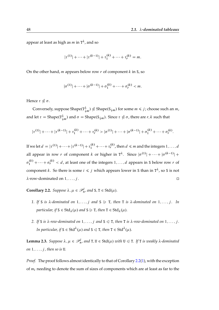appear at least as high as  $m$  in T<sup> $\lambda$ </sup>, and so

$$
|\tau^{(1)}| + \cdots + |\tau^{(k-1)}| + \tau_1^{(k)} + \cdots + \tau_r^{(k)} = m.
$$

On the other hand, *m* appears below row *r* of component  $k$  in  $S$ , so

$$
|\sigma^{(1)}| + \dots + |\sigma^{(k-1)}| + \sigma_1^{(k)} + \dots + \sigma_r^{(k)} < m.
$$

Hence  $\tau \ntriangleleft \sigma$ .

Conversely, suppose  $\text{Shape}(T^{\lambda}_{\downarrow m}) \ntrianglelefteq \text{Shape}(S_{\downarrow m})$  for some  $m \leq j$ ; choose such an  $m$ , and let  $\tau = \text{Shape}(T^{\lambda}_{\downarrow m})$  and  $\sigma = \text{Shape}(S_{\downarrow m})$ . Since  $\tau \nleq \sigma$ , there are  $r, k$  such that

$$
|\tau^{(1)}| + \cdots + |\tau^{(k-1)}| + \tau_1^{(k)} + \cdots + \tau_r^{(k)} > |\sigma^{(1)}| + \cdots + |\sigma^{(k-1)}| + \sigma_1^{(k)} + \cdots + \sigma_r^{(k)}.
$$

If we let  $d = |\tau^{(1)}| + \cdots + |\tau^{(k-1)}| + \tau_1^{(k)} + \cdots + \tau_r^{(k)}$ , then  $d \leq m$  and the integers  $1, \ldots, d$ all appear in row r of component k or higher in  $T^{\lambda}$ . Since  $|\sigma^{(1)}| + \cdots + |\sigma^{(k-1)}| +$  $\sigma_1^{(k)} + \cdots + \sigma_r^{(k)} < d$ , at least one of the integers  $1, \ldots, d$  appears in S below row r of component *k*. So there is some  $i \leq j$  which appears lower in S than in  $T^{\lambda}$ , so S is not  $\lambda$ -row-dominated on  $1, \ldots, j$ .

<span id="page-47-1"></span><span id="page-47-0"></span>**Corollary 2.2.** *Suppose*  $\lambda, \mu \in \mathcal{P}_n^l$ , and  $S, T \in \text{Std}(\mu)$ *.* 

- 1. If S is  $\lambda$ -dominated on  $1, \ldots, j$  and  $S \geq T$ , then T is  $\lambda$ -dominated on  $1, \ldots, j$ . In *particular, if*  $S \in \text{Std}_{\lambda}(\mu)$  *and*  $S \geq T$ *, then*  $T \in \text{Std}_{\lambda}(\mu)$ *.*
- <span id="page-47-3"></span>2. If S is  $\lambda$ -row-dominated on  $1, \ldots, j$  and  $S \leq T$ , then T is  $\lambda$ -row-dominated on  $1, \ldots, j$ . In particular, if  $S \in \text{Std}^{\lambda}(\mu)$  and  $S \leq T$ , then  $T \in \text{Std}^{\lambda}(\mu)$ .

<span id="page-47-2"></span>**Lemma 2.3.** *Suppose*  $\lambda, \mu \in \mathcal{P}_n^l$ , and  $T, U \in \text{Std}(\mu)$  with  $U \leq T$ *. If*  $T$  *is weakly*  $\lambda$ -dominated *on*  $1, \ldots, j$ , then so is U.

*Proof.* The proof follows almost identically to that of Corollary [2.2\(](#page-47-0)[1\)](#page-47-1), with the exception of  $m_i$  needing to denote the sum of sizes of components which are at least as far to the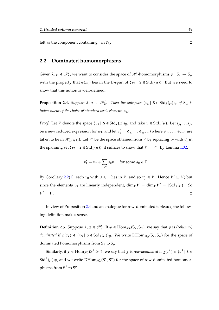left as the component containing *i* in  $T_{\lambda}$ .

#### **2.2 Dominated homomorphisms**

Given  $\lambda,\mu\in\mathscr{P}_n^l$ , we want to consider the space of  $\mathscr{H}_n$ -homomorphisms  $\varphi: S_\lambda\to S_\mu$ with the property that  $\varphi(z_\lambda)$  lies in the F-span of  $\{v_\lambda \mid S \in \text{Std}_\lambda(\mu)\}$ . But we need to show that this notion is well-defined.

<span id="page-48-0"></span>**Proposition 2.4.** Suppose  $\lambda, \mu \in \mathcal{P}_n^l$ . Then the subspace  $\{v_S \mid S \in \text{Std}_\lambda(\mu)\}_F$  of  $S_\mu$  is *independent of the choice of standard basis elements*  $v_s$ *.* 

*Proof.* Let *V* denote the space  $\langle v_s | S \in \text{Std}_{\lambda}(\mu) \rangle_F$ , and take  $T \in \text{Std}_{\lambda}(\mu)$ . Let  $s_{j_1} \ldots s_{j_r}$ be a new reduced expression for  $w_T$ , and let  $v'_T = \psi_{j_1} \dots \psi_{j_r} z_\mu$  (where  $\psi_1, \dots, \psi_{n-1}$  are taken to lie in  $\mathscr{H}_{cont(\lambda)}$ ). Let  $V'$  be the space obtained from  $V$  by replacing  $v<sub>T</sub>$  with  $v'_{\lambda}$  $\frac{7}{1}$  in the spanning set  $\{v_{\mathsf{S}} \mid \mathsf{S} \in \text{Std}_{\lambda}(\mu)\}\$ ; it suffices to show that  $V = V'$ . By Lemma [1.32,](#page-37-0)

$$
v'_{\mathsf{T}} = v_{\mathsf{T}} + \sum_{\mathsf{U} \triangleleft \mathsf{T}} a_{\mathsf{U}} v_{\mathsf{U}}
$$
 for some  $a_{\mathsf{U}} \in \mathbb{F}$ .

By Corollary [2.2](#page-47-0)[\(1\)](#page-47-1), each  $v_U$  with  $U \le T$  lies in V, and so  $v'_T \in V$ . Hence  $V' \subseteq V$ ; but since the elements  $v_S$  are linearly independent,  $\dim_{\mathbb{F}} V = \dim_{\mathbb{F}} V' = |Std_{\lambda}(\mu)|$ . So  $V' = V$ .  $v' = V$ .

In view of Proposition [2.4](#page-48-0) and an analogue for row-dominated tableaux, the following definition makes sense.

**Definition 2.5.** Suppose  $\lambda, \mu \in \mathcal{P}_n^l$ . If  $\varphi \in \text{Hom}_{\mathcal{H}_n}(S_\lambda, S_\mu)$ , we say that  $\varphi$  is *(column-) dominated* if  $\varphi(z_\lambda) \in \langle v_s | S \in \text{Std}_\lambda(\mu) \rangle_F$ . We write DHom  $\mathcal{H}_n(S_\lambda, S_\mu)$  for the space of dominated homomorphisms from  $S_{\lambda}$  to  $S_{\mu}$ .

Similarly, if  $\chi \in \mathrm{Hom}_{\mathscr{H}_n}(S^\lambda,S^\mu)$ , we say that  $\chi$  is *row-dominated* if  $\chi(z^\lambda) \in \{v^S \mid S \in$ Std $\lambda^{\lambda}(\mu)\rangle_{\mathbb{F}}$ , and we write DHom $_{\mathscr{H}_n}(S^\lambda,S^\mu)$  for the space of row-dominated homomorphisms from  $S^{\lambda}$  to  $S^{\mu}$ .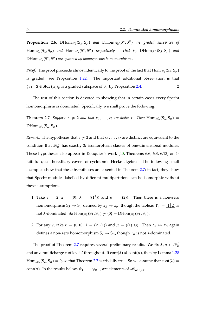**Proposition 2.6.** DHom $_{\mathscr{H}_n}(S_\lambda, S_\mu)$  and DHom $_{\mathscr{H}_n}(S^\lambda, S^\mu)$  are graded subspaces of  $\text{Hom}_{\mathscr{H}_n}(S_\lambda, S_\mu)$  and  $\text{Hom}_{\mathscr{H}_n}(S^\lambda, S^\mu)$  respectively. That is,  $\text{DHom}_{\mathscr{H}_n}(S_\lambda, S_\mu)$  and  $\operatorname{DHom}_{\mathscr H_n}(\operatorname{S}^\lambda,\operatorname{S}^\mu)$  are spanned by homogeneous homomorphisms.

*Proof.* The proof proceeds almost identically to the proof of the fact that  $\text{Hom}_{\mathscr{H}_n}(S_\lambda,S_\mu)$ is graded; see Proposition [1.22.](#page-28-1) The important additional observation is that  $\langle v_s | S \in \text{Std}_{\lambda}(\mu) \rangle_F$  is a graded subspace of  $S_{\mu}$  by Proposition [2.4.](#page-48-0)

The rest of this section is devoted to showing that in certain cases every Specht homomorphism is dominated. Specifically, we shall prove the following.

<span id="page-49-0"></span>**Theorem 2.7.** *Suppose*  $e \neq 2$  *and that*  $\kappa_1, \ldots, \kappa_l$  *are distinct. Then*  $\text{Hom}_{\mathscr{H}_n}(S_\lambda, S_\mu)$  =  $\text{DHom}_{\mathscr{H}_n}(S_\lambda, S_\mu)$ .

*Remark.* The hypotheses that  $e \neq 2$  and that  $\kappa_1, \ldots, \kappa_l$  are distinct are equivalent to the condition that  $\mathcal{H}_n^{\kappa}$  has exactly 2l isomorphism classes of one-dimensional modules. These hypotheses also appear in Rouquier's work [\[40,](#page-171-1) Theorems 6.6, 6.8, 6.13] on 1 faithful quasi-hereditary covers of cyclotomic Hecke algebras. The following small examples show that these hypotheses are essential in Theorem [2.7;](#page-49-0) in fact, they show that Specht modules labelled by different multipartitions can be isomorphic without these assumptions.

- 1. Take  $e = 2$ ,  $\kappa = (0)$ ,  $\lambda = ((1^2))$  and  $\mu = ((2))$ . Then there is a non-zero homomorphism  $S_{\lambda} \to S_{\mu}$  defined by  $z_{\lambda} \mapsto z_{\mu}$ , though the tableau  $T_{\mu} = \boxed{1 \ 2}$  is not  $\lambda$ -dominated. So  $\text{Hom}_{\mathscr{H}_n}(S_\lambda, S_\mu) \neq \{0\} = \text{DHom}_{\mathscr{H}_n}(S_\lambda, S_\mu)$ .
- 2. For any *e*, take  $\kappa = (0,0)$ ,  $\lambda = (\emptyset, (1))$  and  $\mu = ((1), \emptyset)$ . Then  $z_{\lambda} \mapsto z_{\mu}$  again defines a non-zero homomorphism  $S_{\lambda} \rightarrow S_{\mu}$ , though  $T_{\mu}$  is not  $\lambda$ -dominated.

The proof of Theorem [2.7](#page-49-0) requires several preliminary results. We fix  $\lambda, \mu \in \mathcal{P}_n^l$ and an e-multicharge  $\kappa$  of level l throughout. If cont( $\lambda$ )  $\neq$  cont( $\mu$ ), then by Lemma [1.28](#page-35-0)  $\text{Hom}_{\mathscr{H}_n}(S_\lambda, S_\mu) = 0$ , so that Theorem [2.7](#page-49-0) is trivially true. So we assume that cont $(\lambda) =$ cont( $\mu$ ). In the results below,  $\psi_1, \ldots, \psi_{n-1}$  are elements of  $\mathcal{H}_{cont(\lambda)}$ .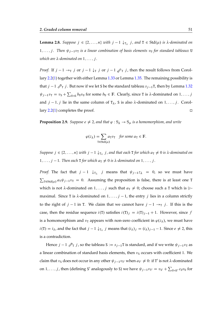<span id="page-50-0"></span>**Lemma 2.8.** *Suppose*  $j \in \{2, ..., n\}$  *with*  $j - 1 \downarrow_{T_{\lambda}} j$ , and  $T \in \text{Std}(\mu)$  *is*  $\lambda$ -dominated on  $1, \ldots, j$ . Then  $\psi_{j-1}v_{\overline{1}}$  *is a linear combination of basis elements*  $v_{\text{U}}$  *for standard tableaux* U *which are*  $\lambda$ -dominated on  $1, \ldots, j$ .

*Proof.* If  $j - 1 \rightarrow_\text{T} j$  or  $j - 1 \downarrow_\text{T} j$  or  $j - 1 \not\swarrow_\text{T} j$ , then the result follows from Corollary [2.2](#page-47-0)[\(1\)](#page-47-1) together with either Lemma [1.33](#page-37-4) or Lemma [1.35.](#page-37-2) The remaining possibility is that  $j - 1 \nearrow_T j$ . But now if we let S be the standard tableau  $s_{j-1}T$ , then by Lemma [1.32](#page-37-0)  $\psi_{j-1}v_T = v_S + \sum_{U \triangleleft S} b_U v_U$  for some  $b_U \in \mathbb{F}$ . Clearly, since T is  $\lambda$ -dominated on  $1, \ldots, j$ and  $j - 1$ , j lie in the same column of  $T_{\lambda}$ , S is also  $\lambda$ -dominated on  $1, \ldots, j$ . Corol-lary [2.2](#page-47-0)[\(1\)](#page-47-1) completes the proof.  $\square$ 

<span id="page-50-1"></span>**Proposition 2.9.** *Suppose*  $e \neq 2$ *, and that*  $\varphi : S_{\lambda} \to S_{\mu}$  *is a homomorphism, and write* 

$$
\varphi(z_{\lambda}) = \sum_{\mathbf{T} \in \text{Std}(\mu)} a_{\mathbf{T}} v_{\mathbf{T}} \quad \text{for some } a_{\mathbf{T}} \in \mathbb{F}.
$$

*Suppose*  $j \in \{2, \ldots, n\}$  *with*  $j - 1 \downarrow_{T_{\lambda}} j$ , and that each **T** *for which*  $a_T \neq 0$  *is*  $\lambda$ -dominated on  $1, \ldots, j-1$ . Then each T for which  $a_{\text{T}} \neq 0$  is  $\lambda$ -dominated on  $1, \ldots, j$ .

*Proof.* The fact that  $j - 1 \quad \downarrow_{T_\lambda} j$  means that  $\psi_{j-1}z_\lambda = 0$ , so we must have  $\sum_{T \in Std(\mu)} a_T \psi_{j-1} v_T = 0$ . Assuming the proposition is false, there is at least one T which is not  $\lambda$ -dominated on  $1, \ldots, j$  such that  $a_T \neq 0$ ; choose such a T which is  $\geq$ maximal. Since T is  $\lambda$ -dominated on  $1, \ldots, j - 1$ , the entry j lies in a column strictly to the right of  $j - 1$  in T. We claim that we cannot have  $j - 1 \rightarrow_T j$ . If this is the case, then the residue sequence  $i(T)$  satisfies  $i(T)_i = i(T)_{i-1} + 1$ . However, since f is a homomorphism and  $v<sub>T</sub>$  appears with non-zero coefficient in  $\varphi(z_{\lambda})$ , we must have  $i(T) = i_{\lambda}$ , and the fact that  $j - 1 \downarrow_{T_{\lambda}} j$  means that  $(i_{\lambda})_j = (i_{\lambda})_{j-1} - 1$ . Since  $e \neq 2$ , this is a contradiction.

Hence  $j - 1 \nearrow_T j$ , so the tableau S :=  $s_{j-1}T$  is standard, and if we write  $\psi_{j-1}v_T$  as a linear combination of standard basis elements, then  $v<sub>S</sub>$  occurs with coefficient 1. We claim that  $v_S$  does not occur in any other  $\psi_{j-1}v_{T}$  when  $a_{T'}\neq 0$ : if T' is not  $\lambda$ -dominated on 1, ..., *j*, then (defining S' analogously to S) we have  $\psi_{j-1}v_{T'} = v_{S'} + \sum_{U \triangleleft S'} c_U v_U$  for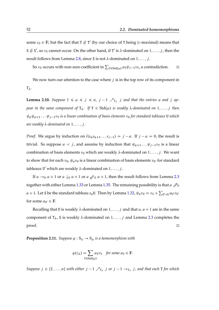some  $c_U \in \mathbb{F}$ ; but the fact that T  $\nleq$  T' (by our choice of T being  $\geq$ -maximal) means that S  $\nleq S \nleq S'$ , so  $v_S$  cannot occur. On the other hand, if T' is  $\lambda$ -dominated on  $1, \ldots, j$ , then the result follows from Lemma [2.8,](#page-50-0) since S is not  $\lambda$ -dominated on  $1, \ldots, j$ .

So  $v_S$  occurs with non-zero coefficient in  $\sum_{T \in \text{Std}(\mu)} a_T \psi_{j-1} v_T$ , a contradiction.  $\Box$ 

We now turn our attention to the case where  $j$  is in the top row of its component in  $T_{\lambda}$ .

<span id="page-51-1"></span>**Lemma 2.10.** Suppose  $1 \le a \le j \le n$ ,  $j - 1 \nearrow_{T_{\lambda}} j$  and that the entries a and j ap*pear in the same component of*  $T_{\lambda}$ . If  $T \in Std(\mu)$  *is weakly*  $\lambda$ -dominated on  $1, \ldots, j$  then  $\psi_a \psi_{a+1} \dots \psi_{j-1} v_{\text{T}}$  *is a linear combination of basis elements*  $v_{\text{U}}$  *for standard tableaux* U *which are weakly*  $\lambda$ -dominated on  $1, \ldots, j$ .

*Proof.* We argue by induction on  $l(s_a s_{a+1} \ldots s_{j-1}) = j - a$ . If  $j - a = 0$ , the result is trivial. So suppose  $a < j$ , and assume by induction that  $\psi_{a+1} \dots \psi_{j-1} v_{\text{T}}$  is a linear combination of basis elements  $v_U$  which are weakly  $\lambda$ -dominated on  $1, \ldots, j$ . We want to show that for each  $v_U$ ,  $\psi_a v_U$  is a linear combination of basis elements  $v_{U'}$  for standard tableaux U' which are weakly  $\lambda$ -dominated on  $1, \ldots, j$ .

If  $a \rightarrow_U a + 1$  or  $a \downarrow_U a + 1$  or  $a \not\swarrow_U a + 1$ , then the result follows from Lemma [2.3](#page-47-2) together with either Lemma [1.33](#page-37-4) or Lemma [1.35.](#page-37-2) The remaining possibility is that  $a \nearrow$ <sub>U</sub>  $a + 1$ . Let S be the standard tableau  $s_a$ U. Then by Lemma [1.32,](#page-37-0)  $\psi_a v_\text{U} = v_\text{S} + \sum_{\text{U}'\triangleleft\text{S}} a_{\text{U}'} v_{\text{U}'}$ for some  $a_{U'} \in \mathbb{F}$ .

Recalling that U is weakly  $\lambda$ -dominated on  $1, \ldots, j$  and that  $a, a + 1$  are in the same component of  $T_{\lambda}$ , S is weakly  $\lambda$ -dominated on  $1, \ldots, j$  and Lemma [2.3](#page-47-2) completes the proof.

<span id="page-51-0"></span>**Proposition 2.11.** *Suppose*  $\varphi$  :  $S_\lambda \rightarrow S_\mu$  *is a homomorphism with* 

$$
\varphi(z_{\lambda}) = \sum_{\mathbf{T} \in \text{Std}(\mu)} a_{\mathbf{T}} v_{\mathbf{T}} \quad \text{for some } a_{\mathbf{T}} \in \mathbb{F}.
$$

*Suppose*  $j \in \{2, ..., n\}$  *with either*  $j - 1 \nearrow_{T_{\lambda}} j$  *or*  $j - 1 \rightarrow_{T_{\lambda}} j$ , and that each **T** for *which*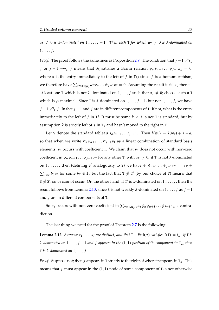$a_T \neq 0$  *is*  $\lambda$ -dominated on  $1, \ldots, j-1$ . Then each T for which  $a_T \neq 0$  *is*  $\lambda$ -dominated on  $1, \ldots, j$ .

*Proof.* The proof follows the same lines as Proposition [2.9.](#page-50-1) The condition that  $j - 1 \nearrow_{T_\lambda}$ j or  $j-1 \to_{T_{\lambda}} j$  means that  $S_{\lambda}$  satisfies a Garnir relation  $\psi_a \psi_{a+1} \dots \psi_{j-1} z_{\lambda} = 0$ , where *a* is the entry immediately to the left of *j* in  $T_{\lambda}$ ; since *f* is a homomorphism, we therefore have  $\sum_{T \in \text{Std}(\mu)} a_T \psi_a \dots \psi_{j-1} v_T = 0$ . Assuming the result is false, there is at least one T which is not  $\lambda$ -dominated on  $1, \ldots, j$  such that  $a_T \neq 0$ ; choose such a T which is  $\ge$ -maximal. Since T is  $\lambda$ -dominated on  $1, \ldots, j - 1$ , but not  $1, \ldots, j$ , we have  $j - 1$   $\mathcal{P}_T$  j. In fact j - 1 and j are in different components of T: if not, what is the entry immediately to the left of j in T? It must be some  $k < j$ , since T is standard, but by assumption  $k$  is strictly left of  $j$  in  $T_{\lambda}$  and hasn't moved to the right in T.

Let S denote the standard tableau  $s_a s_{a+1} \ldots s_{j-1}$ T. Then  $l(w_S) = l(w_T) + j - a$ , so that when we write  $\psi_a \psi_{a+1} \dots \psi_{j-1} v_{\text{T}}$  as a linear combination of standard basis elements,  $v_S$  occurs with coefficient 1. We claim that  $v_S$  does not occur with non-zero coefficient in  $\psi_a \psi_{a+1} \dots \psi_{j-1} v_{T'}$  for any other T' with  $a_{T'} \neq 0$ : if T' is not  $\lambda$ -dominated on 1, ..., *j*, then (defining S' analogously to S) we have  $\psi_a \psi_{a+1} \dots \psi_{j-1} v_{T'} = v_{S'} +$  $\sum_{U\triangleleft S'} b_U v_U$  for some  $b_U \in \mathbb{F}$ ; but the fact that  $T \nleq T'$  (by our choice of T) means that S  $\nleq S \nleq S'$ , so  $v_S$  cannot occur. On the other hand, if T' is  $\lambda$ -dominated on  $1, \ldots, j$ , then the result follows from Lemma [2.10,](#page-51-1) since S is not weakly  $\lambda$ -dominated on  $1, \ldots, j$  as  $j - 1$ and  $j$  are in different components of  $T$ .

So  $v_S$  occurs with non-zero coefficient in  $\sum_{T\in \text{Std}(\mu)} a_T \psi_a \psi_{a+1} \dots \psi_{j-1} v_T$ , a contradiction.

The last thing we need for the proof of Theorem [2.7](#page-49-0) is the following.

<span id="page-52-0"></span>**Lemma 2.12.** *Suppose*  $\kappa_1, \ldots, \kappa_l$  *are distinct, and that*  $T \in Std(\mu)$  *satisfies*  $i(T) = i_\lambda$ . If T *is*  $\lambda$ -dominated on  $1, \ldots, j-1$  and j appears in the (1, 1)-position of its component in  $T_{\lambda}$ , then  $T$  *is*  $\lambda$ -dominated on  $1, \ldots, j$ .

*Proof.* Suppose not; then j appears in T strictly to the right of where it appears in  $T_{\lambda}$ . This means that *j* must appear in the  $(1, 1)$ -node of some component of T, since otherwise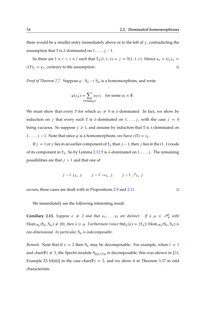there would be a smaller entry immediately above or to the left of  $j$ , contradicting the assumption that T is  $\lambda$ -dominated on  $1, \ldots, j - 1$ .

So there are  $1 \le r < s \le l$  such that  $T_{\lambda}(1, 1, s) = j = T(1, 1, r)$ . Hence  $\kappa_s = (i_{\lambda})_j$  $i(T)_j = \kappa_r$ , contrary to the assumption.

*Proof of Theorem [2.7.](#page-49-0)* Suppose  $\varphi$  :  $S_\lambda \rightarrow S_\mu$  is a homomorphism, and write

$$
\varphi(z_{\lambda}) = \sum_{\tau \in \text{Std}(\mu)} a_{\tau} v_{\tau} \quad \text{for some } a_{\tau} \in \mathbb{F}.
$$

We must show that every T for which  $a_T \neq 0$  is  $\lambda$ -dominated. In fact, we show by induction on j that every such T is  $\lambda$ -dominated on  $1, \ldots, j$ , with the case  $j = 0$ being vacuous. So suppose  $j \ge 1$ , and assume by induction that T is  $\lambda$ -dominated on  $1, \ldots, j - 1$ . Note that since  $\varphi$  is a homomorphism, we have  $i(T) = i_{\lambda}$ .

If  $j = 1$  or j lies in an earlier component of  $T_{\lambda}$  than  $j - 1$ , then j lies in the (1, 1)-node of its component in  $T_{\lambda}$ . So by Lemma [2.12](#page-52-0) T is  $\lambda$ -dominated on  $1, \ldots, j$ . The remaining possibilities are that  $j > 1$  and that one of

$$
j-1 \downarrow_{T_{\lambda}} j
$$
,  $j-1 \rightarrow_{T_{\lambda}} j$ ,  $j-1 \nearrow_{T_{\lambda}} j$ 

occurs; these cases are dealt with in Propositions [2.9](#page-50-1) and [2.11.](#page-51-0)

We immediately see the following interesting result.

**Corollary 2.13.** Suppose  $e \neq 2$  and that  $\kappa_1, \ldots, \kappa_l$  are distinct. If  $\lambda, \mu \in \mathcal{P}_n^l$  with  $\text{Hom}_{\mathscr{H}_n}(S_\lambda, S_\mu) \neq \{0\},\$ then  $\lambda \geq \mu$ . Furthermore (since  $\text{Std}_\lambda(\lambda) = \{T_\lambda\}$ )  $\text{Hom}_{\mathscr{H}_n}(S_\lambda, S_\lambda)$  is *one-dimensional. In particular,* S *is indecomposable.*

*Remark.* Note that if  $e = 2$  then  $S_{\lambda}$  may be decomposable. For example, when  $l = 1$ and char(F)  $\neq$  3, the Specht module S<sub>((5,12))</sub> is decomposable; this was shown in [\[24,](#page-170-2) Example 23.10(iii)] in the case char( $F$ ) = 2, and we show it in Theorem [3.37](#page-133-0) in odd characteristic.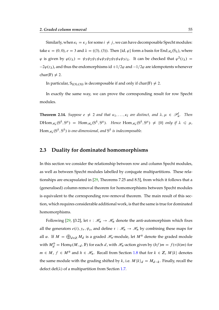Similarly, when  $\kappa_i = \kappa_j$  for some  $i \neq j$ , we can have decomposable Specht modules: take  $\kappa = (0,0)$ ,  $e = 3$  and  $\lambda = ((3), (3))$ . Then {id,  $\varphi$ } form a basis for End<sub>*H*6</sub>(S<sub> $\lambda$ </sub>), where  $\varphi$  is given by  $\varphi(z_\lambda) = \psi_3 \psi_2 \psi_1 \psi_4 \psi_3 \psi_2 \psi_5 \psi_4 \psi_3 z_\lambda$ . It can be checked that  $\varphi^2(z_\lambda) =$  $-2\varphi(z_{\lambda})$ , and thus the endomorphisms id  $+1/2\varphi$  and  $-1/2\varphi$  are idempotents whenever char(F)  $\neq$  2.

In particular,  $S_{((3),(3))}$  is decomposable if and only if char(F)  $\neq$  2.

In exactly the same way, we can prove the corresponding result for row Specht modules.

**Theorem 2.14.** Suppose  $e \neq 2$  and that  $\kappa_1, \ldots, \kappa_l$  are distinct, and  $\lambda, \mu \in \mathcal{P}_n^l$ . Then  $D\text{Hom}_{\mathscr{H}_n}(S^{\lambda}, S^{\mu}) = \text{Hom}_{\mathscr{H}_n}(S^{\lambda}, S^{\mu}).$  Hence  $\text{Hom}_{\mathscr{H}_n}(S^{\lambda}, S^{\mu}) \neq \{0\}$  only if  $\lambda \leq \mu$ ,  $\operatorname{Hom}_{\mathscr{H}_n}(S^\lambda,S^\lambda)$  is one-dimensional, and  $S^\lambda$  is indecomposable.

#### **2.3 Duality for dominated homomorphisms**

In this section we consider the relationship between row and column Specht modules, as well as between Specht modules labelled by conjugate multipartitions. These relationships are encapsulated in [\[29,](#page-170-0) Theorems 7.25 and 8.5], from which it follows that a (generalised) column-removal theorem for homomorphisms between Specht modules is equivalent to the corresponding row-removal theorem. The main result of this section, which requires considerable additional work, is that the same is true for dominated homomorphisms.

<span id="page-54-0"></span>Following [\[29,](#page-170-0) §3.2], let  $\tau : \mathcal{H}_{\alpha} \to \mathcal{H}_{\alpha}$  denote the anti-automorphism which fixes all the generators  $e(i)$ ,  $y_r$ ,  $\psi_s$ , and define  $\tau : \mathcal{H}_n \to \mathcal{H}_n$  by combining these maps for all  $\alpha$ . If  $M = \bigoplus_{d \in \mathbb{Z}} M_d$  is a graded  $\mathcal{H}_n$ -module, let  $M^{\circledast}$  denote the graded module with  $M_d^{\circledast} = \text{Hom}_{\mathbb{F}}(M_{-d}, \mathbb{F})$  for each d, with  $\mathcal{H}_n$ -action given by  $(hf)m = f(\tau(h)m)$  for  $m \in M$ ,  $f \in M^{\circledast}$  and  $h \in \mathcal{H}_n$ . Recall from Section [1.8](#page-26-0) that for  $k \in \mathbb{Z}$ ,  $M\langle k \rangle$  denotes the same module with the grading shifted by k, i.e.  $M \langle k \rangle_d = M_{d-k}$ . Finally, recall the defect def $(\lambda)$  of a multipartition from Section [1.7.](#page-24-0)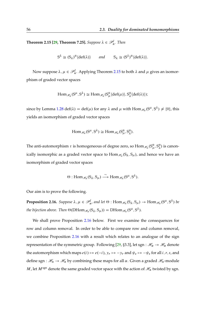**Theorem 2.15 [\[29,](#page-170-0) Theorem 7.25].** *Suppose*  $\lambda \in \mathscr{P}_n^l$ . *Then* 

$$
S^{\lambda} \cong (S_{\lambda})^{\circledast} \langle \text{def}(\lambda) \rangle \quad \text{and} \quad S_{\lambda} \cong (S^{\lambda})^{\circledast} \langle \text{def}(\lambda) \rangle.
$$

Now suppose  $\lambda, \mu \in \mathscr{P}_n^l$ . Applying Theorem [2.15](#page-54-0) to both  $\lambda$  and  $\mu$  gives an isomorphism of graded vector spaces

$$
\text{Hom}_{\mathscr{H}_n}(S^{\mu}, S^{\lambda}) \cong \text{Hom}_{\mathscr{H}_n}(S^{\circ}_{\mu} \langle \text{def}(\mu) \rangle, S^{\circ}_{\lambda} \langle \text{def}(\lambda) \rangle);
$$

since by Lemma [1.28](#page-35-0) def $(\lambda) = \text{def}(\mu)$  for any  $\lambda$  and  $\mu$  with  $\text{Hom}_{\mathscr{H}_n}(S^{\mu}, S^{\lambda}) \neq \{0\}$ , this yields an isomorphism of graded vector spaces

$$
\text{Hom}_{\mathscr{H}_n}(S^{\mu},S^{\lambda})\cong \text{Hom}_{\mathscr{H}_n}(S^{\circ}_{\mu},S^{\circ}_{\lambda}).
$$

The anti-automorphism  $\tau$  is homogeneous of degree zero, so  $\mathrm{Hom}_{\mathscr{H}_{n}}(S^{\circ}_{\mu},S^{\circ}_{\lambda})$  $\binom{6}{\lambda}$  is canonically isomorphic as a graded vector space to  $\mathrm{Hom}_{\mathscr{H}_n}(\mathrm{S}_\lambda,\mathrm{S}_\mu)$ , and hence we have an isomorphism of graded vector spaces

$$
\Theta: \text{Hom}_{\mathscr{H}_n}(S_{\lambda}, S_{\mu}) \stackrel{\sim}{\longrightarrow} \text{Hom}_{\mathscr{H}_n}(S^{\mu}, S^{\lambda}).
$$

<span id="page-55-0"></span>Our aim is to prove the following.

**Proposition 2.16.** Suppose  $\lambda, \mu \in \mathscr{P}_n^l$ , and let  $\Theta$  :  $\text{Hom}_{\mathscr{H}_n}(S_\lambda, S_\mu) \to \text{Hom}_{\mathscr{H}_n}(S^\mu, S^\lambda)$  be the bijection above. Then  $\Theta(\mathrm{DHom}_{\mathscr{H}_n}(S_\lambda,S_\mu)) = \mathrm{DHom}_{\mathscr{H}_n}(S^\mu,S^\lambda).$ 

We shall prove Proposition [2.16](#page-55-0) below. First we examine the consequences for row and column removal. In order to be able to compare row and column removal, we combine Proposition [2.16](#page-55-0) with a result which relates to an analogue of the sign representation of the symmetric group. Following [\[29,](#page-170-0) §3.3], let sgn :  $\mathcal{H}_{\alpha} \to \mathcal{H}_{\alpha}$  denote the automorphism which maps  $e(i) \mapsto e(-i)$ ,  $y_r \mapsto -y_r$  and  $\psi_s \mapsto -\psi_s$  for all  $i, r, s$ , and define sgn :  $\mathcal{H}_n \to \mathcal{H}_n$  by combining these maps for all  $\alpha$ . Given a graded  $\mathcal{H}_n$ -module *M*, let  $M^{\text{sgn}}$  denote the same graded vector space with the action of  $\mathcal{H}_n$  twisted by sgn.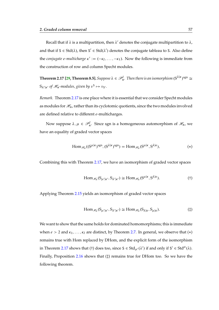Recall that if  $\lambda$  is a multipartition, then  $\lambda'$  denotes the conjugate multipartition to  $\lambda$ , and that if  $S \in \text{Std}(\lambda)$ , then  $S' \in \text{Std}(\lambda')$  denotes the conjugate tableau to S. Also define the *conjugate* e-multicharge  $\kappa' := (-\kappa_1, \ldots, -\kappa_1)$ . Now the following is immediate from the construction of row and column Specht modules.

<span id="page-56-0"></span>**Theorem 2.17 [\[29,](#page-170-0) Theorem 8.5].** Suppose  $\lambda \in \mathscr{P}_n^l$ . Then there is an isomorphism  $(S^{\lambda|\kappa})^{\text{sgn}} \cong$  $S_{\lambda'|\kappa'}$  of  $\mathcal{H}_n$ -modules, given by  $v^{\text{S}} \mapsto v_{\text{S'}}$ .

*Remark.* Theorem [2.17](#page-56-0) is one place where it is essential that we consider Specht modules as modules for  $\mathcal{H}_n$ , rather than its cyclotomic quotients, since the two modules involved are defined relative to different e-multicharges.

Now suppose  $\lambda, \mu \in \mathscr{P}_n^l$ . Since sgn is a homogeneous automorphism of  $\mathscr{H}_n$ , we have an equality of graded vector spaces

$$
\text{Hom}_{\mathscr{H}_n}((S^{\mu|\kappa})^{\text{sgn}}, (S^{\lambda|\kappa})^{\text{sgn}}) = \text{Hom}_{\mathscr{H}_n}(S^{\mu|\kappa}, S^{\lambda|\kappa}), \tag{*}
$$

Combining this with Theorem [2.17,](#page-56-0) we have an isomorphism of graded vector spaces

$$
\text{Hom}_{\mathcal{H}_n}(S_{\mu'|\kappa'}, S_{\lambda'|\kappa'}) \cong \text{Hom}_{\mathcal{H}_n}(S^{\mu|\kappa}, S^{\lambda|\kappa}).\tag{\dagger}
$$

 $\ddot{\phantom{1}}$ 

Applying Theorem [2.15](#page-54-0) yields an isomorphism of graded vector spaces

$$
\text{Hom}_{\mathcal{H}_n}(S_{\mu'|\kappa'}, S_{\lambda'|\kappa'}) \cong \text{Hom}_{\mathcal{H}_n}(S_{\lambda|\kappa}, S_{\mu|\kappa}).\tag{\ddagger}
$$

<span id="page-56-1"></span>We want to show that the same holds for dominated homomorphisms; this is immediate when  $e > 2$  and  $\kappa_1, \ldots, \kappa_l$  are distinct, by Theorem [2.7.](#page-49-0) In general, we observe that  $(*)$ remains true with Hom replaced by DHom, and the explicit form of the isomorphism in Theorem [2.17](#page-56-0) shows that (†) does too, since  $S \in \text{Std}_{\mu'}(\lambda')$  if and only if  $S' \in \text{Std}^{\mu}(\lambda)$ . Finally, Proposition [2.16](#page-55-0) shows that  $(\ddagger)$  remains true for DHom too. So we have the following theorem.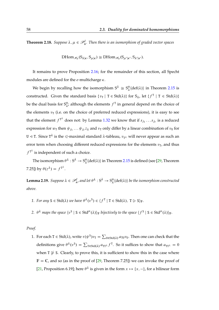**Theorem 2.18.** Suppose  $\lambda, \mu \in \mathcal{P}_n^l$ . Then there is an isomorphism of graded vector spaces

$$
\text{DHom}_{\mathscr{H}_n}(S_{\lambda|\kappa}, S_{\mu|\kappa}) \cong \text{DHom}_{\mathscr{H}_n}(S_{\mu'|\kappa'}, S_{\lambda'|\kappa'}).
$$

It remains to prove Proposition [2.16;](#page-55-0) for the remainder of this section, all Specht modules are defined for the  $e$ -multicharge  $\kappa$ .

We begin by recalling how the isomorphism  $S^{\lambda} \cong S^{\circ}_{\lambda}$  $\frac{\omega}{\lambda}$  (def( $\lambda$ )) in Theorem [2.15](#page-54-0) is constructed. Given the standard basis  $\{v_T | T \in Std(\lambda)\}\$  for  $S_\lambda$ , let  $\{f^T | T \in Std(\lambda)\}\$ be the dual basis for  $S^{\circ}_{\lambda}$ ; although the elements  $f^{\text{T}}$  in general depend on the choice of the elements  $v<sub>T</sub>$  (i.e. on the choice of preferred reduced expressions), it is easy to see that the element  $f^{T^{\lambda}}$  does not: by Lemma [1.32](#page-37-0) we know that if  $s_{j_1} \ldots s_{j_r}$  is a reduced expression for  $w_T$  then  $\psi_{j_1} \dots \psi_{j_r} z_\lambda$  and  $v_T$  only differ by a linear combination of  $v_U$  for U ⊲ T. Since T<sup> $\lambda$ </sup> is the  $\triangleleft$ -maximal standard  $\lambda$ -tableau,  $v_{\text{T}^{\lambda}}$  will never appear as such an error term when choosing different reduced expressions for the elements  $v_T$ , and thus  $f^{T^{\lambda}}$  is independent of such a choice.

The isomorphism  $\theta^{\lambda}: S^{\lambda} \to S_{\lambda}^{\circledast}$  $\frac{\mathcal{P}}{\lambda} \langle \det(\lambda) \rangle$  in Theorem [2.15](#page-54-0) is defined (see [\[29,](#page-170-0) Theorem 7.25]) by  $\theta(z^{\lambda}) = f^{T^{\lambda}}$ .

<span id="page-57-1"></span>**Lemma 2.19.** Suppose  $\lambda \in \mathscr{P}_n^l$ , and let  $\theta^{\lambda}: S^{\lambda} \to S_{\lambda}^{\circ}$  $_{\lambda}^{\circledast}\langle\text{def}(\lambda)\rangle$  be the isomorphism constructed *above.*

- <span id="page-57-0"></span>1. For any  $S \in \text{Std}(\lambda)$  we have  $\theta^{\lambda}(v^S) \in \langle f^T | T \in \text{Std}(\lambda), T \geq S \rangle_F$ .
- 2.  $\theta^{\lambda}$  maps the space  $\{v^{\mathsf{S}} \mid \mathsf{S} \in \mathsf{Std}^{\mu}(\lambda)\}_\mathbb{F}$  bijectively to the space  $\{f^{\mathsf{S}} \mid \mathsf{S} \in \mathsf{Std}^{\mu}(\lambda)\}_\mathbb{F}$ .

#### *Proof.*

1. For each  $T \in \text{Std}(\lambda)$ , write  $\tau(\psi^S)v_T = \sum_{U \in \text{Std}(\lambda)} a_{TU}v_U$ . Then one can check that the definitions give  $\theta^{\lambda}(v^{\mathsf{S}}) = \sum_{\mathsf{T} \in \text{Std}(\lambda)} a_{\mathsf{T} \mathsf{T}^{\lambda}} f^{\mathsf{T}}$ . So it suffices to show that  $a_{\mathsf{T} \mathsf{T}^{\lambda}} = 0$ when  $T \not\triangleright S$ . Clearly, to prove this, it is sufficient to show this in the case where  $\mathbb{F} = \mathbb{C}$ , and so (as in the proof of [\[29,](#page-170-0) Theorem 7.25]) we can invoke the proof of [\[21,](#page-169-6) Proposition 6.19]; here  $\theta^{\lambda}$  is given in the form  $x \mapsto \{x, -\}$ , for a bilinear form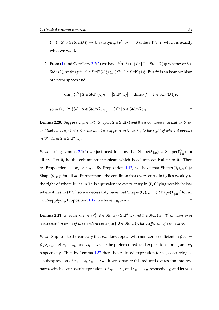{, } :  $S^{\lambda} \times S_{\lambda} \langle \text{def}(\lambda) \rangle \to \mathbb{C}$  satisfying  $\{v^S, v_T\} = 0$  unless  $T \geqslant S$ , which is exactly what we want.

2. From [\(1\)](#page-57-0) and Corollary [2.2](#page-47-0)[\(2\)](#page-47-3) we have  $\theta^{\lambda}(v^{\mathsf{S}}) \in \langle f^{\mathsf{T}} \, | \, \mathsf{T} \in \mathsf{Std}^{\mu}(\lambda) \rangle_{\mathbb{F}}$  whenever S  $\in$  $\operatorname{Std}^\mu(\lambda)$ , so  $\theta^\lambda\left(\langle v^{\texttt{S}} \mid \texttt{S} \in \operatorname{Std}^\mu(\lambda)\rangle\right) \subseteq \langle f^{\texttt{S}} \mid \texttt{S} \in \operatorname{Std}^\mu(\lambda)\rangle.$  But  $\theta^\lambda$  is an isomorphism of vector spaces and

$$
\dim_{\mathbb{F}}\langle v^S \mid S \in \text{Std}^{\mu}(\lambda) \rangle_{\mathbb{F}} = \left| \text{Std}^{\mu}(\lambda) \right| = \dim_{\mathbb{F}}\langle f^S \mid S \in \text{Std}^{\mu}(\lambda) \rangle_{\mathbb{F}},
$$

so in fact 
$$
\theta^{\lambda} ((v^s \mid S \in \text{Std}^{\mu}(\lambda))_{\mathbb{F}}) = (f^s \mid S \in \text{Std}^{\mu}(\lambda))_{\mathbb{F}}
$$
.

<span id="page-58-0"></span>**Lemma 2.20.** Suppose  $\lambda, \mu \in \mathscr{P}_n^l$ . Suppose  $S \in \text{Std}(\lambda)$  and  $U$  *is a*  $\lambda$ -tableau such that  $w_S \geq w_U$ *and that for every*  $1 \le i \le n$  *the number i appears in* U *weakly to the right of where it appears in*  $T^{\mu}$ *. Then*  $S \in \text{Std}^{\mu}(\lambda)$ *.* 

*Proof.* Using Lemma [2.1](#page-46-2)[\(2\)](#page-46-0) we just need to show that  $Shape(S_{\downarrow m}) \geq$   $Shape(T^{\mu}_{\downarrow})$  $\mu \choose \downarrow m$  for all  $m$ . Let  $U_c$  be the column-strict tableau which is column-equivalent to U. Then by Proposition [1.1](#page-14-0)  $w_{\text{U}} \geq w_{\text{U}_c}$ . By Proposition [1.12,](#page-23-0) we have that Shape $((\text{U}_c)_{\downarrow m})'$  $\geq$ Shape( $S_{\downarrow m}$ )' for all *m*. Furthermore, the condition that every entry in U<sub>c</sub> lies weakly to the right of where it lies in  $T^{\mu}$  is equivalent to every entry in  $(U_c)'$  lying weakly below where it lies in  $(T^{\mu})'$ , so we necessarily have that  $Shape((U_c)_{\downarrow m})' \triangleleft Shape(T^{\mu}_{\downarrow}$  $\binom{\mu}{\downarrow m}$ ' for all *m*. Reapplying Proposition [1.12,](#page-23-0) we have  $w_{U_c} \ge w_{T^{\mu}}$ .

<span id="page-58-1"></span>**Lemma 2.21.** Suppose  $\lambda, \mu \in \mathcal{P}_n^l$ ,  $S \in \text{Std}(\lambda) \setminus \text{Std}^{\mu}(\lambda)$  and  $T \in \text{Std}_{\lambda}(\mu)$ . Then when  $\psi_S v_T$ *is expressed in terms of the standard basis*  $\{v_{\text{U}} \mid \text{U} \in \text{Std}(\mu)\}$ , the coefficient of  $v_{\text{T}}\mu$  is zero.

*Proof.* Suppose to the contrary that  $v_T \mu$  does appear with non-zero coefficient in  $\psi_S v_T =$  $\psi_{\rm S}\psi_{\rm T}z_\mu$ . Let  $s_{i_1}\dots s_{i_a}$  and  $s_{j_1}\dots s_{j_b}$  be the preferred reduced expressions for  $w_{\rm S}$  and  $w_{\rm T}$ respectively. Then by Lemma [1.37](#page-38-0) there is a reduced expression for  $w_{\text{T}}\mu$  occurring as a subexpression of  $s_{i_1} \ldots s_{i_a} s_{j_1} \ldots s_{j_b}$ . If we separate this reduced expression into two parts, which occur as subexpressions of  $s_{i_1} \ldots s_{i_a}$  and  $s_{j_1} \ldots s_{j_b}$  respectively, and let  $w, x$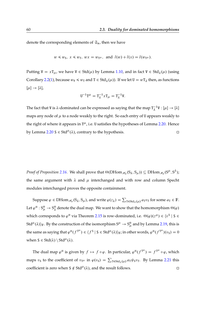denote the corresponding elements of  $\mathfrak{S}_n$ , then we have

$$
w \leq w_S
$$
,  $x \leq w_T$ ,  $wx = w_{T^{\mu}}$ , and  $l(w) + l(x) = l(w_{T^{\mu}})$ .

Putting  $V = xT_{\mu}$ , we have  $V \in Std(\mu)$  by Lemma [1.10,](#page-22-0) and in fact  $V \in Std_{\lambda}(\mu)$  (using Corollary [2.2](#page-47-0)[\(1\)](#page-47-1), because  $w_{\text{V}} \leq w_{\text{T}}$  and  $T \in \text{Std}_{\lambda}(\mu)$ . If we let  $U = wT_{\lambda}$  then, as functions  $[\mu] \rightarrow [\lambda],$ 

$$
U^{-1}T^{\mu} = T_{\lambda}^{-1}xT_{\mu} = T_{\lambda}^{-1}V.
$$

The fact that V is  $\lambda$ -dominated can be expressed as saying that the map  $T_{\lambda}^{-1}$  $V_{\lambda}^{-1}V : [\mu] \rightarrow [\lambda]$ maps any node of  $\mu$  to a node weakly to the right. So each entry of U appears weakly to the right of where it appears in  $T^{\mu}$ , i.e. U satisfies the hypotheses of Lemma [2.20.](#page-58-0) Hence by Lemma [2.20](#page-58-0) S  $\in$  Std<sup> $\mu$ </sup>( $\lambda$ ), contrary to the hypothesis.

*Proof of Proposition [2.16.](#page-55-0)* We shall prove that  $\Theta(DHom_{\mathscr{H}_n}(S_\lambda, S_\mu)) \subseteq DHom_{\mathscr{H}_n}(S^\mu, S^\lambda);$ the same argument with  $\lambda$  and  $\mu$  interchanged and with row and column Specht modules interchanged proves the opposite containment.

Suppose  $\varphi \in \text{DHom}_{\mathcal{H}_n}(S_\lambda, S_\mu)$ , and write  $\varphi(z_\lambda) = \sum_{T \in \text{Std}_\lambda(\mu)} a_T v_T$  for some  $a_T \in \mathbb{F}$ . Let  $\varphi^{\circledast}: S^{\circledast}_{\mu} \to S^{\circledast}_{\lambda}$  $^\circledast_\lambda$  denote the dual map. We want to show that the homomorphism  $\Theta(\varphi)$ which corresponds to  $\varphi^{\circledast}$  via Theorem [2.15](#page-54-0) is row-dominated, i.e.  $\Theta(\varphi)(z^{\mu}) \in \{v^{\mathsf{S}} \mid \mathsf{S} \in \mathsf{S}\}$ Std<sup> $\mu$ </sup>( $\lambda$ ))<sub>F</sub>. By the construction of the isomorphism  $S^{\mu} \to S^{\circledast}_{\mu}$  and by Lemma [2.19,](#page-57-1) this is the same as saying that  $\varphi^{\circledast}(f^{T^{\mu}}) \in \langle f^S \mid S \in \text{Std}^{\mu}(\lambda) \rangle_F$ ; in other words,  $\varphi^{\circledast}(f^{T^{\mu}})(v_S) = 0$ when  $S \in \text{Std}(\lambda) \setminus \text{Std}^{\mu}(\lambda)$ .

The dual map  $\varphi^{\circledast}$  is given by  $f \mapsto f \circ \varphi$ . In particular,  $\varphi^{\circledast}(f^{T^{\mu}}) = f^{T^{\mu}} \circ \varphi$ , which maps  $v_S$  to the coefficient of  $v_T\mu$  in  $\varphi(v_S) = \sum_{T \in \text{Std}_\lambda(\mu)} a_T \psi_S v_T$ . By Lemma [2.21](#page-58-1) this coefficient is zero when  $S \notin Std^{\mu}(\lambda)$ , and the result follows.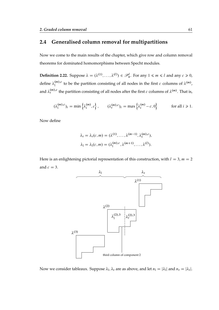### **2.4 Generalised column removal for multipartitions**

Now we come to the main results of the chapter, which give row and column removal theorems for dominated homomorphisms between Specht modules.

**Definition 2.22.** Suppose  $\lambda = (\lambda^{(1)}, \ldots, \lambda^{(l)}) \in \mathcal{P}_n^l$ . For any  $1 \leq m \leq l$  and any  $c \geq 0$ , define  $\lambda_1^{(m),c}$  $\lambda^{(m),c}$  to be the partition consisting of all nodes in the first c columns of  $\lambda^{(m)}$ , and  $\lambda_{\rm r}^{(m),c}$  the partition consisting of all nodes after the first  $c$  columns of  $\lambda^{(m)}.$  That is,

$$
(\lambda_1^{(m),c})_i = \min\left\{\lambda_i^{(m)}, c\right\}, \qquad (\lambda_\mathbf{r}^{(m),c})_i = \max\left\{\lambda_i^{(m)} - c, 0\right\} \qquad \text{for all } i \geq 1.
$$

Now define

$$
\lambda_{\rm r} = \lambda_{\rm r}(c, m) = (\lambda^{(1)}, \dots, \lambda^{(m-1)}, \lambda_{\rm r}^{(m),c}),
$$
  

$$
\lambda_{\rm l} = \lambda_{\rm l}(c, m) = (\lambda_{\rm l}^{(m),c}, \lambda^{(m+1)}, \dots, \lambda^{(l)}).
$$

Here is an enlightening pictorial representation of this construction, with  $l = 3$ ,  $m = 2$ and  $c = 3$ .



Now we consider tableaux. Suppose  $\lambda_1, \lambda_r$  are as above, and let  $n_1 = |\lambda_1|$  and  $n_r = |\lambda_r|$ .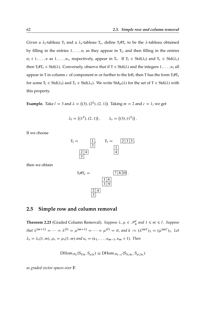Given a  $\lambda_1$ -tableau T<sub>1</sub> and a  $\lambda_r$ -tableau T<sub>r</sub>, define T<sub>1</sub>#T<sub>r</sub> to be the  $\lambda$ -tableau obtained by filling in the entries  $1, \ldots, n_1$  as they appear in  $T_1$ , and then filling in the entries  $n_1 + 1, \ldots, n$  as  $1, \ldots, n_r$ , respectively, appear in  $T_r$ . If  $T_l \in Std(\lambda_l)$  and  $T_r \in Std(\lambda_r)$ then  $T_1 \# T_r \in \text{Std}(\lambda)$ . Conversely, observe that if  $T \in \text{Std}(\lambda)$  and the integers  $1, \ldots, n_1$  all appear in T in column c of component m or further to the left, then T has the form  $T_1 \# T_r$ for some  $T_1 \in \text{Std}(\lambda_1)$  and  $T_r \in \text{Std}(\lambda_r)$ . We write  $\text{Std}_{1r}(\lambda)$  for the set of  $T \in \text{Std}(\lambda)$  with this property.

**Example.** Take  $l = 3$  and  $\lambda = ((3), (2^2), (2, 1))$ . Taking  $m = 2$  and  $c = 1$ , we get

$$
\lambda_1 = ((1^2), (2, 1)), \qquad \lambda_r = ((3), (1^2)).
$$

If we choose



then we obtain

$$
T_1 \# T_r =
$$
 7810.  
 $\frac{16}{39}$   
 $\frac{24}{5}$ 

#### **2.5 Simple row and column removal**

<span id="page-61-0"></span>**Theorem 2.23** (Graded Column Removal). Suppose  $\lambda, \mu \in \mathcal{P}_n^l$  and  $1 \leq m \leq l$ . Suppose *that*  $\lambda^{(m+1)} = \cdots = \lambda^{(l)} = \mu^{(m+1)} = \cdots = \mu^{(l)} = \emptyset$ , and  $k := (\lambda^{(m)'})_1 = (\mu^{(m)'})_1$ . Let  $\lambda_r = \lambda_r(1, m), \mu_r = \mu_r(1, m)$  and  $\kappa_r = (\kappa_1, \ldots, \kappa_{m-1}, \kappa_m + 1)$ . Then

$$
\text{DHom}_{\mathscr{H}_n}(S_{\lambda|\kappa},S_{\mu|\kappa})\cong \text{DHom}_{\mathscr{H}_{n-k}}(S_{\lambda_r|\kappa_r},S_{\mu_r|\kappa_r})
$$

*as graded vector spaces over* F*.*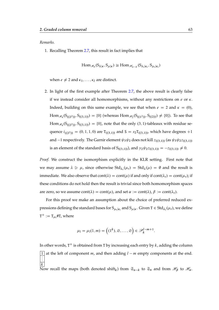#### *Remarks.*

1. Recalling Theorem [2.7,](#page-49-0) this result in fact implies that

$$
\text{Hom}_{\mathscr{H}_n}(S_{\lambda|\kappa},S_{\mu|\kappa})\cong \text{Hom}_{\mathscr{H}_{n-k}}(S_{\lambda_r|\kappa_r},S_{\mu_r|\kappa_r})
$$

when  $e \neq 2$  and  $\kappa_1, \ldots, \kappa_l$  are distinct.

2. In light of the first example after Theorem [2.7,](#page-49-0) the above result is clearly false if we instead consider all homomorphisms, without any restrictions on  $e$  or  $\kappa$ . Indeed, building on this same example, we see that when  $e = 2$  and  $\kappa = (0)$ ,  $\text{Hom}_{\mathscr{H}_4}(S_{((2^2))}, S_{((3,1))}) = \{0\}$  (whereas  $\text{Hom}_{\mathscr{H}_2}(S_{((1^2))}, S_{((2))}) \neq \{0\}$ ). To see that  $\text{Hom}_{\mathscr{H}_4}(S_{((2^2))}, S_{((3,1))}) = \{0\}$ , note that the only  $(3, 1)$ -tableaux with residue sequence  $i_{((2^2))} = (0, 1, 1, 0)$  are  $T_{((3,1))}$  and  $S = s_2T_{((3,1))}$ , which have degrees  $+1$ and -1 respectively. The Garnir element  $\psi_3 \psi_2$  does not kill  $z_{((3,1))}$  (as  $\psi_3 \psi_2 z_{((3,1))}$ is an element of the standard basis of  $S_{((3,1))}$ , and  $y_2 \psi_2 z_{((3,1))} = -z_{((3,1))} \neq 0$ .

*Proof.* We construct the isomorphism explicitly in the KLR setting. First note that we may assume  $\lambda \ge \mu$ , since otherwise  $Std_{\lambda_r}(\mu_r) = Std_{\lambda}(\mu) = \emptyset$  and the result is immediate. We also observe that  $\text{cont}(\lambda) = \text{cont}(\mu)$  if and only if  $\text{cont}(\lambda_r) = \text{cont}(\mu_r)$ ; if these conditions do not hold then the result is trivial since both homomorphism spaces are zero, so we assume  $\text{cont}(\lambda) = \text{cont}(\mu)$ , and set  $\alpha := \text{cont}(\lambda)$ ,  $\beta := \text{cont}(\lambda_r)$ .

For this proof we make an assumption about the choice of preferred reduced expressions defining the standard bases for  $S_{\mu_r|\kappa_r}$  and  $S_{\mu|\kappa}$ . Given  $T \in \text{Std}_{\lambda_r}(\mu_r)$ , we define  $T^+ := T_{\mu_1}$ #T, where

$$
\mu_1 = \mu_1(1,m) = \left( (1^k), \emptyset, \ldots, \emptyset \right) \in \mathscr{P}_k^{l-m+1}.
$$

In other words,  $T^+$  is obtained from T by increasing each entry by  $k$ , adding the column  $\overline{1}$  at the left of component m, and then adding  $l - m$  empty components at the end.  $\overline{k}$ 

Now recall the maps (both denoted shift<sub>k</sub>) from  $\mathfrak{S}_{n-k}$  to  $\mathfrak{S}_n$  and from  $\mathcal{H}_\beta$  to  $\mathcal{H}_\alpha$ .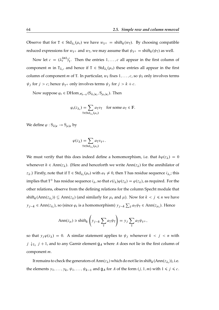Observe that for  $T \in \text{Std}_{\lambda_{\tau}}(\mu_{r})$  we have  $w_{T^{+}} = \text{shift}_{k}(w_{T})$ . By choosing compatible reduced expressions for  $w_{T+}$  and  $w_T$ , we may assume that  $\psi_{T+} = \text{shift}_k(\psi_T)$  as well.

Now let  $c = (\lambda_{r}^{(m)})_1^{\prime}$  $\mathbf{I}_1'$ . Then the entries  $1, \ldots, c$  all appear in the first column of component *m* in  $T_{\lambda_r}$ , and hence if  $T \in Std_{\lambda_r}(\mu_r)$  these entries all appear in the first column of component *m* of T. In particular,  $w_T$  fixes  $1, \ldots, c$ , so  $\psi_T$  only involves terms  $\psi_j$  for  $j > c$ ; hence  $\psi_{T+}$  only involves terms  $\psi_j$  for  $j > k + c$ .

Now suppose  $\varphi_r \in \text{DHom}_{\mathscr{H}_{n-k}}(\mathsf{S}_{\lambda_r|\kappa_r}, \mathsf{S}_{\mu_r|\kappa_r})$ . Then

$$
\varphi_{\mathbf{r}}(z_{\lambda_{\mathbf{r}}}) = \sum_{\mathbf{T} \in \text{Std}_{\lambda_{\mathbf{r}}}(\mu_{\mathbf{r}})} a_{\mathbf{T}} v_{\mathbf{T}} \quad \text{for some } a_{\mathbf{T}} \in \mathbb{F}.
$$

We define  $\varphi : S_{\lambda | \kappa} \to S_{\mu | \kappa}$  by

$$
\varphi(z_{\lambda}) = \sum_{T \in \text{Std}_{\lambda_T}(\mu_r)} a_T v_{T^+}.
$$

We must verify that this does indeed define a homomorphism, i.e. that  $h\varphi(z_\lambda) = 0$ whenever  $h \in Ann(z_\lambda)$ . (Here and henceforth we write  $Ann(z_\lambda)$  for the annihilator of  $z_\lambda$ .) Firstly, note that if  $T \in \text{Std}_{\lambda_r}(\mu_r)$  with  $a_T \neq 0$ , then T has residue sequence  $i_{\lambda_r}$ ; this implies that T<sup>+</sup> has residue sequence  $i_\lambda$ , so that  $e(i_\lambda)\varphi(z_\lambda) = \varphi(z_\lambda)$ , as required. For the other relations, observe from the defining relations for the column Specht module that shift<sub>k</sub>(Ann( $z_{\lambda_r}$ ))  $\subseteq$  Ann( $z_{\lambda}$ ) (and similarly for  $\mu_r$  and  $\mu$ ). Now for  $k < j \le n$  we have  $y_{j-k} \in \text{Ann}(z_{\lambda_r})$ , so (since  $\varphi_r$  is a homomorphism)  $y_{j-k} \sum_{\tau} a_{\tau} \psi_{\tau} \in \text{Ann}(z_{\mu_r})$ . Hence

$$
Ann(z\mu) \ni shiftk \left(yj-k \sum_{T} a_{T} \psi_{T}\right) = yj \sum_{T} a_{T} \psi_{T} +
$$

so that  $y_j \varphi(z_\lambda) = 0$ . A similar statement applies to  $\psi_j$  whenever  $k < j < n$  with  $j \downarrow_{T_\lambda} j + 1$ , and to any Garnir element  $g_A$  where A does not lie in the first column of component m.

It remains to check the generators of  $\text{Ann}(z_{\lambda})$  which do not lie in shift<sub>k</sub>  $(\text{Ann}(z_{\lambda_{\text{r}}}))$ , i.e. the elements  $y_1, \ldots, y_k$ ,  $\psi_1, \ldots, \psi_{k-1}$  and  $g_A$  for A of the form  $(j, 1, m)$  with  $1 \leq j \leq c$ .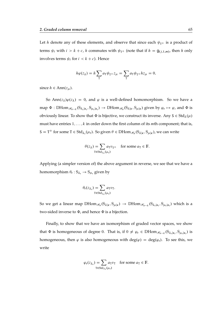Let h denote any of these elements, and observe that since each  $\psi_{T+}$  is a product of terms  $\psi_i$  with  $i > k + c$ , h commutes with  $\psi_{T+}$  (note that if  $h = \mathsf{g}_{(j,1,m)}$ , then h only involves terms  $\psi_i$  for  $i < k + c$ ). Hence

$$
h\varphi(z_{\lambda}) = h\sum_{\mathbf{T}} a_{\mathbf{T}}\psi_{\mathbf{T}^+} z_{\mu} = \sum_{\mathbf{T}} a_{\mathbf{T}}\psi_{\mathbf{T}^+} h z_{\mu} = 0,
$$

since  $h \in \text{Ann}(z_\mu)$ .

So Ann $(z_{\lambda})\varphi(z_{\lambda}) = 0$ , and  $\varphi$  is a well-defined homomorphism. So we have a map  $\Phi$  : DHom $_{\mathscr{H}_{n-k}}(S_{\lambda_r|\kappa_r},S_{\mu_r|\kappa_r})\to$  DHom $_{\mathscr{H}_n}(S_{\lambda|\kappa},S_{\mu|\kappa})$  given by  $\varphi_r\mapsto \varphi$ , and  $\Phi$  is obviously linear. To show that  $\Phi$  is bijective, we construct its inverse. Any  $S \in \text{Std}_{\lambda}(\mu)$ must have entries  $1, \ldots, k$  in order down the first column of its *m*th component; that is,  $S = T^+$  for some  $T \in Std_{\lambda_r}(\mu_r)$ . So given  $\theta \in DHom_{\mathcal{H}_n}(S_{\lambda|\kappa}, S_{\mu|\kappa})$ , we can write

$$
\theta(z_{\lambda}) = \sum_{\tau \in \text{Std}_{\lambda_{\tau}}(\mu_{\tau})} a_{\tau} v_{\tau+} \quad \text{for some } a_{\tau} \in \mathbb{F}.
$$

Applying (a simpler version of) the above argument in reverse, we see that we have a homomorphism  $\theta_r : S_{\lambda_r} \to S_{\mu_r}$  given by

$$
\theta_{\mathbf{r}}(z_{\lambda_{\mathbf{r}}}) = \sum_{\mathbf{T} \in \mathrm{Std}_{\lambda_{\mathbf{r}}}(\mu_{\mathbf{r}})} a_{\mathbf{T}} v_{\mathbf{T}}.
$$

So we get a linear map  $DHom_{\mathscr{H}_n}(S_{\lambda|\kappa},S_{\mu|\kappa}) \to DHom_{\mathscr{H}_{n-k}}(S_{\lambda_r|\kappa_r},S_{\mu_r|\kappa_r})$  which is a two-sided inverse to  $\Phi$ , and hence  $\Phi$  is a bijection.

Finally, to show that we have an isomorphism of graded vector spaces, we show that  $\Phi$  is homogeneous of degree 0. That is, if  $0 \neq \varphi_r \in DHom_{\mathscr{H}_{n-k}}(S_{\lambda_r|\kappa_r}, S_{\mu_r|\kappa_r})$  is homogeneous, then  $\varphi$  is also homogeneous with deg( $\varphi$ ) = deg( $\varphi$ <sub>r</sub>). To see this, we write

$$
\varphi_{\mathbf{r}}(z_{\lambda_{\mathbf{r}}}) = \sum_{\mathbf{T} \in \text{Std}_{\lambda_{\mathbf{r}}}(\mu_{\mathbf{r}})} a_{\mathbf{T}} v_{\mathbf{T}} \quad \text{for some } a_{\mathbf{T}} \in \mathbb{F}.
$$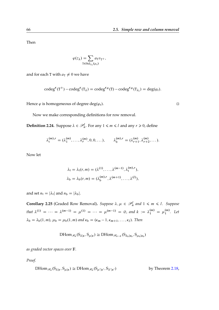Then

 $\varphi(z_\lambda) = \sum$  $T \in Std_{\lambda_{r}}(\mu_{r})$  $a_{\text{T}}v_{\text{T}}$ +,

and for each T with  $a_T \neq 0$  we have

$$
codeg^{k}(T^{+})-codeg^{k}(T_{\lambda})=codeg^{k_{R}}(T)-codeg^{k_{R}}(T_{\lambda_{r}})=deg(\varphi_{r}).
$$

Hence  $\varphi$  is homogeneous of degree deg $(\varphi_r)$ .

Now we make corresponding definitions for row removal.

**Definition 2.24.** Suppose  $\lambda \in \mathcal{P}_n^l$ . For any  $1 \leq m \leq l$  and any  $r \geq 0$ , define

$$
\lambda_t^{(m),r} = (\lambda_1^{(m)}, \ldots, \lambda_r^{(m)}, 0, 0, \ldots), \qquad \lambda_b^{(m),r} = (\lambda_{r+1}^{(m)}, \lambda_{r+2}^{(m)}, \ldots).
$$

Now let

$$
\lambda_{t} = \lambda_{t}(r, m) = (\lambda^{(1)}, \dots, \lambda^{(m-1)}, \lambda_{t}^{(m), r}),
$$
  

$$
\lambda_{b} = \lambda_{b}(r, m) = (\lambda_{b}^{(m), r}, \lambda^{(m+1)}, \dots, \lambda^{(l)}),
$$

and set  $n_t = |\lambda_t|$  and  $n_b = |\lambda_b|$ .

<span id="page-65-0"></span>**Corollary 2.25** (Graded Row Removal). Suppose  $\lambda, \mu \in \mathcal{P}_n^l$  and  $1 \leq m \leq l$ . Suppose that  $\lambda^{(1)} = \cdots = \lambda^{(m-1)} = \mu^{(1)} = \cdots = \mu^{(m-1)} = \emptyset$ , and  $k := \lambda_1^{(m)} = \mu_1^{(m)}$  $\binom{m}{1}$ . Let  $\lambda_{\rm b} = \lambda_{\rm b}(1,m)$ ,  $\mu_{\rm b} = \mu_{\rm b}(1,m)$  and  $\kappa_{\rm b} = (\kappa_m - 1, \kappa_{m+1}, \ldots, \kappa_l)$ . Then

$$
DHom_{\mathscr{H}_{n}}(S_{\lambda|\kappa},S_{\mu|\kappa})\cong DHom_{\mathscr{H}_{n-k}}(S_{\lambda_{b}|\kappa_{b}},S_{\mu_{b}|\kappa_{b}})
$$

*as graded vector spaces over* F*.*

*Proof.*

$$
\text{DHom}_{\mathcal{H}_n}(S_{\lambda|\kappa}, S_{\mu|\kappa}) \cong \text{DHom}_{\mathcal{H}_n}(S_{\mu'|\kappa'}, S_{\lambda'|\kappa'}) \qquad \text{by Theorem 2.18,}
$$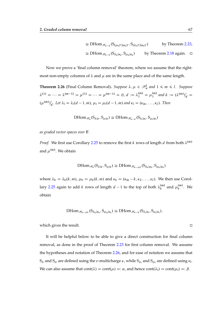$$
\cong \text{DHom}_{\mathscr{H}_{n-k}}(S_{(\mu_b)'|(\kappa_b)'}, S_{(\lambda_b)'|(\kappa_b)'}) \qquad \text{by Theorem 2.23,}
$$
  

$$
\cong \text{DHom}_{\mathscr{H}_{n-k}}(S_{\lambda_b|\kappa_b}, S_{\mu_b|\kappa_b}) \qquad \text{by Theorem 2.18 again.} \quad \square
$$

Now we prove a 'final column removal' theorem, where we assume that the rightmost non-empty columns of  $\lambda$  and  $\mu$  are in the same place and of the same length.

<span id="page-66-0"></span>**Theorem 2.26** (Final Column Removal). Suppose  $\lambda, \mu \in \mathcal{P}_n^l$  and  $1 \leq m \leq l$ . Suppose  $\lambda^{(1)} = \cdots = \lambda^{(m-1)} = \mu^{(1)} = \cdots = \mu^{(m-1)} = \emptyset, d := \lambda_1^{(m)} = \mu_1^{(m)}$  $\binom{m}{1}$  and  $k := (\lambda^{(m)})'_d =$  $(\mu^{(m)})'$  $d_{d}$ . Let  $\lambda_1 = \lambda_1(d-1,m)$ ,  $\mu_1 = \mu_1(d-1,m)$  and  $\kappa_1 = (\kappa_m, \ldots, \kappa_l)$ . Then

$$
\text{DHom}_{\mathscr{H}_n}(S_{\lambda|\kappa},S_{\mu|\kappa})\cong \text{DHom}_{\mathscr{H}_{n-k}}(S_{\lambda_1|\kappa_1},S_{\mu_1|\kappa_1})
$$

*as graded vector spaces over* F*.*

*Proof.* We first use Corollary [2.25](#page-65-0) to remove the first k rows of length d from both  $\lambda^{(m)}$ and  $\mu^{(m)}$ . We obtain

$$
\text{DHom}_{\mathscr{H}_n}(S_{\lambda|\kappa},S_{\mu|\kappa})\cong \text{DHom}_{\mathscr{H}_{n-dk}}(S_{\lambda_b|\kappa_b},S_{\mu_b|\kappa_b})
$$

where  $\lambda_b = \lambda_b(k, m)$ ,  $\mu_b = \mu_b(k, m)$  and  $\kappa_b = (\kappa_m - k, \kappa_2, \dots, \kappa_l)$ . We then use Corol-lary [2.25](#page-65-0) again to add k rows of length  $d-1$  to the top of both  $\lambda_b^{(m)}$  $\binom{m}{b}$  and  $\mu_b^{(m)}$  $b^{(m)}$ . We obtain

$$
\text{DHom}_{\mathscr{H}_{n-dk}}(S_{\lambda_b|\kappa_b},S_{\mu_b|\kappa_b})\cong \text{DHom}_{\mathscr{H}_{n-k}}(S_{\lambda_l|\kappa_l},S_{\mu_l|\kappa_l}),
$$

which gives the result.

It will be helpful below to be able to give a direct construction for final column removal, as done in the proof of Theorem [2.23](#page-61-0) for first column removal. We assume the hypotheses and notation of Theorem [2.26,](#page-66-0) and for ease of notation we assume that  $S_\lambda$  and  $S_\mu$  are defined using the  $e$ -multicharge  $\kappa$  , while  $S_{\lambda_1}$  and  $S_{\mu_1}$  are defined using  $\kappa_1.$ We can also assume that  $\text{cont}(\lambda) = \text{cont}(\mu) =: \alpha$ , and hence  $\text{cont}(\lambda_1) = \text{cont}(\mu_1) =: \beta$ .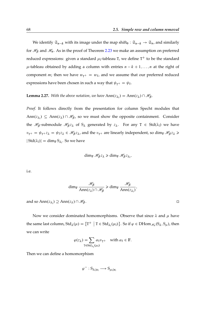We identify  $\mathfrak{S}_{n-k}$  with its image under the map shift<sub>0</sub> :  $\mathfrak{S}_{n-k} \to \mathfrak{S}_n$ , and similarly for  $\mathcal{H}_{\beta}$  and  $\mathcal{H}_{\alpha}$ . As in the proof of Theorem [2.23](#page-61-0) we make an assumption on preferred reduced expressions: given a standard  $\mu$ <sub>1</sub>-tableau T, we define T<sup>+</sup> to be the standard  $\mu$ -tableau obtained by adding a column with entries  $n - k + 1, \ldots, n$  at the right of component *m*; then we have  $w_{T^+} = w_T$ , and we assume that our preferred reduced expressions have been chosen in such a way that  $\psi_{T^+} = \psi_T$ .

<span id="page-67-0"></span>**Lemma 2.27.** With the above notation, we have  $\text{Ann}(z_{\lambda_1}) = \text{Ann}(z_{\lambda}) \cap \mathcal{H}_{\beta}$ .

*Proof.* It follows directly from the presentation for column Specht modules that Ann $(z_{\lambda_1}) \subseteq \text{Ann}(z_{\lambda}) \cap \mathcal{H}_{\beta}$ , so we must show the opposite containment. Consider the  $\mathcal{H}_{\beta}$ -submodule  $\mathcal{H}_{\beta}z_{\lambda}$  of  $S_{\lambda}$  generated by  $z_{\lambda}$ . For any  $T \in Std(\lambda_1)$  we have  $v_{T^+} = \psi_{T^+} z_\lambda = \psi_{T^Z \lambda} \in \mathcal{H}_{\beta} z_\lambda$ , and the  $v_{T^+}$  are linearly independent, so dim<sub>F</sub>  $\mathcal{H}_{\beta} z_\lambda \geq$  $|\operatorname{Std}(\lambda_1)| = \dim_{\mathbb{F}} S_{\lambda_1}$ . So we have

$$
\dim_{\mathbb{F}} \mathcal{H}_{\beta} z_{\lambda} \geq \dim_{\mathbb{F}} \mathcal{H}_{\beta} z_{\lambda_1},
$$

i.e.

$$
\dim_{\mathbb{F}} \frac{\mathscr{H}_{\beta}}{\mathrm{Ann}(z_{\lambda}) \cap \mathscr{H}_{\beta}} \geq \dim_{\mathbb{F}} \frac{\mathscr{H}_{\beta}}{\mathrm{Ann}(z_{\lambda_1})},
$$

and so Ann $(z_{\lambda_1}) \supseteq \text{Ann}(z_{\lambda}) \cap \mathcal{H}_{\beta}$ .

Now we consider dominated homomorphisms. Observe that since  $\lambda$  and  $\mu$  have the same last column,  $Std_{\lambda}(\mu) = \{T^+ \mid T \in Std_{\lambda_1}(\mu_1)\}\.$  So if  $\varphi \in DHom_{\mathscr{H}_{n}}(S_{\lambda}, S_{\mu})$ , then we can write

$$
\varphi(z_{\lambda}) = \sum_{\mathbf{T} \in \text{Std}_{\lambda_1}(\mu_1)} a_{\mathbf{T}} v_{\mathbf{T}} + \text{ with } a_{\mathbf{T}} \in \mathbb{F}.
$$

Then we can define a homomorphism

$$
\varphi^-:S_{\lambda_1|\kappa_1}\longrightarrow S_{\mu_1|\kappa_1}
$$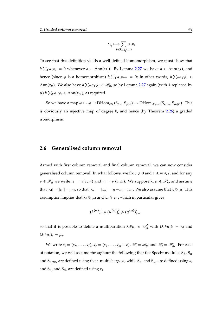$$
z_{\lambda_1} \longmapsto \sum_{\tau \in \text{Std}_{\lambda_1}(\mu_1)} a_{\tau} v_{\tau}.
$$

To see that this definition yields a well-defined homomorphism, we must show that  $h \sum_{\tau} a_{\tau} v_{\tau} = 0$  whenever  $h \in Ann(z_{\lambda_1})$ . By Lemma [2.27](#page-67-0) we have  $h \in Ann(z_{\lambda})$ , and hence (since  $\varphi$  is a homomorphism)  $h \sum_{\tau} a_{\tau} v_{\tau^+} = 0$ ; in other words,  $h \sum_{\tau} a_{\tau} \psi_{\tau} \in$ Ann $(z_\mu)$ . We also have  $h \sum_{\tau} a_{\tau} \psi_{\tau} \in \mathcal{H}_{\beta}$ , so by Lemma [2.27](#page-67-0) again (with  $\lambda$  replaced by  $\mu$ )  $h \sum_{\text{T}} a_{\text{T}} \psi_{\text{T}} \in \text{Ann}(z_{\mu_1})$ , as required.

So we have a map  $\varphi \mapsto \varphi^- : \text{DHom}_{\mathscr{H}_n}(S_{\lambda|\kappa}, S_{\mu|\kappa}) \to \text{DHom}_{\mathscr{H}_{n-k}}(S_{\lambda_1|\kappa_1}, S_{\mu_1|\kappa_1})$ . This is obviously an injective map of degree 0, and hence (by Theorem [2.26\)](#page-66-0) a graded isomorphism.

#### **2.6 Generalised column removal**

Armed with first column removal and final column removal, we can now consider generalised column removal. In what follows, we fix  $c \ge 0$  and  $1 \le m \le l$ , and for any  $v \in \mathcal{P}_n^l$  we write  $v_l = v_l(c, m)$  and  $v_r = v_r(c, m)$ . We suppose  $\lambda, \mu \in \mathcal{P}_n^l$ , and assume that  $|\lambda_1| = |\mu_1| =: n_1$ , so that  $|\lambda_r| = |\mu_r| = n - n_1 =: n_r$ . We also assume that  $\lambda \ge \mu$ . This assumption implies that  $\lambda_1 \triangleright \mu_1$  and  $\lambda_r \triangleright \mu_r$ , which in particular gives

$$
(\lambda^{(m)})'_c \ge (\mu^{(m)})'_c \ge (\mu^{(m)})'_{c+1}
$$

so that it is possible to define a multipartition  $\lambda_1 \# \mu_r \in \mathcal{P}_n^l$  with  $(\lambda_1 \# \mu_r)_1 = \lambda_1$  and  $(\lambda_1 \# \mu_r)_r = \mu_r.$ 

We write  $\kappa_1 = (\kappa_m, \ldots, \kappa_l)$ ,  $\kappa_r = (\kappa_1, \ldots, \kappa_m + c)$ ,  $\mathcal{H}_1 = \mathcal{H}_{n_1}$  and  $\mathcal{H}_r = \mathcal{H}_{n_r}$ . For ease of notation, we will assume throughout the following that the Specht modules  $S_{\lambda}$ ,  $S_{\mu}$ and  $S_{\lambda_1\#\mu_r}$  are defined using the  $e$ -multicharge  $\kappa$ , while  $S_{\lambda_1}$  and  $S_{\mu_1}$  are defined using  $\kappa_1$ and  $S_{\lambda_r}$  and  $S_{\mu_r}$  are defined using  $\kappa_r$ .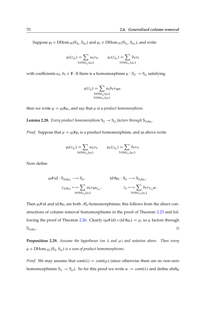Suppose  $\varphi_1 \in \text{DHom}_{\mathscr{H}_1}(S_{\lambda_1},S_{\mu_1})$  and  $\varphi_r \in \text{DHom}_{\mathscr{H}_r}(S_{\lambda_r},S_{\mu_r})$ , and write

$$
\varphi_1(z_{\lambda_1}) = \sum_{S \in \text{Std}_{\lambda_1}(\mu_1)} a_S v_S, \qquad \varphi_r(z_{\lambda_r}) = \sum_{T \in \text{Std}_{\lambda_r}(\mu_r)} b_T v_T
$$

with coefficients  $a_S, b_T \in \mathbb{F}$ . If there is a homomorphism  $\varphi : S_\lambda \to S_\mu$  satisfying

$$
\varphi(z_{\lambda}) = \sum_{\substack{S \in \text{Std}_{\lambda_1}(\mu_1) \\ T \in \text{Std}_{\lambda_r}(\mu_r)}} a_S b_T v_{S\#T},
$$

then we write  $\varphi = \varphi_1 \# \varphi_r$ , and say that  $\varphi$  is a *product homomorphism*.

<span id="page-69-0"></span>**Lemma 2.28.** *Every product homomorphism*  $S_{\lambda} \rightarrow S_{\mu}$  *factors through*  $S_{\lambda_1 \# \mu_{\tau}}$ *.* 

*Proof.* Suppose that  $\varphi = \varphi_1 \# \varphi_r$  is a product homomorphism, and as above write

$$
\varphi_1(z_{\lambda_1}) = \sum_{S \in \text{Std}_{\lambda_1}(\mu_1)} a_S v_S, \qquad \varphi_r(z_{\lambda_r}) = \sum_{T \in \text{Std}_{\lambda_r}(\mu_r)} b_T v_T.
$$

Now define

$$
\varphi_{l} \# \mathrm{id} : S_{\lambda_{l} \# \mu_{r}} \longrightarrow S_{\mu}, \qquad \qquad \mathrm{id} \# \varphi_{r} : S_{\lambda} \longrightarrow S_{\lambda_{l} \# \mu_{r}},
$$
\n
$$
z_{\lambda_{l} \# \mu_{r}} \longmapsto \sum_{S \in \mathrm{Std}_{\lambda_{l}}(\mu_{l})} a_{S} v_{S \# T_{\mu_{r}}}, \qquad \qquad z_{\lambda} \longmapsto \sum_{T \in \mathrm{Std}_{\lambda_{r}}(\mu_{r})} b_{T} v_{T_{\lambda_{l}} \# T}.
$$

Then  $\varphi_1$ # id and id # $\varphi_r$  are both  $\mathcal{H}_n$ -homomorphisms; this follows from the direct constructions of column removal homomorphisms in the proof of Theorem [2.23](#page-61-0) and fol-lowing the proof of Theorem [2.26.](#page-66-0) Clearly  $(\varphi_1 \# id) \circ (id \# \varphi_r) = \varphi$ , so  $\varphi$  factors through  $S_{\lambda_1\# \mu_r}$ . .

**Proposition 2.29.** Assume the hypotheses (on  $\lambda$  and  $\mu$ ) and notation above. Then every  $\varphi \in \mathrm{DHom}_{\mathscr{H}_n}(\mathsf{S}_\lambda,\mathsf{S}_\mu)$  is a sum of product homomorphisms.

*Proof.* We may assume that  $cont(\lambda) = cont(\mu)$  (since otherwise there are no non-zero homomorphisms  $S_{\lambda} \rightarrow S_{\mu}$ ). So for this proof we write  $\alpha := \text{cont}(\lambda)$  and define shift<sub>0</sub>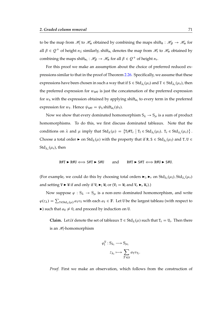to be the map from  $\mathcal{H}_1$  to  $\mathcal{H}_\alpha$  obtained by combining the maps shift<sub>0</sub> :  $\mathcal{H}_\beta \to \mathcal{H}_\alpha$  for all  $\beta \in Q^+$  of height  $n_1$ ; similarly, shift<sub>n<sub>1</sub></sub> denotes the map from  $\mathscr{H}_r$  to  $\mathscr{H}_\alpha$  obtained by combining the maps shift $_{n_1}: \mathscr{H}_{\beta} \to \mathscr{H}_{\alpha}$  for all  $\beta \in \mathcal{Q}^+$  of height  $n_r$ .

For this proof we make an assumption about the choice of preferred reduced expressions similar to that in the proof of Theorem [2.26.](#page-66-0) Specifically, we assume that these expressions have been chosen in such a way that if  $S \in \text{Std}_{\lambda_1}(\mu_1)$  and  $T \in \text{Std}_{\lambda_r}(\mu_r)$ , then the preferred expression for  $w_{\text{S#T}}$  is just the concatenation of the preferred expression for  $w_S$  with the expression obtained by applying shift<sub>n<sub>1</sub></sub> to every term in the preferred expression for  $w_T$ . Hence  $\psi_{\text{S#T}} = \psi_{\text{S}} \text{shift}_{n_1}(\psi_T)$ .

Now we show that every dominated homomorphism  $S_{\lambda} \rightarrow S_{\mu}$  is a sum of product homomorphisms. To do this, we first discuss dominated tableaux. Note that the conditions on  $\lambda$  and  $\mu$  imply that  $Std_{\lambda}(\mu) = \{T_1 \# T_r \mid T_1 \in Std_{\lambda_1}(\mu_1), T_r \in Std_{\lambda_r}(\mu_r)\}$ . Choose a total order  $\blacktriangleright$  on Std<sub> $\lambda(\mu)$ </sub> with the property that if R, S  $\in$  Std $_{\lambda_1}(\mu_1)$  and T, U  $\in$  $\operatorname{Std}_{\lambda_{\mathrm{r}}}(\mu_{\mathrm{r}})$ , then

$$
R\#T \blacktriangleright R\#U \Longleftrightarrow S\#T \blacktriangleright S\#U \qquad \text{and} \qquad R\#T \blacktriangleright S\#T \Longleftrightarrow R\#U \blacktriangleright S\#U.
$$

(For example, we could do this by choosing total orders  $\blacktriangleright_1$ ,  $\blacktriangleright_r$  on  $Std_{\lambda_1}(\mu_1)$ ,  $Std_{\lambda_r}(\mu_r)$ and setting  $V \triangleright W$  if and only if  $V_1 \triangleright_{i} W_1$  or  $(V_1 = W_1$  and  $V_r \triangleright_{r} W_r)$ .)

Now suppose  $\varphi : S_{\lambda} \to S_{\mu}$  is a non-zero dominated homomorphism, and write  $\varphi(z_\lambda) = \sum_{T \in Std_\lambda(\mu)} a_T v_T$  with each  $a_T \in \mathbb{F}$ . Let U be the largest tableau (with respect to  $\blacktriangleright$ ) such that  $a_U \neq 0$ , and proceed by induction on U.

**Claim.** Let U denote the set of tableaux  $T \in Std_{\lambda}(\mu)$  such that  $T_r = U_r$ . Then there is an  $\mathcal{H}_1$ -homomorphism

$$
\varphi_1^{\mathrm{U}}: \mathrm{S}_{\lambda_1} \longrightarrow \mathrm{S}_{\mu_1}
$$

$$
z_{\lambda_1} \longmapsto \sum_{T \in \mathcal{U}} a_{T} v_{T_1}
$$

:

*Proof.* First we make an observation, which follows from the construction of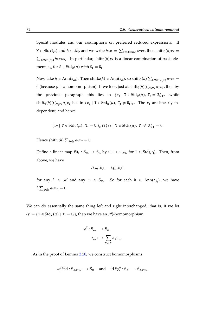Specht modules and our assumptions on preferred reduced expressions. If  $W \in \text{Std}_{\lambda}(\mu)$  and  $h \in \mathcal{H}_1$ , and we write  $hv_{W_1} = \sum_{T \in \text{Std}(\mu_1)} b_T v_T$ , then  $\text{shift}_0(h)v_W =$  $\sum_{T \in Std(\mu_l)} b_T v_{T\#W_r}$ . In particular, shift<sub>0</sub> $(h)v_W$  is a linear combination of basis elements  $v_S$  for  $S \in \text{Std}_{lr}(\mu)$  with  $S_r = W_r$ .

Now take  $h \in Ann(z_{\lambda_1})$ . Then  $\text{shift}_0(h) \in Ann(z_{\lambda})$ , so  $\text{shift}_0(h) \sum_{T \in \text{Std}_{\lambda}(\mu)} a_T v_T =$ 0 (because  $\varphi$  is a homomorphism). If we look just at  $\operatorname{shift}_0(h)\sum_{\mathtt{T}\in\mathcal{U}}a_{\mathtt{T}}v_{\mathtt{T}}$ , then by the previous paragraph this lies in  $\langle v_T | T \in Std_{lr}(\mu), T_r = U_r \rangle_F$ , while  $\text{shift}_0(h) \sum_{T \notin \mathcal{U}} a_T v_T$  lies in  $\langle v_T | T \in \text{Std}_{lr}(\mu), T_r \neq U_r \rangle_F$ . The  $v_T$  are linearly independent, and hence

$$
\langle\, \text{$v_T$} \mid\, T \in Std_{lr}(\mu),\; T_r = U_r \rangle_{\mathbb{F}} \cap \langle\, \text{$v_T$} \mid\, T \in Std_{lr}(\mu),\; T_r \neq U_r \rangle_{\mathbb{F}} = 0.
$$

Hence  $\text{shift}_0(h) \sum_{\text{T} \in \mathcal{U}} a_{\text{T}} v_{\text{T}} = 0.$ 

Define a linear map  $\#U_r : S_{\mu_1} \to S_{\mu}$  by  $v_T \mapsto v_{T\#U_r}$  for  $T \in Std(\mu_1)$ . Then, from above, we have

$$
(hm)\#U_r = h(m\#U_r)
$$

for any  $h \in \mathcal{H}_1$  and any  $m \in S_{\mu_1}$ . So for each  $h \in Ann(z_{\lambda_1})$ , we have  $h\sum_{\text{T}\in\mathcal{U}}a_{\text{T}}v_{\text{T}_1}=0.$ 

We can do essentially the same thing left and right interchanged; that is, if we let  $\mathcal{U}' = {\text{T}} \in \text{Std}_{\lambda}(\mu) \mid {\text{T}}_1 = {\text{U}}_1$ , then we have an  $\mathscr{H}_{r}$ -homomorphism

$$
\varphi_{\mathbf{r}}^{\mathbf{U}} : \mathbf{S}_{\lambda_{\mathbf{r}}} \longrightarrow \mathbf{S}_{\mu_{\mathbf{r}}}
$$

$$
z_{\lambda_{\mathbf{r}}} \longmapsto \sum_{\mathbf{T} \in \mathcal{U}'} a_{\mathbf{T}} v_{\mathbf{T}_{\mathbf{r}}}.
$$

As in the proof of Lemma [2.28,](#page-69-0) we construct homomorphisms

$$
\phi_l^U\#\, id:S_{\lambda_l\#\mu_r}\longrightarrow S_\mu\quad\text{ and }\quad id\,\#\phi_r^U:S_\lambda\longrightarrow S_{\lambda_l\#\mu_r},
$$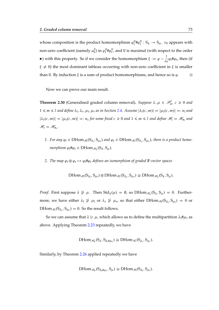whose composition is the product homomorphism  $\varphi_1^{\text{U}}$  $E_1^{\text{U}}\#\varphi_r^{\text{U}}: \mathsf{S}_{\lambda} \to \mathsf{S}_{\mu}$ .  $v_{\text{U}}$  appears with non-zero coefficient (namely  $a^2_\mathrm{U}$ ) in  $\varphi^\mathrm{U}_\mathrm{l}$  $L_1^{\mathrm{U}}\# \varphi_r^{\mathrm{U}}$ , and U is maximal (with respect to the order ightharpoonup is in this property. So if we consider the homomorphism  $\xi := \varphi - \frac{1}{\varphi}$  $\frac{1}{a_U}\varphi_l\# \varphi_r$ , then (if  $\xi \neq 0$ ) the most dominant tableau occurring with non-zero coefficient in  $\xi$  is smaller than U. By induction  $\xi$  is a sum of product homomorphisms, and hence so is  $\varphi$ .  $\Box$ 

<span id="page-72-0"></span>Now we can prove our main result.

**Theorem 2.30** (Generalised graded column removal). Suppose  $\lambda, \mu \in \mathcal{P}_n^l$ ,  $c \ge 0$  and  $1 \le m \le l$  and define  $\lambda_1, \lambda_r, \mu_1, \mu_r$  as in Section [2.4.](#page-60-0) Assume  $|\lambda_1(c, m)| = |\mu_1(c, m)| =: n_1$  and  $|\lambda_r(c, m)| = |\mu_r(c, m)| =: n_r$  for some fixed  $c \ge 0$  and  $1 \le m \le l$  and define  $\mathcal{H}_l = \mathcal{H}_{n_l}$  and  $\mathscr{H}_{\rm r} = \mathscr{H}_{n_{\rm r}}.$ 

- 1. For any  $\varphi_1 \in \text{DHom}_{\mathscr{H}_1}(S_{\lambda_1}, S_{\mu_1})$  and  $\varphi_r \in \text{DHom}_{\mathscr{H}_r}(S_{\lambda_r}, S_{\mu_r})$ , there is a product homo $morphism \varphi_1 \# \varphi_r \in \text{DHom}_{\mathscr{H}_n}(S_\lambda, S_\mu).$
- 2. *The map*  $\varphi_1 \otimes \varphi_r \mapsto \varphi_1 \sharp \varphi_r$  defines an isomorphism of graded  $\mathbb{F}\text{-vector spaces}$

$$
DHom_{\mathscr{H}}(S_{\lambda_1},S_{\mu_1})\otimes DHom_{\mathscr{H}_r}(S_{\lambda_r},S_{\mu_r})\cong DHom_{\mathscr{H}_n}(S_{\lambda},S_{\mu}).
$$

*Proof.* First suppose  $\lambda \nsuparrow \mu$ . Then  $Std_{\lambda}(\mu) = \emptyset$ , so  $DHom_{\mathcal{H}_{n}}(S_{\lambda}, S_{\mu}) = 0$ . Furthermore, we have either  $\lambda_1 \not\geq \mu_1$  or  $\lambda_r \not\geq \mu_r$ , so that either DHom $_{\mathscr{H}_1}(S_{\lambda_1}, S_{\mu_1}) = 0$  or DHom  $_{\mathcal{H}_{\rm r}}(S_{\lambda_{\rm r}}, S_{\mu_{\rm r}}) = 0$ . So the result follows.

So we can assume that  $\lambda \ge \mu$ , which allows us to define the multipartition  $\lambda_1 \# \mu_r$  as above. Applying Theorem [2.23](#page-61-0) repeatedly, we have

$$
D\text{Hom}_{\mathscr{H}_n}(S_{\lambda},S_{\lambda_l\# \mu_r})\cong D\text{Hom}_{\mathscr{H}_r}(S_{\lambda_r},S_{\mu_r}).
$$

Similarly, by Theorem [2.26](#page-66-0) applied repeatedly we have

$$
DHom_{\mathscr{H}_{n}}(S_{\lambda_{l}\# \mu_{r}},S_{\mu})\cong DHom_{\mathscr{H}}(S_{\lambda_{l}},S_{\mu_{l}}).
$$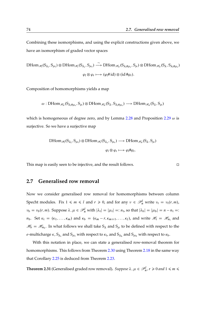Combining these isomorphisms, and using the explicit constructions given above, we have an isomorphism of graded vector spaces

$$
\begin{aligned}\n\text{DHom}_{\mathscr{H}_I}(S_{\lambda_I}, S_{\mu_I}) \otimes \text{DHom}_{\mathscr{H}_r}(S_{\lambda_r}, S_{\mu_r}) &\xrightarrow{\sim} \text{DHom}_{\mathscr{H}_n}(S_{\lambda_I \# \mu_r}, S_{\mu}) \otimes \text{DHom}_{\mathscr{H}_n}(S_{\lambda}, S_{\lambda_I \# \mu_r}) \\
&\xrightarrow{\varphi_I \otimes \varphi_r \longmapsto (\varphi_I \# id)} \otimes (id \# \varphi_r).\n\end{aligned}
$$

Composition of homomorphisms yields a map

$$
\omega: DHom_{\mathscr{H}_{n}}(S_{\lambda_{1}\# \mu_{r}}, S_{\mu})\otimes DHom_{\mathscr{H}_{n}}(S_{\lambda}, S_{\lambda_{1}\# \mu_{r}}) \longrightarrow DHom_{\mathscr{H}_{n}}(S_{\lambda}, S_{\mu})
$$

which is homogeneous of degree zero, and by Lemma [2.28](#page-69-0) and Proposition [2.29](#page-69-1)  $\omega$  is surjective. So we have a surjective map

$$
\begin{aligned} \mathrm{DHom}_{\mathscr{H}_I}(S_{\lambda_1},S_{\mu_1})\otimes \mathrm{DHom}_{\mathscr{H}_r}(S_{\lambda_r},S_{\mu_r})&\longrightarrow \mathrm{DHom}_{\mathscr{H}_n}(S_{\lambda},S_{\mu})\\ &\varphi_l\otimes \varphi_r\longmapsto \varphi_l\#\varphi_r. \end{aligned}
$$

This map is easily seen to be injective, and the result follows.

#### **2.7 Generalised row removal**

Now we consider generalised row removal for homomorphisms between column Specht modules. Fix  $1 \le m \le l$  and  $r \ge 0$ , and for any  $v \in \mathcal{P}_n^l$  write  $v_t = v_t(r, m)$ ,  $\nu_{\mathbf{b}} = \nu_{\mathbf{b}}(r,m)$ . Suppose  $\lambda, \mu \in \mathcal{P}_n^l$  with  $|\lambda_t| = |\mu_t| =: n_t$ , so that  $|\lambda_{\mathbf{b}}| = |\mu_{\mathbf{b}}| = n - n_t =:$  $n_b$ . Set  $\kappa_t = (\kappa_1, \ldots, \kappa_m)$  and  $\kappa_b = (\kappa_m - r, \kappa_{m+1}, \ldots, \kappa_l)$ , and write  $\mathcal{H}_t = \mathcal{H}_{n_t}$  and  $\mathcal{H}_b = \mathcal{H}_{n_b}$ . In what follows we shall take  $S_{\lambda}$  and  $S_{\mu}$  to be defined with respect to the *e*-multicharge  $\kappa$  ,  $S_{\lambda_t}$  and  $S_{\mu_t}$  with respect to  $\kappa_t$ , and  $S_{\lambda_b}$  and  $S_{\mu_b}$  with respect to  $\kappa_b$ .

With this notation in place, we can state a generalised row-removal theorem for homomorphisms. This follows from Theorem [2.30](#page-72-0) using Theorem [2.18](#page-56-0) in the same way that Corollary [2.25](#page-65-0) is deduced from Theorem [2.23.](#page-61-0)

<span id="page-73-0"></span>**Theorem 2.31** (Generalised graded row removal). Suppose  $\lambda$  ,  $\mu \in \mathscr{P}_n^l$ ,  $r \geqslant 0$  and  $1 \leqslant m \leqslant$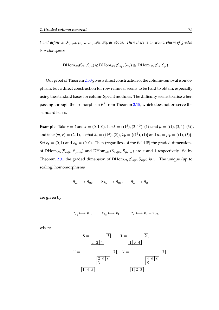l and define  $\lambda_{\rm t}, \lambda_{\rm b}, \mu_{\rm t}, \mu_{\rm b}, n_{\rm t}, n_{\rm b}, \mathscr{H}_{\rm t}, \mathscr{H}_{\rm b}$  as above. Then there is an isomorphism of graded F*-vector spaces*

$$
DHom_{\mathscr{H}_t}(S_{\lambda_t},S_{\mu_t})\otimes DHom_{\mathscr{H}_b}(S_{\lambda_b},S_{\mu_b})\cong DHom_{\mathscr{H}_n}(S_{\lambda},S_{\mu}).
$$

Our proof of Theorem [2.30](#page-72-0) gives a direct construction of the column-removal isomorphism, but a direct construction for row removal seems to be hard to obtain, especially using the standard bases for column Specht modules. The difficulty seems to arise when passing through the isomorphism  $\theta^\lambda$  from Theorem [2.15,](#page-54-0) which does not preserve the standard bases.

**Example.** Take  $e = 2$  and  $\kappa = (0, 1, 0)$ . Let  $\lambda = ((1^2), (2, 1^3), (1))$  and  $\mu = ((1), (3, 1), (3))$ , and take  $(m, r) = (2, 1)$ , so that  $\lambda_t = ((1^2), (2))$ ,  $\lambda_b = ((1^3), (1))$  and  $\mu_t = \mu_b = ((1), (3))$ . Set  $\kappa_t = (0, 1)$  and  $\kappa_b = (0, 0)$ . Then (regardless of the field F) the graded dimensions of DHom  $_{\mathcal{H}_4}(S_{\lambda_t|k_t},S_{\mu_t|k_t})$  and DHom  $_{\mathcal{H}_4}(S_{\lambda_b|k_b},S_{\mu_b|k_b})$  are v and 1 respectively. So by Theorem [2.31](#page-73-0) the graded dimension of DHom  $_{\mathscr{H}_8}(S_{\lambda|\kappa},S_{\mu|\kappa})$  is v. The unique (up to scaling) homomorphisms

 $S_{\lambda_t} \longrightarrow S_{\mu_t}$ ,  $S_{\lambda_b} \longrightarrow S_{\mu_b}$ ,  $S_{\lambda} \longrightarrow S_{\mu_b}$ 

are given by

$$
z_{\lambda_t} \longmapsto v_S
$$
,  $z_{\lambda_b} \longmapsto v_T$ ,  $z_{\lambda} \longmapsto v_U + 2v_V$ ,

where

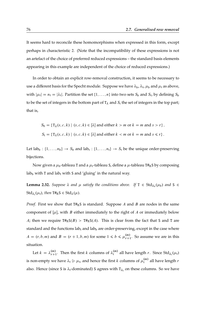It seems hard to reconcile these homomorphisms when expressed in this form, except perhaps in characteristic 2. (Note that the incompatibility of these expressions is not an artefact of the choice of preferred reduced expressions – the standard basis elements appearing in this example are independent of the choice of reduced expressions.)

In order to obtain an explicit row-removal construction, it seems to be necessary to use a different basis for the Specht module. Suppose we have  $\lambda_{\rm b}$ ,  $\lambda_{\rm t}$ ,  $\mu_{\rm b}$  and  $\mu_{\rm t}$  as above, with  $|\mu_t| = n_t = |\lambda_t|$ . Partition the set  $\{1, \ldots, n\}$  into two sets  $S_b$  and  $S_t$ , by defining  $S_b$ to be the set of integers in the bottom part of  $T_{\lambda}$  and  $S_t$  the set of integers in the top part; that is,

$$
S_{\mathbf{b}} = \{ \mathbf{T}_{\lambda}(s, c, k) \mid (s, c, k) \in [\lambda] \text{ and either } k > m \text{ or } k = m \text{ and } s > r \},
$$
\n
$$
S_{\mathbf{t}} = \{ \mathbf{T}_{\lambda}(s, c, k) \mid (s, c, k) \in [\lambda] \text{ and either } k < m \text{ or } k = m \text{ and } s \leq r \}.
$$

Let lab<sub>b</sub>: {1, ...,  $n_b$ }  $\rightarrow S_b$  and lab<sub>t</sub>: {1, ...,  $n_t$ }  $\rightarrow S_t$  be the unique order-preserving bijections.

Now given a  $\mu_b$ -tableau T and a  $\mu_t$ -tableau S, define a  $\mu$ -tableau T#RS by composing lab<sub>b</sub> with T and lab<sub>t</sub> with S and 'gluing' in the natural way.

**Lemma 2.32.** Suppose  $\lambda$  and  $\mu$  satisfy the conditions above. If  $T \in \text{Std}_{\lambda_b}(\mu_b)$  and  $S \in$  $Std_{\lambda_t}(\mu_t)$ , then  $T#_R S \in Std_{\lambda}(\mu)$ .

*Proof.* First we show that  $T#_R S$  is standard. Suppose A and B are nodes in the same component of  $[\mu]$ , with B either immediately to the right of A or immediately below A; then we require  $T#_R S(B) > T#_R S(A)$ . This is clear from the fact that S and T are standard and the functions  $lab<sub>t</sub>$  and  $lab<sub>b</sub>$  are order-preserving, except in the case where  $A = (r, b, m)$  and  $B = (r + 1, b, m)$  for some  $1 \le b \le \mu_{r+1}^{(m)}$ . So assume we are in this situation.

Let  $k = \lambda_{r+1}^{(m)}$ . Then the first k columns of  $\lambda_t^{(m)}$  $t_t^{(m)}$  all have length r. Since Std<sub> $\lambda_t(\mu_t)$ </sub> is non-empty we have  $\lambda_t \ge \mu_t$ , and hence the first k columns of  $\mu_t^{(m)}$  $t^{(m)}$  all have length  $r$ also. Hence (since S is  $\lambda_t$ -dominated) S agrees with  $T_{\lambda_t}$  on these columns. So we have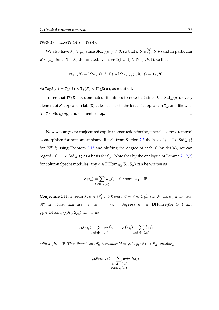$T#_R S(A) = lab_t(T_{\lambda_t}(A)) = T_{\lambda}(A).$ 

We also have  $\lambda_b \ge \mu_b$  since  $Std_{\lambda_b}(\mu_b) \ne \emptyset$ , so that  $k \ge \mu_{r+1}^{(m)} \ge b$  (and in particular  $B \in [\lambda]$ ). Since T is  $\lambda_{\rm b}$ -dominated, we have T $(1, b, 1) \ge T_{\lambda_{\rm b}}(1, b, 1)$ , so that

$$
T\#_R S(B) = lab_b(T(1, b, 1)) \geq lab_b(T_{\lambda_b}(1, b, 1)) = T_{\lambda}(B).
$$

So T#RS(A) =  $T_{\lambda}(A) < T_{\lambda}(B) \leq T#$ RS(B), as required.

To see that T#RS is  $\lambda$ -dominated, it suffices to note that since  $S \in \text{Std}_{\lambda_t}(\mu_t)$ , every element of  $S_t$  appears in lab<sub>t</sub>(S) at least as far to the left as it appears in  $T_\lambda$ , and likewise for  $T \in Std_{\lambda_b}(\mu_b)$  and elements of  $S_b$ .

Now we can give a conjectured explicit construction for the generalised row-removal isomorphism for homomorphisms. Recall from Section [2.3](#page-54-1) the basis  $\{f_T \mid T \in \text{Std}(\mu)\}\$ for  $(S^{\mu})^{\circledast}$ ; using Theorem [2.15](#page-54-0) and shifting the degree of each  $f_T$  by  $def(\mu)$ , we can regard  $\{f_T \mid T \in Std(\mu)\}\$ as a basis for  $S_\mu$ . Note that by the analogue of Lemma [2.19\(](#page-57-0)[2\)](#page-57-1) for column Specht modules, any  $\varphi \in \mathrm{DHom}_{\mathscr{H}_n}(S_\lambda, S_\mu)$  can be written as

$$
\varphi(z_{\lambda}) = \sum_{\tau \in \text{Std}_{\lambda}(\mu)} a_{\tau} f_{\tau} \quad \text{for some } a_{\tau} \in \mathbb{F}.
$$

<span id="page-76-0"></span>**Conjecture 2.33.** Suppose  $\lambda, \mu \in \mathcal{P}_n^l$ ,  $r \geq 0$  and  $1 \leq m \leq n$ . Define  $\lambda_t, \lambda_b, \mu_t, \mu_b, n_t, n_b, \mathcal{H}_t$ ,  $\mathscr{H}_{b}$  as above, and assume  $|\mu_t| = n_t$ . Suppose  $\varphi_t \in \text{DHom}_{\mathscr{H}_t}(S_{\lambda_t}, S_{\mu_t})$  and  $\varphi_{\rm b} \in {\rm DHom}_{\mathcal{H}_{\rm b}}({\rm S}_{\lambda_{\rm b}},{\rm S}_{\mu_{\rm b}})$ , and write

$$
\varphi_{b}(z_{\lambda_{b}}) = \sum_{T \in \text{Std}_{\lambda_{b}}(\mu_{b})} a_{T} f_{T}, \qquad \varphi_{t}(z_{\lambda_{t}}) = \sum_{S \in \text{Std}_{\lambda_{t}}(\mu_{t})} b_{S} f_{S}
$$

with  $a_T, b_S \in \mathbb{F}$ . Then there is an  $\mathscr{H}_n$ -homomorphism  $\varphi_b \#_{R} \varphi_t : S_{\lambda} \to S_{\mu}$  satisfying

$$
\varphi_{\mathsf{b}} \#_{\mathsf{R}} \varphi_{\mathsf{t}}(z_{\lambda}) = \sum_{\substack{\mathsf{T} \in \text{Std}_{\lambda_{\mathsf{b}}}}(\mu_{\mathsf{b}}) \\ \mathsf{s} \in \text{Std}_{\lambda_{\mathsf{t}}}(\mu_{\mathsf{t}})}} a_{\mathsf{T}} b_{\mathsf{S}} f_{\mathsf{T} \#_{\mathsf{R}}} \mathsf{s}.
$$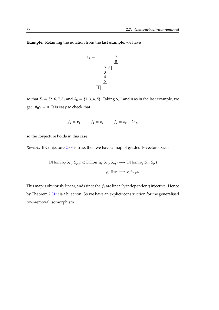**Example.** Retaining the notation from the last example, we have



so that  $S_t = \{2, 6, 7, 8\}$  and  $S_b = \{1, 3, 4, 5\}$ . Taking S, T and U as in the last example, we get  $T#_R S = U$ . It is easy to check that

$$
f_{\mathsf{S}} = v_{\mathsf{S}}, \qquad f_{\mathsf{T}} = v_{\mathsf{T}}, \qquad f_{\mathsf{U}} = v_{\mathsf{U}} + 2v_{\mathsf{V}},
$$

so the conjecture holds in this case.

*Remark.* If Conjecture [2.33](#page-76-0) is true, then we have a map of graded F-vector spaces

$$
\mathrm{DHom}_{\mathcal{H}_b}(S_{\lambda_b}, S_{\mu_b}) \otimes \mathrm{DHom}_{\mathcal{H}_t}(S_{\lambda_t}, S_{\mu_t}) \longrightarrow \mathrm{DHom}_{\mathcal{H}_n}(S_{\lambda}, S_{\mu})
$$

$$
\varphi_b \otimes \varphi_t \longmapsto \varphi_b \#_R \varphi_t.
$$

This map is obviously linear, and (since the  $f<sub>T</sub>$  are linearly independent) injective. Hence by Theorem [2.31](#page-73-0) it is a bijection. So we have an explicit construction for the generalised row-removal isomorphism.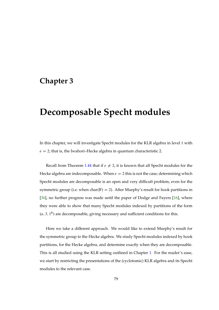# **Chapter 3**

# **Decomposable Specht modules**

In this chapter, we will investigate Specht modules for the KLR algebra in level 1 with  $e = 2$ ; that is, the Iwahori–Hecke algebra in quantum characteristic 2.

Recall from Theorem [1.44](#page-41-0) that if  $e \neq 2$ , it is known that all Specht modules for the Hecke algebra are indecomposable. When  $e = 2$  this is not the case; determining which Specht modules are decomposable is an open and very difficult problem, even for the symmetric group (i.e. when char( $F$ ) = 2). After Murphy's result for hook partitions in [\[36\]](#page-171-0), no further progress was made until the paper of Dodge and Fayers [\[16\]](#page-169-0), where they were able to show that many Specht modules indexed by partitions of the form  $(a, 3, 1<sup>b</sup>)$  are decomposable, giving necessary and sufficient conditions for this.

Here we take a different approach. We would like to extend Murphy's result for the symmetric group to the Hecke algebra. We study Specht modules indexed by hook partitions, for the Hecke algebra, and determine exactly when they are decomposable. This is all studied using the KLR setting outlined in Chapter [1.](#page-14-0) For the reader's ease, we start by restricting the presentations of the (cyclotomic) KLR algebra and its Specht modules to the relevant case.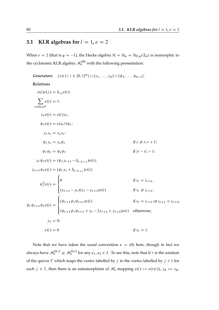## **3.1** KLR algebras for  $l = 1$ ,  $e = 2$

When  $e = 2$  (that is  $q = -1$ ), the Hecke algebra  $\mathcal{H} = \mathcal{H}_n = \mathcal{H}_{F,q}(\mathfrak{S}_n)$  is isomorphic to the cyclotomic KLR algebra  $\mathscr{H}^{(0)}_n$  with the following presentation:

*Generators*  $\{e(i) | i \in \{0, 1\}^n\} \cup \{y_1, \ldots, y_n\} \cup \{\psi_1, \ldots, \psi_{n-1}\}.$ *Relations*  $e(i)e(j) = \delta_{i,j} e(i);$  $\sum$  $i \in \{0,1\}^n$  $e(i) = 1;$  $y_r e(i) = e(i) y_r$ ;  $\psi_r e(i) = e(s_r i) \psi_r$  $y_r y_s = y_s y_r$  $\psi_r v_s = v_s \psi_r$  if  $s \neq r, r + 1$ ;  $\psi_r \psi_s = \psi_s \psi_r$  if  $|r - s| > 1$ ;  $y_r \psi_r e(i) = (\psi_r y_{r+1} - \delta_{i_r, i_{r+1}}) e(i);$  $y_{r+1}\psi_r e(i) = (\psi_r y_r + \delta_{i_r, i_{r+1}})e(i);$  $\psi_r^2 e(i) =$ 8  $\int$  $\overline{\mathcal{L}}$ 0 if  $i_r = i_{r+1}$ ,  $(y_{r+1} - y_r)(y_r - y_{r+1})e(i)$  if  $i_r \neq i_{r+1}$ ;  $\psi_r \psi_{r+1} \psi_r e(i) =$ 8  $\int$  $\overline{\mathcal{L}}$  $(\psi_{r+1}\psi_r\psi_{r+1})e(i)$  if  $i_r = i_{r+1}$  or  $i_{r+1} = i_{r+2}$ ,  $(\psi_{r+1}\psi_r\psi_{r+1} + y_r - 2y_{r+1} + y_{r+2})e(i)$  otherwise;  $y_1 = 0;$  $e(i) = 0$  if  $i_1 = 1$ .

Note that we have taken the usual convention  $\kappa = (0)$  here, though in fact we always have  $\mathscr{H}^{(\kappa_1)}_n\cong\mathscr{H}^{(\kappa_2)}_n$  for any  $\kappa_1,\kappa_2\in I$ . To see this, note that if  $r$  is the rotation of the quiver  $\Gamma$  which maps the vertex labelled by j to the vertex labelled by  $j + 1$  for each  $j \in I$ , then there is an automorphism of  $\mathcal{H}_n$  mapping  $e(i) \mapsto e(r(i))$ ,  $y_k \mapsto y_k$ ,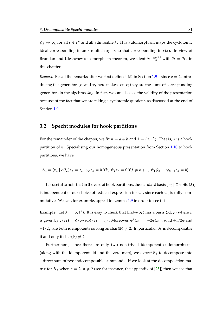$\psi_k \mapsto \psi_k$  for all  $i \in I^n$  and all admissible k. This automorphism maps the cyclotomic ideal corresponding to an *e*-multicharge  $\kappa$  to that corresponding to  $r(\kappa)$ . In view of Brundan and Kleshchev's isomorphism theorem, we identify  $\mathscr{H}^{(0)}_n$  with  $\mathcal{H} = \mathcal{H}_n$  in this chapter.

*Remark.* Recall the remarks after we first defined  $\mathcal{H}_n$  in Section [1.9](#page-28-0) – since  $e = 2$ , introducing the generators  $y_r$  and  $\psi_s$  here makes sense; they are the sums of corresponding generators in the algebras  $\mathcal{H}_{\alpha}$ . In fact, we can also see the validity of the presentation because of the fact that we are taking a cyclotomic quotient, as discussed at the end of Section [1.9.](#page-28-0)

#### **3.2 Specht modules for hook partitions**

For the remainder of the chapter, we fix  $n = a + b$  and  $\lambda = (a, 1^b)$ . That is,  $\lambda$  is a hook partition of n. Specialising our homogeneous presentation from Section [1.10](#page-32-0) to hook partitions, we have

$$
S_{\lambda} = \langle z_{\lambda} \mid e(i_{\lambda})z_{\lambda} = z_{\lambda}, y_{k}z_{\lambda} = 0 \,\forall k, \,\psi_{j}z_{\lambda} = 0 \,\forall j \neq b+1, \,\psi_{1}\psi_{2} \dots \psi_{b+1}z_{\lambda} = 0 \rangle.
$$

It's useful to note that in the case of hook partitions, the standard basis  $\{v_T \mid T \in \text{Std}(\lambda)\}\$ is independent of our choice of reduced expression for  $w_T$ , since each  $w_T$  is fully commutative. We can, for example, appeal to Lemma [1.9](#page-22-0) in order to see this.

**Example.** Let  $\lambda = (3, 1^2)$ . It is easy to check that End<sub>H</sub> $(S_{\lambda})$  has a basis {id,  $\varphi$ } where  $\varphi$ is given by  $\varphi(z_\lambda) = \psi_3 \psi_2 \psi_4 \psi_3 z_\lambda = v_{\text{T}^{\lambda}}$ . Moreover,  $\varphi^2(z_\lambda) = -2\varphi(z_\lambda)$ , so id  $+1/2\varphi$  and  $-1/2\varphi$  are both idempotents so long as char(F)  $\neq$  2. In particular, S<sub> $\lambda$ </sub> is decomposable if and only if char(F)  $\neq$  2.

Furthermore, since there are only two non-trivial idempotent endomorphisms (along with the idempotents id and the zero map), we expect  $S_{\lambda}$  to decompose into a direct sum of two indecomposable summands. If we look at the decomposition matrix for  $\mathcal{H}_5$  when  $e = 2$ ,  $p \neq 2$  (see for instance, the appendix of [\[25\]](#page-170-0)) then we see that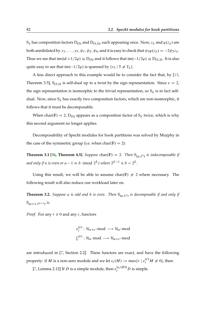$S_{\lambda}$  has composition factors  $D_{(5)}$  and  $D_{(3,2)}$ , each appearing once. Now,  $z_{\lambda}$  and  $\varphi(z_{\lambda})$  are both annihilated by  $y_1, \ldots, y_5, \psi_1, \psi_2, \psi_4$ , and it is easy to check that  $\psi_3 \varphi(z_\lambda) = -2\psi_3 z_\lambda$ . Thus we see that im(id +1/2 $\varphi$ )  $\cong$  D<sub>(5)</sub> and it follows that im $(-1/2\varphi) \cong D_{(3,2)}$ . It is also quite easy to see that im $\left(-\frac{1}{2\varphi}\right)$  is spanned by  $\{v_T \mid T \neq T_\lambda\}$ .

A less direct approach to this example would be to consider the fact that, by [\[13,](#page-169-1) Theorem 3.5],  $S_{(3,2)}$  is self-dual up to a twist by the sign representation. Since  $e = 2$ , the sign representation is isomorphic to the trivial representation, so  $S_\lambda$  is in fact selfdual. Now, since  $S_\lambda$  has exactly two composition factors, which are non-isomorphic, it follows that it must be decomposable.

When char(F) = 2, D<sub>(5)</sub> appears as a composition factor of  $S_{\lambda}$  twice, which is why this second argument no longer applies.

Decomposability of Specht modules for hook partitions was solved by Murphy in the case of the symmetric group (i.e. when char( $F$ ) = 2):

<span id="page-81-0"></span>**Theorem 3.1 [\[36,](#page-171-0) Theorem 4.5].** *Suppose* char( $F$ ) = 2*. Then*  $S_{(a,1^b)}$  *is indecomposable if* and only if n is even or  $a - 1 \equiv b \pmod{2^L}$  where  $2^{L-1} \leq b < 2^L$ .

Using this result, we will be able to assume char(F)  $\neq$  2 where necessary. The following result will also reduce our workload later on.

<span id="page-81-1"></span>**Theorem 3.2.** Suppose a is odd and b is even. Then  $S_{(a,1^b)}$  is decomposable if and only if  $S_{(a+1,1^{b+1})}$  is.

*Proof.* For any  $r \ge 0$  and any *i*, functors

$$
e_i^{(r)} : \mathcal{H}_{n+r} \text{-mod} \longrightarrow \mathcal{H}_n \text{-mod}
$$
  
 $f_i^{(r)} : \mathcal{H}_n \text{-mod} \longrightarrow \mathcal{H}_{n+r} \text{-mod}$ 

are introduced in [\[7,](#page-168-0) Section 2.2]. These functors are exact, and have the following property: if  $M$  is a non-zero module and we let  $\varepsilon_i(M) := \max\{r \mid e_i^{(r)}M \neq 0\}$ , then:

[\[7,](#page-168-0) Lemma 2.12] If D is a simple module, then  $e_i^{(\varepsilon_i(D))}$  is simple.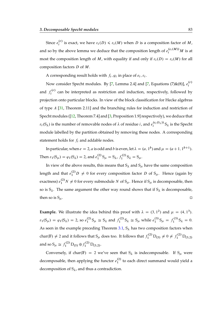Since  $e_i^{(r)}$  $i_j^{(r)}$  is exact, we have  $\varepsilon_i(D) \leq \varepsilon_i(M)$  when D is a composition factor of M, and so by the above lemma we deduce that the composition length of  $e_i^{(\varepsilon_i(M))}M$  is at most the composition length of M, with equality if and only if  $\varepsilon_i(D) = \varepsilon_i(M)$  for all composition factors D of M.

A corresponding result holds with  $f_i$ ,  $\varphi_i$  in place of  $e_i$ ,  $\varepsilon_i$ .

Now consider Specht modules. By [\[7,](#page-168-0) Lemma 2.4] and [7, Equations (7)&(8)],  $e_i^{(r)}$ i and  $f_i^{(r)}$  $\int_{i}^{\mathcal{C}(V)}$  can be interpreted as restriction and induction, respectively, followed by projection onto particular blocks. In view of the block classification for Hecke algebras of type A [\[31,](#page-170-1) Theorem 2.11] and the branching rules for induction and restriction of Specht modules ([\[12,](#page-169-2) Theorem 7.4] and [\[3,](#page-168-1) Proposition 1.9] respectively), we deduce that  $\varepsilon_i(S_\lambda)$  is the number of removable nodes of  $\lambda$  of residue *i*, and  $e_i^{(\varepsilon_i(S_\lambda))}$  $\int_{i}^{(e_i(s_\lambda))} S_\lambda$  is the Specht module labelled by the partition obtained by removing these nodes. A corresponding statement holds for  $f_i$  and addable nodes.

In particular, when  $e = 2$ , a is odd and b is even, let  $\lambda = (a, 1^b)$  and  $\mu = (a + 1, 1^{b+1})$ . Then  $\varepsilon_1(S_\mu) = \varphi_1(S_\lambda) = 2$ , and  $e_1^{(2)}$  $_{1}^{(2)}$  S<sub> $\mu$ </sub> = S<sub> $\lambda$ </sub>,  $f_1^{(2)}$  $S_{1}^{(2)}S_{\lambda}=S_{\mu}.$ 

In view of the above results, this means that  $S_\lambda$  and  $S_\mu$  have the same composition length and that  $e_1^{(2)}D \neq 0$  for every composition factor D of  $S_\mu$ . Hence (again by exactness)  $e_1^{(2)}N \neq 0$  for every submodule N of  $S_\mu$ . Hence if  $S_\mu$  is decomposable, then so is  $S_\lambda$ . The same argument the other way round shows that if  $S_\lambda$  is decomposable, then so is  $S_{\mu}$ .

**Example.** We illustrate the idea behind this proof with  $\lambda = (3, 1^2)$  and  $\mu = (4, 1^3)$ .  $\varepsilon_1(S_\mu) = \varphi_1(S_\lambda) = 2$ , so  $e_1^{(2)}$  $_{1}^{(2)}$  S<sub> $\mu$ </sub>  $\cong$  S<sub> $\lambda$ </sub> and  $f_1^{(2)}$  $S_1^{(2)}$  S<sub> $\lambda \cong S_\mu$ </sub> while  $e_1^{(3)}$  $f_1^{(3)}S_\mu = f_1^{(3)}$  $S_{\lambda} = 0.$ As seen in the example preceding Theorem [3.1,](#page-81-0)  $S_{\lambda}$  has two composition factors when char(F)  $\neq 2$  and it follows that S<sub> $\mu$ </sub> does too. It follows that  $f_1^{(2)}D_{(5)} \neq 0 \neq f_1^{(2)}D_{(3,2)}$ and so  $S_{\mu} \cong f_1^{(2)} D_{(5)} \oplus f_1^{(2)} D_{(3,2)}$ .

Conversely, if char(F) = 2 we've seen that  $S_{\lambda}$  is indecomposable. If  $S_{\mu}$  were decomposable, then applying the functor  $e_1^{(2)}$  $1<sup>(2)</sup>$  to each direct summand would yield a decomposition of  $S_{\lambda}$ , and thus a contradiction.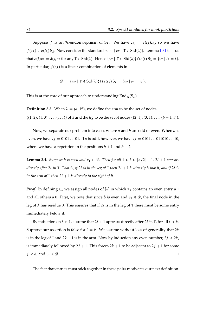Suppose f is an H-endomorphism of  $S_\lambda$ . We have  $z_\lambda = e(i_\lambda)z_\lambda$ , so we have  $f(z_\lambda) \in e(i_\lambda) S_\lambda$ . Now consider the standard basis  $\{v_\tau \mid T \in \text{Std}(\lambda)\}\)$ . Lemma [1.31](#page-36-0) tells us that  $e(i)v_T = \delta_{i,i_T} v_T$  for any  $T \in \text{Std}(\lambda)$ . Hence  $\{v_T \mid T \in \text{Std}(\lambda)\} \cap e(i) S_\lambda = \{v_T \mid i_T = i\}$ . In particular,  $f(z_{\lambda})$  is a linear combination of elements in

$$
\mathscr{D} := \{ v_{\mathsf{T}} \mid \mathsf{T} \in \mathrm{Std}(\lambda) \} \cap e(i_{\lambda}) S_{\lambda} = \{ v_{\mathsf{T}} \mid i_{\mathsf{T}} = i_{\lambda} \}.
$$

This is at the core of our approach to understanding  $\text{End}_{\mathcal{H}}(S_{\lambda})$ .

**Definition 3.3.** When  $\lambda = (a, 1^b)$ , we define the *arm* to be the set of nodes  $\{(1, 2), (1, 3), \ldots, (1, a)\}\$  of  $\lambda$  and the *leg* to be the set of nodes  $\{(2, 1), (3, 1), \ldots, (b + 1, 1)\}.$ 

Now, we separate our problem into cases where  $a$  and  $b$  are odd or even. When  $b$  is even, we have  $i_{\lambda} = 0101...01$ . If b is odd, however, we have  $i_{\lambda} = 0101...011010...10$ , where we have a repetition in the positions  $b + 1$  and  $b + 2$ .

**Lemma 3.4.** *Suppose b is even and*  $v_T \in \mathcal{D}$ . *Then for all*  $1 \le i \le \lceil n/2 \rceil - 1$ ,  $2i + 1$  *appears directly after* 2*i in* T. That *is, if* 2*i is in the leg of* T *then* 2*i* + 1 *is directly below it, and if* 2*i is in the arm of* T *then*  $2i + 1$  *is directly to the right of it.* 

*Proof.* In defining  $i_{\lambda}$ , we assign all nodes of [ $\lambda$ ] in which  $T_{\lambda}$  contains an even entry a 1 and all others a 0. First, we note that since b is even and  $v_T \in \mathcal{D}$ , the final node in the leg of  $\lambda$  has residue 0. This ensures that if 2*i* is in the leg of T there must be some entry immediately below it.

By induction on  $i > 1$ , assume that  $2i + 1$  appears directly after  $2i$  in T, for all  $i < k$ . Suppose our assertion is false for  $i = k$ . We assume without loss of generality that 2k is in the leg of T and  $2k + 1$  is in the arm. Now by induction any even number,  $2j < 2k$ , is immediately followed by  $2j + 1$ . This forces  $2k + 1$  to be adjacent to  $2j + 1$  for some  $j < k$ , and  $v_{\text{T}} \notin \mathcal{D}$ .

The fact that entries must stick together in these pairs motivates our next definition.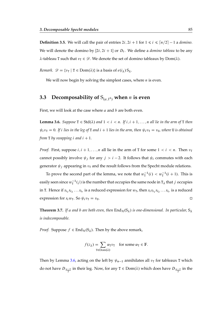**Definition 3.5.** We will call the pair of entries  $2i$ ,  $2i + 1$  for  $1 \le i \le \lceil n/2 \rceil - 1$  a *domino*. We will denote the domino by  $[2i, 2i + 1]$  or  $D_i$ . We define a *domino tableau* to be any  $\lambda$ -tableau T such that  $v_T \in \mathscr{D}$ . We denote the set of domino tableaux by Dom( $\lambda$ ).

*Remark.*  $\mathscr{D} = \{v_{\text{T}} \mid \text{T} \in \text{Dom}(\lambda)\}\$ is a basis of  $e(i_{\lambda})S_{\lambda}$ .

We will now begin by solving the simplest cases, where  $n$  is even.

### **3.3** Decomposability of  $S_{(a,1^b)}$  when *n* is even

First, we will look at the case where  $a$  and  $b$  are both even.

<span id="page-84-0"></span>**Lemma 3.6.** *Suppose*  $T \in \text{Std}(\lambda)$  *and*  $1 < i < n$ . *If*  $i$ ,  $i + 1, ..., n$  *all lie in the arm of*  $T$  *then*  $\psi_i v_\text{T} = 0$ . If *i* lies in the leg of T and  $i + 1$  lies in the arm, then  $\psi_i v_\text{T} = v_\text{U}$ , where U is obtained *from* **T** *by swapping i* and  $i + 1$ .

*Proof.* First, suppose  $i, i + 1, ..., n$  all lie in the arm of T for some  $1 < i < n$ . Then  $v<sub>T</sub>$ cannot possibly involve  $\psi_j$  for any  $j > i - 2$ . It follows that  $\psi_i$  commutes with each generator  $\psi_i$  appearing in  $v<sub>T</sub>$  and the result follows from the Specht module relations.

To prove the second part of the lemma, we note that  $w_T^{-1}(i) < w_T^{-1}(i + 1)$ . This is easily seen since  $w_{\text{T}}^{-1}(j)$  is the number that occupies the same node in T<sub> $\lambda$ </sub> that  $j$  occupies in T. Hence if  $s_{i_1}s_{i_2}...s_{i_r}$  is a reduced expression for  $w_T$ , then  $s_i s_{i_1} s_{i_2}...s_{i_r}$  is a reduced expression for  $s_i w_T$ . So  $\psi_i v_T = v_U$ .

<span id="page-84-1"></span>**Theorem 3.7.** If a and b are both even, then  $\text{End}_{\mathcal{H}}(S_{\lambda})$  is one-dimensional. In particular,  $S_{\lambda}$ *is indecomposable.*

*Proof.* Suppose  $f \in End_{\mathcal{H}}(S_{\lambda})$ . Then by the above remark,

$$
f(z_{\lambda}) = \sum_{\mathbf{T} \in \text{Dom}(\lambda)} \alpha_{\mathbf{T}} v_{\mathbf{T}} \quad \text{for some } \alpha_{\mathbf{T}} \in \mathbb{F}.
$$

Then by Lemma [3.6,](#page-84-0) acting on the left by  $\psi_{n-1}$  annihilates all  $v_T$  for tableaux T which do not have  $D_{\frac{n-2}{2}}$  in their leg. Now, for any  $T \in Dom(\lambda)$  which does have  $D_{\frac{n-2}{2}}$  in the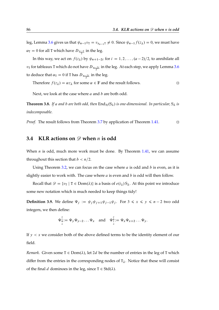leg, Lemma [3.6](#page-84-0) gives us that  $\psi_{n-1}v_T = v_{s_{n-1}T} \neq 0$ . Since  $\psi_{n-1}f(z_\lambda) = 0$ , we must have  $\alpha_{\text{T}} = 0$  for all T which have  $D_{\frac{n-2}{2}}$  in the leg.

In this way, we act on  $f(z_\lambda)$  by  $\psi_{n+1-2i}$  for  $i = 1, 2, ..., (a-2)/2$ , to annihilate all  $v_{\rm T}$  for tableaux T which do not have  $D_{\frac{n-2i}{2}}$  in the leg. At each step, we apply Lemma [3.6](#page-84-0) to deduce that  $\alpha_T = 0$  if T has  $D_{\frac{n-2i}{2}}$  in the leg.

Therefore  $f(z_{\lambda}) = \alpha z_{\lambda}$  for some  $\alpha \in \mathbb{F}$  and the result follows.

Next, we look at the case where  $a$  and  $b$  are both odd.

**Theorem 3.8.** *If a and b are both odd, then*  $\text{End}_{\mathcal{H}}(S_{\lambda})$  *is one-dimensional. In particular,*  $S_{\lambda}$  *is indecomposable.*

*Proof.* The result follows from Theorem [3.7](#page-84-1) by application of Theorem [1.41.](#page-41-1) □

#### **3.4** KLR actions on  $\mathscr{D}$  when *n* is odd

When  $n$  is odd, much more work must be done. By Theorem [1.41,](#page-41-1) we can assume throughout this section that  $b < n/2$ .

Using Theorem [3.2,](#page-81-1) we can focus on the case where a is odd and b is even, as it is slightly easier to work with. The case where  $a$  is even and  $b$  is odd will then follow.

Recall that  $\mathcal{D} = \{v_T \mid T \in Dom(\lambda)\}\$ is a basis of  $e(i_\lambda)S_\lambda$ . At this point we introduce some new notation which is much needed to keep things tidy!

**Definition 3.9.** We define  $\Psi_j := \psi_j \psi_{j+1} \psi_{j-1} \psi_j$ . For  $3 \leq x \leq y \leq n-2$  two odd integers, we then define:

$$
\Psi_{x}^{\mathcal{Y}} := \Psi_{y} \Psi_{y-2} \dots \Psi_{x} \quad \text{and} \quad \Psi_{x}^{\mathcal{Y}} := \Psi_{x} \Psi_{x+2} \dots \Psi_{y}.
$$

If  $y < x$  we consider both of the above defined terms to be the identity element of our field.

*Remark.* Given some  $T \in Dom(\lambda)$ , let 2d be the number of entries in the leg of T which differ from the entries in the corresponding nodes of  $T_{\lambda}$ . Notice that these will consist of the final d dominoes in the leg, since  $T \in \text{Std}(\lambda)$ .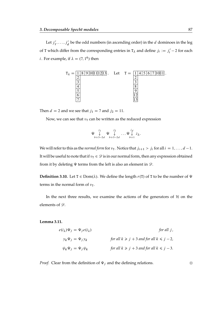Let  $j'_1$  $i'_1, \ldots, j'_d$  be the odd numbers (in ascending order) in the *d* dominoes in the leg of T which differ from the corresponding entries in  $T_{\lambda}$  and define  $j_i := j'_i - 2$  for each *i*. For example, if  $\lambda = (7, 1^6)$  then



Then  $d = 2$  and we see that  $j_1 = 7$  and  $j_2 = 11$ .

Now, we can see that  $v<sub>T</sub>$  can be written as the reduced expression

$$
\Psi \downarrow^{j_1} \Psi \downarrow^{j_2} \dots \Psi \downarrow^{j_d} z_{\lambda}.
$$
  
 $b+3-2d$   $b+5-2d$   $b+1$ 

We will refer to this as the *normal form* for  $v_T$ . Notice that  $j_{i+1} > j_i$  for all  $i = 1, ..., d - 1$ . It will be useful to note that if  $v_T \in \mathcal{D}$  is in our normal form, then any expression obtained from it by deleting  $\Psi$  terms from the left is also an element in  $\mathscr{D}$ .

**Definition 3.10.** Let  $T \in Dom(\lambda)$ . We define the length  $r(T)$  of T to be the number of  $\Psi$ terms in the normal form of  $v_T$ .

In the next three results, we examine the actions of the generators of  $H$  on the elements of  $\mathscr{D}$ .

<span id="page-86-0"></span>**Lemma 3.11.**

$$
e(i_{\lambda})\Psi_{j} = \Psi_{j}e(i_{\lambda}) \qquad \text{for all } j,
$$
  
\n
$$
y_{k}\Psi_{j} = \Psi_{j}y_{k} \qquad \text{for all } k \geq j+3 \text{ and for all } k \leq j-2,
$$
  
\n
$$
\psi_{k}\Psi_{j} = \Psi_{j}\psi_{k} \qquad \text{for all } k \geq j+3 \text{ and for all } k \leq j-3.
$$

*Proof.* Clear from the definition of  $\Psi_j$  and the defining relations.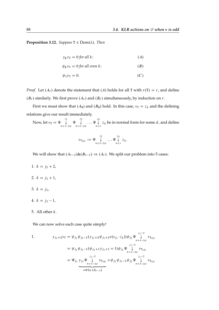**Proposition 3.12.** *Suppose*  $T \in Dom(\lambda)$ *. Then* 

$$
y_k v_\text{T} = 0 \text{ for all } k; \tag{A}
$$

$$
\psi_k v_{\rm T} = 0 \text{ for all even } k; \tag{B}
$$

$$
\psi_1 v_{\rm T} = 0. \tag{C}
$$

*Proof.* Let  $(A_r)$  denote the statement that  $(A)$  holds for all T with  $r(T) = r$ , and define  $(B_r)$  similarly. We first prove  $(A_r)$  and  $(B_r)$  simultaneously, by induction on r.

First we must show that  $(A_0)$  and  $(B_0)$  hold. In this case,  $v_T = z_\lambda$  and the defining relations give our result immediately.

Now, let 
$$
v_T = \Psi \bigcup_{b+3-2d}^{j_1} \Psi \bigcup_{b+5-2d}^{j_2} \dots \Psi \bigcup_{b+1}^{j_d} z_{\lambda}
$$
 be in normal form for some *d*, and define

$$
v_{\mathrm{T}_{(2)}} := \Psi \underset{b+5-2d}{\downarrow} \dots \Psi \underset{b+1}{\downarrow} z_{\lambda}.
$$

We will show that  $(A_{r-1})\&(B_{r-1}) \Rightarrow (A_r)$ . We split our problem into 5 cases:

- 1.  $k = j_1 + 2$ ,
- 2.  $k = j_1 + 1$ ,
- 3.  $k = j_1$ ,
- 4.  $k = j_1 1$ ,
- 5. All other  $k$ .

We can now solve each case quite simply!

1. 
$$
y_{j_1+2}v_{T} = \psi_{j_1}\psi_{j_1-1}(y_{j_1+2}\psi_{j_1+1}e(s_{j_1}\cdot i_{\lambda}))\psi_{j_1}\Psi \downarrow^{j_1-2} v_{T_{(2)}}
$$
  
\n
$$
= \psi_{j_1}\psi_{j_1-1}(\psi_{j_1+1}y_{j_1+1}+1)\psi_{j_1}\Psi \downarrow^{j_1-2} v_{T_{(2)}}
$$
  
\n
$$
= \Psi_{j_1}\underbrace{y_{j_1}\Psi \downarrow^{j_1-2} v_{T_{(2)}}}_{\psi+3-2d} v_{T_{(2)}} + \psi_{j_1}\psi_{j_1-1}\psi_{j_1}\Psi \downarrow^{j_1-2} v_{T_{(2)}}
$$
  
\n
$$
= 0 \text{ by } (A_{r-1})
$$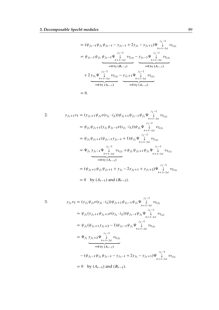$$
= (\psi_{j_1-1}\psi_{j_1}\psi_{j_1-1} - y_{j_1-1} + 2y_{j_1} - y_{j_1+1})\psi \downarrow^{j_1-2} v_{T_{(2)}} \n= \psi_{j_1-1}\psi_{j_1}\psi_{j_1-1}\psi \downarrow^{j_1-2} v_{T_{(2)}} - y_{j_1-1}\psi \downarrow^{j_1-2} v_{T_{(2)}} \n= 0 \text{ by } (B_{r-1}) \qquad \qquad \text{so } (A_{r-1}) \n+ 2 y_{j_1}\psi \downarrow^{j_1-2} v_{T_{(2)}} - y_{j_1+1}\psi \downarrow^{j_1-2} v_{T_{(2)}} \n= 0 \text{ by } (A_{r-1}) \qquad \qquad \text{so } (A_{r-1}) \n= 0 \text{ by } (A_{r-1})
$$
\n= 0.

2. 
$$
y_{j_1+1}v_T = (y_{j_1+1}\psi_{j_1}e(s_{j_1}\cdot i_\lambda))\psi_{j_1+1}\psi_{j_1-1}\psi_{j_1}\psi \downarrow_{b+3-2d}^{j_1-2} v_{T_{(2)}}
$$
  
\n
$$
= \psi_{j_1}\psi_{j_1+1}(y_{j_1}\psi_{j_1-1}e(s_{j_1}\cdot i_\lambda))\psi_{j_1}\psi \downarrow_{b+3-2d}^{j_1-2} v_{T_{(2)}}
$$
  
\n
$$
= \psi_{j_1}\psi_{j_1+1}(\psi_{j_1-1}y_{j_1-1}+1)\psi_{j_1}\psi \downarrow_{b+3-2d}^{j_1-2} v_{T_{(2)}}
$$
  
\n
$$
= \Psi_{j_1} y_{j_1-1}\psi \downarrow_{b+3-2d}^{j_1-2} v_{T_{(2)}} + \psi_{j_1}\psi_{j_1+1}\psi_{j_1}\psi \downarrow_{b+3-2d}^{j_1-2} v_{T_{(2)}}
$$
  
\n
$$
= 0 \text{ by } (A_{r-1})
$$
  
\n
$$
= (\psi_{j_1+1}\psi_{j_1}\psi_{j_1+1} + y_{j_1}-2y_{j_1+1}+y_{j_1+2})\psi \downarrow_{b+3-2d}^{j_1-2} v_{T_{(2)}}
$$
  
\n
$$
= 0 \text{ by } (A_{r-1}) \text{ and } (B_{r-1}).
$$

3. 
$$
y_{j_1} v_T = (y_{j_1} \psi_{j_1} e(s_{j_1} \cdot i_\lambda)) \psi_{j_1+1} \psi_{j_1-1} \psi_{j_1} \psi \downarrow_{b+3-2d}^{j_1-2} v_{T_{(2)}}
$$
  
\n
$$
= \psi_{j_1} (y_{j_1+1} \psi_{j_1+1} e(s_{j_1} \cdot i_\lambda)) \psi_{j_1-1} \psi_{j_1} \psi \downarrow_{b+3-2d}^{j_1-2} v_{T_{(2)}}
$$
  
\n
$$
= \psi_{j_1} (\psi_{j_1+1} y_{j_1+2} - 1) \psi_{j_1-1} \psi_{j_1} \psi \downarrow_{b+3-2d}^{j_1-2} v_{T_{(2)}}
$$
  
\n
$$
= \psi_{j_1} y_{j_1+2} \psi \downarrow_{b+3-2d} v_{T_{(2)}}
$$
  
\n
$$
= 0 \text{ by } (A_{r-1})
$$
  
\n
$$
-(\psi_{j_1-1} \psi_{j_1} \psi_{j_1-1} - y_{j_1-1} + 2y_{j_1} - y_{j_1+1}) \psi \downarrow_{b+3-2d}^{j_1-2} v_{T_{(2)}}
$$
  
\n
$$
= 0 \text{ by } (A_{r-1}) \text{ and } (B_{r-1}).
$$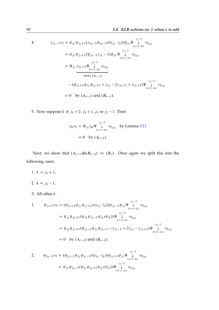4. 
$$
y_{j_1-1}v_T = \psi_{j_1}\psi_{j_1+1}(y_{j_1-1}\psi_{j_1-1}e(s_{j_1}\cdot i_\lambda))\psi_{j_1}\psi_{\downarrow}^{j_1-2}v_{T_{(2)}}
$$
  
\n
$$
= \psi_{j_1}\psi_{j_1+1}(\psi_{j_1-1}y_{j_1}-1)\psi_{j_1}\psi_{\downarrow}^{j_1-2}v_{T_{(2)}}
$$
  
\n
$$
= \Psi_{j_1}y_{j_1+1}\psi_{\downarrow}^{j_1-2}v_{T_{(2)}}
$$
  
\n
$$
= 0 \text{ by } (A_{r-1})
$$
  
\n
$$
-(\psi_{j_1+1}\psi_{j_1}\psi_{j_1+1}+y_{j_1}-2y_{j_1+1}+y_{j_1+2})\psi_{\downarrow}^{j_1-2}v_{T_{(2)}}
$$
  
\n
$$
= 0 \text{ by } (A_{r-1}) \text{ and } (B_{r-1}).
$$

5. Now suppose  $k \neq j_1 + 2, j_1 + 1, j_1$  or  $j_1 - 1$ . Then

$$
y_k v_T = \Psi_{j_1} y_k \Psi \bigvee_{b+3-2d}^{j_1-2} v_{T_{(2)}}
$$
 by Lemma 3.11  
= 0 by  $(A_{r-1})$ .

Next, we show that  $(A_{r-1})\&(B_{r-1}) \Rightarrow (B_r)$ . Once again we split this into the following cases:

- 1.  $k = j_1 + 1$ ,
- 2.  $k = j_1 1$ ,
- 3. All other  $k$ .

1. 
$$
\psi_{j_1+1}v_T = (\psi_{j_1+1}\psi_{j_1}\psi_{j_1+1}e(s_{j_1}\cdot i_\lambda))\psi_{j_1-1}\psi_{j_1}\psi\bigdownarrow^{j_1-2}_{b+3-2d}v_{T_{(2)}}
$$
  
\n
$$
= \psi_{j_1}\psi_{j_1+1}(\psi_{j_1}\psi_{j_1-1}\psi_{j_1}e(i_\lambda))\psi\bigdownarrow^{j_1-2}_{b+3-2d}v_{T_{(2)}}
$$
  
\n
$$
= \psi_{j_1}\psi_{j_1+1}(\psi_{j_1-1}\psi_{j_1}\psi_{j_1-1}-y_{j_1-1}+2y_{j_1}-y_{j_1+1})\psi\bigdownarrow^{j_1-2}_{b+3-2d}v_{T_{(2)}}
$$
  
\n
$$
= 0 \text{ by }(A_{r-1}) \text{ and }(B_{r-1}).
$$

2. 
$$
\psi_{j_1-1} v_T = (\psi_{j_1-1} \psi_{j_1} \psi_{j_1-1} e(s_{j_1} \cdot i_\lambda)) \psi_{j_1+1} \psi_{j_1} \psi \downarrow^{j_1-2} v_{T_{(2)}}
$$

$$
= \psi_{j_1} \psi_{j_1-1} (\psi_{j_1} \psi_{j_1+1} \psi_{j_1} e(i_\lambda)) \psi \downarrow^{j_1-2} v_{T_{(2)}}
$$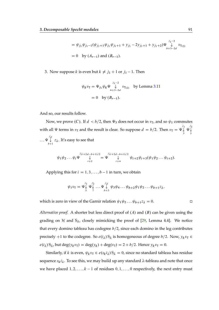$$
= \psi_{j_1}\psi_{j_1-1}(\psi_{j_1+1}\psi_{j_1}\psi_{j_1+1} + y_{j_1} - 2y_{j_1+1} + y_{j_1+2})\Psi \bigcup_{b+3-2d}^{j_1-2} v_{T(2)}
$$
  
= 0 by  $(A_{r-1})$  and  $(B_{r-1})$ .

3. Now suppose k is even but  $k \neq j_1 + 1$  or  $j_1 - 1$ . Then

$$
\psi_k v_T = \Psi_{j_1} \psi_k \Psi \bigvee_{b+3-2d}^{j_1-2} v_{T_{(2)}}
$$
 by Lemma 3.11  
= 0 by  $(B_{r-1})$ .

And so, our results follow.

Now, we prove (C). If  $d < b/2$ , then  $\Psi_3$  does not occur in  $v<sub>T</sub>$ , and so  $\psi_1$  commutes with all  $\Psi$  terms in  $v<sub>T</sub>$  and the result is clear. So suppose  $d=b/2$ . Then  $v<sub>T</sub> = \Psi \downarrow$  $\bigvee_{3}^{j_1} \Psi \bigvee_{5}^{j_2}$ 5  $\ldots \Psi \downarrow$  $\mathcal{L}_{b+1}$   $z_{\lambda}$ . It's easy to see that

$$
\psi_1 \psi_2 \dots \psi_i \Psi \bigvee_{i+2}^{j_{(i+2d-b+1)/2}} \Psi = \Psi \bigvee_{i+4}^{j_{(i+2d-b+1)/2}} \psi_{i+2} \psi_{i+3}(\psi_1 \psi_2 \dots \psi_{i+2}).
$$

Applying this for  $i = 1, 3, \ldots, b - 1$  in turn, we obtain

$$
\psi_1 v_{\text{T}} = \Psi_{\zeta}^{\smash{j_1}} \Psi_{\zeta}^{\smash{j_2}} \dots \Psi_{\zeta}^{\smash{j_d}} \psi_3 \psi_4 \dots \psi_{b+2} \psi_1 \psi_2 \dots \psi_{b+1} z_{\lambda},
$$

which is zero in view of the Garnir relation  $\psi_1 \psi_2 ... \psi_{b+1} z_{\lambda} = 0$ .

*Alternative proof.* A shorter but less direct proof of  $(A)$  and  $(B)$  can be given using the grading on  $H$  and  $S_\lambda$ , closely mimicking the proof of [\[29,](#page-170-2) Lemma 4.4]. We notice that every domino tableau has codegree  $b/2$ , since each domino in the leg contributes precisely +1 to the codegree. So  $e(i_\lambda) S_\lambda$  is homogeneous of degree  $b/2$ . Now,  $y_k v_\text{T} \in$  $e(i_\lambda) S_\lambda$ , but deg $(y_k v_\text{T}) = \text{deg}(y_k) + \text{deg}(v_\text{T}) = 2 + b/2$ . Hence  $y_k v_\text{T} = 0$ .

Similarly, if k is even,  $\psi_k v_\text{T} \in e(s_k i_\lambda) S_\lambda = 0$ , since no standard tableau has residue sequence  $s_k i_\lambda$ . To see this, we may build up any standard  $\lambda$ -tableau and note that once we have placed  $1, 2, \ldots, k - 1$  of residues  $0, 1, \ldots, 0$  respectively, the next entry must

$$
\qquad \qquad \Box
$$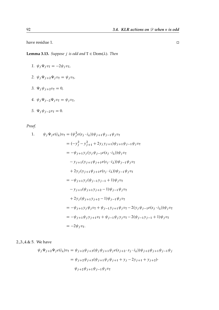have residue 1.

<span id="page-91-1"></span><span id="page-91-0"></span>**Lemma 3.13.** *Suppose j is odd and*  $T \in Dom(\lambda)$ *. Then* 

$$
1. \ \psi_j \Psi_j v_\text{T} = -2\psi_j v_\text{T},
$$

- <span id="page-91-2"></span>2.  $\psi_j \Psi_{j+2} \Psi_j v_T = \psi_j v_T$ ,
- 3.  $\Psi_j \psi_{j+2} v_T = 0$ ,
- <span id="page-91-3"></span>*4.*  $\psi_j \Psi_{j-2} \Psi_j v_T = \psi_j v_T$ ,

$$
5. \ \Psi_j \psi_{j-2} v_{\mathcal{T}} = 0.
$$

*Proof.*

1. 
$$
\psi_j \Psi_j e(i_\lambda) v_{\text{T}} = (\psi_j^2 e(s_j \cdot i_\lambda)) \psi_{j+1} \psi_{j-1} \psi_j v_{\text{T}}
$$
  
\n
$$
= (-y_j^2 - y_{j+1}^2 + 2y_j y_{j+1}) \psi_{j+1} \psi_{j-1} \psi_j v_{\text{T}}
$$
  
\n
$$
= -\psi_{j+1} y_j (y_j \psi_{j-1} e(s_j \cdot i_\lambda)) \psi_j v_{\text{T}}
$$
  
\n
$$
- y_{j+1} (y_{j+1} \psi_{j+1} e(s_j \cdot i_\lambda)) \psi_{j-1} \psi_j v_{\text{T}}
$$
  
\n
$$
+ 2y_j (y_{j+1} \psi_{j+1} e(s_j \cdot i_\lambda)) \psi_{j-1} \psi_j v_{\text{T}}
$$
  
\n
$$
= -\psi_{j+1} y_j (\psi_{j-1} y_{j-1} + 1) \psi_j v_{\text{T}}
$$
  
\n
$$
- y_{j+1} (\psi_{j+1} y_{j+2} - 1) \psi_{j-1} \psi_j v_{\text{T}}
$$
  
\n
$$
+ 2y_j (\psi_{j+1} y_{j+2} - 1) \psi_{j-1} \psi_j v_{\text{T}}
$$
  
\n
$$
= -\psi_{j+1} y_j \psi_j v_{\text{T}} + \psi_{j-1} y_{j+1} \psi_j v_{\text{T}} - 2(y_j \psi_{j-1} e(s_j \cdot i_\lambda)) \psi_j v_{\text{T}}
$$
  
\n
$$
= -\psi_{j+1} \psi_j y_{j+1} v_{\text{T}} + \psi_{j-1} \psi_j y_j v_{\text{T}} - 2(\psi_{j-1} y_{j-1} + 1) \psi_j v_{\text{T}}
$$
  
\n
$$
= -2\psi_j v_{\text{T}}.
$$

2.,3.,4.& 5. We have

$$
\psi_j \Psi_{j+2} \Psi_j e(i_\lambda) v_T = \psi_{j+2} \psi_{j+3} (\psi_j \psi_{j+1} \psi_j e(s_{j+2} \cdot s_j \cdot i_\lambda)) \psi_{j+2} \psi_{j+1} \psi_{j-1} \psi_j
$$
  
=  $\psi_{j+2} \psi_{j+3} (\psi_{j+1} \psi_j \psi_{j+1} + y_j - 2y_{j+1} + y_{j+2}) \cdot$   
 $\psi_{j+2} \psi_{j+1} \psi_{j-1} \psi_j v_T$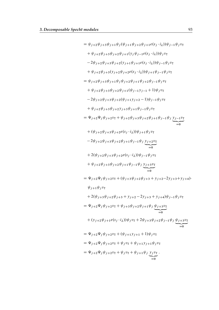$$
= \psi_{j+2}\psi_{j+3}\psi_{j+1}\psi_{j}(\psi_{j+1}\psi_{j+2}\psi_{j+1}e(s_{j}\cdot i_{\lambda}))\psi_{j-1}\psi_{j}v_{T}
$$
\n
$$
+ \psi_{j+2}\psi_{j+3}\psi_{j+2}\psi_{j+1}(y_{j}\psi_{j-1}e(s_{j}\cdot i_{\lambda}))\psi_{j}v_{T}
$$
\n
$$
-2\psi_{j+2}\psi_{j+3}\psi_{j+2}(y_{j+1}\psi_{j+1}e(s_{j}\cdot i_{\lambda}))\psi_{j-1}\psi_{j}v_{T}
$$
\n
$$
+ \psi_{j+2}\psi_{j+3}\psi_{j+2}(y_{j+1}\psi_{j+2}e(s_{j}\cdot i_{\lambda}))\psi_{j-1}\psi_{j}v_{T}
$$
\n
$$
= \psi_{j+2}\psi_{j+3}\psi_{j+1}\psi_{j}v_{j+2}\psi_{j+1}\psi_{j+2}\psi_{j-1}\psi_{j}v_{T}
$$
\n
$$
+ \psi_{j+2}\psi_{j+3}\psi_{j+2}\psi_{j+1}(\psi_{j-1}y_{j-1}+1)\psi_{j}v_{T}
$$
\n
$$
-2\psi_{j+2}\psi_{j+3}\psi_{j+2}\psi_{j+1}\psi_{j+2}-1)\psi_{j-1}\psi_{j}v_{T}
$$
\n
$$
+ \psi_{j+2}\psi_{j+3}\psi_{j+2}e(s_{j}\cdot i_{\lambda})\psi_{j+1}\psi_{j-1}\psi_{j}v_{T}
$$
\n
$$
= \Psi_{j+2}\Psi_{j}\psi_{j+2}v_{T} + \psi_{j+2}\psi_{j+3}\psi_{j+2}\psi_{j+1}\psi_{j-1}\psi_{j}v_{T}
$$
\n
$$
+ ( \psi_{j+2}\psi_{j+3}\psi_{j+2}e(s_{j}\cdot i_{\lambda}))\psi_{j-1}\psi_{j}v_{T}
$$
\n
$$
+ 2(\psi_{j+2}\psi_{j+3}\psi_{j+2}e(s_{j}\cdot i_{\lambda}))\psi_{j-1}\psi_{j}v_{T}
$$
\n
$$
+ 2(\psi_{j+2}\psi_{j+3}\psi_{j+2}\psi_{j+1}\psi_{j-1}\psi_{j}v_{T}
$$
\n
$$
+ \psi
$$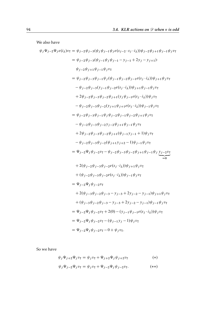We also have

$$
\psi_j \Psi_{j-2} \Psi_j e(i_\lambda) v_T = \psi_{j-2} \psi_{j-3} (\psi_j \psi_{j-1} \psi_j e(s_{j-2} \cdot s_j \cdot i_\lambda)) \psi_{j-2} \psi_{j+1} \psi_{j-1} \psi_j v_T
$$
  
\n
$$
= \psi_{j-2} \psi_{j-3} (\psi_{j-1} \psi_j \psi_{j-1} - y_{j-1} + 2y_j - y_{j+1}).
$$
  
\n
$$
\psi_{j-2} \psi_{j+1} \psi_{j-1} \psi_j v_T
$$
  
\n
$$
= \psi_{j-2} \psi_{j-3} \psi_{j-1} \psi_j (\psi_{j-1} \psi_{j-2} \psi_{j-1} e(s_j \cdot i_\lambda)) \psi_{j+1} \psi_j v_T
$$
  
\n
$$
- \psi_{j-2} \psi_{j-3} \psi_{j-2} \psi_{j+1} (y_j \psi_{j-1} e(s_j \cdot i_\lambda)) \psi_j v_T
$$
  
\n
$$
+ 2\psi_{j-2} \psi_{j-3} \psi_{j-2} \psi_{j+1} (y_j \psi_{j-1} e(s_j \cdot i_\lambda)) \psi_j v_T
$$
  
\n
$$
- \psi_{j-2} \psi_{j-3} \psi_{j-2} (y_{j+1} \psi_{j+1} e(s_j \cdot i_\lambda)) \psi_{j-1} \psi_j v_T
$$
  
\n
$$
= \psi_{j-2} \psi_{j-3} \psi_{j-1} \psi_j \psi_{j-2} \psi_{j-1} \psi_{j-2} \psi_{j+1} \psi_j v_T
$$
  
\n
$$
+ 2\psi_{j-2} \psi_{j-3} \psi_{j-2} \psi_{j+1} (\psi_{j-1} y_{j-1} + 1) \psi_j v_T
$$
  
\n
$$
- \psi_{j-2} \psi_{j-3} \psi_{j-2} (\psi_{j+1} y_{j+2} - 1) \psi_{j-1} \psi_j v_T
$$
  
\n
$$
= \psi_{j-2} \psi_j \psi_{j-2} v_T - \psi_{j-2} \psi_{j-3} \psi_{j-2} \psi_{j+1} \psi_j v_T
$$
  
\n
$$
+ 2(\psi_{j-2} \psi_{
$$

So we have

$$
\psi_j \Psi_{j+2} \Psi_j v_T = \psi_j v_T + \Psi_{j+2} \Psi_j \psi_{j+2} v_T \tag{*}
$$

$$
\psi_j \Psi_{j-2} \Psi_j v_T = \psi_j v_T + \Psi_{j-2} \Psi_j \psi_{j-2} v_T. \tag{**}
$$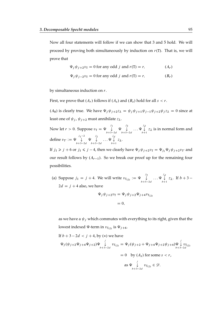Now all four statements will follow if we can show that 3 and 5 hold. We will proceed by proving both simultaneously by induction on  $r(T)$ . That is, we will prove that

$$
\Psi_j \psi_{j+2} v_T = 0 \text{ for any odd } j \text{ and } r(T) = r,
$$
\n(A<sub>r</sub>)

$$
\Psi_j \psi_{j-2} v_T = 0 \text{ for any odd } j \text{ and } r(T) = r,
$$
\n(B<sub>r</sub>)

by simultaneous induction on  $r$ .

First, we prove that  $(A_r)$  follows if  $(A_s)$  and  $(B_s)$  hold for all  $s < r$ .

 $(A_0)$  is clearly true. We have  $\Psi_j \psi_{j+2} z_{\lambda} = \psi_j \psi_{j+1} \psi_{j-1} \psi_{j+2} \psi_j z_{\lambda} = 0$  since at least one of  $\psi_i$ ,  $\psi_{i+2}$  must annihilate  $z_{\lambda}$ .

Now let  $r > 0$ . Suppose  $v_T = \Psi \downarrow$  $\begin{array}{cc} j_1 & j_2 \\ \downarrow & \Psi & \downarrow \\ b+3-2d & b+5- \end{array}$  $\bigvee_{b+5-2d}^{j_2} \ldots \Psi \bigvee_{b+5}^{j_d}$  $\bigcup\limits_{b+1}$   $z_{\lambda}$  is in normal form and define  $v_{\text{T}'} := \Psi \bigvee^{j_1-2}$  $j_1-2$   $j_2$ <br>  $\downarrow \qquad \Psi \qquad \downarrow$ <br>  $b+3-2d$   $b+5 \bigvee_{b+5-2d}^{j_2} \ldots \Psi \bigvee_{b+5}^{j_d}$  $\bigcup_{b+1} z_{\lambda}$ .

If  $j_1 \ge j + 6$  or  $j_1 \le j - 4$ , then we clearly have  $\Psi_j \psi_{j+2} v_T = \Psi_{j_1} \Psi_j \psi_{j+2} v_{T'}$  and our result follows by  $(A_{r-1})$ . So we break our proof up for the remaining four possibilities.

(a) Suppose  $j_1 = j + 4$ . We will write  $v_{T_{(2)}} := \Psi^{-\frac{j_2}{2}}$  $\begin{array}{c} \n\downarrow j_2 \\
\downarrow \qquad \qquad \downarrow j_4 \\
\downarrow b+5-2d \qquad \qquad \downarrow b+ \n\end{array}$  $\bigcup_{b+1}^{a} z_{\lambda}$ . If  $b+3$  –  $2d = j + 4$  also, we have

$$
\Psi_j \psi_{j+2} v_{\mathsf{T}} = \Psi_j \psi_{j+2} \Psi_{j+4} v_{\mathsf{T}_{(2)}}
$$
  
= 0,

as we have a  $\psi_j$  which commutes with everything to its right, given that the lowest indexed  $\Psi$ -term in  $v_{\text{T}_{(2)}}$  is  $\Psi_{j+6}$ .

If 
$$
b + 3 - 2d < j + 4
$$
, by (\*) we have  
\n
$$
\Psi_j(\psi_{j+2}\Psi_{j+4}\Psi_{j+2})\Psi \downarrow \psi_{\Gamma_{(2)}} = \Psi_j(\psi_{j+2} + \Psi_{j+4}\Psi_{j+2}\psi_{j+4})\Psi \downarrow \psi_{\Gamma_{(2)}}
$$
\n
$$
= 0 \text{ by } (A_s) \text{ for some } s < r,
$$
\nas  $\Psi \downarrow \psi_{\Gamma_{(2)}} \in \mathcal{D}.$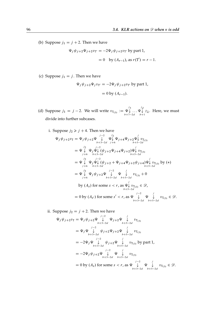(b) Suppose  $j_1 = j + 2$ . Then we have

$$
\Psi_j \psi_{j+2} \Psi_{j+2} v_{T'} = -2\Psi_j \psi_{j+2} v_{T'}
$$
 by part 1,  
= 0 by  $(A_{r-1})$ , as  $r(T') = r - 1$ .

(c) Suppose  $j_1 = j$ . Then we have

$$
\Psi_j \psi_{j+2} \Psi_j v_{T'} = -2\Psi_j \psi_{j+2} v_{T'}
$$
 by part 1,  
= 0 by  $(A_{r-1})$ .

- (d) Suppose  $j_1 = j 2$ . We will write  $v_{T_{(3)}} := \Psi \sqrt{\frac{1}{j}}$  $\begin{array}{ccc} & & j_3 & & j_d \\ \Psi \downarrow & \ldots \Psi \downarrow \\ b+7-2d & & b+ \end{array}$  $\Psi\downarrow z_{\lambda}$ . Here, we must divide into further subcases.
	- i. Suppose  $j_2 \ge j + 4$ . Then we have

$$
\Psi_{j}\psi_{j+2}v_{T} = \Psi_{j}\psi_{j+2}\Psi\bigcup_{b+3-2d}^{j-2}\Psi\bigcup_{j+6}^{j-2}\Psi_{j+4}\Psi_{j+2}\Psi\bigcup_{b+5-2d}^{j}v_{T_{(3)}}\n= \Psi\bigcup_{j+6}^{j-2}\Psi_{j}\Psi\bigcup_{b+3-2d}^{j-2}\Psi_{j+4}\Psi_{j+2}\Psi\bigcup_{b+5-2d}^{j}v_{T_{(3)}}\n= \Psi\bigcup_{j+6}^{j-2}\Psi_{j}\Psi\bigcup_{b+3-2d}^{j-2}\Psi_{j+4}\Psi_{j+2}\Psi_{j+4}\Psi\bigcup_{b+5-2d}^{j}v_{T_{(3)}}\text{ by } (*)\n= \Psi\bigcup_{j+6}^{j-2}\Psi_{j}\Psi_{j+2}\Psi\bigcup_{b+3-2d}^{j-2}\Psi\bigcup_{b+5-2d}^{j}v_{T_{(3)}}+0\n\text{ by } (A_{s}) \text{ for some } s < r, \text{ as } \Psi\bigcup_{b+5-2d}^{j}v_{T_{(3)}} \in \mathcal{D},
$$
\n
$$
= 0 \text{ by } (A_{s'}) \text{ for some } s' < r, \text{ as } \Psi\bigcup_{b+3-2d}^{j-2}\Psi\bigcup_{b+5-2d}^{j-2}v_{T_{(3)}}\in \mathcal{D}.
$$

ii. Suppose  $j_2 = j + 2$ . Then we have

$$
\Psi_{j}\psi_{j+2}v_{T} = \Psi_{j}\psi_{j+2}\Psi\bigdownarrow^{j-2}\Psi_{j+2}\Psi\bigdownarrow^{j}v_{T_{(3)}}\n= \Psi_{j}\Psi\bigdownarrow^{j-2}\psi_{j+2}\Psi_{j+2}\Psi\bigdownarrow^{j}v_{T_{(3)}}\n= -2\Psi_{j}\Psi\bigdownarrow^{j-2}\psi_{j+2}\Psi\bigdownarrow^{j}v_{T_{(3)}}\n= -2\Psi_{j}\Psi\bigdownarrow^{j-2}\psi_{j+2}\Psi\bigdownarrow^{j}v_{T_{(3)}} by part 1,\n= -2\Psi_{j}\psi_{j+2}\Psi\bigdownarrow^{j-2}\Psi\bigdownarrow^{j}v_{T_{(3)}}\n= -2\Psi_{j}\psi_{j+2}\Psi\bigdownarrow^{j-2}\Psi\bigdownarrow^{j}v_{T_{(3)}}\n= 0 by (A_{s}) for some s < r, as \Psi\bigdownarrow^{j-2}\Psi\bigdownarrow^{j}v_{T_{(3)}} \in \mathcal{D}.
$$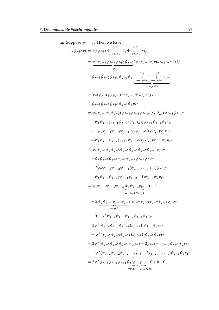iii. Suppose  $j_2 = j$ . Then we have  $\Psi_j \psi_{j+2} v_{\text{T}} = \Psi_j \psi_{j+2} \Psi \bigvee^{j-2}$  $\bigvee_{b+3-2d}^{j-2} \Psi_j \Psi \bigvee_{b+5-j}^{j-2}$  $v_{\text{T}_{(3)}}$ <br> $v_{\text{T}_{(3)}}$  $= \psi_j \psi_{j+1} \psi_{j-1} \psi_{j+2} \psi_{j-2}$  $=:\psi_*$  $(\psi_j \psi_{j-1} \psi_j e(s_{j-2} \cdot s_j \cdot i_\lambda))$  $\psi_{j-3}\psi_{j-2}\psi_{j+1}\psi_{j-1}\psi_j\Psi \bigvee^{j-4}$  $\bigvee_{b+3-2d}^{j-4} \Psi \bigvee_{b+5-j}^{j-2}$  $v_{\text{T}_{(3)}}$ <br> $v_{\text{T}_{(3)}}$  $=:\!\!v_{\text{T}''}\in\!\mathscr{D}$  $=\psi_*(\psi_{i-1}\psi_i\psi_{i-1}-y_{i-1}+2y_i-y_{i+1})$  $\psi_{j-3} \psi_{j-2} \psi_{j+1} \psi_{j-1} \psi_j v_{T''}$  $= \psi_* \psi_{j-1} \psi_j \psi_{j-3} (\psi_{j-1} \psi_{j-2} \psi_{j-1} e(s_j \cdot i_\lambda)) \psi_{j+1} \psi_j v_{T''}$  $-\psi_*\psi_{j-3}(y_{j-1}\psi_{j-2}e(s_j\cdot i_\lambda))\psi_{j+1}\psi_{j-1}\psi_j v_{T''}$  $+2\psi_*\psi_{j-3}\psi_{j-2}\psi_{j+1}(y_j\psi_{j-1}e(s_j\cdot i_\lambda))\psi_j v_{T''}$  $-\psi_*\psi_{j-3}\psi_{j-2}(y_{j+1}\psi_{j+1}e(s_j\cdot i_\lambda))\psi_{j-1}\psi_j v_{T''}$  $= \psi_* \psi_{j-1} \psi_j \psi_{j-3} \psi_{j-2} \psi_{j-1} \psi_{j-2} \psi_{j+1} \psi_j v_{T''}$  $-\psi_*\psi_{j-3}\psi_{j-2}\psi_{j-2}\psi_{j+1}\psi_{j-1}\psi_j v_{T''}$  $+2\psi_*\psi_{j-3}\psi_{j-2}\psi_{j+1}(\psi_{j-1}y_{j-1}+1)\psi_j v_{T''}$  $-\psi_*\psi_{j-3}\psi_{j-2}(\psi_{j+1}y_{j+2}-1)\psi_{j-1}\psi_j v_{T''}$  $= \psi_* \psi_{j-1} \psi_{j-3} \psi_{j-2} \Psi_j \psi_{j-2} v_{T''}$  $= 0 \text{ by } (B_{r-2})$  $-0 + 0$  $+ 2 \psi_j \psi_{j+1} \psi_{j-1} \psi_{j+2}$  $=:\psi^*$  $\psi_{j-2} \psi_{j-3} \psi_{j-2} \psi_{j+1} \psi_j v_{T''}$  $-0 + \psi^* \psi_{j-2} \psi_{j-3} \psi_{j-2} \psi_{j-1} \psi_j v_{T''}$ =  $2\psi^*(\psi_{j-2}\psi_{j-3}\psi_{j-2}e(s_j \cdot i_\lambda))\psi_{j+1}\psi_j v_{T''}$  $+\psi^*(\psi_{j-2}\psi_{j-3}\psi_{j-2}e(s_j\cdot i_\lambda))\psi_{j-1}\psi_jv_{T''}$  $= 2\psi^*(\psi_{j-3}\psi_{j-2}\psi_{j-3}-y_{j-3}+2y_{j-2}-y_{j-1})\psi_{j+1}\psi_jv_{T''}$  $+\psi^*(\psi_{j-3}\psi_{j-2}\psi_{j-3}-y_{j-3}+2y_{j-2}-y_{j-1})\psi_{j-1}\psi_jv_{T''}$  $= 2\psi^* \psi_{j-3} \psi_{j-2} \psi_{j+1} \psi_j \psi_{j-3} v_{T''}$  $= 0$  as  $j-3$  is even  $-0 + 0 - 0$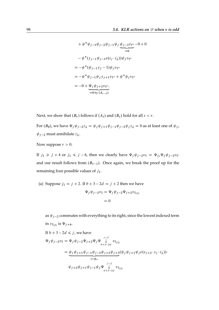+ 
$$
\psi^* \psi_{j-3} \psi_{j-2} \psi_{j-1} \psi_j \psi_{j-3} v_{T''}
$$
 -0 + 0  
\n-  $\psi^* (y_{j-1} \psi_{j-1} e(s_j \cdot i_\lambda)) \psi_j v_{T''}$   
\n=  $-\psi^* (\psi_{j-1} y_j - 1) \psi_j v_{T''}$   
\n=  $-\psi^* \psi_{j-1} \psi_j y_{j+1} v_{T''} + \psi^* \psi_j v_{T''}$   
\n= -0 +  $\underline{\Psi}_j \psi_{j+2} v_{T''}$   
\n= 0 by  $(A_{r-2})$ 

Next, we show that  $(B_r)$  follows if  $(A_s)$  and  $(B_s)$  hold for all  $s < r$ .

For  $(B_0)$ , we have  $\Psi_j \psi_{j-2} z_\lambda = \psi_j \psi_{j+1} \psi_{j-1} \psi_{j-2} \psi_j z_\lambda = 0$  as at least one of  $\psi_j$ ,  $\psi_{j-2}$  must annihilate  $z_{\lambda}$ .

Now suppose  $r > 0$ .

If  $j_1 \geq j_1 + 4$  or  $j_1 \leq j_0 - 6$ , then we clearly have  $\Psi_j \psi_{j-2} v_T = \Psi_{j_1} \Psi_j \psi_{j-2} v_T$ and our result follows from  $(B_{r-1})$ . Once again, we break the proof up for the remaining four possible values of  $j_1$ .

(a) Suppose  $j_1 = j + 2$ . If  $b + 3 - 2d = j + 2$  then we have  $\Psi_j \psi_{j-2} v_{\text{T}} = \Psi_j \psi_{j-2} \Psi_{j+2} v_{\text{T}}_{(2)}$  $= 0$ 

as  $\psi_{i-2}$  commutes with everything to its right, since the lowest indexed term in  $v_{\text{T}_{(2)}}$  is  $\Psi_{j+4}$ .

If 
$$
b + 3 - 2d \le j
$$
, we have  
\n
$$
\Psi_j \psi_{j-2} v_T = \Psi_j \psi_{j-2} \Psi_{j+2} \Psi_j \Psi \bigvee_{b+3-2d}^{j-2} v_{T_{(2)}}
$$
\n
$$
= \underbrace{\psi_j \psi_{j+1} \psi_{j-1} \psi_{j-2} \psi_{j+2} \psi_{j+3} (\psi_j \psi_{j+1} \psi_j e(s_{j+2} \cdot s_j \cdot i_\lambda))}_{=: \psi_*}
$$
\n
$$
\psi_{j+2} \psi_{j+1} \psi_{j-1} \psi_j \Psi \bigvee_{b+3-2d}^{j-2} v_{T_{(2)}}
$$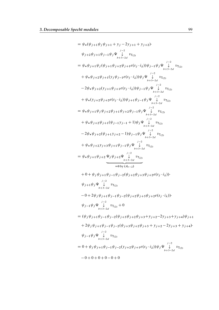$$
= \psi_{*}(\psi_{j+1}\psi_{j}\psi_{j+1} + y_{j} - 2y_{j+1} + y_{j+2})
$$
\n
$$
\psi_{j+2}\psi_{j+1}\psi_{j-1}\psi_{j}\Psi_{\substack{j=2 \ p+\lambda-2d}}^{j=2} v_{T_{(2)}}
$$
\n
$$
= \psi_{*}\psi_{j+1}\psi_{j}(\psi_{j+1}\psi_{j+2}\psi_{j+1}e(s_{j}\cdot i_{\lambda}))\psi_{j-1}\psi_{j}\Psi_{\substack{j=2 \ p+\lambda-2d}}^{j=2} v_{T_{(2)}}
$$
\n
$$
+ \psi_{*}\psi_{j+2}\psi_{j+1}(y_{j}\psi_{j-1}e(s_{j}\cdot i_{\lambda}))\psi_{j}\Psi_{\substack{j=2 \ p+\lambda-2d}}^{j=2} v_{T_{(2)}}
$$
\n
$$
-2\psi_{*}\psi_{j+2}(y_{j+1}\psi_{j+1}e(s_{j}\cdot i_{\lambda}))\psi_{j-1}\psi_{j}\Psi_{\substack{j=2 \ p+\lambda-2d}}^{j=2} v_{T_{(2)}}
$$
\n
$$
+ \psi_{*}(y_{j+2}\psi_{j+2}e(s_{j}\cdot i_{\lambda}))\psi_{j+1}\psi_{j-1}\psi_{j}\Psi_{\substack{j=2 \ p+\lambda-2d}}^{j=2} v_{T_{(2)}}
$$
\n
$$
+ \psi_{*}\psi_{j+2}\psi_{j+1}\psi_{j+2}\psi_{j-1}\psi_{j}\Psi_{\substack{j=2 \ p+\lambda-2d}}^{j=2} v_{T_{(2)}}
$$
\n
$$
+ \psi_{*}\psi_{j+2}(\psi_{j+1}y_{j+2}-1)\psi_{j-1}\psi_{j}\Psi_{\substack{j=2 \ p+\lambda-2d}}^{j=2} v_{T_{(2)}}
$$
\n
$$
+ \psi_{*}\psi_{j+2}\psi_{j+1}\psi_{j-1}\psi_{j}\Psi_{\substack{j=2 \ p+\lambda-2d}}^{j=2} v_{T_{(2)}}
$$
\n
$$
+ \psi_{*}\psi_{j+2}y_{j+3}\psi_{j+1}\psi_{j-1}\psi_{j}\Psi_{\substack{j=2 \ p=\lambda}^{j=2}}^{j=2} v_{T_{(2)}}
$$
\n
$$
+ 0 + \psi_{j}\psi_{j
$$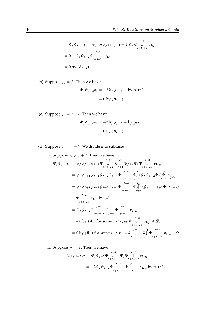$$
= \psi_j \psi_{j+1} \psi_{j-1} \psi_{j-2} (\psi_{j+1} y_{j+1} + 1) \psi_j \Psi \bigvee_{b+3-2d}^{j-2} v_{T_{(2)}}
$$
  
= 0 + \Psi\_j \psi\_{j-2} \Psi \bigvee\_{b+3-2d}^{j-2} v\_{T\_{(2)}}  
= 0 by  $(B_{r-2})$ .

(b) Suppose  $j_1 = j$ . Then we have

$$
\Psi_j \psi_{j-2} v_T = -2\Psi_j \psi_{j-2} v_{T'} \text{ by part 1,}
$$

$$
= 0 \text{ by } (B_{s-1}).
$$

(c) Suppose  $j_1 = j - 2$ . Then we have

$$
\Psi_j \psi_{j-2} v_T = -2\Psi_j \psi_{j-2} v_{T'} \text{ by part 1,}
$$

$$
= 0 \text{ by } (B_{r-1}).
$$

(d) Suppose  $j_1 = j - 4$ . We divide into subcases.

i. Suppose 
$$
j_2 \ge j + 2
$$
. Then we have  
\n
$$
\Psi_j \psi_{j-2} v_T = \Psi_j \psi_{j-2} \Psi_{j-4} \Psi \downarrow \Psi \downarrow \Psi_{j+2} \Psi_j \Psi_{j+2} \Psi_j \Psi_{k-5-2d}^{j-2}
$$
\n
$$
= \psi_j \psi_{j+1} \psi_{j-1} \psi_{j-2} \Psi_{j-4} \Psi \downarrow \Psi \downarrow \Psi_{k-5-2d}^{j-6}
$$
\n
$$
= \psi_j \psi_{j+1} \psi_{j-1} \psi_{j-2} \Psi_{j-4} \Psi \downarrow \Psi \downarrow \Psi_{k-3-2d}^{j-6}
$$
\n
$$
= \psi_j \psi_{j+1} \psi_{j-1} \psi_{j-2} \Psi_{j-4} \Psi \downarrow \Psi \downarrow \Psi \downarrow \psi_j \Psi_{j+2} \Psi_j \psi_{j+2}.
$$
\n
$$
\Psi \downarrow \qquad v_{T_{(3)}} \text{ by } (*)
$$
\n
$$
= \Psi_j \psi_{j-2} \Psi \downarrow \Psi \downarrow \Psi \downarrow \Psi_{k-3-2d}
$$
\n
$$
= \Psi_j \psi_{j-2} \Psi \downarrow \Psi \downarrow \Psi \downarrow \qquad v_{T_{(3)}}
$$
\n
$$
+ 0 \text{ by } (A_s) \text{ for some } s < r, \text{ as } \Psi \downarrow \qquad v_{T_{(3)}} \in \mathcal{D},
$$
\n
$$
= 0 \text{ by } (\mathcal{B}_{s'}) \text{ for some } s' < r, \text{ as } \Psi \downarrow \Psi \downarrow \Psi \downarrow \qquad v_{T_{(3)}} \in \mathcal{D}.
$$
\n
$$
= 0 \text{ by } (\mathcal{B}_{s'}) \text{ for some } s' < r, \text{ as } \Psi \downarrow \Psi \downarrow \Psi \downarrow \qquad v_{T_{(3)}} \in \mathcal{D}.
$$

ii. Suppose  $j_2 = j$ . Then we have

$$
\Psi_j \psi_{j-2} v_T = \Psi_j \psi_{j-2} \Psi \bigvee_{b+3-2d}^{j-4} \Psi_j \Psi \bigvee_{b+5-2d}^{j-2} v_{T_{(3)}}
$$
  
=  $-2\Psi_j \psi_{j-2} \Psi \bigvee_{b+3-2d}^{j-4} \Psi \bigvee_{b+5-2d}^{j-2} v_{T_{(3)}}$  by part 1,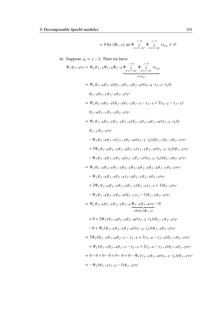$$
=0\text{ by }(B_{r-1}),\text{ as } \Psi\bigcup_{b+3-2d}^{j-4}\Psi\bigcup_{b+5-2d}^{j-2}v_{T_{(3)}}\in\mathscr{D}.
$$

iii. Suppose 
$$
j_2 = j - 2
$$
. Then we have  
\n
$$
\Psi_j \psi_{j-2} v_T = \Psi_j \psi_{j-2} \Psi_{j-4} \Psi_{j-2} \Psi_{j-\frac{1}{2}} \Psi_{j-\frac{1}{2}} \Psi_{j-\frac{1}{2} v_{\frac{1}{2} v_{\frac{1}{2} v_{\frac{1}{2} v_{\frac{1}{2} v_{\frac{1}{2} v_{\frac{1}{2} v_{\frac{1}{2} v_{\frac{1}{2} v_{\frac{1}{2} v_{\frac{1}{2} v_{\frac{1}{2} v_{\frac{1}{2} v_{\frac{1}{2} v_{\frac{1}{2} v_{\frac{1}{2} v_{\frac{1}{2} v_{\frac{1}{2} v_{\frac{1}{2} v_{\frac{1}{2} v_{\frac{1}{2} v_{\frac{1}{2} v_{\frac{1}{2} v_{\frac{1}{2} v_{\frac{1}{2} v_{\frac{1}{2} v_{\frac{1}{2} v_{\frac{1}{2} v_{\frac{1}{2} v_{\frac{1}{2} v_{\frac{1}{2} v_{\frac{1}{2} v_{\frac{1}{2} v_{\frac{1}{2} v_{\frac{1}{2} v_{\frac{1}{2} v_{\frac{1}{2} v_{\frac{1}{2} v_{\frac{1}{2} v_{\frac{1}{2} v_{\frac{1}{2} v_{\frac{1}{2} v_{\frac{1}{2} v_{\frac{1}{2} v_{\frac{1}{2} v_{\frac{1}{2} v_{\frac{1}{2} v_{\frac{1}{2} v_{\frac{1}{2} v_{\frac{1}{2} v_{\frac{1}{2} v_{\frac{1}{2} v_{\frac{1}{2} v_{\frac{1}{2} v_{\frac{1}{2} v_{\frac{1}{2} v_{\frac{1}{2} v_{\frac{1}{2} v_{\frac{1}{2} v_{\frac{1}{2} v_{\frac{1}{2} v_{\frac{1}{2} v_{\frac{1}{2} v_{\frac{1}{2} v_{\frac{1}{2} v_{\frac{1}{2} v_{\frac{1}{2} v_{\frac{1}{2} v_{\frac{1}{2} v_{\frac{1}{2} v_{\frac{1}{2} v_{\frac{1}{2} v_{\frac{1}{2} v_{\frac{1}{2} v_{\frac{1}{2} v_{
$$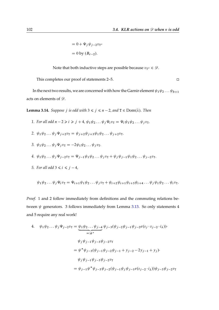$= 0 + \Psi_j \psi_{j-2} v_{T''}$  $= 0$  by  $(B_{r-2}).$ 

Note that both inductive steps are possible because  $v_{T''} \in \mathscr{D}$ .

This completes our proof of statements 2–5. □

In the next two results, we are concerned with how the Garnir element  $\psi_1 \psi_2 \dots \psi_{b+1}$ acts on elements of  $\mathscr{D}$ .

**Lemma 3.14.** *Suppose j is odd with*  $3 \le j \le n - 2$ *, and*  $T \in Dom(\lambda)$ *. Then* 

- *1. For all odd*  $n 2 \ge i \ge j + 4$ ,  $\psi_1 \psi_2 ... \psi_j \psi_i v_{\text{T}} = \Psi_i \psi_1 \psi_2 ... \psi_j v_{\text{T}}$ .
- 2.  $\psi_1 \psi_2 \dots \psi_j \Psi_{j+2} v_{\mathcal{I}} = \psi_{j+2} \psi_{j+3} \psi_1 \psi_2 \dots \psi_{j+2} v_{\mathcal{I}}.$
- 3.  $\psi_1 \psi_2 \dots \psi_i \Psi_i v_{\text{T}} = -2 \psi_1 \psi_2 \dots \psi_i v_{\text{T}}.$

4. 
$$
\psi_1 \psi_2 \dots \psi_j \Psi_{j-2} v_T = \Psi_{j-1} \psi_1 \psi_2 \dots \psi_j v_T + \psi_j \psi_{j-1} \psi_1 \psi_2 \dots \psi_{j-2} v_T
$$
.

*5. For all odd*  $3 \le i \le j - 4$ *,* 

$$
\psi_1\psi_2\ldots\psi_j\Psi_i v_{\rm T}=\Psi_{i+1}\psi_1\psi_2\ldots\psi_j v_{\rm T}+\psi_{i+2}\psi_{i+1}\psi_{i+3}\psi_{i+4}\ldots\psi_j\psi_1\psi_2\ldots\psi_i v_{\rm T}.
$$

*Proof.* 1 and 2 follow immediately from definitions and the commuting relations between  $\psi$  generators. 3 follows immediately from Lemma [3.13.](#page-91-0) So only statements 4 and 5 require any real work!

4. 
$$
\psi_1 \psi_2 \dots \psi_j \Psi_{j-2} v_T = \underbrace{\psi_1 \psi_2 \dots \psi_{j-4}}_{=: \psi^*} \psi_{j-3}(\psi_{j-2} \psi_{j-1} \psi_{j-2} e(s_j \cdot s_{j-2} \cdot i_\lambda)) \cdot
$$

$$
\psi_j \psi_{j-1} \psi_{j-3} \psi_{j-2} v_T
$$

$$
= \psi^* \psi_{j-3}(\psi_{j-1} \psi_{j-2} \psi_{j-1} + y_{j-2} - 2y_{j-1} + y_j) \cdot
$$

$$
\psi_j \psi_{j-1} \psi_{j-3} \psi_{j-2} v_T
$$

$$
= \psi_{j-1} \psi^* \psi_{j-3} \psi_{j-2}(\psi_{j-1} \psi_j \psi_{j-1} e(s_{j-2} \cdot i_\lambda)) \psi_{j-3} \psi_{j-2} v_T
$$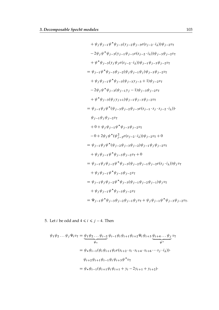+ 
$$
\psi_j \psi_{j-1} \psi^* \psi_{j-3} (y_{j-2} \psi_{j-3} e(s_{j-2} \cdot i_\lambda)) \psi_{j-2} v_T
$$
  
\n-  $2 \psi_j \psi^* \psi_{j-3} (y_{j-1} \psi_{j-1} e(s_{j-2} \cdot i_\lambda)) \psi_{j-3} \psi_{j-2} v_T$   
\n+  $\psi^* \psi_{j-3} (y_j \psi_j e(s_{j-2} \cdot i_\lambda)) \psi_{j-1} \psi_{j-3} \psi_{j-2} v_T$   
\n=  $\psi_{j-1} \psi^* \psi_{j-3} \psi_{j-2} (\psi_j \psi_{j-1} \psi_j) \psi_{j-3} \psi_{j-2} v_T$   
\n+  $\psi_j \psi_{j-1} \psi^* \psi_{j-3} (\psi_{j-3} y_{j-3} + 1) \psi_{j-2} v_T$   
\n-  $2 \psi_j \psi^* \psi_{j-3} (\psi_{j-1} y_j - 1) \psi_{j-3} \psi_{j-2} v_T$   
\n+  $\psi^* \psi_{j-3} (\psi_j y_{j+1}) \psi_{j-1} \psi_{j-3} \psi_{j-2} v_T$   
\n=  $\psi_{j-1} \psi_j \psi^* (\psi_{j-3} \psi_{j-2} \psi_{j-3} e(s_{j-1} \cdot s_j \cdot s_{j-2} \cdot i_\lambda))$   
\n $\psi_{j-1} \psi_j \psi_{j-2} v_T$   
\n+  $0 + \psi_j \psi_{j-1} \psi^* \psi_{j-3} \psi_{j-2} v_T$   
\n-  $0 + 2 \psi_j \psi^* (\psi_{j-2}^2 e(s_{j-2} \cdot i_\lambda)) \psi_{j-2} v_T + 0$   
\n=  $\psi_{j-1} \psi_j \psi^* (\psi_{j-2} \psi_{j-3} \psi_{j-2}) \psi_{j-1} \psi_j \psi_{j-2} v_T$   
\n+  $\psi_j \psi_{j-1} \psi^* \psi_{j-3} \psi_{j-2} v_T + 0$   
\n=  $\psi_{j-1} \psi_j \psi_{j-2} \psi^* \psi_{j-3} (\psi_{j-2} \psi_{j-1})$ 

5. Let *i* be odd and  $4 \le i \le j - 4$ . Then

$$
\psi_1 \psi_2 \dots \psi_j \Psi_i v_T = \underbrace{\psi_1 \psi_2 \dots \psi_{i-2}}_{\psi_*} \psi_{i-1} \psi_i \psi_{i+1} \psi_{i+2} \Psi_i \psi_{i+3} \underbrace{\psi_{i+4} \dots \psi_j}_{\psi^*} v_T
$$
\n
$$
= \psi_* \psi_{i-1} (\psi_i \psi_{i+1} \psi_i e(s_{i+2} \cdot s_i \cdot s_{i+4} \cdot s_{i+6} \cdots s_j \cdot i_\lambda)) \cdot
$$
\n
$$
\psi_{i+2} \psi_{i+1} \psi_{i-1} \psi_i \psi_{i+3} \psi^* v_T
$$
\n
$$
= \psi_* \psi_{i-1} (\psi_{i+1} \psi_i \psi_{i+1} + y_i - 2y_{i+1} + y_{i+2}) \cdot
$$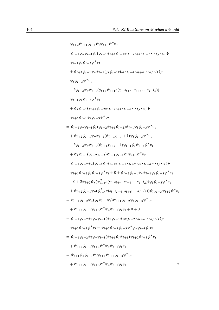$\psi_{i+2}\psi_{i+1}\psi_{i-1}\psi_i\psi_{i+3}\psi^*v_1$ =  $\psi_{i+1} \psi_* \psi_{i-1} \psi_i (\psi_{i+1} \psi_{i+2} \psi_{i+1} e(s_i \cdot s_{i+4} \cdot s_{i+6} \cdots s_j \cdot i_\lambda))$  $\psi_{i-1} \psi_i \psi_{i+3} \psi^* v_{\text{T}}$  $+\psi_{i+2}\psi_{i+1}\psi_{*}\psi_{i-1}(y_{i}\psi_{i-1}e(s_{i}\cdot s_{i+4}\cdot s_{i+6}\cdots s_{j}\cdot i_{\lambda}))$  $\psi_i \psi_{i+3} \psi^* v_{\text{T}}$  $-2\psi_{i+2}\psi_{*}\psi_{i-1}(y_{i+1}\psi_{i+1}e(s_i\cdot s_{i+4}\cdot s_{i+6}\cdots s_j\cdot i_\lambda))$  $\psi_{i-1} \psi_i \psi_{i+3} \psi^* v_{\text{T}}$  $+ \psi_* \psi_{i-1} (y_{i+2} \psi_{i+2} e(s_i \cdot s_{i+4} \cdot s_{i+6} \cdots s_j \cdot i_\lambda))$  $\psi_{i+1} \psi_{i-1} \psi_i \psi_{i+3} \psi^* v_{\text{T}}$ =  $\psi_{i+1} \psi_* \psi_{i-1} \psi_i (\psi_{i+2} \psi_{i+1} \psi_{i+2}) \psi_{i-1} \psi_i \psi_{i+3} \psi^* v_{\mathcal{I}}$  $+\psi_{i+2}\psi_{i+1}\psi_{i}\psi_{i-1}(\psi_{i-1}y_{i-1}+1)\psi_{i}\psi_{i+3}\psi^*v_{T}$  $-2\psi_{i+2}\psi_{*}\psi_{i-1}(\psi_{i+1}y_{i+2}-1)\psi_{i-1}\psi_{i}\psi_{i+3}\psi^{*}v_{T}$  $+\psi_* \psi_{i-1}(\psi_{i+2} y_{i+3}) \psi_{i+1} \psi_{i-1} \psi_i \psi_{i+3} \psi^* v_{\text{T}}$ =  $\psi_{i+1}\psi_{i+2}\psi_*(\psi_{i-1}\psi_i\psi_{i-1}e(s_{i+1}\cdot s_{i+2}\cdot s_i\cdot s_{i+4}\cdots s_j\cdot i_\lambda))$  $\psi_{i+1}\psi_{i+2}\psi_i\psi_{i+3}\psi^*v_{\text{T}} + 0 + \psi_{i+2}\psi_{i+1}\psi_*\psi_{i-1}\psi_i\psi_{i+3}\psi^*v_{\text{T}}$  $-0+2\psi_{i+2}\psi_{*}(\psi_{i-1}^{2}e(s_{i}\cdot s_{i+4}\cdot s_{i+6}\cdots s_{j}\cdot i_{\lambda}))\psi_{i}\psi_{i+3}\psi^{*}v_{T}$  $+\psi_{i+2}\psi_{i+1}\psi_*(\psi_{i-1}^2e(s_i\cdot s_{i+4}\cdot s_{i+6}\cdots s_j\cdot i_\lambda))\psi_i y_{i+3}\psi_{i+3}\psi^* v_T$ =  $\psi_{i+1} \psi_{i+2} \psi_*(\psi_i \psi_{i-1} \psi_i) \psi_{i+1} \psi_{i+2} \psi_i \psi_{i+3} \psi^* v_1$  $+ \psi_{i+2} \psi_{i+1} \psi_{i+3} \psi^* \psi_* \psi_{i-1} \psi_i v_\text{T} + 0 + 0$  $=\psi_{i+1}\psi_{i+2}\psi_i\psi_*\psi_{i-1}(\psi_i\psi_{i+1}\psi_i e(s_{i+2}\cdot s_{i+4}\cdots s_i\cdot i_\lambda)).$  $\psi_{i+2}\psi_{i+3}\psi^*v_{\mathsf{T}} + \psi_{i+2}\psi_{i+1}\psi_{i+3}\psi^*\psi_*\psi_{i-1}\psi_i v_{\mathsf{T}}$ =  $\psi_{i+1} \psi_{i+2} \psi_i \psi_* \psi_{i-1} (\psi_{i+1} \psi_i \psi_{i+1}) \psi_{i+2} \psi_{i+3} \psi^* v_T$  $+\psi_{i+2}\psi_{i+1}\psi_{i+3}\psi^*\psi_*\psi_{i-1}\psi_i v_{\text{T}}$ =  $\Psi_{i+1} \psi_* \psi_{i-1} \psi_i \psi_{i+1} \psi_{i+2} \psi_{i+3} \psi^* v_1$  $+\psi_{i+2}\psi_{i+1}\psi_{i+3}\psi^*\psi_*\psi_{i-1}\psi_i v_T.$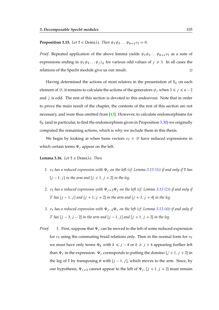**Proposition 3.15.** *Let*  $T \in Dom(\lambda)$ *. Then*  $\psi_1 \psi_2 \dots \psi_{b+1} v_T = 0$ *.* 

*Proof.* Repeated application of the above lemma yields  $\psi_1 \psi_2 \dots \psi_{b+1} v_{\text{T}}$  as a sum of expressions ending in  $\psi_1 \psi_2 \dots \psi_j z_\lambda$  for various odd values of  $j \geq 3$ . In all cases the relations of the Specht module give us our result.

Having determined the actions of most relators in the presentation of  $S_{\lambda}$  on each element of  $\mathscr{D}$ , it remains to calculate the actions of the generators  $\psi_j$  when  $3 \leq j \leq n-2$ and  $j$  is odd. The rest of this section is devoted to this endeavour. Note that in order to prove the main result of the chapter, the contents of the rest of this section are not necessary, and were thus omitted from [\[43\]](#page-171-1). However, to calculate endomorphisms for  $S_{\lambda}$  (and in particular, to find the endomorphism given in Proposition [3.30\)](#page-118-0) we originally computed the remaining actions, which is why we include them in this thesis.

We begin by looking at when basis vectors  $v_T \in \mathcal{D}$  have reduced expressions in which certain terms  $\Psi_j$  appear on the left.

#### <span id="page-104-0"></span>**Lemma 3.16.** *Let*  $T \in Dom(\lambda)$ *. Then*

- *1.*  $v<sub>T</sub>$  *has a reduced expression with*  $\Psi$ *<sub><i>i*</sub> on the left (cf. Lemma [3.13](#page-91-0) [\(1\)](#page-91-1)) if and only if **T** *has*  $[j - 1, j]$  *in the arm and*  $[j + 1, j + 2]$  *in the leg.*
- 2.  $v_T$  *has a reduced expression with*  $\Psi_{j+2}\Psi_j$  *on the left (cf. Lemma [3.13](#page-91-0) [\(2\)](#page-91-2)) if and only if* T has  $[j - 1, j]$  and  $[j + 1, j + 2]$  in the arm and  $[j + 3, j + 4]$  in the leg.
- *3.*  $v<sub>T</sub>$  *has a reduced expression with*  $\Psi_{j-2}\Psi_j$  *on the left (cf. Lemma [3.13](#page-91-0) [\(4\)](#page-91-3)) if and only if* T has  $[j - 3, j - 2]$  *in the arm and*  $[j - 1, j]$  *and*  $[j + 1, j + 2]$  *in the leg.*
- *Proof.* 1. First, suppose that  $\Psi_i$  can be moved to the left of some reduced expression for  $v<sub>T</sub>$  using the commuting braid relations only. Then in the normal form for  $v<sub>T</sub>$ we must have only terms  $\Psi_k$  with  $k \leq j - 4$  or  $k \geq j + 4$  appearing further left than  $\Psi_j$  in the expression.  $\Psi_j$  corresponds to putting the domino  $[j + 1, j + 2]$  in the leg of T by transposing it with  $[j - 1, j]$ , which moves to the arm. Since, by our hypothesis,  $\Psi_{i+2}$  cannot appear to the left of  $\Psi_i$ ,  $[j + 1, j + 2]$  must remain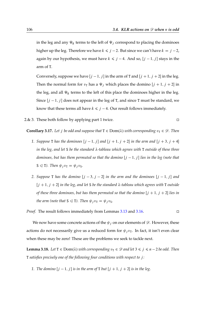in the leg and any  $\Psi_k$  terms to the left of  $\Psi_j$  correspond to placing the dominoes higher up the leg. Therefore we have  $k \le j - 2$ . But since we can't have  $k = j - 2$ , again by our hypothesis, we must have  $k \le j - 4$ . And so,  $[j - 1, j]$  stays in the arm of T.

Conversely, suppose we have  $[j - 1, j]$  in the arm of T and  $[j + 1, j + 2]$  in the leg. Then the normal form for  $v<sub>T</sub>$  has a  $\Psi_j$  which places the domino  $[j + 1, j + 2]$  in the leg, and all  $\Psi_k$  terms to the left of this place the dominoes higher in the leg. Since  $[j - 1, j]$  does not appear in the leg of T, and since T must be standard, we know that these terms all have  $k \le j - 4$ . Our result follows immediately.

2.& 3. These both follow by applying part 1 twice.  $\square$ 

<span id="page-105-1"></span><span id="page-105-0"></span>**Corollary 3.17.** Let *j* be odd and suppose that  $T \in Dom(\lambda)$  with corresponding  $v_T \in \mathcal{D}$ . Then

- *1. Suppose* **T** *has the dominoes*  $[j 1, j]$  *and*  $[j + 1, j + 2]$  *in the arm and*  $[j + 3, j + 4]$ *in the leg, and let* S *be the standard λ*-tableau which agrees with T outside of these three *dominoes, but has them permuted so that the domino*  $[j - 1, j]$  *lies in the leg (note that*  $S \le T$ *). Then*  $\psi_j v_T = \psi_j v_S$ .
- 2. *Suppose* **T** has the domino  $[j 3, j 2]$  in the arm and the dominoes  $[j 1, j]$  and  $[j + 1, j + 2]$  *in the leg, and let* S *be the standard*  $\lambda$ -tableau which agrees with T outside *of these three dominoes, but has them permuted so that the domino*  $[j + 1, j + 2]$  *lies in the arm (note that*  $S \leq T$ *). Then*  $\psi_j v_T = \psi_j v_S$ *.*

*Proof.* The result follows immediately from Lemmas [3.13](#page-91-0) and [3.16.](#page-104-0)

We now have some concrete actions of the  $\psi_j$  on our elements of  $\mathscr{D}$ . However, these actions do not necessarily give us a reduced form for  $\psi_j v_T$ . In fact, it isn't even clear when these may be zero! These are the problems we seek to tackle next.

**Lemma 3.18.** *Let*  $T \in Dom(\lambda)$  *with corresponding*  $v_T \in \mathcal{D}$  *and let*  $3 \le j \le n-2$  *be odd. Then* T *satisfies precisely one of the following four conditions with respect to* j *:*

1. The domino  $[j - 1, j]$  is in the arm of **T** but  $[j + 1, j + 2]$  is in the leg.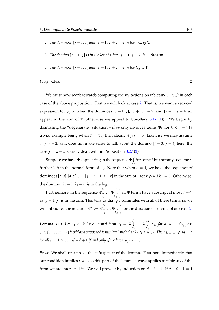- <span id="page-106-0"></span>2. *The dominoes*  $[j - 1, j]$  *and*  $[j + 1, j + 2]$  *are in the arm of* **T**.
- *3. The domino*  $[i 1, j]$  *is in the leg of* **T** *but*  $[i + 1, j + 2]$  *is in the arm.*
- 4. The dominoes  $[i 1, j]$  and  $[i + 1, i + 2]$  are in the leg of **T**.

*Proof.* Clear.

We must now work towards computing the  $\psi_i$  actions on tableaux  $v_\text{T} \in \mathscr{D}$  in each case of the above proposition. First we will look at case [2.](#page-106-0) That is, we want a reduced expression for  $\psi_j v_\text{T}$  when the dominoes  $[j - 1, j]$ ,  $[j + 1, j + 2]$  and  $[j + 3, j + 4]$  all appear in the arm of T (otherwise we appeal to Corollary  $3.17$  [\(1\)](#page-105-1)). We begin by dismissing the "degenerate" situation – if  $v<sub>T</sub>$  only involves terms  $\Psi_k$  for  $k \le j - 4$  (a trivial example being when  $T = T_{\lambda}$ ) then clearly  $\psi_i v_T = 0$ . Likewise we may assume  $j \neq n-2$ , as it does not make sense to talk about the domino  $[j + 3, j + 4]$  here; the case  $j = n - 2$  is easily dealt with in Proposition [3.27](#page-114-0) [\(2\)](#page-114-1).

Suppose we have  $\Psi_j$  appearing in the sequence  $\Psi \overleftrightarrow{\downarrow}$  for some  $\ell$  but not any sequences  $k_{\ell}$ further left in the normal form of  $v_T$ . Note that when  $\ell = 1$ , we have the sequence of dominoes [2, 3], [4, 5], ...,  $[j + r - 1, j + r]$  in the arm of T for  $r \ge 4$  if  $k_1 = 3$ . Otherwise, the domino  $[k_1 - 3, k_1 - 2]$  is in the leg.

Furthermore, in the sequence  $\Psi \!\!\downarrow^{^{j_1}}$  $k<sub>1</sub>$  $\ldots \Psi^{j_{\ell-1}}$  $k_{\ell-1}$ all  $\Psi$  terms have subscript at most  $j - 4$ , as  $[j - 1, j]$  is in the arm. This tells us that  $\psi_j$  commutes with all of these terms, so we will introduce the notation  $\Psi^*:=\Psi \smash\downarrow^{\jmath_1}$  $k<sub>1</sub>$  $\ldots \Psi^{j_{\ell-1}}$  $k_{\ell-1}$ for the duration of solving of our case [2.](#page-106-0)

**Lemma 3.19.** Let  $v_T \in \mathcal{D}$  have normal form  $v_T = \Psi \downarrow$  $k<sub>1</sub>$  $\ldots \Psi \downarrow^{j_d}$ kd  $z_{\lambda}$ , for  $d \geq 1$ . Suppose  $j \in \{3, \ldots, n-2\}$  *is odd and suppose*  $\ell$  *is minimal such that*  $k_{\ell} \le j \le j_{\ell}$ . Then  $j_{\ell+i-1} \ge 4i + j$ *for all*  $i = 1, 2, ..., d - \ell + 1$  *if and only if we have*  $\psi_i v_\text{T} = 0$ *.* 

*Proof.* We shall first prove the *only if* part of the lemma. First note immediately that our condition implies  $r \geq 4$ , so this part of the lemma always applies to tableaux of the form we are interested in. We will prove it by induction on  $d - \ell + 1$ . If  $d - \ell + 1 = 1$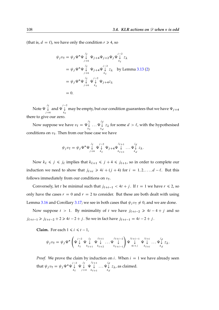(that is,  $d = \ell$ ), we have only the condition  $r \ge 4$ , so

$$
\psi_j v_T = \psi_j \Psi^* \Psi \downarrow \psi_{j+4} \Psi_{j+2} \Psi_j \Psi \downarrow j-2 \chi
$$
  
\n
$$
= \psi_j \Psi^* \Psi \downarrow \psi_{j+4} \Psi \downarrow j-2 \chi \text{ by Lemma 3.13 (2)}
$$
  
\n
$$
= \psi_j \Psi^* \Psi \downarrow \psi_{j+6} \psi \downarrow j-2 \chi \text{ by Lemma 3.13 (2)}
$$
  
\n
$$
= \psi_j \Psi^* \Psi \downarrow \Psi \downarrow \Psi_{j+4} \Psi_{k_{\ell}}
$$
  
\n
$$
= 0.
$$

Note  $\Psi \stackrel{j_\ell}{\downarrow}$  $\bigvee_{j=6}^{j_{\ell}}$  and  $\Psi \downarrow$ <br> $\downarrow_{k_{\ell}}$  $k_{\ell}$ may be empty, but our condition guarantees that we have  $\Psi_{j+4}$ there to give our zero.

Now suppose we have  $v_{\texttt{T}} = \Psi \smash{\downarrow}^{j_1}$  $k<sub>1</sub>$  $\ldots \Psi_{\downarrow}^{j_d}$ kd  $z_{\lambda}$  for some  $d > \ell$ , with the hypothesised conditions on  $v_T$ . Then from our base case we have

$$
\psi_j v_{\text{T}} = \psi_j \Psi^* \Psi \downarrow \psi \downarrow \psi \downarrow \psi_{j+4} \Psi \downarrow \psi \downarrow \dots \Psi \downarrow \chi \downarrow \chi.
$$

Now  $k_{\ell} \leq j \leq j_{\ell}$  implies that  $k_{\ell+1} \leq j+4 \leq j_{\ell+1}$ , so in order to complete our induction we need to show that  $j_{\ell+i} \geq 4i + (j + 4)$  for  $i = 1, 2, ..., d - \ell$ . But this follows immediately from our conditions on  $v_T$ .

Conversely, let *t* be minimal such that  $j_{\ell+t-1} < 4t + j$ . If  $t = 1$  we have  $r \le 2$ , so only have the cases  $r = 0$  and  $r = 2$  to consider. But these are both dealt with using Lemma [3.16](#page-104-0) and Corollary [3.17;](#page-105-0) we see in both cases that  $\psi_i v_\text{T} \neq 0$ , and we are done.

Now suppose  $t > 1$ . By minimality of t we have  $j_{\ell+t-2} \ge 4t - 4 + j$  and so  $j_{\ell+t-1} \ge j_{\ell+t-2} + 2 \ge 4t - 2 + j$ . So we in fact have  $j_{\ell+t-1} = 4t - 2 + j$ .

**Claim.** For each  $1 \le i \le t - 1$ ,

$$
\psi_j v_\text{T} = \psi_j \Psi^* \left( \Psi \downarrow \Psi \downarrow \Psi \downarrow \Psi \downarrow \dots \Psi \downarrow \downarrow \psi \downarrow \downarrow \dots \Psi \downarrow \downarrow \psi \downarrow \downarrow \dots \Psi \downarrow \downarrow \psi \downarrow \downarrow \dots \Psi \downarrow \downarrow \psi \downarrow \dots \Psi \downarrow \downarrow z_\lambda.
$$

*Proof.* We prove the claim by induction on *i*. When  $i = 1$  we have already seen that  $\psi_j v_\text{T} = \psi_j \Psi^* \Psi \downarrow^{j-2}$  $k_{\ell}$  $\Psi \downarrow^j$  $\bigvee_{j+4} \Psi$  $\int$  $k_{\ell+1}$  $\ldots \Psi_{\downarrow}^{j_d}$ kd  $z_{\lambda}$ , as claimed.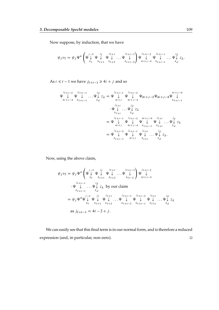Now suppose, by induction, that we have

 <sup>j</sup> v<sup>T</sup> D <sup>j</sup> ‰ ‰ j2 # k` ‰ j` # k`C1 ‰ j`C1 # k`C2 : : : ‰ j`Ci3 # k`Ci2 ! ‰ j`Ci2 # 4iCj4 ‰ j`Ci1 # k`Ci1 : : : ‰ jd # kd z:

As  $i \le t - 1$  we have  $j_{\ell+i-1} \ge 4i + j$  and so

$$
\Psi \downarrow \Psi \downarrow \Psi \downarrow ... \Psi \downarrow z_{\lambda} = \Psi \downarrow \Psi \downarrow \Psi \downarrow 2\Lambda
$$
\n
$$
\Psi \downarrow \Psi \downarrow ... \Psi \downarrow z_{\lambda} = \Psi \downarrow \Psi \downarrow \Psi \downarrow 2\Lambda
$$
\n
$$
\Psi \downarrow ... \Psi \downarrow z_{\lambda}
$$
\n
$$
\Psi \downarrow ... \Psi \downarrow z_{\lambda}
$$
\n
$$
\Psi \downarrow ... \Psi \downarrow z_{\lambda}
$$
\n
$$
\Psi \downarrow ... \Psi \downarrow z_{\lambda}
$$
\n
$$
\downarrow \downarrow z_{\lambda}
$$
\n
$$
\downarrow \downarrow z_{\lambda}
$$
\n
$$
= \Psi \downarrow \Psi \downarrow \Psi \downarrow \Psi \downarrow ... \Psi \downarrow z_{\lambda}
$$
\n
$$
= \Psi \downarrow \Psi \downarrow \Psi \downarrow ... \Psi \downarrow z_{\lambda}
$$
\n
$$
= \Psi \downarrow \Psi \downarrow \Psi \downarrow ... \Psi \downarrow z_{\lambda}
$$
\n
$$
= \Psi \downarrow \Psi \downarrow ... \Psi \downarrow z_{\lambda}
$$
\n
$$
\downarrow \downarrow z_{\lambda}
$$
\n
$$
= \Psi \downarrow \Psi \downarrow ... \Psi \downarrow z_{\lambda}
$$

Now, using the above claim,

$$
\psi_j v_T = \psi_j \Psi^* \left( \Psi \downarrow \Psi \downarrow \Psi \downarrow \Psi \downarrow \dots \Psi \downarrow \downarrow \psi_{\ell+1-3} \right) \Psi \downarrow \downarrow^{j_{\ell+1-2}}
$$
\n
$$
\Psi \downarrow \Psi \downarrow \dots \Psi \downarrow \downarrow^{j_{\ell+1-1}} \psi \downarrow^{j_{\ell+1-1}} \psi \downarrow^{j_{\ell+1-1}} \psi \downarrow^{j_{\ell+1-1}} \psi \downarrow^{j_{\ell+1-1}} \dots \Psi \downarrow^{j_{\ell+1-1}} \psi \downarrow^{j_{\ell+1}} \dots \Psi \downarrow^{j_{\ell+1-2}} \psi \downarrow^{j_{\ell+1-2}} \psi \downarrow^{j_{\ell+1-2}} \psi \downarrow^{j_{\ell+1-2}} \psi \downarrow^{j_{\ell+1}} \dots \Psi \downarrow^{j_{\ell}} \psi \downarrow^{j_{\ell+1}} \dots \Psi \downarrow^{j_{\ell+1}} \psi \downarrow^{j_{\ell+1}} \dots \Psi \downarrow^{j_{\ell+1}} \xi_{\ell}
$$
\n
$$
= \psi_j \Psi^* \Psi \downarrow \Psi \downarrow \Psi \downarrow \dots \Psi \downarrow \Psi \downarrow \Psi \downarrow \dots \Psi \downarrow^{j_{\ell+1-1}} \xi_{\ell+1} \dots \xi_{\ell} \downarrow^{j_{\ell+1-1}} \xi_{\ell+1} \dots \xi_{\ell} \downarrow^{j_{\ell+1-1}} \xi_{\ell+1}
$$
\n
$$
= 4t - 2 + j.
$$

<span id="page-108-0"></span>We can easily see that this final term is in our normal form, and is therefore a reduced expression (and, in particular, non-zero).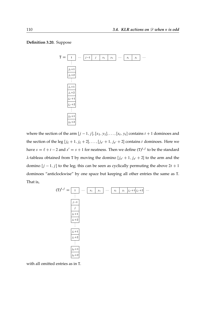#### **Definition 3.20.** Suppose



where the section of the arm  $[j - 1, j], [x_1, y_1], \ldots, [x_t, y_t]$  contains  $t + 1$  dominoes and the section of the leg  $[j_{\ell} + 1, j_{\ell} + 2], \ldots, [j_{s'} + 1, j_{s'} + 2]$  contains t dominoes. Here we have  $s = \ell + t - 2$  and  $s' = s + 1$  for neatness. Then we define  $(T)^{t, j}$  to be the standard  $\lambda$ -tableau obtained from T by moving the domino  $[j_{s'}+1, j_{s'}+2]$  to the arm and the domino  $[j - 1, j]$  to the leg; this can be seen as cyclically permuting the above  $2t + 1$ dominoes "anticlockwise" by one space but keeping all other entries the same as T. That is,



with all omitted entries as in T.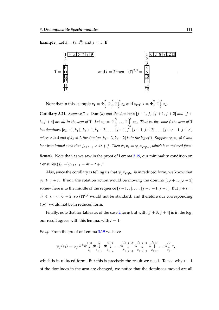**Example.** Let  $\lambda = (7, 1^8)$  and  $j = 5$ . If



Note that in this example  $v_{\text{T}} = \Psi \hat{\downarrow}$ 9 11<br> $\downarrow \Psi \downarrow$ <br>5 7  $\begin{array}{cc} 11 & 13 \\ \downarrow \Psi \downarrow \\ 7 & 9 \end{array}$  $\downarrow$   $z_{\lambda}$  and  $v_{(T)^{2.5}} = \Psi_{\downarrow}^9$  $\begin{array}{c} 9 \\ \downarrow \ \Psi \downarrow \ 7 \end{array}$  $\downarrow$   $z_{\lambda}$ .

<span id="page-110-0"></span>**Corollary 3.21.** *Suppose*  $T \in Dom(\lambda)$  *and the dominoes*  $[j - 1, j]$ ,  $[j + 1, j + 2]$  *and*  $[j +$ 3,  $j + 4$  are all in the arm of **T**. Let  $v_T = \Psi \downarrow$  $k<sub>1</sub>$  $\ldots \Psi \downarrow$ kd  $z_{\lambda}$ . That is, for some  $\ell$  the arm of **T** *has dominoes*  $[k_{\ell} - 1, k_{\ell}], [k_{\ell} + 1, k_{\ell} + 2], \ldots, [j - 1, j], [j + 1, j + 2], \ldots, [j + r - 1, j + r],$ *where*  $r \ge 4$  *and* if  $k_{\ell} \ne 3$  *the domino*  $[k_{\ell} - 3, k_{\ell} - 2]$  *is in the leg of* T*. Suppose*  $\psi_j v_T \ne 0$  *and* let t be minimal such that  $j_{\ell+t-1} < 4t + j$ . Then  $\psi_j v_\text{T} = \psi_j v_{(\text{T})^{t,j}}$ , which is in reduced form. *Remark.* Note that, as we saw in the proof of Lemma [3.19,](#page-106-0) our minimality condition on t ensures  $(j_{s'} = j_{\ell+t-1} = 4t - 2 + j$ .

Also, since the corollary is telling us that  $\psi_j v_{(\text{T})^{t,j}}$  is in reduced form, we know that  $y_2 \geq j + r$ . If not, the rotation action would be moving the domino  $[j_{s'} + 1, j_{s'} + 2]$ somewhere into the middle of the sequence  $[j - 1, j], \ldots, [j + r - 1, j + r]$ . But  $j + r =$  $j_{\ell} \le j_{s'} < j_{s'} + 2$ , so  $(T)^{t,j}$  would not be standard, and therefore our corresponding  $(v_T)^t$  would not be in reduced form.

Finally, note that for tableaux of the case [2](#page-106-1) form but with  $[j + 3, j + 4]$  is in the leg, our result agrees with this lemma, with  $t = 1$ .

*Proof.* From the proof of Lemma [3.19](#page-106-0) we have

$$
\psi_j(v_1) = \psi_j \Psi^* \Psi \downarrow^{\quad j-2} \Psi \downarrow^{\quad j_{\ell+1}} \Psi \downarrow^{\quad j_{\ell+1-3}} \Psi \downarrow^{\quad j_{\ell+l-2}} \Psi \downarrow^{\quad j_{\ell+l-2}} \Psi \downarrow^{\quad j_{\ell+l}} \Psi \downarrow^{\quad j_{\ell}} \dots \Psi \downarrow^{\quad j_d} z_{\lambda}
$$

which is in reduced form. But this is precisely the result we need. To see why  $t + 1$ of the dominoes in the arm are changed, we notice that the dominoes moved are all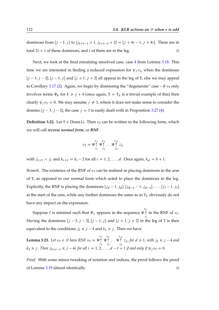dominoes from  $[j - 1, j]$  to  $[j_{\ell+t-1} + 1, j_{\ell+t-1} + 2] = [j + 4t - 1, j + 4t]$ . There are in total  $2t + 1$  of these dominoes, and t of them are in the leg.

Next, we look at the final remaining unsolved case, case [4](#page-106-2) from Lemma [3.18.](#page-105-0) This time we are interested in finding a reduced expression for  $\psi_i v_T$ , when the dominoes  $[j - 3, j - 2], [j - 1, j]$  and  $[j + 1, j + 2]$  all appear in the leg of T, else we may appeal to Corollary [3.17](#page-105-1) [\(2\)](#page-105-2). Again, we begin by dismissing the "degenerate" case – if  $v<sub>T</sub>$  only involves terms  $\Psi_k$  for  $k \ge j + 4$  (once again,  $T = T_{\lambda}$  is a trivial example of this) then clearly  $\psi_i v_\text{T} = 0$ . We may assume  $j \neq 3$ , where it does not make sense to consider the domino  $[j - 3, j - 2]$ ; the case  $j = 3$  is easily dealt with in Proposition [3.27](#page-114-0) [\(4\)](#page-115-0).

**Definition 3.22.** Let  $T \in Dom(\lambda)$ . Then  $v_T$  can be written in the following form, which we will call *reverse normal form*, or *RNF*:

$$
v_{\mathrm{T}} = \Psi^{\dagger}_{j_1} \Psi^{\dagger}_{j_2} \dots \Psi^{\dagger}_{j_d} z_{\lambda}
$$

with  $j_{i+1} < j_i$  and  $k_{i+1} = k_i - 2$  for all  $i = 1, 2, ..., d$ . Once again,  $k_d = b + 1$ .

*Remark.* The existence of the RNF of  $v<sub>T</sub>$  can be realised as placing dominoes in the arm of T, as opposed to our normal form which acted to place the dominoes in the leg. Explicitly, the RNF is placing the dominoes  $[j_d - 1, j_d], [j_{d-1} - 1, j_{d-1}], \ldots, [j_1 - 1, j_1]$ at the start of the arm, while any further dominoes the same as in  $T_{\lambda}$  obviously do not have any impact on the expression.

Suppose  $\ell$  is minimal such that  $\Psi_j$  appears in the sequence  $\Psi \!\!\uparrow$  $j_{\ell}$ in the RNF of  $v_T$ . Having the dominoes  $[j - 3, j - 2], [j - 1, j]$  and  $[j + 1, j + 2]$  in the leg of T is then equivalent to the conditions  $j_\ell \le j - 4$  and  $k_\ell \ge j$ . Then we have

<span id="page-111-0"></span>**Lemma 3.23.** Let  $v_T \in \mathscr{D}$  have RNF  $v_T = \Psi \uparrow$  $\frac{j_1}{j_2}$  $\Psi$ <sup>k<sub>2</sub></sup>  $j_2$  $\ldots \Psi^{\kappa_d}$ jd  $z_{\lambda}$ , for  $d \geq 1$ , with  $j_{\ell} \leq j - 4$  and  $k_{\ell} \ge j$ . Then  $j_{\ell+i-1} \le j - 4i$  for all  $i = 1, 2, ..., d - \ell + 1$  if and only if  $\psi_j v_{\text{T}} = 0$ .

<span id="page-111-1"></span>*Proof.* With some minor tweaking of notation and indices, the proof follows the proof of Lemma [3.19](#page-106-0) almost identically.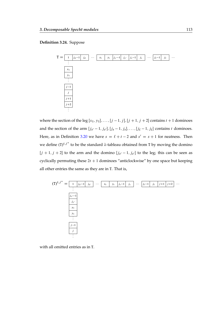#### **Definition 3.24.** Suppose



where the section of the leg  $[x_1, y_1], \ldots, [j-1, j], [j+1, j+2]$  contains  $t + 1$  dominoes and the section of the arm  $[j_{s'}-1, j_{s'}], [j_s-1, j_s], \ldots, [j_{\ell}-1, j_{\ell}]$  contains t dominoes. Here, as in Definition [3.20](#page-108-0) we have  $s = \ell + t - 2$  and  $s' = s + 1$  for neatness. Then we define  $(T)^{t,j^*}$  to be the standard  $\lambda$ -tableau obtained from T by moving the domino  $[j + 1, j + 2]$  to the arm and the domino  $[j_{s'} - 1, j_{s'}]$  to the leg; this can be seen as cyclically permuting these  $2t + 1$  dominoes "anticlockwise" by one space but keeping all other entries the same as they are in T. That is,



with all omitted entries as in T.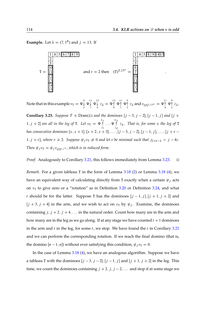**Example.** Let  $\lambda = (7, 1^8)$  and  $j = 13$ . If



Note that in this example  $v_{\texttt{T}} = \Psi \overset{\text{\rm o}}{\downarrow}$ 9 11<br> $\downarrow \Psi \downarrow$ <br>5 7  $\begin{array}{cc} 11 & 13 \\ \downarrow \Psi \downarrow \\ 7 & 9 \end{array}$  $\downarrow^{13} z_{\lambda} = \Psi_{9}^{13}$ 13 11<br>↑ Ψ↑<br>9 7 11 9<br>↑ Ψ↑<br>7 5  $\int_{5}^{9} z_{\lambda}$  and  $v_{(T)^{2,13^*}} = \Psi_{9}^{11}$ 11 9<br>↑ Ψ↑<br>9 5  $\int\limits_{5}^{x} z_{\lambda}$ .

<span id="page-113-0"></span>**Corollary 3.25.** *Suppose*  $T \in \text{Dom}(\lambda)$  *and the dominoes*  $[j - 3, j - 2]$ ,  $[j - 1, j]$  *and*  $[j +$ 1,  $j + 2$  are all in the leg of **T**. Let  $v_T = \Psi \uparrow$  $\frac{j_1}{j_2}$  $\ldots \Psi^{k_d}$ jd z*. That is, for some* x *the leg of* T *has consecutive dominoes*  $[x, x + 1]$ ,  $[x + 2, x + 3]$ , ...,  $[j - 3, j - 2]$ ,  $[j - 1, j]$ , ...,  $[j + r -$ 1,  $j + r$ , where  $r \ge 2$ . Suppose  $\psi_j v_\text{T} \neq 0$  and let t be minimal such that  $j_{\ell+t-1} > j - 4t$ . Then  $\psi_j v_{\mathsf{T}} = \psi_j v_{(\mathsf{T})^{t,j}}$ , which is in reduced form.

*Proof.* Analogously to Corollary [3.21,](#page-110-0) this follows immediately from Lemma [3.23.](#page-111-0) □

*Remark.* For a given tableau T in the form of Lemma [3.18](#page-105-0) [\(2\)](#page-106-1) or Lemma [3.18](#page-105-0) [\(4\)](#page-106-2), we have an equivalent way of calculating directly from T exactly when a certain  $\psi_i$  acts on  $v<sub>T</sub>$  to give zero or a "rotation" as in Definition [3.20](#page-108-0) or Definition [3.24,](#page-111-1) and what t should be for the latter. Suppose T has the dominoes  $[j - 1, j], [j + 1, j + 2]$  and  $[j + 3, j + 4]$  in the arm, and we wish to act on  $v<sub>T</sub>$  by  $\psi_j$ . Examine, the dominoes containing  $j, j + 2, j + 4, \ldots$  in the natural order. Count how many are in the arm and how many are in the leg as we go along. If at any stage we have counted  $t + 1$  dominoes in the arm and  $t$  in the leg, for some  $t$ , we stop. We have found the  $t$  in Corollary [3.21](#page-110-0) and we can perform the corresponding rotation. If we reach the final domino (that is, the domino  $[n-1, n]$ ) without ever satisfying this condition,  $\psi_i v_T = 0$ .

In the case of Lemma [3.18](#page-105-0) [\(4\)](#page-106-2), we have an analogous algorithm. Suppose we have a tableau T with the dominoes  $[j - 3, j - 2], [j - 1, j]$  and  $[j + 1, j + 2]$  in the leg. This time, we count the dominoes containing  $j + 2$ ,  $j$ ,  $j - 2$ , ... and stop if at some stage we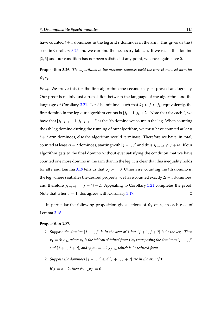have counted  $t + 1$  dominoes in the leg and t dominoes in the arm. This gives us the t seen in Corollary [3.25](#page-113-0) and we can find the necessary tableau. If we reach the domino [2, 3] and our condition has not been satisfied at any point, we once again have 0.

<span id="page-114-1"></span>**Proposition 3.26.** *The algorithms in the previous remarks yield the correct reduced form for*  $\psi_i v_{\text{T}}$ .

*Proof.* We prove this for the first algorithm; the second may be proved analogously. Our proof is mainly just a translation between the language of the algorithm and the language of Corollary [3.21.](#page-110-0) Let  $\ell$  be minimal such that  $k_{\ell} \leq j \leq j_{\ell}$ ; equivalently, the first domino in the leg our algorithm counts is  $[j_\ell + 1, j_\ell + 2]$ . Note that for each *i*, we have that  $[j_{\ell+i-1} + 1, j_{\ell+i-1} + 2]$  is the *i* th domino we count in the leg. When counting the ith leg domino during the running of our algorithm, we must have counted at least  $i + 2$  arm dominoes, else the algorithm would terminate. Therefore we have, in total, counted at least  $2i + 2$  dominoes, starting with  $[j - 1, j]$  and thus  $j_{\ell+i-1} \ge j + 4i$ . If our algorithm gets to the final domino without ever satisfying the condition that we have counted one more domino in the arm than in the leg, it is clear that this inequality holds for all *i* and Lemma [3.19](#page-106-0) tells us that  $\psi_j v_T = 0$ . Otherwise, counting the *t*th domino in the leg, where t satisfies the desired property, we have counted exactly  $2t + 1$  dominoes, and therefore  $j_{\ell+t-1} = j + 4t - 2$ . Appealing to Corollary [3.21](#page-110-0) completes the proof. Note that when  $t = 1$ , this agrees with Corollary [3.17.](#page-105-1)

In particular the following proposition gives actions of  $\psi_j$  on  $v_T$  in each case of Lemma [3.18.](#page-105-0)

#### <span id="page-114-2"></span><span id="page-114-0"></span>**Proposition 3.27.**

- 1. Suppose the domino  $[j 1, j]$  is in the arm of **T** but  $[j + 1, j + 2]$  is in the leg. Then  $v_T = \Psi_j v_S$ , where  $v_S$  *is the tableau obtained from* T *by transposing the dominoes* [ $j - 1$ ,  $j$ ] and  $[j + 1, j + 2]$ , and  $\psi_j v_\text{T} = -2\psi_j v_\text{S}$ , which is in reduced form.
- <span id="page-114-3"></span>2. *Suppose the dominoes*  $[j - 1, j]$  *and*  $[j + 1, j + 2]$  *are in the arm of* **T**.

```
If i = n - 2, then \psi_{n} \to v = 0.
```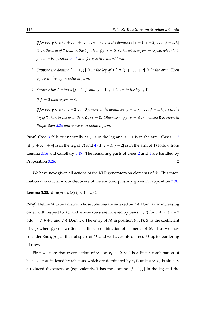*If for every*  $k \in \{j + 2, j + 4, ..., n\}$ , more of the dominoes  $[j + 1, j + 2], ..., [k - 1, k]$ *lie in the arm of* T *than in the leg, then*  $\psi_i v_\text{T} = 0$ *. Otherwise,*  $\psi_i v_\text{T} = \psi_i v_\text{U}$ *, where* U *is given in Proposition* [3.26](#page-114-1) *and*  $\psi_i v_{\text{U}}$  *is in reduced form.* 

- <span id="page-115-1"></span>*3. Suppose the domino*  $[j - 1, j]$  *is in the leg of* T *but*  $[j + 1, j + 2]$  *is in the arm. Then*  $\psi_i v_T$  *is already in reduced form.*
- <span id="page-115-0"></span>4. Suppose the dominoes  $[j - 1, j]$  and  $[j + 1, j + 2]$  are in the leg of **T**.

*If*  $j = 3$  *then*  $\psi_3 v_T = 0$ *.* 

*If for every*  $k \in \{j, j - 2, ..., 3\}$ , more of the dominoes  $[j - 1, j], ..., [k - 1, k]$  lie in the *leg of* T *than in the arm, then*  $\psi_j v_T = 0$ *. Otherwise,*  $\psi_j v_T = \psi_j v_U$ *, where* U *is given in Proposition* [3.26](#page-114-1) *and*  $\psi_i v_{\text{U}}$  *is in reduced form.* 

*Proof.* Case [3](#page-115-1) falls out naturally as *j* is in the leg and  $j + 1$  is in the arm. Cases [1,](#page-114-2) [2](#page-114-3) (if  $[j + 3, j + 4]$  $[j + 3, j + 4]$  $[j + 3, j + 4]$  is in the leg of T) and 4 (if  $[j - 3, j - 2]$  is in the arm of T) follow from Lemma [3.16](#page-104-0) and Corollary [3.17.](#page-105-1) The remaining parts of cases [2](#page-114-3) and [4](#page-115-0) are handled by Proposition [3.26.](#page-114-1)

We have now given all actions of the KLR generators on elements of  $\mathscr{D}$ . This information was crucial in our discovery of the endomorphism  $f$  given in Proposition [3.30.](#page-118-0)

<span id="page-115-2"></span>**Lemma 3.28.** dim $(\text{End}_{\mathcal{H}}(S_{\lambda})) \leq 1 + b/2$ .

*Proof.* Define M to be a matrix whose columns are indexed by  $T \in Dom(\lambda)$  (in increasing order with respect to  $\geq$ ), and whose rows are indexed by pairs  $(j, T)$  for  $3 \leq j \leq n - 2$ odd,  $j \neq b + 1$  and  $T \in Dom(\lambda)$ . The entry of M in position  $((j, T), S)$  is the coefficient of  $v_{s_jT}$  when  $\psi_j v_S$  is written as a linear combination of elements of  $\mathscr{D}$ . Thus we may consider End<sub>H</sub> $(S_{\lambda})$  as the nullspace of M, and we have only defined M up to reordering of rows.

First we note that every action of  $\psi_j$  on  $v_\text{T} \in \mathcal{D}$  yields a linear combination of basis vectors indexed by tableaux which are dominated by  $s_j$  T, unless  $\psi_j v_T$  is already a reduced  $\psi$ -expression (equivalently, T has the domino  $[j - 1, j]$  in the leg and the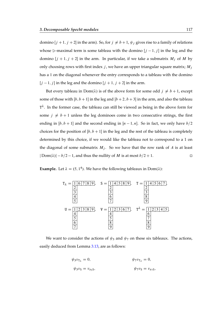domino  $[j + 1, j + 2]$  in the arm). So, for  $j \neq b + 1$ ,  $\psi_j$  gives rise to a family of relations whose  $\ge$ -maximal term is some tableau with the domino  $[j - 1, j]$  in the leg and the domino  $[j + 1, j + 2]$  in the arm. In particular, if we take a submatrix  $M_j$  of M by only choosing rows with first index  $j$ , we have an upper triangular square matrix;  $M_j$ has a 1 on the diagonal whenever the entry corresponds to a tableau with the domino  $[j - 1, j]$  in the leg and the domino  $[j + 1, j + 2]$  in the arm.

But every tableau in  $Dom(\lambda)$  is of the above form for some odd  $j \neq b+1$ , except some of those with  $[b, b + 1]$  in the leg and  $[b + 2, b + 3]$  in the arm, and also the tableau  $T^{\lambda}$ . In the former case, the tableau can still be viewed as being in the above form for some  $j \neq b+1$  unless the leg dominoes come in two consecutive strings, the first ending in  $[b, b + 1]$  and the second ending in  $[n - 1, n]$ . So in fact, we only have  $b/2$ choices for the position of  $[b, b + 1]$  in the leg and the rest of the tableau is completely determined by this choice, if we would like the tableau not to correspond to a 1 on the diagonal of some submatrix  $M_i$ . So we have that the row rank of A is at least  $|Dom(\lambda)| - b/2 - 1$ , and thus the nullity of *M* is at most  $b/2 + 1$ .

**Example.** Let  $\lambda = (5, 1^4)$ . We have the following tableaux in Dom( $\lambda$ ):



We want to consider the actions of  $\psi_3$  and  $\psi_7$  on these six tableaux. The actions, easily deduced from Lemma [3.13,](#page-91-0) are as follows:

$$
\psi_3 v_{T_{\lambda}} = 0,
$$
  $\psi_7 v_{T_{\lambda}} = 0,$   
 $\psi_3 v_5 = v_{s_3}.$   $\psi_7 v_5 = v_{s_7}.$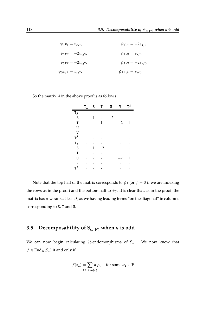| $\psi_3 v_{\rm T} = v_{s_3 {\rm T}},$                   | $\psi_7 v_{\rm T} = -2v_{s_7}$ s,            |
|---------------------------------------------------------|----------------------------------------------|
| $\psi_3 v_{\rm U} = -2v_{s_3}$ s,                       | $\psi_7 v_{\rm U} = v_{s_7 {\rm U}},$        |
| $\psi_3 v_{\rm V} = -2v_{s_3T}$                         | $\psi_7 v_{\rm V} = -2v_{s_7}v_{\rm V}$      |
| $\psi_3 v_{\mathrm{T}^{\lambda}} = v_{s_3 \mathrm{T}},$ | $\psi_7 v_{\rm T}$ $\lambda = v_{s_7}$ $v$ . |

So the matrix  $A$  in the above proof is as follows.

|                         | $T_{\lambda}$ | S | T  | U | V  | $T^{\lambda}$ |
|-------------------------|---------------|---|----|---|----|---------------|
| $T_{\lambda}$           |               |   |    |   |    |               |
| $\overline{S}$          |               |   |    | 2 |    |               |
| T                       |               |   |    |   | 2  |               |
| U                       |               |   |    |   |    |               |
| V                       |               |   |    |   |    |               |
| $T^{\lambda}$           |               |   |    |   |    |               |
| $T_\lambda$             |               |   |    |   |    |               |
| $\overline{\mathsf{S}}$ |               |   | .2 |   |    |               |
| T                       |               |   |    |   |    |               |
| U                       |               |   |    |   | -2 |               |
| V                       |               |   |    |   |    |               |
| $T^{\lambda}$           |               |   |    |   |    |               |

Note that the top half of the matrix corresponds to  $\psi_3$  (or  $j = 3$  if we are indexing the rows as in the proof) and the bottom half to  $\psi_7$ . It is clear that, as in the proof, the matrix has row rank at least 3, as we having leading terms "on the diagonal" in columns corresponding to S, T and U.

## **3.5** Decomposability of  $S_{(a,1^b)}$  when *n* is odd

We can now begin calculating  $H$ -endomorphisms of  $S_\lambda$ . We now know that  $f \in End_{\mathcal{H}}(S_{\lambda})$  if and only if

$$
f(z_{\lambda}) = \sum_{T \in \text{Dom}(\lambda)} \alpha_T v_T \quad \text{for some } \alpha_T \in \mathbb{F}
$$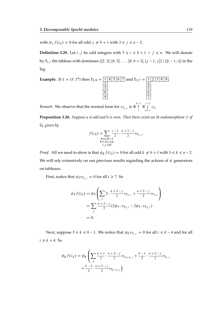with  $\psi_j f(z_\lambda) = 0$  for all odd  $j \neq b + 1$  with  $3 \le j \le n - 2$ .

**Definition 3.29.** Let *i*, *j* be odd integers with  $3 \le i \le b + 1 < j \le n$ . We will denote by  $T_{i,j}$  the tableau with dominoes {[2, 3], [4, 5], ..., [b, b + 1], [j - 1, j]} \{[i - 1, i]} in the leg.

Example. If 
$$
\lambda = (5, 1^4)
$$
 then  $T_{5,9} = \frac{1}{\begin{array}{|c|c|c|c|c|} \hline 1 & 4 & 5 & 6 & 7 \\ \hline 2 & & & & & 4 \\ \hline 3 & & & & & 5 \\ \hline 8 & & & & & 7 \\ \hline \end{array}}$  and  $T_{3,7} = \frac{1}{\begin{array}{|c|c|c|} \hline 1 & 2 & 3 & 8 & 9 \\ \hline 4 & & & & 5 \\ \hline 6 & & & & 7 \\ \hline \end{array}}$ .

*Remark.* We observe that the normal form for  $v_{\text{T}_{i,j}}$  is  $\Psi^{\flat -1}_{\uparrow}$  $\bigcap_{i}^{-1} \Psi \bigcup_{b+1}^{j-2}$  $\bigcup_{b+1} z_{\lambda}$ .

<span id="page-118-0"></span>**Proposition 3.30.** *Suppose* a *is odd and* b *is even. Then there exists an* H*-endomorphism* f *of* S<sub>λ</sub> given by

$$
f(z_{\lambda}) = \sum_{\substack{3 \le i \le b+1 \\ b+3 \le j \le n \\ i,j \text{ odd}}} \frac{i-1}{2} \cdot \frac{n+2-j}{2} v_{T_{i,j}}.
$$

*Proof.* All we need to show is that  $\psi_k f(z_\lambda) = 0$  for all odd  $k \neq b + 1$  with  $3 \le k \le n - 2$ . We will rely extensively on our previous results regarding the actions of  $\psi$  generators on tableaux.

First, notice that  $\psi_3 v_{\text{T}_{i,j}} = 0$  for all  $i \ge 7$ . So

$$
\psi_3 f(z_\lambda) = \psi_3 \left( \sum_j 2 \cdot \frac{n+2-j}{2} v_{T_{5,j}} + \frac{n+2-j}{2} v_{T_{3,j}} \right)
$$
  
= 
$$
\sum_j \frac{n+2-j}{2} (2\psi_3 \cdot v_{T_{5,j}} - 2\psi_3 \cdot v_{T_{5,j}})
$$
  
= 0.

Next, suppose  $5 \le k \le b - 1$ . We notice that  $\psi_k v_{T_{i,j}} = 0$  for all  $i \le k - 4$  and for all  $i \ge k + 4$ . So

$$
\psi_k f(z_\lambda) = \psi_k \left( \sum_j \frac{k+1}{2} \cdot \frac{n+2-j}{2} v_{T_{k+2,j}} + \frac{k-1}{2} \cdot \frac{n+2-j}{2} v_{T_{k,j}} + \frac{k-3}{2} \cdot \frac{n+2-j}{2} v_{T_{k-2,j}} \right)
$$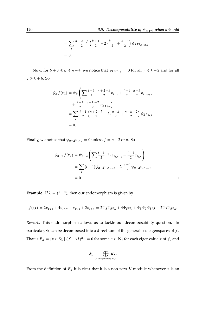$$
= \sum_{j} \frac{n+2-j}{2} \left( \frac{k+1}{2} - 2 \cdot \frac{k-1}{2} + \frac{k-3}{2} \right) \psi_k v_{T_{k+2,j}}
$$
  
= 0.

Now, for  $b + 3 \le k \le n - 4$ , we notice that  $\psi_k v_{T_{i,j}} = 0$  for all  $j \le k - 2$  and for all  $j \ge k + 6$ . So

$$
\psi_k f(z_\lambda) = \psi_k \left( \sum_i \frac{i-1}{2} \cdot \frac{n+2-k}{2} v_{T_{i,k}} + \frac{i-1}{2} \cdot \frac{n-k}{2} v_{T_{i,k+2}} + \frac{i-1}{2} \cdot \frac{n-k-2}{2} v_{T_{i,k+4}} \right)
$$
  
= 
$$
\sum_i \frac{i-1}{2} \left( \frac{n+2-k}{2} - 2 \cdot \frac{n-k}{2} + \frac{n-k-2}{2} \right) \psi_k v_{T_{i,k}}
$$
  
= 0.

Finally, we notice that  $\psi_{n-2}v_{T_{i,j}} = 0$  unless  $j = n - 2$  or n. So

$$
\psi_{n-2} f(z_{\lambda}) = \psi_{n-2} \left( \sum_{i} \frac{i-1}{2} \cdot 2 \cdot v_{T_{i,n-2}} + \frac{i-1}{2} v_{T_{i,n}} \right)
$$
  
= 
$$
\sum_{i} (i-1) \psi_{n-2} v_{T_{i,n-2}} - 2 \cdot \frac{i-1}{2} \psi_{n-2} v_{T_{i,n-2}}
$$
  
= 0.

**Example.** If  $\lambda = (5, 1^4)$ , then our endomorphism is given by

$$
f(z_{\lambda}) = 2v_{T_{3,7}} + 4v_{T_{5,7}} + v_{T_{3,9}} + 2v_{T_{5,9}} = 2\Psi_3\Psi_5z_{\lambda} + 4\Psi_5z_{\lambda} + \Psi_3\Psi_7\Psi_5z_{\lambda} + 2\Psi_7\Psi_5z_{\lambda}.
$$

*Remark.* This endomorphism allows us to tackle our decomposability question. In particular,  $S_\lambda$  can be decomposed into a direct sum of the generalised eigenspaces of f. That is  $E_x = \{v \in S_\lambda \mid (f - xI)^n v = 0 \text{ for some } n \in \mathbb{N}\}\$ for each eigenvalue x of f, and

$$
S_{\lambda} = \bigoplus_{x \text{ an eigenvalue of } f} E_x.
$$

From the definition of  $E_x$  it is clear that it is a non-zero  $H$ -module whenever x is an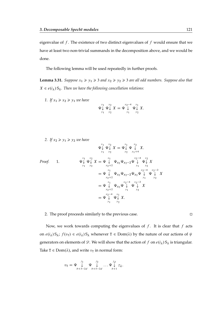eigenvalue of  $f$ . The existence of two distinct eigenvalues of  $f$  would ensure that we have at least two non-trivial summands in the decomposition above, and we would be done.

The following lemma will be used repeatedly in further proofs.

**Lemma 3.31.** *Suppose*  $x_1 \ge y_1 \ge 3$  *and*  $x_2 \ge y_2 \ge 3$  *are all odd numbers. Suppose also that*  $X \in e(i_\lambda) S_\lambda$ . Then we have the following cancellation relations:

*1. If*  $x_1 \ge x_2 \ge y_1$  *we have* 

$$
\Psi_{\mathcal{Y}_1}^{x_1} \Psi_{\mathcal{Y}_2}^{x_2} X = \Psi_{\mathcal{Y}_1}^{x_2 - 4} \Psi_{\mathcal{Y}_2}^{x_1} X.
$$

 $\mathbf{x}_1$ 

2. If  $x_2 \geq y_1 \geq y_2$  *we have* 

Proof. 1. 
$$
\Psi_{\downarrow}^{x_1} \Psi_{\downarrow}^{x_2} X = \Psi_{\downarrow}^{x_1} \Psi_{\downarrow}^{x_2} X.
$$
  
\nProof. 1. 
$$
\Psi_{\downarrow}^{x_1} \Psi_{\downarrow}^{x_2} X = \Psi_{x_2+2}^{x_1} \Psi_{x_2} \Psi_{x_2-2} \Psi_{\downarrow}^{x_2-4} \Psi_{\downarrow}^{x_2} X
$$

$$
= \Psi_{x_2+2}^{x_1} \Psi_{x_2} \Psi_{x_2-2} \Psi_{x_2} \Psi_{\downarrow}^{x_2-4} \Psi_{\downarrow}^{x_2-2} X
$$

$$
= \Psi_{x_2+2}^{x_1} \Psi_{x_2} \Psi_{\downarrow}^{x_2-4} \Psi_{\downarrow}^{x_2-2} X
$$

$$
= \Psi_{x_2+2}^{x_1} \Psi_{x_2} \Psi_{\downarrow}^{x_2-4} \Psi_{\downarrow}^{x_2-2} X
$$

$$
= \Psi_{x_2+2}^{x_2-4} \Psi_{x_1}^{x_1} \Psi_{x_2}^{x_2} X.
$$

 $\mathbf{x}_1$ 

 $x_2$ 

#### 2. The proof proceeds similarly to the previous case.  $\Box$

Now, we work towards computing the eigenvalues of  $f$ . It is clear that  $f$  acts on  $e(i_\lambda) S_\lambda$ ;  $f(v_\tau) \in e(i_\lambda) S_\lambda$  whenever  $T \in Dom(\lambda)$  by the nature of our actions of  $\psi$ generators on elements of  $\mathscr{D}$ . We will show that the action of f on  $e(i_\lambda) S_\lambda$  is triangular. Take T  $\in$  Dom( $\lambda$ ), and write  $v_T$  in normal form:

$$
v_{\mathrm{T}} = \Psi \underset{b+3-2d}{\downarrow} \Psi \underset{b+5-2d}{\downarrow} \dots \Psi \underset{b+1}{\downarrow} z_{\lambda}.
$$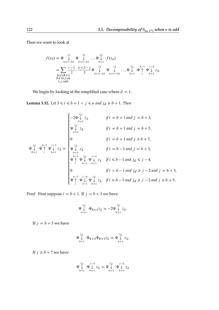Then we want to look at

$$
f(v_{T}) = \Psi \downarrow \Psi \downarrow \dots \Psi \downarrow \cdot f(z_{\lambda})
$$
  
= 
$$
\sum_{\substack{b+3-2d \\ 3 \le i \le b+1}} \frac{i-1}{2} \cdot \frac{n+2-j}{2} \Psi \downarrow \Psi \downarrow \dots \Psi \downarrow \dots \Psi \downarrow \cdot \Psi \uparrow \Psi \downarrow \cdot \Psi \downarrow \cdot \Psi \downarrow \cdot z_{\lambda}.
$$
  

$$
g_{\substack{3 \le i \le b+1 \\ b+3 \le j \le n \\ i, j \text{ odd}}} \Psi \downarrow \Psi \downarrow \dots \Psi \downarrow \dots \Psi \downarrow \Psi \uparrow \Psi \downarrow z_{\lambda}.
$$

We begin by looking at the simplified case where  $d = 1$ .

<span id="page-121-0"></span>**Lemma 3.32.** *Let*  $3 \le i \le b + 1 < j \le n$  *and*  $j_d \ge b + 1$ *. Then* 

$$
\Psi_{b+1}^{j_d} \psi_{+1}^{b-1} z_{\lambda} = \begin{cases}\n-2\Psi_{b+1}^{j_d} z_{\lambda} & \text{if } i = b+1 \text{ and } j = b+3, \\
\Psi_{b+1}^{j_d} z_{\lambda} & \text{if } i = b+1 \text{ and } j = b+5, \\
0 & \text{if } i = b+1 \text{ and } j \ge b+7, \\
\Psi_{b+1}^{j_d} \psi_{+1}^{b-1} z_{\lambda}^{j-2} & \Psi_{b+1}^{j-2} z_{\lambda} & \text{if } i = b-1 \text{ and } j = b+3, \\
\Psi_{b+1}^{b-3} \psi_{+1}^{j_d} \psi_{+1}^{j-2} z_{\lambda} & \text{if } i \le b-1 \text{ and } j_d \le j-4, \\
0 & \text{if } i < b-1 \text{ and } j_d \ge j-2 \text{ and } j = b+3, \\
0 & \text{if } i < b-1 \text{ and } j_d \ge j-2 \text{ and } j = b+3, \\
\Psi_{+}^{b-3} \psi_{+1}^{j-6} \psi_{+1}^{j_d} \psi_{+2\lambda}^{j} & \text{if } i \le b-1 \text{ and } j_d \ge j-2 \text{ and } j \ge b+5.\n\end{cases}
$$

*Proof.* First suppose  $i = b + 1$ . If  $j = b + 3$  we have

$$
\Psi_{b+1}^{j_d} \cdot \Psi_{b+1} z_\lambda = -2 \Psi_{b+1}^{j_d} z_\lambda.
$$

If  $j = b + 5$  we have

$$
\Psi_{b+1}^{j_d} \cdot \Psi_{b+3} \Psi_{b+1} z_{\lambda} = \Psi_{b+1}^{j_d} z_{\lambda}.
$$

If  $j \ge b + 7$  we have

$$
\Psi_\downarrow^{\ j_d} \cdot \Psi_\downarrow^{\ j-2} z_\lambda = \Psi_\downarrow^{\ j_d} \cdot \Psi_\downarrow^{\ j-2} z_\lambda \\_{b+1} \cdot \Psi_{b+1}^{\ j-2} \cdot \Psi_{b+1}^{\ k}
$$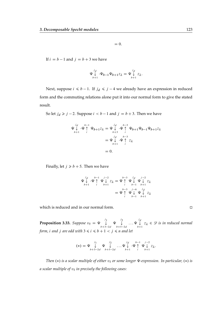$$
= 0.
$$

If  $i = b - 1$  and  $j = b + 3$  we have

$$
\Psi_{b+1}^{j_d} \cdot \Psi_{b-1} \Psi_{b+1} z_{\lambda} = \Psi_{b+1}^{j_d} z_{\lambda}.
$$

Next, suppose  $i \le b - 1$ . If  $j_d \le j - 4$  we already have an expression in reduced form and the commuting relations alone put it into our normal form to give the stated result.

So let  $j_d \ge j - 2$ . Suppose  $i < b - 1$  and  $j = b + 3$ . Then we have

$$
\Psi \downarrow \psi + \Psi \uparrow \psi + 1 \mathcal{Z} \downarrow \Psi + \Psi b + 1 \mathcal{Z} \downarrow \Psi
$$
\n
$$
= \Psi \downarrow \psi + \Psi \uparrow \psi + \Psi b + 1 \Psi b + 1 \mathcal{Z} \downarrow
$$
\n
$$
= \Psi \downarrow \psi + \Psi \uparrow \psi + \mathcal{Z} \downarrow
$$
\n
$$
= 0.
$$

Finally, let  $j \ge b + 5$ . Then we have

$$
\Psi \downarrow \downarrow \psi \uparrow \psi \uparrow \Psi \downarrow \downarrow z_{\lambda} = \Psi \uparrow \psi \downarrow \psi \downarrow \psi \downarrow z_{\lambda}
$$
\n
$$
= \Psi \uparrow \psi \downarrow \psi \downarrow \psi \downarrow z_{\lambda}
$$
\n
$$
= \Psi \uparrow \psi \downarrow \psi \downarrow z_{\lambda}
$$

which is reduced and in our normal form.

<span id="page-122-0"></span>**Proposition 3.33.** *Suppose*  $v_T = \Psi \downarrow \qquad \downarrow$  $\begin{array}{cc} j_1 & j_2 \\ \downarrow & \Psi & \downarrow \\ b+3-2d & b+5- \end{array}$  $\begin{array}{c} \n\downarrow j_2 \\
\downarrow \downarrow \dots \Psi \downarrow \\
b+5-2d \n\end{array}$  $\bigcup_{b+1}^{a} z_{\lambda} \in \mathscr{D}$  *is in reduced normal form, i and j are odd with*  $3 \le i \le b + 1 < j \le n$  *and let* 

$$
(*) = \Psi \downarrow \qquad \qquad \Psi \downarrow \qquad \qquad \dots \Psi \downarrow \qquad \qquad \dots \Psi \downarrow \qquad \qquad \dots \Psi \downarrow \qquad \qquad \Psi \uparrow \qquad \Psi \downarrow \qquad \qquad \dots \downarrow
$$
\n
$$
b+3-2d \qquad b+5-2d \qquad \qquad b+1 \qquad \qquad \dots \qquad \qquad \dots \downarrow
$$
\n
$$
b+1 \qquad \qquad \vdots \qquad \qquad \dots \downarrow
$$

*Then* (\*) *is a scalar multiple of either*  $v<sub>T</sub>$  *or some longer*  $\Psi$ -expression. In particular, (\*) *is a scalar multiple of*  $v<sub>T</sub>$  *in precisely the following cases:* 

$$
\Box
$$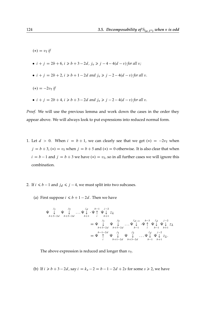```
(*) = v_T if
• i + j = 2b + 6, i \ge b + 3 - 2d, j_v \ge j - 4 - 4(d - v) for all v;
• i + j = 2b + 2, i \ge b + 1 - 2d and j_v \ge j - 2 - 4(d - v) for all v.
(*) = -2v_{\rm T} if
• i + j = 2b + 4, i \ge b + 3 - 2d and j_v \ge j - 2 - 4(d - v) for all v.
```
*Proof.* We will use the previous lemma and work down the cases in the order they appear above. We will always look to put expressions into reduced normal form.

- 1. Let  $d > 0$ . When  $i = b + 1$ , we can clearly see that we get  $(*) = -2v<sub>T</sub>$  when  $j = b + 3$ ,  $(*) = v<sub>T</sub>$  when  $j = b + 5$  and  $(*) = 0$  otherwise. It is also clear that when  $i = b - 1$  and  $j = b + 3$  we have  $(*) = v<sub>T</sub>$ , so in all further cases we will ignore this combination.
- 2. If  $i \le b 1$  and  $j_d \le j 4$ , we must split into two subcases.
	- (a) First suppose  $i \le b + 1 2d$ . Then we have

$$
\Psi \downarrow \Psi \downarrow \Psi \downarrow \dots \Psi \downarrow \psi + 1 \downarrow \psi + 1 \downarrow \psi + 1 \downarrow \psi + 1 \downarrow \psi + 1 \downarrow \psi + 1 \downarrow \psi + 1 \downarrow \psi + 1 \downarrow \psi + 1 \downarrow \psi + 1 \downarrow \psi + 1 \downarrow \psi + 1 \downarrow \psi + 1 \downarrow \psi + 1 \downarrow \psi + 1 \downarrow \psi + 1 \downarrow \psi + 1 \downarrow \psi + 1 \downarrow \psi + 1 \downarrow \psi + 1 \downarrow \psi + 1 \downarrow \psi + 1 \downarrow \psi + 1 \downarrow \psi + 1 \downarrow \psi + 1 \downarrow \psi + 1 \downarrow \psi + 1 \downarrow \psi + 1 \downarrow \psi + 1 \downarrow \psi + 1 \downarrow \psi + 1 \downarrow \psi + 1 \downarrow \psi + 1 \downarrow \psi + 1 \downarrow \psi + 1 \downarrow \psi + 1 \downarrow \psi + 1 \downarrow \psi + 1 \downarrow \psi + 1 \downarrow \psi + 1 \downarrow \psi + 1 \downarrow \psi + 1 \downarrow \psi + 1 \downarrow \psi + 1 \downarrow \psi + 1 \downarrow \psi + 1 \downarrow \psi + 1 \downarrow \psi + 1 \downarrow \psi + 1 \downarrow \psi + 1 \downarrow \psi + 1 \downarrow \psi + 1 \downarrow \psi + 1 \downarrow \psi + 1 \downarrow \psi + 1 \downarrow \psi + 1 \downarrow \psi + 1 \downarrow \psi + 1 \downarrow \psi + 1 \downarrow \psi + 1 \downarrow \psi + 1 \downarrow \psi + 1 \downarrow \psi + 1 \downarrow \psi + 1 \downarrow \psi + 1 \downarrow \psi + 1 \downarrow \psi + 1 \downarrow \psi + 1 \downarrow \psi + 1 \downarrow \psi + 1 \downarrow \psi + 1 \downarrow \psi + 1 \downarrow \psi + 1 \downarrow \psi + 1 \downarrow \psi + 1 \downarrow \psi + 1 \downarrow \psi + 1 \downarrow \psi + 1 \downarrow \psi + 1 \downarrow \psi + 1 \downarrow \psi + 1 \downarrow \psi + 1 \downarrow \psi + 1 \downarrow \psi + 1 \downarrow \psi + 1 \downarrow \psi + 1 \downarrow \psi + 1 \downarrow \psi + 1 \downarrow \psi + 1 \downarrow \psi + 1 \downarrow \psi + 1 \downarrow \psi + 1 \downarrow \psi
$$

The above expression is reduced and longer than  $v_T$ .

(b) If 
$$
i \ge b + 3 - 2d
$$
, say  $i = k_s - 2 = b - 1 - 2d + 2s$  for some  $s \ge 2$ , we have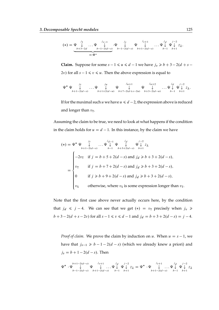$$
(*) = \underbrace{\Psi \downarrow}_{b+3-2d} \dots \Psi \downarrow}_{=: \Psi^* \downarrow}_{=: \Psi^*} \cdot \Psi \downarrow_{b-1-2(d-s)} \Psi \downarrow_{b+1-2(d-s)} \dots \Psi \downarrow_{b-1} \Psi \downarrow_{b+1} \dots \Psi \downarrow_{b+1} \Psi \downarrow_{b+1} \dots \downarrow_{b+1}
$$

**Claim.** Suppose for some  $s - 1 \le u \le d - 1$  we have  $j_v \ge b + 3 - 2(d + s - 1)$ 2v) for all  $s - 1 \le v \le u$ . Then the above expression is equal to

$$
\Psi^* \Psi \underset{b+1-2(d-s)}{\downarrow} \dots \Psi \underset{b+1+2(d-u)}{\downarrow} \Psi \underset{b+7-2(d+s-2u)}{\downarrow} \Psi \underset{b+3-2(d-u)}{\downarrow} \dots \Psi \underset{b-1}{\downarrow} \Psi \underset{b+1}{\downarrow} z_\lambda.
$$

If for the maximal such u we have  $u \le d - 2$ , the expression above is reduced and longer than  $v_T$ .

Assuming the claim to be true, we need to look at what happens if the condition in the claim holds for  $u = d - 1$ . In this instance, by the claim we have

$$
(*) = \Psi^* \Psi \downarrow \qquad \qquad \downarrow \qquad \downarrow \qquad \downarrow \qquad \downarrow \qquad \downarrow \qquad \downarrow \qquad \downarrow \qquad \downarrow \qquad \downarrow \qquad \downarrow \qquad \downarrow \qquad \downarrow \qquad \downarrow \qquad \downarrow \qquad \downarrow \qquad \downarrow \qquad \downarrow \qquad \downarrow \qquad \downarrow \qquad \downarrow \qquad \downarrow \qquad \downarrow \qquad \downarrow \qquad \downarrow \qquad \downarrow \qquad \downarrow \qquad \downarrow \qquad \downarrow
$$
\n
$$
= \begin{cases}\n-2v_{\text{T}} & \text{if } j = b + 5 + 2(d - s) \text{ and } j_d \geq b + 3 + 2(d - s), \\
v_{\text{T}} & \text{if } j = b + 7 + 2(d - s) \text{ and } j_d \geq b + 3 + 2(d - s), \\
0 & \text{if } j \geq b + 9 + 2(d - s) \text{ and } j_d \geq b + 3 + 2(d - s), \\
v_{\text{S}} & \text{otherwise, where } v_{\text{S}} \text{ is some expression longer than } v_{\text{T}}.\n\end{cases}
$$

Note that the first case above never actually occurs here, by the condition that  $j_d \le j - 4$ . We can see that we get  $(*) = v_T$  precisely when  $j_v \ge$  $b+3-2(d+s-2v)$  for all  $s-1 \le v \le d-1$  and  $j_d = b+3+2(d-s) = j-4$ .

*Proof of claim.* We prove the claim by induction on u. When  $u = s - 1$ , we have that  $j_{s-1} \ge b - 1 - 2(d - s)$  (which we already knew a priori) and  $j_s = b + 1 - 2(d - s)$ . Then

$$
\Psi^* \cdot \Psi \bigvee_{b-1-2(d-s)}^{b+1-2(d-s)} \Psi \bigvee_{b+1-2(d-s)}^{j_5+1} \dots \Psi \bigvee_{b-1}^{j_d} \Psi \bigvee_{b+1}^{j-2} z_{\lambda} = \Psi^* \cdot \Psi \bigvee_{b+1-2(d-s)}^{j_5+1} \dots \Psi \bigvee_{b-1}^{j_d} \Psi \bigvee_{b+1}^{j-2} z_{\lambda}
$$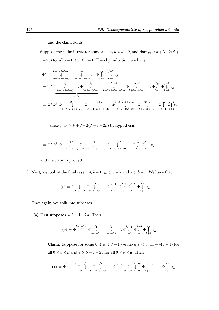and the claim holds.

Suppose the claim is true for some  $s - 1 \le u \le d - 2$ , and that  $j_v \ge b + 3 - 2(d + 1)$  $(s - 2v)$  for all  $s - 1 \le v \le u + 1$ . Then by induction, we have

‰ ‰ bC12.ds/ # b12.ds/ ‰ jsC1 # bC12.ds/ : : : ‰ jd # b1 ‰ j2 # bC1 z D ‰ ‰ js # bC12.ds/ : : : ‰ ju # bC1C2.du/ " ƒ' … DW‰ ‰ juC1 # bC72.dCs2u/ ‰ juC2 # bC32.du/ : : : ‰ jd # b1 ‰ j2 # bC1 z D ‰ ‰ ‰ juC1 # bC72.dCs2u/ ‰ juC2 # bC112.dCs2u/ ‰ bC52.dCs2u/ # bC32.du/ ‰ juC3 # bC52.du/ : : : ‰ jd # b1 ‰ j2 # bC1 z

since  $j_{u+1} \ge b + 7 - 2(d + s - 2u)$  by hypothesis

$$
= \Psi^* \Psi^{\dagger} \Psi \underset{b+3-2(d-u)}{\downarrow} \Psi \underset{b+11-2(d+s-2u)}{\downarrow} \Psi \underset{b+5-2(d-u)}{\downarrow} \Psi \underset{b+5-2(d-u)}{\downarrow} \dots \Psi \underset{b-1}{\downarrow} \Psi \underset{b+1}{\downarrow} z_{\lambda}
$$

and the claim is proved.

3. Next, we look at the final case,  $i \le b - 1$ ,  $j_d \ge j - 2$  and  $j \ge b + 5$ . We have that

$$
(*) = \Psi \downarrow \qquad \qquad \Psi \downarrow \qquad \qquad \downarrow \qquad \qquad \downarrow \qquad \qquad \downarrow \qquad \downarrow \qquad \downarrow \qquad \downarrow \qquad \downarrow \qquad \downarrow \qquad \downarrow \qquad \downarrow \qquad \downarrow \qquad \downarrow \qquad \downarrow \qquad \downarrow \qquad \downarrow \qquad \downarrow \qquad \downarrow \qquad \downarrow \qquad \downarrow \qquad \downarrow \qquad \downarrow \qquad \downarrow \qquad \downarrow \qquad \downarrow \qquad \downarrow \qquad \downarrow \qquad \downarrow \qquad \downarrow \qquad \downarrow \qquad \downarrow \qquad \downarrow \qquad \downarrow \qquad \downarrow \qquad \downarrow \qquad \downarrow \qquad \downarrow \qquad \downarrow \qquad \downarrow \qquad \downarrow \qquad \downarrow \qquad \downarrow \qquad \downarrow \qquad \downarrow \qquad \downarrow \qquad \downarrow \qquad \downarrow \qquad \downarrow \qquad \downarrow \qquad \downarrow \qquad \downarrow \qquad \downarrow \qquad \downarrow \qquad \downarrow \qquad \downarrow \qquad \downarrow \qquad \downarrow \qquad \downarrow \qquad \downarrow \qquad \downarrow \qquad \downarrow \qquad \downarrow \qquad \downarrow \qquad \downarrow \qquad \downarrow \qquad \downarrow \qquad \downarrow \qquad \downarrow \qquad \downarrow \qquad \downarrow \qquad \downarrow \qquad \downarrow \qquad \downarrow \qquad \downarrow \qquad \downarrow \qquad \downarrow \qquad \downarrow \qquad \downarrow \qquad \downarrow \qquad \downarrow \qquad \downarrow \qquad \downarrow \qquad \downarrow \qquad \downarrow \qquad \downarrow \qquad \downarrow \qquad \downarrow \qquad \downarrow \qquad \downarrow \qquad \downarrow \qquad \downarrow \qquad \downarrow \qquad \downarrow \qquad \downarrow \qquad \downarrow \qquad \downarrow \qquad \downarrow \qquad \downarrow \qquad \downarrow \qquad \downarrow \qquad \downarrow \qquad \downarrow \qquad \downarrow \qquad \downarrow \qquad \downarrow \qquad \downarrow \qquad \downarrow \qquad \downarrow \qquad \downarrow \qquad \downarrow \qquad \downarrow \qquad \downarrow \qquad \downarrow \qquad \downarrow \qquad \downarrow \qquad \downarrow \qquad \downarrow \qquad \downarrow \qquad \downarrow \qquad \downarrow \qquad \downarrow \qquad \downarrow \qquad \downarrow
$$

Once again, we split into subcases.

(a) First suppose  $i \le b + 1 - 2d$ . Then

$$
(*) = \Psi \uparrow \uparrow \psi \downarrow \qquad \qquad \Psi \downarrow \qquad \qquad \Psi \downarrow \qquad \qquad \psi \downarrow \qquad \qquad \dots \downarrow \qquad \qquad \Psi \downarrow \qquad \qquad \Psi \downarrow \qquad \Psi \downarrow \qquad \Psi \downarrow \qquad \qquad \mathcal{I}_{\lambda}.
$$

**Claim.** Suppose for some  $0 \le u \le d - 1$  we have  $j \le j_{d-v} + 4(v + 1)$  for all  $0 \le v \le u$  and  $j \ge b + 3 + 2v$  for all  $0 \le v \le u$ . Then

./ D ‰ b12d " i ‰ j1 # bC12d ‰ j2 # bC32d : : : ‰ jdu1 # b32u ‰ j64u # b12u ‰ jdu # bC12u : : : ‰ jd # bC1 z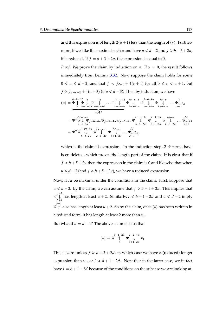and this expression is of length  $2(u + 1)$  less than the length of  $(*)$ . Furthermore, if we take the maximal such u and have  $u \le d - 2$  and  $j \ge b + 5 + 2u$ , it is reduced. If  $j = b + 3 + 2u$ , the expression is equal to 0.

*Proof.* We prove the claim by induction on u. If  $u = 0$ , the result follows immediately from Lemma [3.32.](#page-121-0) Now suppose the claim holds for some  $0 \le u \le d-2$ , and that  $j \le j_{d-v} + 4(v+1)$  for all  $0 \le v \le u+1$ , but  $j \ge j_{d-u-2} + 4(u+3)$  (if  $u \le d-3$ ). Then by induction, we have

./ D ‰ b12d " i ‰ j1 # bC12d ‰ j2 # bC32d : : : ‰ jdu2 # b52u " ƒ' … DW‰ ‰ jdu1 # b32u ‰ j64u # b12u ‰ jdu # bC12u : : : ‰ jd # bC1 z D ‰ ‰ jdu1 # j44u ‰j64u‰j84u‰j64u‰ j104u # b32u ‰ j84u # b12u ‰ jdu # bC12u : : : ‰ jd # bC1 z D ‰ ‰ j104u # b32u ‰ jdu1 # b12u ‰ jdu # bC12u : : : ‰ jd # bC1 z;

which is the claimed expression. In the induction step,  $2 \Psi$  terms have been deleted, which proves the length part of the claim. It is clear that if  $j < b+5+2u$  then the expression in the claim is 0 and likewise that when  $u \le d - 2$  (and  $j \ge b + 5 + 2u$ ), we have a reduced expression.

Now, let  $u$  be maximal under the conditions in the claim. First, suppose that  $u \le d - 2$ . By the claim, we can assume that  $j \ge b + 5 + 2u$ . This implies that  $\Psi \downarrow$ <sup>j-2</sup>  $\bigcup_{b+1}$  has length at least  $u + 2$ . Similarly,  $i \le b + 1 - 2d$  and  $u \le d - 2$  imply  $\Psi \uparrow$  also has length at least  $u + 2$ . So by the claim, once (\*) has been written in  $b-1$ i a reduced form, it has length at least 2 more than  $v_T$ .

But what if  $u = d - 1$ ? The above claim tells us that

$$
(*) = \Psi \underset{i}{\uparrow} \Psi \underset{b+1-2d}{\downarrow} v_T.
$$

This is zero unless  $j \ge b + 3 + 2d$ , in which case we have a (reduced) longer expression than  $v_T$ , or  $i \ge b + 1 - 2d$ . Note that in the latter case, we in fact have  $i = b + 1 - 2d$  because of the conditions on the subcase we are looking at.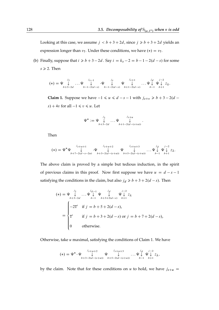Looking at this case, we assume  $j < b+3+2d$ , since  $j \ge b+3+2d$  yields an expression longer than  $v<sub>T</sub>$ . Under these conditions, we have  $(*) = v<sub>T</sub>$ .

(b) Finally, suppose that  $i \ge b + 3 - 2d$ . Say  $i = k_s - 2 = b - 1 - 2(d - s)$  for some  $s \ge 2$ . Then

$$
(*) = \Psi \downarrow^{j_1}_{b+3-2d} \dots \Psi \downarrow^{j_{s-1}}_{b-1-2(d-s)} \cdot \Psi \downarrow^{j_s}_{b-1-2(d-s)} \Psi \downarrow^{j_{s+1}}_{b+1-2(d-s)} \dots \Psi \downarrow^{j_d} \Psi \downarrow^{j-2}_{b-1} z_{\lambda}.
$$

**Claim 1.** Suppose we have  $-1 \le u \le d - s - 1$  with  $j_{s+v} \ge b + 3 - 2(d - s)$ s) + 4v for all  $-1 \le v \le u$ . Let

$$
\Psi^* := \Psi \downarrow \limits_{b+3-2d}^{j_1} \dots \Psi \downarrow \limits_{b+1-2(d-(s+u))}^{j_{s+u}}.
$$

Then

$$
(*) = \Psi^* \Psi \bigcup_{b+7-2(d-s-2u)}^{j_{s+u+1}} \Psi \bigcup_{b+3-2(d-(s+u))}^{j_{s+u+2}} \Psi \bigcup_{b+5-2(d-(s+u))}^{j_{s+u+3}} \dots \Psi \bigcup_{b-1}^{j_d} \Psi \bigcup_{b+1}^{j-2} z_{\lambda}.
$$

The above claim is proved by a simple but tedious induction, in the spirit of previous claims in this proof. Now first suppose we have  $u = d - s - 1$ satisfying the conditions in the claim, but also  $j_d \ge b + 3 + 2(d - s)$ . Then

$$
(*) = \Psi \downarrow^{j_1} \dots \Psi \downarrow^{j_{d-1}} \Psi \downarrow^{j_d} \Psi \downarrow^{j-2} z_{\lambda}
$$
  
\n
$$
= \begin{cases}\n-2T' & \text{if } j = b+5+2(d-s) \\
T' & \text{if } j = b+3+2(d-s) \\
0 & \text{otherwise.} \n\end{cases}
$$
  
\n
$$
= \begin{cases}\n-2T' & \text{if } j = b+3+2(d-s) \\
0 & \text{otherwise.}\n\end{cases}
$$

Otherwise, take  $u$  maximal, satisfying the conditions of Claim 1. We have

$$
(*) = \Psi^* \cdot \Psi \underset{b+3-2(d-(s+u))}{\downarrow} \Psi \underset{b+5-2(d-(s+u))}{\downarrow} \dots \Psi \underset{b+1}{\downarrow} \Psi \underset{b-1}{\downarrow} z_{\lambda},
$$

by the claim. Note that for these conditions on u to hold, we have  $j_{s+u}$  =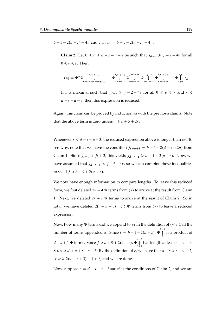$$
b+3-2(d-s)+4u
$$
 and  $j_{s+u+1} = b+5-2(d-s)+4u$ .

**Claim 2.** Let  $0 \le r \le d - s - u - 2$  be such that  $j_{d-v} \ge j - 2 - 4v$  for all  $0 \leq v \leq r$ . Then

$$
(*) = \Psi^* \Psi \underset{b+3-2(d-(s+u))}{\downarrow} \dots \Psi \underset{b-3-2r}{\downarrow} \Psi \underset{b-1-2r}{\downarrow} \Psi \underset{b+1-2r}{\downarrow} \Psi \underset{b+3-2r}{\downarrow} \dots \Psi \underset{b+1}{\downarrow} z_{\lambda}.
$$

If r is maximal such that  $j_{d-v} \geq j - 2 - 4v$  for all  $0 \leq v \leq r$  and  $r \leq$  $d - s - u - 3$ , then this expression is reduced.

Again, this claim can be proved by induction as with the previous claims. Note that the above term is zero unless  $j \ge b + 5 + 2r$ .

Whenever  $r \le d - s - u - 3$ , the reduced expression above is longer than  $v_T$ . To see why, note that we have the condition  $j_{s+u+1} = b + 5 - 2(d - s - 2u)$  from Claim 1. Since  $j_{i+1} \geq j_i + 2$ , this yields  $j_{d-r-1} \geq b + 1 + 2(u - r)$ . Now, we have assumed that  $j_{d-r-1} < j - 6 - 4r$ , so we can combine these inequalities to yield  $j \ge b + 9 + 2(u + r)$ .

We now have enough information to compare lengths. To leave this reduced form, we first deleted  $2u + 4 \Psi$  terms from  $(*)$  to arrive at the result from Claim 1. Next, we deleted  $2r + 2 \Psi$  terms to arrive at the result of Claim 2. So in total, we have deleted  $2(r + u + 3) =: \delta \Psi$  terms from  $(*)$  to leave a reduced expression.

Now, how many  $\Psi$  terms did we append to  $v<sub>T</sub>$  in the definition of  $(*)$ ? Call the number of terms appended  $\alpha$ . Since  $i = b - 1 - 2(d - s)$ ,  $\Psi \uparrow$  $\biguparrow_i$  is a product of  $d - s + 1 \Psi$  terms. Since  $j \ge b + 9 + 2(u + r)$ ,  $\Psi \downarrow^{j-2}$  $\int_{b+1}^{\infty}$  has length at least  $4 + u + r$ . So,  $\alpha \ge d + u + r - s + 5$ . By the definition of r, we have that  $d - s \ge r + u + 2$ , so  $\alpha \geq 2(u + r + 3) + 1 > \delta$ , and we are done.

Now suppose  $r = d - s - u - 2$  satisfies the conditions of Claim 2, and we are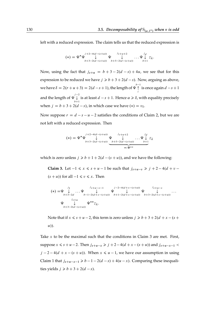left with a reduced expression. The claim tells us that the reduced expression is

$$
(*) = \Psi^* \Psi \bigvee_{b+3-2(d-(s+u))}^{j+2-4(d-(s+u))} \Psi \bigvee_{b+5-2(d-(s+u))}^{j_{s+u+2}} \dots \Psi \bigvee_{b+1}^{j_d} z_{\lambda}.
$$

Now, using the fact that  $j_{s+u} = b + 3 - 2(d - s) + 4u$ , we see that for this expression to be reduced we have  $j \ge b + 3 + 2(d - s)$ . Now, arguing as above, we have  $\delta = 2(r+u+3) = 2(d-s+1)$ , the length of  $\Psi \uparrow$  is once again  $d-s+1$ i and the length of  $\stackrel{j-2}{\downarrow}$  $\int_{b+1}^{\infty}$  is at least  $d - s + 1$ . Hence  $\alpha \geqslant \delta$ , with equality precisely when  $j = b + 3 + 2(d - s)$ , in which case we have  $(*) = v_T$ .

Now suppose  $r = d - s - u - 2$  satisfies the conditions of Claim 2, but we are not left with a reduced expression. Then

$$
(*) = \Psi^* \Psi \bigcup_{b+3-2(d-(s+u))}^{j+2-4(d-(s+u))} \Psi \bigcup_{b+5-2(d-(s+u))}^{j_{s+u+2}} \dots \Psi \bigcup_{b+1}^{j_d} z_{\lambda}
$$
  
=:\Psi\*\*

which is zero unless  $j \ge b + 1 + 2(d - (s + u))$ , and we have the following:

**Claim 3.** Let  $-1 \le x \le s + u - 1$  be such that  $j_{s+u-v} \ge j + 2 - 4(d + v - 1)$  $(s + u)$  for all  $-1 \le v \le x$ . Then

$$
(*) = \Psi \downarrow \dots \Psi \downarrow \qquad \qquad \downarrow \qquad \qquad \downarrow \qquad \qquad \downarrow \qquad \qquad \downarrow \qquad \qquad \downarrow \qquad \downarrow \qquad \downarrow \qquad \downarrow \qquad \downarrow \qquad \downarrow \qquad \downarrow \qquad \downarrow \qquad \downarrow \qquad \downarrow \qquad \downarrow \qquad \downarrow \qquad \downarrow \qquad \cdots \qquad \downarrow \qquad \downarrow \qquad \cdots \qquad \downarrow \qquad \downarrow \qquad \downarrow \qquad \cdots \qquad \downarrow \qquad \downarrow \qquad \cdots \qquad \downarrow \qquad \downarrow \qquad \cdots \qquad \downarrow \qquad \downarrow \qquad \cdots \qquad \downarrow \qquad \downarrow \qquad \downarrow \qquad \downarrow \qquad \downarrow \qquad \qquad \downarrow \qquad \downarrow \qquad \downarrow \qquad \downarrow \qquad \downarrow \qquad \downarrow \qquad \downarrow \qquad \downarrow \qquad \downarrow \qquad \downarrow \qquad \downarrow \qquad \downarrow \qquad \downarrow \qquad \downarrow \qquad \downarrow \qquad \downarrow \qquad \downarrow \qquad \downarrow \qquad \downarrow \qquad \downarrow \qquad \downarrow \qquad \downarrow \qquad \downarrow \qquad \downarrow \qquad \downarrow \qquad \downarrow \qquad \downarrow \qquad \downarrow \qquad \downarrow \qquad \downarrow \qquad \downarrow \qquad \downarrow \qquad \downarrow \qquad \downarrow \qquad \downarrow \qquad \downarrow \qquad \downarrow \qquad \downarrow \qquad \downarrow \qquad \downarrow \qquad \downarrow \qquad \downarrow \qquad \downarrow \qquad \downarrow \qquad \downarrow \qquad \downarrow \qquad \downarrow \qquad \downarrow \qquad \downarrow \qquad \downarrow \qquad \downarrow \qquad \downarrow \qquad \downarrow \qquad \downarrow \qquad \downarrow \qquad \downarrow \qquad \downarrow \qquad \downarrow \qquad \downarrow \qquad \downarrow \qquad \downarrow \qquad \downarrow \qquad \downarrow \qquad \downarrow \qquad \downarrow \qquad \downarrow \qquad \downarrow \qquad \downarrow \qquad \downarrow \qquad \downarrow \qquad \downarrow \qquad \downarrow \qquad \downarrow \qquad \downarrow \qquad \downarrow \qquad \downarrow \qquad \downarrow \qquad \downarrow \qquad \downarrow \qquad \downarrow \qquad \downarrow \qquad \downarrow \
$$

Note that if  $x \le s + u - 2$ , this term is zero unless  $j \ge b + 3 + 2(d + x - (s +$  $u$ ).

Take  $x$  to be the maximal such that the conditions in Claim 3 are met. First, suppose  $x \le s + u - 2$ . Then  $j_{s+u-x} \ge j + 2 - 4(d + x - (s + u))$  and  $j_{s+u-x-1}$  $j - 2 - 4(d + x - (s + u))$ . When  $x \le u - 1$ , we have our assumption in using Claim 1 that  $j_{s+u-x-1} \ge b - 1 - 2(d - s) + 4(u - x)$ . Comparing these inequalities yields  $j \ge b + 3 + 2(d - s)$ .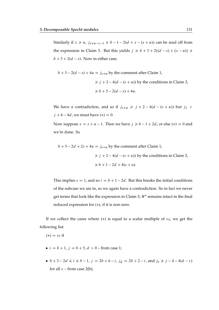Similarly if  $x \ge u$ ,  $j_{s+u-x-1} \ge b-1-2(d+x-(s+u))$  can be read off from the expression in Claim 3. But this yields  $j \ge b + 3 + 2((d - s) + (x - u)) \ge$  $b + 3 + 2(d - s)$ . Now in either case,

$$
b+3-2(d-s)+4u = j_{s+u} \text{ by the comment after Claim 1,}
$$
  
\n
$$
\geq j+2-4(d-(s+u)) \text{ by the conditions in Claim 3,}
$$
  
\n
$$
\geq b+5-2(d-s)+4u.
$$

We have a contradiction, and so if  $j_{s+u} \geq j + 2 - 4(d - (s + u))$  but  $j_1$  <  $j + 6 - 4d$ , we must have  $(*) = 0$ .

Now suppose  $x = s + u - 1$ . Then we have  $j \ge b - 1 + 2d$ , or else  $(*) = 0$  and we're done. So

$$
b+3-2d+2s+4u = j_{s+u}
$$
 by the comment after Claim 1,  
\n $\ge j+2-4(d-(s+u))$  by the conditions in Claim 3,  
\n $\ge b+1-2d+4(s+u)$ .

This implies  $s = 1$ , and so  $i = b + 1 - 2d$ . But this breaks the initial conditions of the subcase we are in, so we again have a contradiction. So in fact we never get terms that look like the expression in Claim 3;  $\Psi^*$  remains intact in the final reduced expression for  $(*)$ , if it is non-zero.

If we collect the cases where  $(*)$  is equal to a scalar multiple of  $v<sub>T</sub>$ , we get the following list:

$$
(*) = v_T \text{ if }
$$

- $i = b + 1$ ,  $j = b + 5$ ,  $d > 0$  from case 1;
- $b + 3 2d \le i \le b 1$ ,  $j = 2b + 6 i$ ,  $j_d = 2b + 2 i$ , and  $j_v \ge j 4 4(d v)$ for all  $v$  – from case 2(b);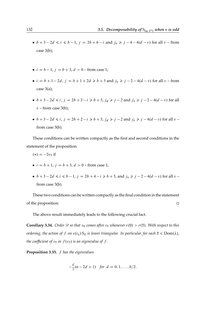- $b + 3 2d \le i \le b 1$ ,  $j = 2b + 6 i$  and  $j_v \ge j 4 4(d v)$  for all v from case 3(b);
- $i = b 1$ ,  $j = b + 3$ ,  $d > 0$  from case 1;
- $i = b + 1 2d$ ,  $j = b + 1 + 2d \ge b + 5$  and  $j_v \ge j 2 4(d v)$  for all v from case 3(a);
- $b + 3 2d \le i$ ,  $j = 2b + 2 i \ge b + 5$ ,  $j_d \ge j 2$  and  $j_v \ge j 2 4(d v)$  for all  $v$  – from case 3(b);
- $b + 3 2d \le i$ ,  $j = 2b + 2 i \ge b + 5$ ,  $j_d \ge j 2$  and  $j_v \ge j 4(d v)$  for all  $v$ from case 3(b).

These conditions can be written compactly as the first and second conditions in the statement of the proposition.

- $(*) = -2v_T$  if
- $i = b + 1$ ,  $j = b + 3$ ,  $d > 0$  from case 1;
- $b + 3 2d \le i \le b 1$ ,  $j = 2b + 4 i \ge b + 5$ , and  $j_v \ge j 2 4(d v)$  for all  $v$ from case 3(b).

These two conditions can be written compactly as the final condition in the statement of the proposition.  $\Box$ 

The above result immediately leads to the following crucial fact.

**Corollary 3.34.** *Order*  $\mathscr D$  *so that*  $v_U$  *comes after*  $v_T$  *whenever*  $r(U) > r(T)$ *. With respect to this ordering, the action of* f *on*  $e(i_\lambda) S_\lambda$  *is lower triangular. In particular, for each*  $T \in Dom(\lambda)$ *, the coefficient of*  $v<sub>T</sub>$  *in*  $f(v<sub>T</sub>)$  *is an eigenvalue of*  $f$ *.* 

**Proposition 3.35.** f *has the eigenvalues*

$$
-\frac{d}{2}(n-2d+1) \text{ for } d = 0, 1, ..., b/2.
$$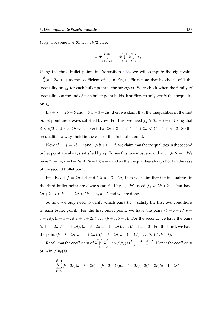*Proof.* Fix some  $d \in \{0, 1, ..., b/2\}$ . Let

$$
v_{\mathrm{T}} = \Psi \bigvee_{b+3-2d}^{n-2d} \dots \Psi \bigvee_{b-1}^{n-4} \Psi \bigvee_{b+1}^{n-2} z_{\lambda}.
$$

Using the three bullet points in Proposition [3.33,](#page-122-0) we will compute the eigenvalue  $\frac{d}{ }$  $\frac{a}{2}(n-2d+1)$  as the coefficient of  $v<sub>T</sub>$  in  $f(v<sub>T</sub>)$ . First, note that by choice of T the inequality on  $j_d$  for each bullet point is the strongest. So to check when the family of inequalities at the end of each bullet point holds, it suffices to only verify the inequality on  $j_d$ .

If  $i + j = 2b + 6$  and  $i \ge b + 3 - 2d$ , then we claim that the inequalities in the first bullet point are always satisfied by  $v<sub>T</sub>$ . For this, we need  $j<sub>d</sub> \ge 2b + 2 - i$ . Using that  $d \le b/2$  and  $n > 2b$  we also get that  $2b + 2 - i \le b - 1 + 2d \le 2b - 1 \le n - 2$ . So the inequalities always hold in the case of the first bullet point.

Now, if  $i + j = 2b + 2$  and  $i \ge b + 1 - 2d$ , we claim that the inequalities in the second bullet point are always satisfied by  $v_T$ . To see this, we must show that  $j_d \ge 2b - i$ . We have  $2b - i \le b - 1 + 2d \le 2b - 1 \le n - 2$  and so the inequalities always hold in the case of the second bullet point.

Finally,  $i + j = 2b + 4$  and  $i \ge b + 3 - 2d$ , then we claim that the inequalities in the third bullet point are always satisfied by  $v<sub>T</sub>$ . We need  $j<sub>d</sub> \ge 2b + 2 - i$  but have  $2b + 2 - i \le b - 1 + 2d \le 2b - 1 \le n - 2$  and we are done.

So now we only need to verify which pairs  $(i, j)$  satisfy the first two conditions in each bullet point. For the first bullet point, we have the pairs  $(b + 3 - 2d, b + c)$  $3 + 2d$ ,  $(b + 5 - 2d, b + 1 + 2d)$ , ...,  $(b + 1, b + 5)$ . For the second, we have the pairs  $(b+1-2d, b+1+2d), (b+3-2d, b-1-2d), \ldots, (b-1, b+3)$ . For the third, we have the pairs  $(b + 3 - 2d, b + 1 + 2d), (b + 5 - 2d, b - 1 + 2d), \ldots, (b + 1, b + 3)$ .

Recall that the coefficient of  $\Psi^{\overset{b-1}{\uparrow}}$  $\bigwedge_i^{-1} \Psi \bigvee_{b+1}^{j-2}$  $\int_{b+1}^{j-2} \ln f(z_{\lambda})$  is  $\frac{i-1}{2} \cdot \frac{n+2-j}{2}$  $\frac{2}{2}$ . Hence the coefficient of  $v_T$  in  $f(v_T)$  is

$$
\frac{1}{4}\sum_{r=0}^{d-1}(b-2r)(a-3-2r)+(b-2-2r)(a-1-2r)-2(b-2r)(a-1-2r)
$$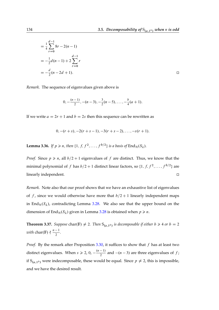$$
= \frac{1}{4} \sum_{r=0}^{d-1} 8r - 2(n-1)
$$
  
=  $-\frac{1}{2}d(n-1) + 2 \sum_{r=0}^{d-1} r$   
=  $-\frac{d}{2}(n-2d+1)$ .

*Remark.* The sequence of eigenvalues given above is

$$
0, -\frac{(n-1)}{2}, -(n-3), -\frac{3}{2}(n-5), \ldots, -\frac{b}{4}(a+1).
$$

If we write  $a = 2r + 1$  and  $b = 2s$  then this sequence can be rewritten as

$$
0, -(r+s), -2(r+s-1), -3(r+s-2), \ldots, -s(r+1).
$$

**Lemma 3.36.** *If*  $p \ge n$ , then  $\{1, f, f^2, \ldots, f^{b/2}\}$  is a basis of  $\text{End}_{\mathcal{H}}(S_\lambda)$ .

*Proof.* Since  $p \ge n$ , all  $b/2 + 1$  eigenvalues of f are distinct. Thus, we know that the minimal polynomial of f has  $b/2+1$  distinct linear factors, so  $\{1, f, f^2, \ldots, f^{b/2}\}$  are linearly independent.

*Remark.* Note also that our proof shows that we have an exhaustive list of eigenvalues of f, since we would otherwise have more that  $b/2 + 1$  linearly independent maps in End<sub>H</sub> $(S_{\lambda})$ , contradicting Lemma [3.28.](#page-115-2) We also see that the upper bound on the dimension of End<sub>H</sub> $(S_{\lambda})$  given in Lemma [3.28](#page-115-2) is obtained when  $p \ge n$ .

**Theorem 3.37.** Suppose char( $F$ )  $\neq$  2. Then  $S_{(a,1^b)}$  is decomposable if either  $b \ge 4$  or  $b = 2$ *with* char(**F**)  $\nmid \frac{n-1}{2}$  $\frac{1}{2}$ .

*Proof.* By the remark after Proposition  $3.30$ , it suffices to show that  $f$  has at least two distinct eigenvalues. When  $s \ge 2$ , 0,  $-\frac{(n-1)}{2}$  $\frac{(-1)}{2}$  and  $-(n-3)$  are three eigenvalues of f; if  $S_{(a,1^b)}$  were indecomposable, these would be equal. Since  $p \neq 2$ , this is impossible, and we have the desired result.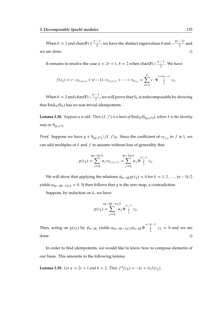When  $b = 2$  and char(F)  $\frac{n-1}{2}$  $\frac{-1}{2}$ , we have the distinct eigenvalues 0 and  $-\frac{(n-1)}{2}$  $\frac{1}{2}$  and we are done.

It remains to resolve the case  $a = 2r + 1$ ,  $b = 2$  when char.  $\boxed{\mathbb{F}}$   $\boxed{\frac{n-1}{2}}$  $\frac{1}{2}$ . We have

$$
f(z_{\lambda}) = r \cdot v_{T_{3,b+3}} + (r-1) \cdot v_{T_{3,b+5}} + \dots + v_{T_{3,n}} = \sum_{c=1}^{r} c \cdot \Psi \bigvee_{3}^{3+2(r-c)} z_{\lambda}.
$$

When  $b = 2$  and char(F)  $\frac{n-1}{2}$  $\frac{1}{2}$ , we will prove that  $S_\lambda$  is indecomposable by showing that End $_{\mathcal{H}}(S_{\lambda})$  has no non-trivial idempotents.

**Lemma 3.38.** Suppose a is odd. Then  $\{I, f\}$  is a basis of  $\text{End}_{\mathcal{H}}(\mathsf{S}_{(a,1^2)})$ , where I is the identity *map on*  $S_{(a,1^2)}$ .

*Proof.* Suppose we have  $g \in S_{(a,1^2)} \setminus \{I, f\}_F$ . Since the coefficient of  $v_{T_{3,n}}$  in f is 1, we can add multiples of  $I$  and  $f$  to assume without loss of generality that

$$
g(z_{\lambda}) = \sum_{j=2}^{(n-3)/2} \alpha_j v_{T_{3,2j+1}} = \sum_{j=2}^{(n-3)/2} \alpha_j \Psi^{2j-1}_{\frac{1}{3}} z_{\lambda}.
$$

We will show that applying the relations  $\psi_{n-2k}g(z_{\lambda}) = 0$  for  $k = 1, 2, ..., (n-5)/2$ yields  $\alpha_{(n-2k-1)/2} = 0$ . It then follows that g is the zero map, a contradiction.

Suppose, by induction on  $k$ , we have

$$
g(z_{\lambda}) = \sum_{j=2}^{(n-2k-1)/2} \alpha_j \Psi_{\downarrow}^{2j-1} z_{\lambda}.
$$

Then, acting on  $g(z_\lambda)$  by  $\psi_{n-2k}$  yields  $\alpha_{(n-2k-1)/2} \psi_{n-2k} \Psi^{n-2k-2}$  $\int_{3}^{\infty} z_{\lambda} = 0$  and we are done.

In order to find idempotents, we would like to know how to compose elements of our basis. This amounts to the following lemma.

<span id="page-134-0"></span>**Lemma 3.39.** Let  $a = 2r + 1$  and  $b = 2$ . Then  $f^2(z_\lambda) = -(r + 1)f(z_\lambda)$ .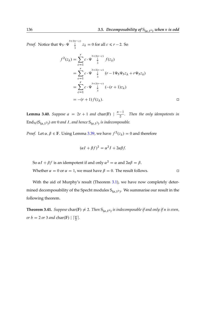*Proof.* Notice that  $\Psi_3 \cdot \Psi \downarrow^{3+2(r-c)}$  $\int_{3}^{8} z_{\lambda} = 0$  for all  $c \le r - 2$ . So

$$
f^{2}(z_{\lambda}) = \sum_{c=1}^{r} c \cdot \Psi \bigvee_{3}^{3+2(r-c)} f(z_{\lambda})
$$
  
= 
$$
\sum_{c=1}^{r} c \cdot \Psi \bigvee_{3}^{3+2(r-c)} (r - 1\Psi_{5}\Psi_{3}z_{\lambda} + r\Psi_{3}z_{\lambda})
$$
  
= 
$$
\sum_{c=1}^{r} c \cdot \Psi \bigvee_{3}^{3+2(r-c)} (-(r + 1)z_{\lambda})
$$
  
= 
$$
-(r + 1) f(z_{\lambda}).
$$

**Lemma 3.40.** *Suppose*  $a = 2r + 1$  *and* char(**F**)  $\left| \frac{n-1}{2} \right|$ 2 *. Then the only idempotents in*  $\mathrm{End}_{\mathcal{H}}(\mathrm{S}_{(a,1^2)})$  are 0 and *I*, and hence  $\mathrm{S}_{(a,1^2)}$  is indecomposable.

*Proof.* Let  $\alpha, \beta \in \mathbb{F}$ . Using Lemma [3.39,](#page-134-0) we have  $f^2(z_\lambda) = 0$  and therefore

$$
(\alpha I + \beta f)^2 = \alpha^2 I + 2\alpha\beta f.
$$

So  $\alpha I + \beta f$  is an idempotent if and only  $\alpha^2 = \alpha$  and  $2\alpha\beta = \beta$ . Whether  $\alpha = 0$  or  $\alpha = 1$ , we must have  $\beta = 0$ . The result follows.

With the aid of Murphy's result (Theorem [3.1\)](#page-81-0), we have now completely determined decomposability of the Specht modules  $S_{(a,1^b)}$ . We summarise our result in the following theorem.

**Theorem 3.41.** Suppose char(F)  $\neq$  2. Then  $S_{(a,1^b)}$  is indecomposable if and only if n is even, *or*  $b = 2$  *or* 3 *and* char(**F**)  $| \left\lceil \frac{a}{2} \right\rceil$ .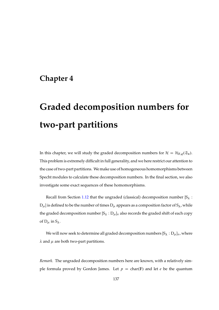## **Chapter 4**

# **Graded decomposition numbers for two-part partitions**

In this chapter, we will study the graded decomposition numbers for  $\mathcal{H} = \mathcal{H}_{F,q}(\mathfrak{S}_n)$ . This problem is extremely difficult in full generality, and we here restrict our attention to the case of two-part partitions. We make use of homogeneous homomorphisms between Specht modules to calculate these decomposition numbers. In the final section, we also investigate some exact sequences of these homomorphisms.

Recall from Section [1.12](#page-42-0) that the ungraded (classical) decomposition number  $[S_\lambda :$  ${\rm D}_\mu$  ] is defined to be the number of times  ${\rm D}_\mu$  appears as a composition factor of  ${\rm S}_\lambda$  , while the graded decomposition number  $[S_\lambda : D_\mu]_v$  also records the graded shift of each copy of  $D_{\mu}$  in  $S_{\lambda}$ .

We will now seek to determine all graded decomposition numbers  $[S_{\lambda}:D_{\mu}]_{\nu}$ , where  $\lambda$  and  $\mu$  are both two-part partitions.

*Remark.* The ungraded decomposition numbers here are known, with a relatively simple formula proved by Gordon James. Let  $p = char(F)$  and let e be the quantum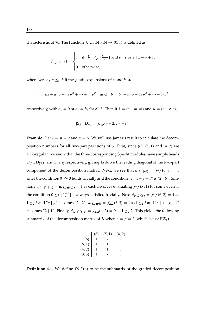characteristic of H. The function  $f_{e,p} : \mathbb{N} \times \mathbb{N} \to \{0, 1\}$  is defined as

$$
f_{e,p}(x, y) = \begin{cases} 1 & \text{if } \lfloor \frac{y}{e} \rfloor \leq p \lfloor \frac{x+1}{e} \rfloor \text{ and } e \mid y \text{ or } e \mid x - y + 1, \\ 0 & \text{otherwise,} \end{cases}
$$

where we say  $a \leq p b$  if the *p*-adic expansions of *a* and *b* are

$$
a = a_0 + a_1 p + a_2 p^2 + \dots + a_r p^r
$$
 and  $b = b_0 + b_1 p + b_2 p^2 + \dots + b_t p^t$ 

respectively, with  $a_i = 0$  or  $a_i = b_i$  for all i. Then if  $\lambda = (n - m, m)$  and  $\mu = (n - r, r)$ ,

$$
[S_{\lambda}:D_{\mu}]=f_{e,p}(n-2r,m-r).
$$

**Example.** Let  $e = p = 2$  and  $n = 6$ . We will use James's result to calculate the decomposition numbers for all two-part partitions of 6. First, since  $(6)$ ,  $(5, 1)$  and  $(4, 2)$  are all 2-regular, we know that the three corresponding Specht modules have simple heads  $D_{(6)}$ ,  $D_{(5,1)}$  and  $D_{(4,2)}$  respectively, giving 1s down the leading diagonal of the two-part component of the decomposition matrix. Next, we see that  $d_{(5,1)(6)} = f_{2,2}(6, 1) = 1$ since the condition  $0 \leq_2 3$  holds trivially and the condition "e | x – y + 1" is "2 | 6". Similarly,  $d_{(4,2)(5,1)} = d_{(3,3)(4,2)} = 1$  as each involves evaluating  $f_{2,2}(x, 1)$  for some even x; the condition  $0 \leq_2 \left\lfloor \frac{x+1}{e} \right\rfloor$  $\frac{+1}{e}$ ] is always satisfied trivially. Next  $d_{(4,2)(6)} = f_{2,2}(6,2) = 1$  as  $1 \nless 2$  3 and "e | y" becomes "2 | 2".  $d_{(3,3)(6)} = f_{2,2}(6,3) = 1$  as  $1 \leq_2 3$  and "e |  $x - y + 1$ " becomes "2 | 4". Finally,  $d_{(3,3)(5,1)} = f_{2,2}(4,2) = 0$  as 1  $\neq_2$  2. This yields the following submatrix of the decomposition matrix of H when  $e = p = 2$  (which is just  $\mathbb{F}\mathfrak{S}_6$ ).

|                                  | (6) | (5, 1) | (4, 2) |
|----------------------------------|-----|--------|--------|
| (6)                              |     |        |        |
|                                  |     |        |        |
|                                  |     |        |        |
| $(5, 1)$<br>$(4, 2)$<br>$(3, 3)$ |     |        |        |

**Definition 4.1.** We define  $D_2^{e,p}$  $e^{i\theta}$ ,  $p(v)$  to be the submatrix of the graded decomposition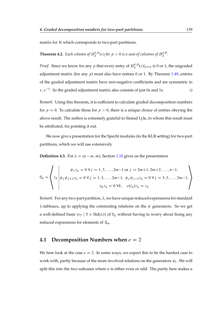matrix for  $H$  which corresponds to two-part partitions.

#### <span id="page-138-0"></span>**Theorem 4.2.** *Each column of*  $D_2^{e,p}$  $e^{e,p}_{2}(v)$  for  $p > 0$  is a sum of columns of  $D_2^{e,0}$  $\frac{e}{2}$ .

*Proof.* Since we know for any p that every entry of  $D_2^{e,p}$  $\binom{e, p}{2}(v)|_{v=1}$  is 0 or 1, the ungraded adjustment matrix (for any  $p$ ) must also have entries 0 or 1. By Theorem [1.49,](#page-43-0) entries of the graded adjustment matrix have non-negative coefficients and are symmetric in  $v, v^{-1}$ . So the graded adjustment matrix also consists of just 0s and 1s.

*Remark.* Using this theorem, it is sufficient to calculate graded decomposition numbers for  $p = 0$ . To calculate those for  $p > 0$ , there is a unique choice of entries obeying the above result. The author is extremely grateful to Sinéad Lyle, to whom this result must be attributed, for pointing it out.

We now give a presentation for the Specht modules (in the KLR setting) for two-part partitions, which we will use extensively.

**Definition 4.3.** For  $\lambda = (n - m, m)$ , Section [1.10](#page-32-0) gives us the presentation

$$
S_{\lambda} = \begin{cases} \n\psi_j z_{\lambda} = 0 \,\forall j = 1, 3, ..., 2m-1 \text{ or } j = 2m+1, 2m+2, ..., n-1, \\
\psi_j \psi_{j+1} z_{\lambda} = 0 \,\forall j = 1, 3, ..., 2m-1, \psi_j \psi_{j-1} z_{\lambda} = 0 \,\forall j = 3, 5, ..., 2m-1, \\
y_k z_{\lambda} = 0 \,\forall k, \quad e(i_{\lambda}) z_{\lambda} = z_{\lambda} \n\end{cases}
$$

*Remark.* For any two-part partition,  $\lambda$ , we have unique reduced expressions for standard  $\lambda$ -tableaux, up to applying the commuting relations on the  $\psi$  generators. So we get a well-defined basis  $\{v_T \mid T \in \text{Std}(\lambda)\}\$  of  $S_\lambda$  without having to worry about fixing any reduced expressions for elements of  $\mathfrak{S}_n$ .

### **4.1 Decomposition Numbers when**  $e = 2$

We here look at the case  $e = 2$ . In some ways, we expect this to be the hardest case to work with, partly because of the more involved relations on the generators  $\psi_i$ . We will split this into the two subcases where  $n$  is either even or odd. The parity here makes a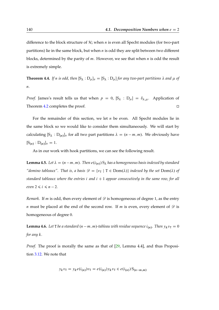difference to the block structure of  $H$ ; when *n* is even all Specht modules (for two-part partitions) lie in the same block, but when  $n$  is odd they are split between two different blocks, determined by the parity of  $m$ . However, we see that when  $n$  is odd the result is extremely simple.

**Theorem 4.4.** If n is odd, then  $[S_\lambda : D_\mu]_v = [S_\lambda : D_\mu]$  for any two-part partitions  $\lambda$  and  $\mu$  of n*.*

*Proof.* James's result tells us that when  $p = 0$ ,  $[S_{\lambda} : D_{\mu}] = \delta_{\lambda,\mu}$ . Application of Theorem [4.2](#page-138-0) completes the proof.

For the remainder of this section, we let  $n$  be even. All Specht modules lie in the same block so we would like to consider them simultaneously. We will start by calculating  $[S_{\lambda}: D_{(n)}]_{\nu}$  for all two part partitions  $\lambda = (n - m, m)$ . We obviously have  $[S_{(n)}:D_{(n)}]_v = 1.$ 

As in our work with hook partitions, we can see the following result.

**Lemma 4.5.** *Let*  $\lambda = (n-m, m)$ *. Then*  $e(i_{(n)}) S_{\lambda}$  *has a homogeneous basis indexed by standard "domino tableaux". That is, a basis*  $\mathcal{D} = \{v_T | T \in Dom(\lambda)\}\$  *indexed by the set*  $Dom(\lambda)$  *of standard tableaux where the entries i and*  $i + 1$  *appear consecutively in the same row, for all even*  $2 \le i \le n - 2$ *.* 

*Remark.* If *m* is odd, then every element of  $\mathscr{D}$  is homogeneous of degree 1, as the entry *n* must be placed at the end of the second row. If *m* is even, every element of  $\mathscr{D}$  is homogeneous of degree 0.

**Lemma 4.6.** Let T be a standard  $(n - m, m)$ -tableau with residue sequence  $i_{(n)}$ . Then  $y_k v_T = 0$ *for any* k*.*

*Proof.* The proof is morally the same as that of  $[29,$  Lemma 4.4], and thus Proposition [3.12.](#page-86-0) We note that

$$
y_k v_{\rm T} = y_k e(i_{(n)}) v_{\rm T} = e(i_{(n)}) y_k v_{\rm T} \in e(i_{(n)}) S_{(n-m,m)}
$$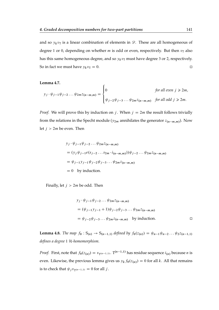and so  $y_k v_T$  is a linear combination of elements in  $\mathscr{D}$ . These are all homogeneous of degree 1 or 0, depending on whether *m* is odd or even, respectively. But then  $v<sub>T</sub>$  also has this same homogeneous degree, and so  $y_kv_T$  must have degree 3 or 2, respectively. So in fact we must have  $y_k v_T = 0$ .

<span id="page-140-0"></span>**Lemma 4.7.**

$$
y_j \cdot \psi_{j-1} \psi_{j-2} \dots \psi_{2m} z_{(n-m,m)} = \begin{cases} 0 & \text{for all even } j \ge 2m, \\ \psi_{j-2} \psi_{j-3} \dots \psi_{2m} z_{(n-m,m)} & \text{for all odd } j \ge 2m. \end{cases}
$$

*Proof.* We will prove this by induction on j. When  $j = 2m$  the result follows trivially from the relations in the Specht module ( $y_{2m}$  annihilates the generator  $z_{(n-m,m)}$ ). Now let  $j > 2m$  be even. Then

$$
y_j \cdot \psi_{j-1} \psi_{j-2} \dots \psi_{2m} z_{(n-m,m)}
$$
  
=  $(y_j \psi_{j-1} e(s_{j-2} \dots s_{2m} \cdot i_{(n-m,m)})) \psi_{j-2} \dots \psi_{2m} z_{(n-m,m)}$   
=  $\psi_{j-1} y_{j-1} \psi_{j-2} \psi_{j-3} \dots \psi_{2m} z_{(n-m,m)}$   
= 0 by induction.

Finally, let  $j > 2m$  be odd. Then

$$
y_j \cdot \psi_{j-1} \psi_{j-2} \dots \psi_{2m} z_{(n-m,m)}
$$
  
=  $(\psi_{j-1} y_{j-1} + 1) \psi_{j-2} \psi_{j-3} \dots \psi_{2m} z_{(n-m,m)}$   
=  $\psi_{j-2} \psi_{j-3} \dots \psi_{2m} z_{(n-m,m)}$  by induction.

<span id="page-140-1"></span>**Lemma 4.8.** *The map*  $f_0$  :  $S_{(n)} \to S_{(n-1,1)}$  *defined by*  $f_0(z_{(n)}) = \psi_{n-1} \psi_{n-2} \dots \psi_2 z_{(n-1,1)}$ *defines a degree* 1 H*-homomorphism.*

*Proof.* First, note that  $f_0(z_{(n)}) = v_{T^{(n-1,1)}}$ . T<sup>(n-1,1)</sup> has residue sequence  $i_{(n)}$  because n is even. Likewise, the previous lemma gives us  $y_k f_0(z_{(n)}) = 0$  for all k. All that remains is to check that  $\psi_j v_{\text{T}(n-1,1)} = 0$  for all j.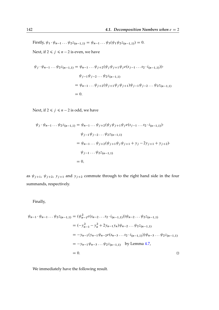Firstly,  $\psi_1 \cdot \psi_{n-1} \dots \psi_2 z_{(n-1,1)} = \psi_{n-1} \dots \psi_3(\psi_1 \psi_2 z_{(n-1,1)}) = 0.$ 

Next, if  $2 \le j \le n - 2$  is even, we have

$$
\psi_j \cdot \psi_{n-1} \dots \psi_{2} z_{(n-1,1)} = \psi_{n-1} \dots \psi_{j+2} (\psi_j \psi_{j+1} \psi_j e(s_{j-1} \dots s_2 \cdot i_{(n-1,1)})).
$$
  

$$
\psi_{j-1} \psi_{j-2} \dots \psi_{2} z_{(n-1,1)}
$$
  

$$
= \psi_{n-1} \dots \psi_{j+2} (\psi_{j+1} \psi_j \psi_{j+1}) \psi_{j-1} \psi_{j-2} \dots \psi_{2} z_{(n-1,1)}
$$
  

$$
= 0.
$$

Next, if  $2 \le j \le n - 2$  is odd, we have

$$
\psi_j \cdot \psi_{n-1} \dots \psi_{2} z_{(n-1,1)} = \psi_{n-1} \dots \psi_{j+2} (\psi_j \psi_{j+1} \psi_j e(s_{j-1} \dots s_2 \cdot i_{(n-1,1)}))
$$
  
\n
$$
\psi_{j-1} \psi_{j-2} \dots \psi_{2} z_{(n-1,1)}
$$
  
\n
$$
= \psi_{n-1} \dots \psi_{j+2} (\psi_{j+1} \psi_j \psi_{j+1} + y_j - 2y_{j+1} + y_{j+2})
$$
  
\n
$$
\psi_{j-1} \dots \psi_{2} z_{(n-1,1)}
$$
  
\n
$$
= 0,
$$

as  $\psi_{j+1}$ ,  $\psi_{j+2}$ ,  $y_{j+1}$  and  $y_{j+2}$  commute through to the right hand side in the four summands, respectively.

Finally,

$$
\psi_{n-1} \cdot \psi_{n-1} \dots \psi_{2} z_{(n-1,1)} = (\psi_{n-1}^2 e(s_{n-2} \dots s_2 \cdot i_{(n-1,1)})) \psi_{n-2} \dots \psi_{2} z_{(n-1,1)}
$$
  
\n
$$
= (-y_{n-1}^2 - y_n^2 + 2y_{n-1} y_n) \psi_{n-2} \dots \psi_{2} z_{(n-1,1)}
$$
  
\n
$$
= -y_{n-1} (y_{n-1} \psi_{n-2} e(s_{n-3} \dots s_2 \cdot i_{(n-1,1)})) \psi_{n-3} \dots \psi_{2} z_{(n-1,1)}
$$
  
\n
$$
= -y_{n-1} \psi_{n-3} \dots \psi_{2} z_{(n-1,1)}
$$
 by Lemma 4.7,  
\n
$$
= 0.
$$

We immediately have the following result.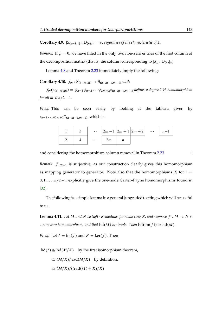**Corollary 4.9.**  $[S_{(n-1,1)} : D_{(n)}]_v = v$ , regardless of the characteristic of F.

*Remark.* If  $p = 0$ , we have filled in the only two non-zero entries of the first column of the decomposition matrix (that is, the column corresponding to  $[S_{\lambda}:D_{(n)}]_{v}$ ).

Lemma [4.8](#page-140-1) and Theorem [2.23](#page-61-0) immediately imply the following:

**Corollary 4.10.**  $f_m : S_{(n-m,m)} \to S_{(n-m-1,m+1)}$  with

 $f_m(z_{(n-m,m)}) = \psi_{n-1} \psi_{n-2} \dots \psi_{2m+2} z_{(n-m-1,m+1)}$  defines a degree 1 H-homomorphism *for all*  $m \leq n/2 - 1$ *.* 

*Proof.* This can be seen easily by looking at the tableau given by  $s_{n-1} \ldots s_{2m+2} T_{(n-m-1,m+1)}$ , which is



and considering the homomorphism column removal in Theorem [2.23.](#page-61-0)

*Remark.*  $f_{n/2-1}$  is surjective, as our construction clearly gives this homomorphism as mapping generator to generator. Note also that the homomorphisms  $f_i$  for  $i =$  $0, 1, \ldots, n/2 - 1$  explicitly give the one-node Carter–Payne homomorphisms found in [\[32\]](#page-170-1).

The following is a simple lemma in a general (ungraded) setting which will be useful to us.

**Lemma 4.11.** Let M and N be (left) R-modules for some ring R, and suppose  $f : M \to N$  is *a* non-zero homomorphism, and that  $hd(M)$  is simple. Then  $hd(im(f)) \cong hd(M)$ .

*Proof.* Let  $I = \text{im}(f)$  and  $K = \text{ker}(f)$ . Then

 $hd(I) \cong hd(M/K)$  by the first isomorphism theorem,

 $\cong$   $(M/K)/$  rad $(M/K)$  by definition,

$$
\cong (M/K)/((\mathrm{rad}(M)+K)/K)
$$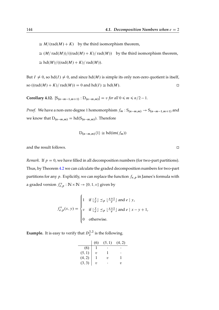$\cong M/(\text{rad}(M) + K)$  by the third isomorphism theorem,  $\cong$   $(M/\text{rad}(M))/((\text{rad}(M) + K)/\text{rad}(M))$  by the third isomorphism theorem,  $\cong$  hd $(M) / ((rad(M) + K) / rad(M)).$ 

But  $I \neq 0$ , so hd $(I) \neq 0$ , and since hd $(M)$  is simple its only non-zero quotient is itself, so  $((\text{rad}(M) + K)/ \text{rad}(M)) = 0$  and  $\text{hd}(I) \cong \text{hd}(M)$ .

**Corollary 4.12.**  $[S_{(n-m-1,m+1)} : D_{(n-m,m)}] = v$  *for all*  $0 \le m \le n/2 - 1$ *.* 

*Proof.* We have a non-zero degree 1 homomorphism  $f_m : S_{(n-m,m)} \to S_{(n-m-1,m+1)}$  and we know that  $D_{(n-m,m)} = hd(S_{(n-m,m)})$ . Therefore

$$
D_{(n-m,m)}\langle 1\rangle \cong hd(im(f_m))
$$

and the result follows.

*Remark.* If  $p = 0$ , we have filled in all decomposition numbers (for two-part partitions). Thus, by Theorem [4.2](#page-138-0) we can calculate the graded decomposition numbers for two-part partitions for any p. Explicitly, we can replace the function  $f_{e,p}$  in James's formula with a graded version  $f_{e,p}^v : \mathbb{N} \times \mathbb{N} \to \{0, 1, v\}$  given by

$$
f_{e,p}^{v}(x, y) = \begin{cases} 1 & \text{if } \lfloor \frac{y}{e} \rfloor \leq p \lfloor \frac{x+1}{e} \rfloor \text{ and } e \mid y, \\ v & \text{if } \lfloor \frac{y}{e} \rfloor \leq p \lfloor \frac{x+1}{e} \rfloor \text{ and } e \mid x - y + 1, \\ 0 & \text{otherwise.} \end{cases}
$$

**Example.** It is easy to verify that  $D_2^{2,2}$  $2^{2,2}$  is the following.

|                              | (6)    | (5, 1) | (4, 2) |
|------------------------------|--------|--------|--------|
| (6)                          |        |        |        |
|                              | $\eta$ |        |        |
| $(5, 1)$<br>(4, 2)<br>(3, 3) |        | 7)     |        |
|                              | υ      |        | 71     |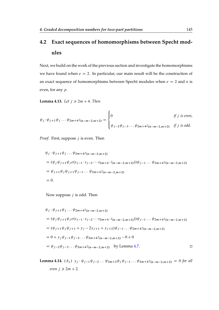### **4.2 Exact sequences of homomorphisms between Specht modules**

Next, we build on the work of the previous section and investigate the homomorphisms we have found when  $e = 2$ . In particular, our main result will be the construction of an exact sequence of homomorphisms between Specht modules when  $e = 2$  and n is even, for any p.

<span id="page-144-0"></span>**Lemma 4.13.** *Let*  $j \ge 2m + 4$ *. Then* 

$$
\psi_j \cdot \psi_{j+1} \psi_j \dots \psi_{2m+4} z_{(n-m-2,m+2)} = \begin{cases} 0 & \text{if } j \text{ is even,} \\ \psi_{j-2} \psi_{j-3} \dots \psi_{2m+4} z_{(n-m-2,m+2)} & \text{if } j \text{ is odd.} \end{cases}
$$

*Proof.* First, suppose *j* is even. Then

$$
\psi_j \cdot \psi_{j+1} \psi_j \dots \psi_{2m+4} z_{(n-m-2,m+2)}
$$
  
=  $(\psi_j \psi_{j+1} \psi_j e(s_{j-1} \cdot s_{j-2} \cdots s_{2m+4} \cdot i_{(n-m-2,m+2)})) \psi_{j-1} \dots \psi_{2m+4} z_{(n-m-2,m+2)}$   
=  $\psi_{j+1} \psi_j \psi_{j+1} \psi_{j-1} \dots \psi_{2m+4} z_{(n-m-2,m+2)}$   
= 0.

Now suppose  $j$  is odd. Then

$$
\psi_j \cdot \psi_{j+1} \psi_j \dots \psi_{2m+4} z_{(n-m-2,m+2)}
$$
\n
$$
= (\psi_j \psi_{j+1} \psi_j e(s_{j-1} \cdot s_{j-2} \cdots s_{2m+4} \cdot i_{(n-m-2,m+2)})) \psi_{j-1} \dots \psi_{2m+4} z_{(n-m-2,m+2)}
$$
\n
$$
= (\psi_{j+1} \psi_j \psi_{j+1} + y_j - 2y_{j+1} + y_{j+2}) \psi_{j-1} \dots \psi_{2m+4} z_{(n-m-2,m+2)}
$$
\n
$$
= 0 + y_j \psi_{j-1} \psi_{j-2} \dots \psi_{2m+4} z_{(n-m-2,m+2)} - 0 + 0
$$
\n
$$
= \psi_{j-2} \psi_{j-3} \dots \psi_{2m+4} z_{(n-m-2,m+2)}
$$
 by Lemma 4.7.

**Lemma 4.14.**  $(A_j)$   $y_j \cdot \psi_{j-1} \psi_{j-2} \dots \psi_{2m+2} \psi_j \psi_{j-1} \dots \psi_{2m+4} z_{(n-m-2,m+2)} = 0$  for all *even*  $j \ge 2m + 2$ .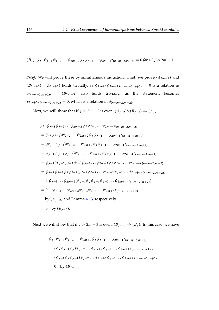$$
(B_j) \psi_j \cdot \psi_{j-1} \psi_{j-2} \dots \psi_{2m+2} \psi_j \psi_{j-1} \dots \psi_{2m+4} z_{(n-m-2,m+2)} = 0 \text{ for all } j \ge 2m+3.
$$

*Proof.* We will prove these by simultaneous induction. First, we prove  $(A_{2m+2})$  and  $(B_{2m+3})$ .  $(A_{2m+2})$  holds trivially, as  $\psi_{2m+3}\psi_{2m+2} = 0$  is a relation in  $S_{(n-m-2,m+2)}$ .  $(B_{2m+3})$  also holds trivially, as the statement becomes  $y_{2m+2}z_{(n-m-2,m+2)}=0$ , which is a relation in  $S_{(n-m-2,m+2)}$ .

Next, we will show that if  $j > 2m + 2$  is even,  $(A_{j-2})\&(B_{j-3}) \Rightarrow (A_j)$ .

$$
y_j \cdot \psi_{j-1} \psi_{j-2} \dots \psi_{2m+2} \psi_j \psi_{j-1} \dots \psi_{2m+4} z_{(n-m-2,m+2)}
$$
  
\n
$$
= (y_j \psi_{j-1}) \psi_{j-2} \dots \psi_{2m+2} \psi_j \psi_{j-1} \dots \psi_{2m+4} z_{(n-m-2,m+2)}
$$
  
\n
$$
= (\psi_{j-1} y_{j-1}) \psi_{j-2} \dots \psi_{2m+2} \psi_j \psi_{j-1} \dots \psi_{2m+4} z_{(n-m-2,m+2)}
$$
  
\n
$$
= \psi_{j-1} (y_{j-1} \psi_{j-2}) \psi_{j-3} \dots \psi_{2m+2} \psi_j \psi_{j-1} \dots \psi_{2m+4} z_{(n-m-2,m+2)}
$$
  
\n
$$
= \psi_{j-1} (\psi_{j-2} y_{j-2} + 1) \psi_{j-3} \dots \psi_{2m+2} \psi_j \psi_{j-1} \dots \psi_{2m+4} z_{(n-m-2,m+2)}
$$
  
\n
$$
= \psi_{j-1} \psi_{j-2} \psi_j \psi_{j-1} (y_{j-2} \psi_{j-3} \dots \psi_{2m+2} \psi_{j-2} \dots \psi_{2m+4} z_{(n-m-2,m+2)})
$$
  
\n
$$
+ \psi_{j-3} \dots \psi_{2m+2} (\psi_{j-1} \psi_j \psi_{j-1} \psi_{j-2} \dots \psi_{2m+4} z_{(n-m-2,m+2)})
$$
  
\n
$$
= 0 + \psi_{j-3} \dots \psi_{2m+2} \psi_{j-3} \psi_{j-4} \dots \psi_{2m+4} z_{(n-m-2,m+2)}
$$
  
\nby  $(A_{j-2})$  and Lemma 4.13, respectively  
\n
$$
= 0
$$
 by  $(B_{j-3})$ .

Next we will show that if  $j > 2m + 3$  is even,  $(B_{j-1}) \Rightarrow (B_j)$ . In this case, we have

$$
\psi_j \cdot \psi_{j-1} \psi_{j-2} \dots \psi_{2m+2} \psi_j \psi_{j-1} \dots \psi_{2m+4} z_{(n-m-2,m+2)}
$$
  
=  $(\psi_j \psi_{j-1} \psi_j) \psi_{j-2} \dots \psi_{2m+2} \psi_{j-1} \dots \psi_{2m+4} z_{(n-m-2,m+2)}$   
=  $(\psi_{j-1} \psi_j \psi_{j-1}) \psi_{j-2} \dots \psi_{2m+2} \psi_{j-1} \dots \psi_{2m+4} z_{(n-m-2,m+2)}$   
= 0 by  $(B_{j-1})$ .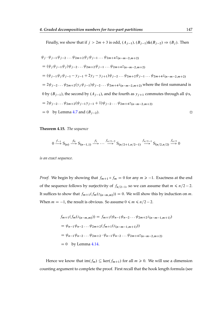Finally, we show that if  $j > 2m + 3$  is odd,  $(A_{j-1})$ ,  $(B_{j-1})\& (B_{j-2}) \Rightarrow (B_j)$ . Then

$$
\psi_j \cdot \psi_{j-1} \psi_{j-2} \dots \psi_{2m+2} \psi_j \psi_{j-1} \dots \psi_{2m+4} z_{(n-m-2,m+2)}
$$
  
=  $(\psi_j \psi_{j-1} \psi_j) \psi_{j-2} \dots \psi_{2m+2} \psi_{j-1} \dots \psi_{2m+4} z_{(n-m-2,m+2)}$   
=  $(\psi_{j-1} \psi_j \psi_{j-1} - y_{j-1} + 2y_j - y_{j+1}) \psi_{j-2} \dots \psi_{2m+2} \psi_{j-1} \dots \psi_{2m+4} z_{(n-m-2,m+2)}$   
=  $2\psi_{j-2} \dots \psi_{2m+2} (y_j \psi_{j-1}) \psi_{j-2} \dots \psi_{2m+4} z_{(n-m-2,m+2)}$  where the first summand is  
0 by  $(B_{j-1})$ , the second by  $(A_{j-1})$ , and the fourth as  $y_{j+1}$  commutes through all  $\psi$ s,  
=  $2\psi_{j-2} \dots \psi_{2m+2} (\psi_{j-1} y_{j-1} + 1) \psi_{j-2} \dots \psi_{2m+4} z_{(n-m-2,m+2)}$   
= 0 by Lemma 4.7 and  $(B_{j-2})$ .

**Theorem 4.15.** *The sequence*

$$
0 \xrightarrow{f_{-1}} S_{(n)} \xrightarrow{f_0} S_{(n-1,1)} \xrightarrow{f_1} \cdots \xrightarrow{f_{n/2-2}} S_{(n/2+1,n/2-1)} \xrightarrow{f_{n/2-1}} S_{(n/2,n/2)} \xrightarrow{f_{n/2}} 0
$$

*is an exact sequence.*

*Proof.* We begin by showing that  $f_{m+1} \circ f_m = 0$  for any  $m \ge -1$ . Exactness at the end of the sequence follows by surjectivity of  $f_{n/2-1}$ , so we can assume that  $m \le n/2 - 2$ . It suffices to show that  $f_{m+1}(f_m(z_{(n-m,m)})) = 0$ . We will show this by induction on m. When  $m = -1$ , the result is obvious. So assume  $0 \le m \le n/2 - 2$ .

$$
f_{m+1}(f_m(z_{(n-m,m)})) = f_{m+1}(\psi_{n-1}\psi_{n-2}\dots\psi_{2m+2}z_{(n-m-1,m+1)})
$$
  
=  $\psi_{n-1}\psi_{n-2}\dots\psi_{2m+2}(f_{m+1}(z_{(n-m-1,m+1)}))$   
=  $\psi_{n-1}\psi_{n-2}\dots\psi_{2m+2}\cdot\psi_{n-1}\psi_{n-2}\dots\psi_{2m+4}z_{(n-m-2,m+2)}$   
= 0 by Lemma 4.14.

Hence we know that  $\text{im}(f_m) \subseteq \text{ker}(f_{m+1})$  for all  $m \ge 0$ . We will use a dimension counting argument to complete the proof. First recall that the hook length formula (see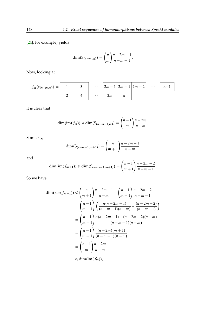[\[24\]](#page-170-0), for example) yields

$$
\dim(\mathsf{S}_{(n-m,m)}) = \binom{n}{m} \frac{n-2m+1}{n-m+1}.
$$

Now, looking at

$$
f_m(z_{(n-m,m)}) = \begin{array}{|c|c|c|c|c|} \hline 1 & 3 & \cdots & 2m-1 & 2m+1 & 2m+2 & \cdots & n-1 \\ \hline 2 & 4 & \cdots & 2m & n & \end{array}
$$

it is clear that

$$
\dim(\text{im}(f_m)) \geq \dim(\text{S}_{(n-m-1,m)}) = {n-1 \choose m} \frac{n-2m}{n-m}.
$$

Similarly,

$$
\dim(S_{(n-m-1,m+1)}) = {n \choose m+1} \frac{n-2m-1}{n-m}
$$

and

$$
\dim(\text{im}(f_{m+1})) \ge \dim(\text{S}_{(n-m-2,m+1)}) = {n-1 \choose m+1} \frac{n-2m-2}{n-m-1}.
$$

So we have

$$
\dim(\ker(f_{m+1})) \le {n \choose m+1} \frac{n-2m-1}{n-m} - {n-1 \choose m+1} \frac{n-2m-2}{n-m-1}
$$
  
=  ${n-1 \choose m+1} \left( \frac{n(n-2m-1)}{(n-m-1)(n-m)} - \frac{(n-2m-2)}{(n-m-1)} \right)$   
=  ${n-1 \choose m+1} \frac{n(n-2m-1) - (n-2m-2)(n-m)}{(n-m-1)(n-m)}$   
=  ${n-1 \choose m+1} \frac{(n-2m)(m+1)}{(n-m-1)(n-m)}$   
=  ${n-1 \choose m} \frac{n-2m}{n-m}$ 

 $\leq$  dim(im( $f_m$ )),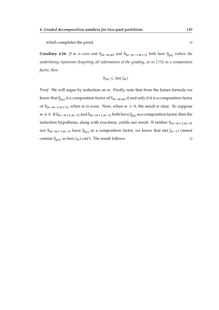which completes the proof.  $\Box$ 

**Corollary 4.16.** *If m is even and*  $S_{(n-m,m)}$  *and*  $S_{(n-m-1,m+1)}$  *both have*  $S_{(n)}$  *(where the underlining represents forgetting all information of the grading, as in [\[29\]](#page-170-1)) as a composition factor, then*

$$
S_{(n)} \subseteq \text{im}(f_m).
$$

*Proof.* We will argue by induction on m. Firstly, note that from the James formula we know that  $S(n)$  is a composition factor of  $S(n-m,m)$  if and only if it is a composition factor of  $S_{(n-m-1,m+1)}$ , when m is even. Now, when  $m = 0$ , the result is clear. So suppose  $m \neq 0$ . If  $S_{(n-m+2,m-2)}$  and  $S_{(n-m+1,m-1)}$  both have  $S_{(n)}$  as a composition factor, then the induction hypothesis, along with exactness, yields our result. If neither  $S_{(n-m+2,m-2)}$ nor  $S_{(n-m+1,m-1)}$  have  $S_{(n)}$  as a composition factor, we know that im $(f_{m-1})$  cannot contain  $S(n)$ , so ker $(f_m)$  can't. The result follows.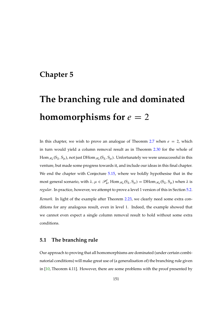### **Chapter 5**

# **The branching rule and dominated homomorphisms for**  $e = 2$

In this chapter, we wish to prove an analogue of Theorem [2.7](#page-49-0) when  $e = 2$ , which in turn would yield a column removal result as in Theorem [2.30](#page-72-0) for the whole of  $\rm{Hom}_{\mathscr{H}_n}(S_\lambda,S_\mu)$ , not just  $\rm{DHom}_{\mathscr{H}_n}(S_\lambda,S_\mu).$  Unfortunately we were unsuccessful in this venture, but made some progress towards it, and include our ideas in this final chapter. We end the chapter with Conjecture [5.15,](#page-163-0) where we boldly hypothesise that in the most general scenario, with  $\lambda, \mu \in \mathcal{P}_n^l$ ,  $\text{Hom}_{\mathscr{H}_n}(S_\lambda, S_\mu) = \text{DHom}_{\mathscr{H}_n}(S_\lambda, S_\mu)$  when  $\lambda$  is *regular*. In practice, however, we attempt to prove a level 1 version of this in Section [5.2.](#page-155-0) *Remark.* In light of the example after Theorem [2.23,](#page-61-0) we clearly need some extra conditions for any analogous result, even in level 1. Indeed, the example showed that we cannot even expect a single column removal result to hold without some extra conditions.

#### <span id="page-150-0"></span>**5.1 The branching rule**

Our approach to proving that all homomorphisms are dominated (under certain combinatorial conditions) will make great use of (a generalisation of) the branching rule given in [\[10,](#page-169-0) Theorem 4.11]. However, there are some problems with the proof presented by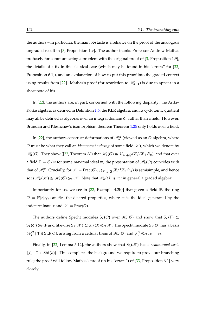the authors – in particular, the main obstacle is a reliance on the proof of the analogous ungraded result in [\[3,](#page-168-0) Proposition 1.9]. The author thanks Professor Andrew Mathas profusely for communicating a problem with the original proof of [\[3,](#page-168-0) Proposition 1.9], the details of a fix in this classical case (which may be found in his "errata" for [\[33,](#page-170-2) Proposition 6.1]), and an explanation of how to put this proof into the graded context using results from [\[22\]](#page-170-3). Mathas's proof (for restriction to  $\mathcal{H}_{n-1}$ ) is due to appear in a short note of his.

In [\[22\]](#page-170-3), the authors are, in part, concerned with the following disparity: the Ariki– Koike algebra, as defined in Definition [1.6,](#page-16-0) the KLR algebra, and its cyclotomic quotient may all be defined as algebras over an integral domain  $O$ , rather than a field. However, Brundan and Kleshchev's isomorphism theorem Theorem [1.25](#page-32-0) only holds over a field.

In [\[22\]](#page-170-3), the authors construct deformations of  $\mathcal{H}_n^{\kappa}$  (viewed as an  $\mathcal{O}$ -algebra, where  $\mathcal O$  must be what they call an *idempotent subring* of some field  $\mathcal K$ ), which we denote by  $\mathcal{H}_n(\mathcal{O})$ . They show ([\[22,](#page-170-3) Theorem A]) that  $\mathcal{H}_n(\mathcal{O}) \cong \mathcal{H}_{\mathcal{O},q,\mathcal{Q}}(\mathbb{Z}/l\mathbb{Z}) \mathfrak{S}_n$ ), and that over a field  $\mathbb{F} = \mathcal{O}/\mathfrak{m}$  for some maximal ideal  $\mathfrak{m}$ , the presentation of  $\mathcal{H}_n(\mathcal{O})$  coincides with that of  $\mathcal{H}_n^{\kappa}$ . Crucially, for  $\mathcal{K} = \text{Frac}(\mathcal{O})$ ,  $\mathcal{H}_{\mathcal{K},q,Q}(\mathbb{Z}/l\mathbb{Z})\in \mathfrak{S}_n$  is semisimple, and hence so is  $\mathcal{H}_n(\mathcal{K}) \cong \mathcal{H}_n(\mathcal{O}) \otimes_{\mathcal{O}} \mathcal{K}$ . Note that  $\mathcal{H}_n(\mathcal{O})$  is *not* in general a graded algebra!

Importantly for us, we see in  $[22,$  Example 4.2b)] that given a field  $\mathbb{F}$ , the ring  $\mathcal{O} = \mathbb{F}[x]_{(x)}$  satisfies the desired properties, where m is the ideal generated by the indeterminate x and  $\mathcal{K} = \text{Frac}(\mathcal{O})$ .

The authors define Specht modules  $S_{\lambda}(\mathcal{O})$  over  $\mathcal{H}_n(\mathcal{O})$  and show that  $S_{\lambda}(\mathbb{F}) \cong$  $S_\lambda(\mathcal{O})\otimes_{\mathcal{O}} F$  and likewise  $S_\lambda(\mathcal{K})\cong S_\lambda(\mathcal{O})\otimes_{\mathcal{O}} \mathcal{K}$ . The Specht module  $S_\lambda(\mathcal{O})$  has a basis  $\{\psi^{\mathcal{O}}_T \mid T \in \text{Std}(\lambda)\}\$ , arising from a cellular basis of  $\mathcal{H}_n(\mathcal{O})$  and  $\psi^{\mathcal{O}}_T \otimes_{\mathcal{O}} 1_F = v_T$ .

Finally, in [\[22,](#page-170-3) Lemma 5.12], the authors show that  $S_\lambda(\mathcal{K})$  has a *seminormal basis*  ${f_T \mid T \in Std(\lambda)}$ . This completes the background we require to prove our branching rule; the proof will follow Mathas's proof (in his "errata") of [\[33,](#page-170-2) Proposition 6.1] very closely.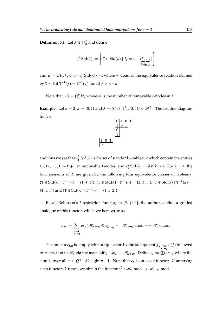**Definition 5.1.** Let  $\lambda \in \mathcal{P}_n^l$  and define

$$
e_i^k \text{Std}(\lambda) := \left\{ T \in \text{Std}(\lambda) \mid i_T = (\dots \underbrace{ii \dots i}_{k \text{ times}}) \right\}
$$

and  $E = E(i, k, \lambda) := e_i^k \text{Std}(\lambda) / \sim$ , where  $\sim$  denotes the equivalence relation defined by  $T \sim S$  if  $T^{-1}(j) = S^{-1}(j)$  for all  $j > n - k$ .

Note that  $|E| = \binom{m}{k} k!$ , where *m* is the number of removable *i*-nodes in  $\lambda$ .

**Example.** Let  $e = 2$ ,  $\kappa = (0, 1)$  and  $\lambda = ((4, 3, 1^2), (3, 1)) \in \mathcal{P}_{13}^2$ . The residue diagram for  $\lambda$  is



 $\overline{0}$ 

and thus we see that  $e_1^k$  Std $(\lambda)$  is the set of standard  $\lambda$ -tableaux which contain the entries 13, 12, ...,  $13 - k + 1$  in removable 1-nodes, and  $e_1^k$  Std( $\lambda$ ) =  $\emptyset$  if  $k > 4$ . For  $k = 1$ , the four elements of  $E$  are given by the following four equivalence classes of tableaux:  $\{T \in \text{Std}(\lambda) \mid T^{-1}(n) = (1, 4, 1)\}, \{T \in \text{Std}(\lambda) \mid T^{-1}(n) = (2, 3, 1)\}, \{T \in \text{Std}(\lambda) \mid T^{-1}(n) = (1, 4, 1)\}$  $(4, 1, 1)$ } and  $\{T \in \text{Std}(\lambda) \mid T^{-1}(n) = (1, 3, 2)\}.$ 

Recall Robinson's *i*-restriction functor; in  $[9, §4.4]$  $[9, §4.4]$ , the authors define a graded analogue of this functor, which we here write as

$$
e_{i,\alpha} := \sum_{\substack{j \in I \\ j_n = i}} e(j) \mathcal{H}_{\alpha + \alpha_i} \otimes_{\mathcal{H}_{\alpha + \alpha_i}} - : \mathcal{H}_{\alpha + \alpha_i} \text{-mod} \longrightarrow \mathcal{H}_{\alpha} \text{-mod}.
$$

<span id="page-152-0"></span>The functor  $e_{i,\alpha}$  is simply left multiplication by the idempotent  $\sum_{j\in I}$  $j_n=i$  $e(j)$  followed by restriction to  $\mathscr{H}_\alpha$  via the map shift $_0:\mathscr{H}_\alpha\to\mathscr{H}_{\alpha+\alpha_i}$ . Define  $e_i:=\bigoplus_{\alpha}e_{i,\alpha}$  where the sum is over all  $\alpha \in Q^+$  of height  $n-1$ . Note that  $e_i$  is an exact functor. Composing such functors  $k$  times, we obtain the functor  $e_i^k : \mathcal{H}_n\text{-mod} \to \mathcal{H}_{n-k}\text{-mod}$ .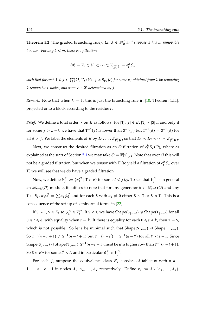**Theorem 5.2** (The graded branching rule). Let  $\lambda \in \mathcal{P}_n^l$  and suppose  $\lambda$  has m removable  $i$ *-nodes. For any*  $k \leq m$ , there is a filtration

$$
\{0\} = V_0 \subset V_1 \subset \cdots \subset V_{\binom{m}{k}k!} = e_i^k S_\lambda
$$

 $\text{such that for each } 1 \leqslant j \leqslant \binom{m}{k} k!$ ,  $V_j/V_{j-1} \cong \text{S}_{\nu_j}\langle c \rangle$  for some  $\nu_j$  obtained from  $\lambda$  by removing  $k$  *removable i*-nodes, and some  $c \in \mathbb{Z}$  *determined by j*.

*Remark.* Note that when  $k = 1$ , this is just the branching rule in [\[10,](#page-169-0) Theorem 4.11], projected onto a block according to the residue i.

*Proof.* We define a total order  $\geq$  on E as follows: for [T], [S]  $\in$  E, [T]  $\geq$  [S] if and only if for some  $j > n - k$  we have that  $T^{-1}(j)$  is lower than  $S^{-1}(j)$  but  $T^{-1}(d) = S^{-1}(d)$  for all  $d > j$ . We label the elements of E by  $E_1, \ldots, E_{\binom{m}{k}k!}$  so that  $E_1 \prec E_2 \prec \cdots \prec E_{\binom{m}{k}k!}$ .

Next, we construct the desired filtration as an O-filtration of  $e_i^k S_\lambda(\mathcal{O})$ , where as explained at the start of Section [5.1](#page-150-0) we may take  $\mathcal{O} = \mathbb{F}[x]_{(x)}$ . Note that over  $\mathcal O$  this will not be a graded filtration, but when we tensor with  $\mathbb F$  (to yield a filtration of  $e_i^k$   $\mathsf{S}_\lambda$  over F) we will see that we do have a graded filtration.

Now, we define  $V_j^{\mathcal{O}} := \{ \psi_{\tau}^{\mathcal{O}} \mid \tau \in E_l \text{ for some } l \leq j \}_{\mathcal{O}}$ . To see that  $V_j^{\mathcal{O}}$  is in general an  $\mathcal{H}_{n-k}(\mathcal{O})$ -module, it suffices to note that for any generator  $h \in \mathcal{H}_{n-k}(\mathcal{O})$  and any  $T \in E_l$ ,  $h\psi^{\mathcal{O}}_T = \sum a_S \psi^{\mathcal{O}}_S$  and for each S with  $a_S \neq 0$  either S  $\sim$  T or S  $\lhd$  T. This is a consequence of the set-up of seminormal forms in [\[22\]](#page-170-3).

If  $S \sim T$ ,  $S \in E_l$  so  $\psi_S^{\mathcal{O}} \in V_j^{\mathcal{O}}$ . If  $S \lhd T$ , we have Shape $(S_{\downarrow n-t}) \lhd Shape(T_{\downarrow n-t})$  for all  $0 \le t \le k$ , with equality when  $t = k$ . If there is equality for each  $0 \le t \le k$ , then T = S, which is not possible. So let *t* be minimal such that  $Shape(S_{\downarrow n-t}) \triangleleft Shape(T_{\downarrow n-t})$ . So  $T^{-1}(n-t+1) \neq S^{-1}(n-t+1)$  but  $T^{-1}(n-t') = S^{-1}(n-t')$  for all  $t' < t-1$ . Since Shape $(S_{\downarrow n-t}) \triangleleft$  Shape $(T_{\downarrow n-t})$ , S<sup>-1</sup> $(n-t+1)$  must be in a higher row than T<sup>-1</sup> $(n-t+1)$ . So S  $\in E_{l'}$  for some  $l' < l$ , and in particular  $\psi_{\mathsf{S}}^{\mathcal{O}} \in V_{j}^{\mathcal{O}}$ .

For each j, suppose the equivalence class  $E_j$  consists of tableaux with  $n, n$  –  $1, \ldots, n-k+1$  in nodes  $A_1, A_2, \ldots, A_k$  respectively. Define  $v_j := \lambda \setminus \{A_1, \ldots, A_k\}.$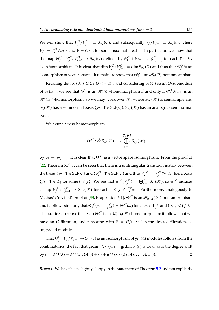We will show that  $V_j^{\mathcal{O}}/V_{j-1}^{\mathcal{O}} \cong S_{\nu_j}(\mathcal{O})$ , and subsequently  $V_j/V_{j-1} \cong S_{\nu_j}\langle c \rangle$ , where  $V_j := V_j^{\mathcal{O}} \otimes_{\mathcal{O}} \mathbb{F}$  and  $\mathbb{F} = \mathcal{O}/\mathfrak{m}$  for some maximal ideal  $\mathfrak{m}$ . In particular, we show that the map  $\Theta_j^{\mathcal{O}}: V_j^{\mathcal{O}}/V_{j-1}^{\mathcal{O}} \to S_{\nu_j}(\mathcal{O})$  defined by  $\psi_{\tau}^{\mathcal{O}} + V_{j-1} \mapsto \psi_{\tau \downarrow_{n-k}}^{\mathcal{O}}$  for each  $T \in E_j$ is an isomorphism. It is clear that  $\dim V_j^{\mathcal{O}}/V_{j-1}^{\mathcal{O}} = \dim S_{\nu_j}(\mathcal{O})$  and thus that  $\Theta_j^{\mathcal{O}}$  is an isomorphism of vector spaces. It remains to show that  $\Theta_j^\mathcal{O}$  is an  $\mathscr{H}_n(\mathcal{O})$ -homomorphism.

Recalling that  $S_\lambda(\mathcal{K}) \cong S_\lambda(\mathcal{O}) \otimes_{\mathcal{O}} \mathcal{K}$ , and considering  $S_\lambda(\mathcal{O})$  as an  $\mathcal{O}$ -submodule of  $S_\lambda(\mathcal{K})$ , we see that  $\Theta_j^{\mathcal{O}}$  is an  $\mathcal{H}_n(\mathcal{O})$ -homomorphism if and only if  $\Theta_j^{\mathcal{O}} \otimes 1_{\mathcal{K}}$  is an  $\mathcal{H}_n(\mathcal{K})$ -homomorphism, so we may work over  $\mathcal{K}$ , where  $\mathcal{H}_n(\mathcal{K})$  is semisimple and  $S_\lambda(\mathscr{K})$  has a seminormal basis  $\{f_T \mid T \in Std(\lambda)\}; S_{\nu_j}(\mathscr{K})$  has an analogous seminormal basis.

We define a new homomorphism

$$
\Theta^{\mathcal{K}}: e_i^k S_\lambda(\mathcal{K}) \longrightarrow \bigoplus_{j=1}^{m \choose k} S_{\nu_j}(\mathcal{K})
$$

by  $f_{\text{T}} \mapsto f_{\text{T}} \downarrow_{n-k}$ . It is clear that  $\Theta^{\mathscr{K}}$  is a vector space isomorphism. From the proof of [\[22,](#page-170-3) Theorem 5.7], it can be seen that there is a unitriangular transition matrix between the bases  $\{f_T \mid T \in \text{Std}(\lambda)\}$  and  $\{\psi^{\mathcal{O}}_T \mid T \in \text{Std}(\lambda)\}$  and thus  $V^{\mathscr{K}}_j := V^{\mathcal{O}}_j \otimes_{\mathcal{O}} \mathscr{K}$  has a basis  $\{f_T \mid T \in E_l \text{ for some } l \leq j\}$ . We see that  $\Theta^{\mathscr{K}}(V_j^{\mathscr{K}}) = \bigoplus_{i=1}^j S_{\nu_i}(\mathscr{K})$ , so  $\Theta^{\mathscr{K}}$  induces a map  $V_j^{\mathscr{K}}/V_{j-1}^{\mathscr{K}} \to S_{\nu_j}(\mathscr{K})$  for each  $1 \leq j \leq {m \choose k}k!$ . Furthermore, analogously to Mathas's (revised) proof of [\[33,](#page-170-2) Proposition 6.1],  $\Theta^{\mathcal{K}}$  is an  $\mathcal{H}_{n-k}(\mathcal{K})$ -homomorphism, and it follows similarly that  $\Theta_j^{\mathscr{K}}(m+V_{j-1}^{\mathscr{K}})=\Theta^{\mathscr{K}}(m)$  for all  $m\in V_j^{\mathscr{K}}$  and  $1\leqslant j\leqslant \binom{m}{k}k!$ . This suffices to prove that each  $\Theta_j^{\mathscr{K}}$  is an  $\mathscr{H}_{n-k}(\mathscr{K})$ -homomorphism; it follows that we have an O-filtration, and tensoring with  $\mathbb{F} = \mathcal{O}/\mathfrak{m}$  yields the desired filtration, as ungraded modules.

That  $\Theta_j^{\mathbb{F}}: V_j/V_{j-1} \to S_{\nu_j}(c)$  is an isomorphism of *graded* modules follows from the combinatorics; the fact that grdim  $V_j/V_{j-1} = \text{grdim } S_v\langle c \rangle$  is clear, as is the degree shift by  $c = d^{A_1}(\lambda) + d^{A_2}(\lambda \setminus \{A_1\}) + \cdots + d^{A_k}(\lambda \setminus \{A_1, A_2, \ldots, A_{k-1}\}).$ 

*Remark.* We have been slightly sloppy in the statement of Theorem [5.2](#page-152-0) and not explicitly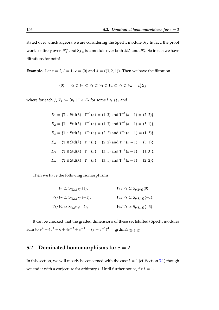stated over which algebra we are considering the Specht module  $S_\lambda$ . In fact, the proof works entirely over  $\mathcal{H}_n^{\kappa}$ , but  $S_{\lambda|\kappa}$  is a module over both  $\mathcal{H}_n^{\kappa}$  and  $\mathcal{H}_n$ . So in fact we have filtrations for both!

**Example.** Let  $e = 2$ ,  $l = 1$ ,  $\kappa = (0)$  and  $\lambda = ((3, 2, 1))$ . Then we have the filtration

$$
\{0\} = V_0 \subset V_1 \subset V_2 \subset V_3 \subset V_4 \subset V_5 \subset V_6 = e_0^2 S_\lambda
$$

where for each *j*,  $V_j := \langle v_\text{T} | \text{T} \in E_l \text{ for some } l \le j \rangle_{\mathbb{F}}$  and

$$
E_1 = \{ \mathbf{T} \in \text{Std}(\lambda) \mid \mathbf{T}^{-1}(n) = (1, 3) \text{ and } \mathbf{T}^{-1}(n-1) = (2, 2) \},
$$
  
\n
$$
E_2 = \{ \mathbf{T} \in \text{Std}(\lambda) \mid \mathbf{T}^{-1}(n) = (1, 3) \text{ and } \mathbf{T}^{-1}(n-1) = (3, 1) \},
$$
  
\n
$$
E_3 = \{ \mathbf{T} \in \text{Std}(\lambda) \mid \mathbf{T}^{-1}(n) = (2, 2) \text{ and } \mathbf{T}^{-1}(n-1) = (1, 3) \},
$$
  
\n
$$
E_4 = \{ \mathbf{T} \in \text{Std}(\lambda) \mid \mathbf{T}^{-1}(n) = (2, 2) \text{ and } \mathbf{T}^{-1}(n-1) = (3, 1) \},
$$
  
\n
$$
E_5 = \{ \mathbf{T} \in \text{Std}(\lambda) \mid \mathbf{T}^{-1}(n) = (3, 1) \text{ and } \mathbf{T}^{-1}(n-1) = (1, 3) \},
$$
  
\n
$$
E_6 = \{ \mathbf{T} \in \text{Std}(\lambda) \mid \mathbf{T}^{-1}(n) = (3, 1) \text{ and } \mathbf{T}^{-1}(n-1) = (2, 2) \}.
$$

Then we have the following isomorphisms:

$$
V_1 \cong S_{((2,1^2))}\langle 1 \rangle, \qquad V_2/V_1 \cong S_{((2^2))}\langle 0 \rangle,
$$
  
\n
$$
V_3/V_2 \cong S_{((2,1^2))}\langle -1 \rangle, \qquad V_4/V_3 \cong S_{((3,1))}\langle -1 \rangle,
$$
  
\n
$$
V_5/V_4 \cong S_{((2^2))}\langle -2 \rangle, \qquad V_6/V_5 \cong S_{((3,1))}\langle -3 \rangle.
$$

It can be checked that the graded dimensions of these six (shifted) Specht modules sum to  $v^4 + 4v^2 + 6 + 4v^{-2} + v^{-4} = (v + v^{-1})^4 = \text{grdim } S_{((3,2,1))}$ .

#### <span id="page-155-0"></span>**5.2 Dominated homomorphisms for**  $e = 2$

In this section, we will mostly be concerned with the case  $l = 1$  (cf. Section [3.1\)](#page-79-0) though we end it with a conjecture for arbitrary l. Until further notice, fix  $l = 1$ .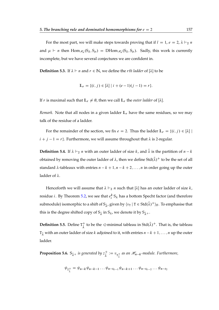For the most part, we will make steps towards proving that if  $l = 1, e = 2, \lambda \vdash_2 n$ and  $\mu \vdash n$  then  $\text{Hom}_{\mathcal{H}_n}(S_\lambda, S_\mu) = \text{DHom}_{\mathcal{H}_n}(S_\lambda, S_\mu)$ . Sadly, this work is currently incomplete, but we have several conjectures we are confident in.

**Definition 5.3.** If  $\lambda \vdash n$  and  $r \in \mathbb{N}$ , we define the *rth ladder* of  $[\lambda]$  to be

$$
\mathbb{L}_r = \{(i, j) \in [\lambda] \mid i + (e - 1)(j - 1) = r\}.
$$

If r is maximal such that  $\mathbb{L}_r \neq \emptyset$ , then we call  $\mathbb{L}_r$  the *outer ladder* of [ $\lambda$ ].

*Remark.* Note that all nodes in a given ladder  $L_r$  have the same residues, so we may talk of the residue of a ladder.

For the remainder of the section, we fix  $e = 2$ . Thus the ladder  $\mathbb{L}_r = \{(i, j) \in [\lambda] |$  $i + j - 1 = r$ . Furthermore, we will assume throughout that  $\lambda$  is 2-regular.

**Definition 5.4.** If  $\lambda \vdash_2 n$  with an outer ladder of size k, and  $\bar{\lambda}$  is the partition of  $n - k$ obtained by removing the outer ladder of  $\lambda$ , then we define Std $(\bar{\lambda})^+$  to be the set of all standard  $\lambda$ -tableaux with entries  $n - k + 1$ ,  $n - k + 2$ , ..., n in order going up the outer ladder of  $\lambda$ .

Henceforth we will assume that  $\lambda \vdash_2 n$  such that  $[\lambda]$  has an outer ladder of size k, residue *i*. By Theorem [5.2,](#page-152-0) we see that  $e_i^k S_\lambda$  has a bottom Specht factor (and therefore submodule) isomorphic to a shift of  $\mathsf{S}_{\bar{\lambda}'}$  given by  $\langle v_{\mathtt{T}}\,|\, \mathtt{T}\in \mathsf{Std}(\bar{\lambda})^+\rangle_{\mathbb{F}}.$  To emphasise that this is the degree shifted copy of  $\mathsf{S}_{\bar{\lambda}}$  in  $\mathsf{S}_{\lambda}$ , we denote it by  $\mathsf{S}_{\bar{\lambda}^+}.$ 

**Definition 5.5.** Define  $T_{\frac{1}{2}}^{+}$  $\frac{1}{\lambda}$  to be the  $\leq$ -minimal tableau in Std $(\bar{\lambda})^+$ . That is, the tableau  $T_{\bar{\lambda}}$  with an outer ladder of size k adjoined to it, with entries  $n - k + 1, \ldots, n$  up the outer ladder.

<span id="page-156-0"></span>**Proposition 5.6.**  $S_{\bar{\lambda}^+}$  is generated by  $z_{\bar{\lambda}^-}^+$  $\frac{1}{\lambda} := v_{\mathrm{T}^\pm_\lambda}$  as an  $\mathscr{H}_{n-k}$ -module. Furthermore,

$$
\psi_{T_{\lambda}^{+}} = \psi_{n-k} \psi_{n-k-1} \dots \psi_{n-t_{k-1}} \psi_{n-k+1} \dots \psi_{n-t_{k-2}} \dots \psi_{n-t_2}
$$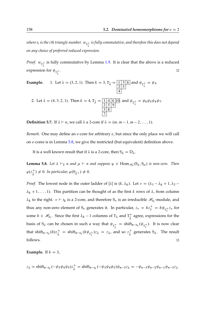where  $t_i$  is the i th triangle number.  $w_{\texttt{t}^+_{{\bar{\lambda}}}}$  is fully commutative, and therefore this does not depend *on any choice of preferred reduced expression.*

*Proof.*  $w_{\tau_{\bar{\lambda}}^+}$  is fully commutative by Lemma [1.9.](#page-22-0) It is clear that the above is a reduced expression for  $\psi_{{\mathtt T}_{\bar\lambda}^+}$ . A construction of the construction of the construction of the construction of the construction of the construction of the construction of the construction of the construction of the construction of the construction of th

**Example.** 1. Let 
$$
\lambda = (3, 2, 1)
$$
. Then  $k = 3$ ,  $T_{\bar{\lambda}} = \frac{1}{2} \frac{3}{5}$  and  $\psi_{T_{\bar{\lambda}}^{\pm}} = \psi_3$ .

2. Let 
$$
\lambda = (4, 3, 2, 1)
$$
. Then  $k = 4$ ,  $T_{\overline{\lambda}} = \frac{1 \mid 4 \mid 6 \mid 10}{\frac{2 \mid 5 \mid 9}{3 \mid 8}}$  and  $\psi_{T_{\overline{\lambda}}^+} = \psi_6 \psi_5 \psi_4 \psi_7$ .

**Definition 5.7.** If  $\lambda \vdash n$ , we call  $\lambda$  a 2-core if  $\lambda = (m, m-1, m-2, \ldots, 1)$ .

*Remark.* One may define an *e*-core for arbitrary *e*, but since the only place we will call on e-cores is in Lemma [5.8,](#page-157-0) we give the restricted (but equivalent) definition above.

It is a well known result that if  $\lambda$  is a 2-core, then  $S_{\lambda} = D_{\lambda}$ .

<span id="page-157-0"></span>**Lemma 5.8.** Let  $\lambda \vdash_2 n$  and  $\mu \vdash n$  and suppose  $\varphi \in \text{Hom}_{\mathscr{H}_n}(S_\lambda, S_\mu)$  is non-zero. Then  $\varphi(z_{\bar{\lambda}}^{+}) \neq 0$ . In particular,  $\varphi(\mathsf{S}_{\bar{\lambda}^{+}}) \neq 0$ .

*Proof.* The lowest node in the outer ladder of [ $\lambda$ ] is  $(k, \lambda_k)$ . Let  $\nu = (\lambda_1 - \lambda_k + 1, \lambda_2 - 1)$  $\lambda_k + 1, \ldots, 1$ ). This partition can be thought of as the first k rows of  $\lambda$ , from column  $\lambda_k$  to the right.  $v \vdash t_k$  is a 2-core, and therefore  $S_v$  is an irreducible  $\mathcal{H}_{t_k}$ -module, and thus any non-zero element of  $S_{\nu}$  generates it. In particular,  $z_{\nu} = h z_{\bar{\nu}}^{+} = h \psi_{T_{\bar{\nu}}^+} z_{\nu}$  for some  $h \in \mathcal{H}_{t_k}$ . Since the first  $\lambda_k - 1$  columns of  $T_{\lambda}$  and  $T_{\overline{i}}^+$  $\frac{1}{\lambda}$  agree, expressions for the basis of  $S_\lambda$  can be chosen in such a way that  $\psi_{T^+_{\overline{\lambda}}} = \text{shift}_{n-t_k}(\psi_{T^+_{\overline{\nu}}})$ . It is now clear that shift<sub>n-t<sub>k</sub></sub>(h)z<sub> $\frac{1}{\lambda}$ </sub> = shift<sub>n-t<sub>k</sub></sub>(h $\psi_{T_{\overline{v}}}$ )z<sub> $\lambda$ </sub> = z<sub> $\lambda$ </sub>, and so z<sub> $\frac{1}{\lambda}$ </sub>  $\frac{1}{\lambda}$  generates S<sub> $\lambda$ </sub>. The result  $\Box$  follows.

**Example.** If  $k = 3$ ,

$$
z_{\lambda} = \text{shift}_{n-t_k}(-\psi_3\psi_4\psi_5)z_{\bar{\lambda}}^+ = \text{shift}_{n-t_k}(-\psi_3\psi_4\psi_5)\psi_{n-3}z_{\lambda} = -\psi_{n-3}\psi_{n-2}\psi_{n-1}\psi_{n-3}z_{\lambda}.
$$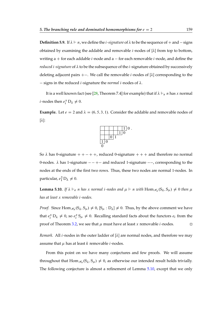**Definition 5.9.** If  $\lambda \vdash n$ , we define the *i*-signature of  $\lambda$  to be the sequence of  $+$  and  $-$  signs obtained by examining the addable and removable  $i$ -nodes of  $[\lambda]$  from top to bottom, writing  $a +$  for each addable *i*-node and  $a -$  for each removable *i*-node, and define the *reduced i*-signature of  $\lambda$  to be the subsequence of the *i*-signature obtained by successively deleting adjacent pairs  $+-$ . We call the removable *i*-nodes of  $[\lambda]$  corresponding to the  $-$  signs in the reduced *i*-signature the *normal i*-nodes of  $\lambda$ .

It is a well known fact (see [\[28,](#page-170-4) Theorem 7.4] for example) that if  $\lambda \vdash_e n$  has x normal *i*-nodes then  $e_i^x D_\lambda \neq 0$ .

**Example.** Let  $e = 2$  and  $\lambda = (6, 5, 3, 1)$ . Consider the addable and removable nodes of  $[\lambda]$ :



So  $\lambda$  has 0-signature  $++-++$ , reduced 0-signature  $+++$  and therefore no normal 0-nodes.  $\lambda$  has 1-signature  $---$  +  $-$  and reduced 1-signature  $---$ , corresponding to the nodes at the ends of the first two rows. Thus, these two nodes are normal 1-nodes. In particular,  $e_1^2 D_\lambda \neq 0$ .

<span id="page-158-0"></span>**Lemma 5.10.** If  $\lambda \vdash_e n$  *has* x normal *i*-nodes and  $\mu \vdash n$  with  $Hom_{\mathscr{H}_n}(S_\lambda, S_\mu) \neq 0$  then  $\mu$ *has at least* x *removable* i*-nodes.*

*Proof.* Since  $\text{Hom}_{\mathcal{H}_n}(S_\lambda, S_\mu) \neq 0$ ,  $[S_\mu : D_\lambda] \neq 0$ . Thus, by the above comment we have that  $e_i^x D_\lambda \neq 0$ , so  $e_i^x S_\mu \neq 0$ . Recalling standard facts about the functors  $e_i$  from the proof of Theorem [3.2,](#page-81-0) we see that  $\mu$  must have at least x removable *i*-nodes.

*Remark.* All *i*-nodes in the outer ladder of  $[\lambda]$  are normal nodes, and therefore we may assume that  $\mu$  has at least k removable *i*-nodes.

From this point on we have many conjectures and few proofs. We will assume throughout that  $\text{Hom}_{\mathcal{H}_n}(S_\lambda, S_\mu) \neq 0$ , as otherwise our intended result holds trivially. The following conjecture is almost a refinement of Lemma [5.10,](#page-158-0) except that we only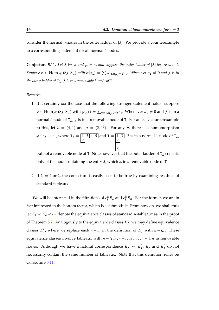consider the normal *i*-nodes in the outer ladder of  $[\lambda]$ . We provide a counterexample to a corresponding statement for all normal  $i$ -nodes.

<span id="page-159-0"></span>**Conjecture 5.11.** Let  $\lambda \vdash_2 n$  and  $\mu \vdash n$ , and suppose the outer ladder of  $[\lambda]$  has residue i. *Suppose*  $\varphi \in \text{Hom}_{\mathscr{H}_n}(S_\lambda, S_\mu)$  with  $\varphi(z_\lambda) = \sum_{\tau \in \text{Std}(\mu)} a_{\tau} v_{\tau}$ . Whenever  $a_{\tau} \neq 0$  and j is in *the outer ladder of*  $T_{\lambda}$ , *j is in a removable i-node of* T.

*Remarks.*

1. It it certainly *not* the case that the following stronger statement holds: suppose  $\varphi \in \text{Hom}_{\mathcal{H}_n}(S_\lambda, S_\mu)$  with  $\varphi(z_\lambda) = \sum_{T \in \text{Std}(\mu)} a_T v_T$ . Whenever  $a_T \neq 0$  and j is in a normal *i*-node of  $T_{\lambda}$ , *j* is in a removable node of T. For an easy counterexample to this, let  $\lambda = (4, 1)$  and  $\mu = (2, 1^3)$ . For any p, there is a homomorphism  $\varphi$  :  $z_{\lambda} \mapsto v_{\text{T}}$  where  $\mathsf{T}_{\lambda} = \boxed{1 \mid 3 \mid 4 \mid 5}$ 2 and  $T = \boxed{1 \ 3}$ 2 4 5 . 2 is in a normal 1-node of  $T_{\lambda}$ ,

but not a removable node of T. Note however that the outer ladder of  $T_{\lambda}$  consists only of the node containing the entry 5, which *is* in a removable node of T.

2. If  $k = 1$  or 2, the conjecture is easily seen to be true by examining residues of standard tableaux.

<span id="page-159-1"></span>We will be interested in the filtrations of  $e_i^k S_\lambda$  and  $e_i^k S_\mu$ . For the former, we are in fact interested in the bottom factor, which is a submodule. From now on, we shall thus let  $E_1 \prec E_2 \prec \cdots$  denote the equivalence classes of standard  $\mu$ -tableaux as in the proof of Theorem [5.2.](#page-152-0) Analogously to the equivalence classes  $E_j$ , we may define equivalence classes  $E'_j$ , where we replace each  $n - m$  in the definition of  $E_j$  with  $n - t_m$ . These equivalence classes involve tableaux with  $n - t_{k-1}, n - t_{k-2}, \ldots, n - 1, n$  in removable nodes. Although we have a natural correspondence  $E_j \leftrightarrow E'_j$ ,  $E_j$  and  $E'_j$  do not necessarily contain the same number of tableaux. Note that this definition relies on Conjecture [5.11.](#page-159-0)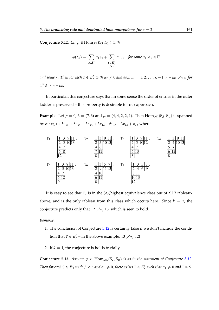**Conjecture 5.12.** Let  $\varphi \in \text{Hom}_{\mathscr{H}_n}(S_\lambda, S_\mu)$  with

$$
\varphi(z_{\lambda}) = \sum_{\mathbf{T} \in E'_t} a_{\mathbf{T}} v_{\mathbf{T}} + \sum_{\substack{\mathbf{S} \in E'_j \\ j < r}} a_{\mathbf{S}} v_{\mathbf{S}} \quad \text{for some } a_{\mathbf{T}}, a_{\mathbf{S}} \in \mathbb{F}
$$

and some r. Then for each  $T \in E'_r$  with  $a_T \neq 0$  and each  $m = 1, 2, ..., k - 1$ ,  $n - t_m \nearrow_T d$  for *all*  $d > n - t_m$ .

In particular, this conjecture says that in some sense the order of entries in the outer ladder is preserved – this property is desirable for our approach.

**Example.** Let  $p = 0$ ,  $\lambda = (7, 6)$  and  $\mu = (4, 4, 2, 2, 1)$ . Then Hom  $\mathcal{H}_n(S_\lambda, S_\mu)$  is spanned by  $\varphi$  :  $z_{\lambda} \mapsto 3v_{T_1} + 6v_{T_2} + 3v_{T_3} + 3v_{T_4} - 6v_{T_5} - 3v_{T_6} + v_{T_7}$  where



It is easy to see that  $T_7$  is in the  $(\leq)$ highest equivalence class out of all 7 tableaux above, and is the only tableau from this class which occurs here. Since  $k = 2$ , the conjecture predicts only that  $12 \nearrow_{T_7} 13$ , which is seen to hold.

*Remarks.*

- 1. The conclusion of Conjecture [5.12](#page-159-1) is certainly false if we don't include the condition that  $T \in E'_r$  – in the above example, 13  $\pi_3$  12!
- 2. If  $k = 1$ , the conjecture is holds trivially.

<span id="page-160-0"></span>**Conjecture 5.13.** Assume  $\varphi \in \text{Hom}_{\mathscr{H}_n}(S_\lambda, S_\mu)$  is as in the statement of Conjecture [5.12.](#page-159-1) *Then for each*  $S \in E'_j$  *with*  $j < r$  *and*  $a_S \neq 0$ *, there exists*  $T \in E'_r$  *such that*  $a_T \neq 0$  *and*  $T \triangleright S$ *.*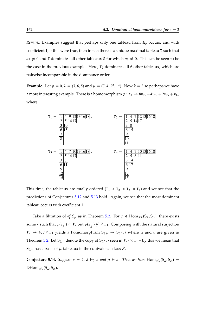Remark. Examples suggest that perhaps only one tableau from  $E'_r$  occurs, and with coefficient 1; if this were true, then in fact there is a unique maximal tableau T such that  $a_T \neq 0$  and T dominates all other tableaux S for which  $a_S \neq 0$ . This can be seen to be the case in the previous example. Here,  $T_7$  dominates all 6 other tableaux, which are pairwise incomparable in the dominance order.

**Example.** Let  $p = 0$ ,  $\lambda = (7, 6, 5)$  and  $\mu = (7, 4, 2^2, 1^3)$ . Now  $k = 3$  so perhaps we have a more interesting example. There is a homomorphism  $\varphi : z_\lambda \mapsto 8v_{T_1} - 4v_{T_2} + 2v_{T_3} + v_{T_4}$ where



This time, the tableaux are totally ordered  $(T_1 \triangleleft T_2 \triangleleft T_3 \triangleleft T_4)$  and we see that the predictions of Conjectures [5.12](#page-159-1) and [5.13](#page-160-0) hold. Again, we see that the most dominant tableau occurs with coefficient 1.

Take a filtration of  $e_i^k S_\mu$  as in Theorem [5.2.](#page-152-0) For  $\varphi \in \text{Hom}_{\mathscr{H}_n}(S_\lambda, S_\mu)$ , there exists some r such that  $\varphi(z_{\bar{\lambda}}^+) \subseteq V_r$  but  $\varphi(z_{\bar{\lambda}}^+) \not\subseteq V_{r-1}$ . Composing with the natural surjection  $V_r \twoheadrightarrow V_r/V_{r-1}$  yields a homomorphism  $S_{\bar{\lambda}^+} \rightarrow S_{\bar{\mu}}(c)$  where  $\bar{\mu}$  and c are given in Theorem [5.2.](#page-152-0) Let  $S_{\bar{\mu}}$  denote the copy of  $S_{\bar{\mu}}(c)$  seen in  $V_r/V_{r-1}$  – by this we mean that  $S_{\bar{\mu}+}$  has a basis of  $\mu$ -tableaux in the equivalence class  $E_r$ .

**Conjecture 5.14.** *Suppose*  $e = 2$ ,  $\lambda \vdash_2 n$  *and*  $\mu \vdash n$ . *Then we have* Hom  $\mathcal{H}_n(S_\lambda, S_\mu) =$  $DHom_{\mathscr{H}_n}(S_\lambda, S_\mu)$ .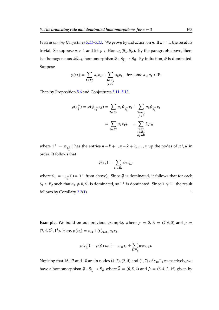*Proof assuming Conjectures* [5.11](#page-159-0)[–5.13.](#page-160-0) We prove by induction on *n*. If  $n = 1$ , the result is trivial. So suppose  $n > 1$  and let  $\varphi \in \text{Hom}_{\mathcal{H}_n}(S_\lambda, S_\mu)$ . By the paragraph above, there is a homogeneous  $\mathcal{H}_{n-k}$ -homomorphism  $\bar{\varphi}: S_{\bar{\lambda}} \to S_{\bar{\mu}}$ . By induction,  $\bar{\varphi}$  is dominated. Suppose

$$
\varphi(z_{\lambda}) = \sum_{\mathbf{T} \in E'_r} a_{\mathbf{T}} v_{\mathbf{T}} + \sum_{\substack{\mathbf{S} \in E'_j \\ j < r}} a_{\mathbf{S}} v_{\mathbf{S}} \quad \text{for some } a_{\mathbf{T}}, a_{\mathbf{S}} \in \mathbb{F}.
$$

Then by Proposition [5.6](#page-156-0) and Conjectures [5.11](#page-159-0)[–5.13,](#page-160-0)

$$
\varphi(z_{\bar{\lambda}}^+) = \varphi(\psi_{T_{\bar{\lambda}}^+} z_{\lambda}) = \sum_{T \in E'_r} a_T \psi_{T_{\bar{\lambda}}^+} v_T + \sum_{\substack{S \in E'_j \\ j < r}} a_S \psi_{T_{\bar{\lambda}}^+} v_S
$$
\n
$$
= \sum_{T \in E'_r} a_T v_{\bar{T}^+} + \sum_{\substack{U \triangleleft T \\ T \in E'_r \\ a_T \neq 0}} b_U v_U
$$

where  $\overline{T}^+ = w_{T_{\overline{\lambda}}^+}$ T has the entries  $n - k + 1, n - k + 2, ..., n$  up the nodes of  $\mu \setminus \overline{\mu}$  in order. It follows that

$$
\bar{\varphi}(z_{\bar{\lambda}}) = \sum_{S_{\mathrm{T}} \in E_r} a_{\mathrm{T}} v_{\bar{S}_{\mathrm{T}}},
$$

where  $S_T = w_{T_{\bar{\lambda}}^+} T$  (=  $\bar{T}^+$  from above). Since  $\bar{\varphi}$  is dominated, it follows that for each  $S_T \in E_r$  such that  $a_T \neq 0$ ,  $\bar{S_T}$  is dominated, so  $\bar{T}^+$  is dominated. Since  $T \leq \bar{T}^+$  the result follows by Corollary [2.2](#page-47-0)[\(1\)](#page-47-1).

**Example.** We build on our previous example, where  $p = 0$ ,  $\lambda = (7, 6, 5)$  and  $\mu =$  $(7, 4, 2^2, 1^3)$ . Here,  $\varphi(z_\lambda) = v_{\text{T}_4} + \sum_{\text{S} \triangleleft \text{T}_4} a_{\text{S}} v_{\text{S}}$ .

$$
\varphi(z_{\bar{\lambda}}^+) = \varphi(\psi_{15}z_{\lambda}) = v_{s_{15}T_4} + \sum_{S \lhd T_4} a_S v_{s_{15}S}.
$$

Noticing that 16, 17 and 18 are in nodes  $(4, 2)$ ,  $(2, 4)$  and  $(1, 7)$  of  $s_{15}T_4$  respectively, we have a homomorphism  $\bar{\varphi} : \mathbb{S}_{\bar{\lambda}} \to \mathbb{S}_{\bar{\mu}}$  where  $\bar{\lambda} = (6, 5, 4)$  and  $\bar{\mu} = (6, 4, 2, 1^3)$  given by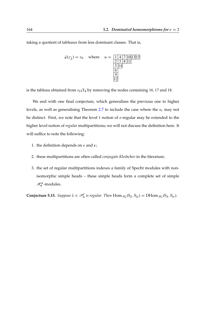taking a quotient of tableaux from less dominant classes. That is,

$$
\bar{\varphi}(z_{\bar{\lambda}}) = v_0 \quad \text{where} \quad u = \frac{1 \, 4 \, 7 \, 10 \, 13 \, 15}{\frac{2 \, 5 \, 8 \, 11}{3 \, 14}} = \frac{1 \, 4 \, 7 \, 10 \, 13 \, 15}{\frac{3 \, 14}{6}} = 12
$$

is the tableau obtained from  $s_{15}T_4$  by removing the nodes containing 16, 17 and 18.

We end with one final conjecture, which generalises the previous one to higher levels, as well as generalising Theorem [2.7](#page-49-0) to include the case where the  $\kappa_i$  may not be distinct. First, we note that the level 1 notion of  $e$ -regular may be extended to the higher level notion of *regular* multipartitions; we will not discuss the definition here. It will suffice to note the following:

- 1. the definition depends on  $e$  and  $\kappa$ ;
- 2. these multipartitions are often called *conjugate Kleshchev* in the literature;
- 3. the set of regular multipartitions indexes a family of Specht modules with nonisomorphic simple heads – these simple heads form a complete set of simple  $\mathcal{H}_n^{\kappa}$ -modules.

<span id="page-163-0"></span>**Conjecture 5.15.** Suppose  $\lambda \in \mathcal{P}_n^l$  is regular. Then  $\text{Hom}_{\mathcal{H}_n}(S_\lambda, S_\mu) = \text{DHom}_{\mathcal{H}_n}(S_\lambda, S_\mu)$ .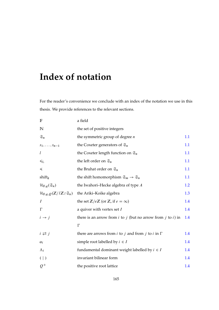# **Index of notation**

For the reader's convenience we conclude with an index of the notation we use in this thesis. We provide references to the relevant sections.

| $\mathbb F$                                                             | a field                                                                              |     |
|-------------------------------------------------------------------------|--------------------------------------------------------------------------------------|-----|
| $\mathbb N$                                                             | the set of positive integers                                                         |     |
| $\mathfrak{S}_n$                                                        | the symmetric group of degree $n$                                                    | 1.1 |
| $s_1,\ldots,s_{n-1}$                                                    | the Coxeter generators of $\mathfrak{S}_n$                                           | 1.1 |
| l                                                                       | the Coxeter length function on $\mathfrak{S}_n$                                      | 1.1 |
| $\leqslant_{\mathrm{L}}$                                                | the left order on $\mathfrak{S}_n$                                                   | 1.1 |
| ≼                                                                       | the Bruhat order on $\mathfrak{S}_n$                                                 | 1.1 |
| shift $_k$                                                              | the shift homomorphism $\mathfrak{S}_m \to \mathfrak{S}_n$                           | 1.1 |
| $\mathcal{H}_{F,q}(\mathfrak{S}_n)$                                     | the Iwahori-Hecke algebra of type $A$                                                | 1.2 |
| $\mathcal{H}_{\mathbb{F},q,Q}(\mathbb{Z}/l\mathbb{Z}\wr\mathfrak{S}_n)$ | the Ariki-Koike algebra                                                              | 1.3 |
| $\overline{I}$                                                          | the set $\mathbb{Z}/e\mathbb{Z}$ (or $\mathbb{Z}$ , if $e = \infty$ )                | 1.4 |
| $\Gamma$                                                                | a quiver with vertex set $I$                                                         | 1.4 |
| $i \rightarrow j$                                                       | there is an arrow from $i$ to $j$ (but no arrow from $j$ to $i$ ) in                 | 1.4 |
|                                                                         | $\Gamma$                                                                             |     |
| $i \rightleftarrows j$                                                  | there are arrows from <i>i</i> to <i>j</i> and from <i>j</i> to <i>i</i> in $\Gamma$ | 1.4 |
| $\alpha_i$                                                              | simple root labelled by $i \in I$                                                    | 1.4 |
| $\Lambda_i$                                                             | fundamental dominant weight labelled by $i \in I$                                    | 1.4 |
| $($  )                                                                  | invariant bilinear form                                                              | 1.4 |
| $Q^+$                                                                   | the positive root lattice                                                            | 1.4 |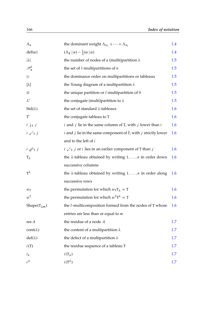| $\Lambda_{\kappa}$          | the dominant weight $\Lambda_{\kappa_1} + \cdots + \Lambda_{\kappa_l}$            | $1.4\,$ |
|-----------------------------|-----------------------------------------------------------------------------------|---------|
| $def(\alpha)$               | $(\Lambda_k   \alpha) - \frac{1}{2}(\alpha   \alpha)$                             | 1.4     |
| $ \lambda $                 | the number of nodes of a (multi)partition $\lambda$                               | 1.5     |
| $\mathscr{P}_n^l$           | the set of $l$ -multipartitions of $n$                                            | 1.5     |
| $\triangleright$            | the dominance order on multipartitions or tableaux                                | 1.5     |
| $[\lambda]$                 | the Young diagram of a multipartition $\lambda$                                   | 1.5     |
| Ø                           | the unique partition or $l$ -multipartition of $0$                                | 1.5     |
| $\lambda'$                  | the conjugate (multi) partition to $\lambda$                                      | 1.5     |
| $Std(\lambda)$              | the set of standard λ-tableaux                                                    | 1.6     |
| T'                          | the conjugate tableau to T                                                        | 1.6     |
| $i \downarrow_{\text{T}} j$ | $i$ and $j$ lie in the same column of T, with $j$ lower than $i$                  | 1.6     |
| $i \swarrow_{\texttt{T}} j$ | $i$ and $j$ lie in the same component of T, with $j$ strictly lower               | 1.6     |
|                             | and to the left of i                                                              |         |
| $i \not\!\!\!\!\!/$ $j$     | $i \swarrow_{\tau} j$ or <i>i</i> lies in an earlier component of T than <i>j</i> | 1.6     |
| $T_{\lambda}$               | the $\lambda$ -tableau obtained by writing $1, \ldots, n$ in order down           | 1.6     |
|                             | successive columns                                                                |         |
| $T^{\lambda}$               | the $\lambda$ -tableau obtained by writing $1, \ldots, n$ in order along          | 1.6     |
|                             | successive rows                                                                   |         |
| $w_T$                       | the permutation for which $w_{\text{t}}T_{\lambda} = T$                           | 1.6     |
| $w^{\text{T}}$              | the permutation for which $w^{T}T^{\lambda} = T$                                  | 1.6     |
| Shape( $T_{\downarrow m}$ ) | the <i>l</i> -multicomposition formed from the nodes of T whose                   | 1.6     |
|                             | entries are less than or equal to $m$                                             |         |
| res A                       | the residue of a node $A$                                                         | 1.7     |
| $cont(\lambda)$             | the content of a multipartition $\lambda$                                         | 1.7     |
| $def(\lambda)$              | the defect of a multipartition $\lambda$                                          | $1.7\,$ |
| i(T)                        | the residue sequence of a tableau T                                               | 1.7     |
| $i_{\lambda}$               | $i(T_{\lambda})$                                                                  | $1.7\,$ |
| $i^{\lambda}$               | $i(T^{\lambda})$                                                                  | 1.7     |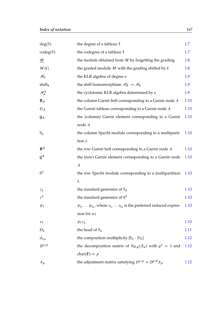| deg(T)                 | the degree of a tableau T                                                                      | 1.7  |
|------------------------|------------------------------------------------------------------------------------------------|------|
| codeg(T)               | the codegree of a tableau T                                                                    | 1.7  |
| $\underline{M}$        | the module obtained from $M$ by forgetting the grading                                         | 1.8  |
| $M\langle k\rangle$    | the graded module $M$ with the grading shifted by $k$                                          | 1.8  |
| $\mathscr{H}_n$        | the KLR algebra of degree $n$                                                                  | 1.9  |
| shift $_k$             | the shift homomorphism $\mathcal{H}_{\beta} \to \mathcal{H}_{\alpha}$                          | 1.9  |
| $\mathscr{H}^\kappa_n$ | the cyclotomic KLR algebra determined by $\kappa$                                              | 1.9  |
| $B_A$                  | the column Garnir belt corresponding to a Garnir node $A$                                      | 1.10 |
| $G_A$                  | the Garnir tableau corresponding to a Garnir node $A$                                          | 1.10 |
| $g_A$                  | the (column) Garnir element corresponding to a Garnir                                          | 1.10 |
|                        | node $A$                                                                                       |      |
| $S_{\lambda}$          | the column Specht module corresponding to a multiparti-                                        | 1.10 |
|                        | tion $\lambda$                                                                                 |      |
| $B^A$                  | the row Garnir belt corresponding to a Garnir node $A$                                         | 1.10 |
| $\mathsf{g}^A$         | the (row) Garnir element corresponding to a Garnir node                                        | 1.10 |
|                        | $\boldsymbol{A}$                                                                               |      |
| $S^{\lambda}$          | the row Specht module corresponding to a multipartition                                        | 1.10 |
|                        | λ                                                                                              |      |
| $z_{\lambda}$          | the standard generator of $S_{\lambda}$                                                        | 1.10 |
| $z^{\lambda}$          | the standard generator of $S^{\lambda}$                                                        | 1.10 |
| $\psi_{\mathtt{T}}$    | $\psi_{t_1} \dots \psi_{t_b}$ , where $s_{t_1} \dots s_{t_b}$ is the preferred reduced expres- | 1.10 |
|                        | sion for $w_T$                                                                                 |      |
| $v_{\mathtt{T}}$       | $\psi_{\text{T}}z_{\lambda}$                                                                   | 1.10 |
| $D_{\lambda}$          | the head of $S_{\lambda}$                                                                      | 1.11 |
| $d_{\lambda\mu}$       | the composition multiplicity $[S_\lambda : D_\lambda]$                                         | 1.12 |
| $D^{e,p}$              | the decomposition matrix of $\mathcal{H}_{F,q}(\mathfrak{S}_n)$ with $q^e = 1$ and             | 1.12 |
|                        | char( $F$ ) = p                                                                                |      |
| $A_p$                  | the adjustment matrix satisfying $D^{e,p} = D^{e,0} A_p$                                       | 1.12 |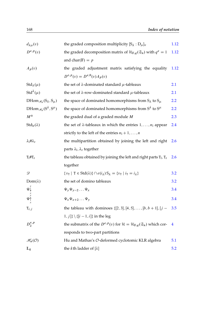| $d_{\lambda\mu}(v)$                           | the graded composition multiplicity $[S_{\lambda}:D_{\mu}]_{\nu}$                                                                          | 1.12           |
|-----------------------------------------------|--------------------------------------------------------------------------------------------------------------------------------------------|----------------|
| $D^{e,p}(v)$                                  | the graded decomposition matrix of $\mathcal{H}_{F,q}(\mathfrak{S}_n)$ with $q^e = 1$                                                      | 1.12           |
|                                               | and char( $\mathbb{F}$ ) = p                                                                                                               |                |
| $A_p(v)$                                      | the graded adjustment matrix satisfying the equality                                                                                       | 1.12           |
|                                               | $D^{e,p}(v) = D^{e,0}(v) A_p(v)$                                                                                                           |                |
| $Std_{\lambda}(\mu)$                          | the set of $\lambda$ -dominated standard $\mu$ -tableaux                                                                                   | 2.1            |
| Std <sup><math>\lambda</math></sup> ( $\mu$ ) | the set of $\lambda$ -row-dominated standard $\mu$ -tableaux                                                                               | 2.1            |
| $DHom_{\mathcal{H}_n}(S_{\lambda}, S_{\mu})$  | the space of dominated homomorphisms from $S_{\lambda}$ to $S_{\mu}$                                                                       | 2.2            |
| DHom $_{\mathcal{H}_n}(S^{\lambda}, S^{\mu})$ | the space of dominated homomorphisms from $S^{\lambda}$ to $S^{\mu}$                                                                       | 2.2            |
| $M^\circledast$                               | the graded dual of a graded module M                                                                                                       | 2.3            |
| $Stdlr(\lambda)$                              | the set of $\lambda$ -tableaux in which the entries $1, \ldots, n_1$ appear                                                                | 2.4            |
|                                               | strictly to the left of the entries $n_1 + 1, , n$                                                                                         |                |
| $\lambda_1$ # $\lambda_r$                     | the multipartition obtained by joining the left and right                                                                                  | 2.6            |
|                                               | parts $\lambda_1, \lambda_r$ together                                                                                                      |                |
| $T_l$ # $T_r$                                 | the tableau obtained by joining the left and right parts $T_l$ , $T_r$                                                                     | <b>2.6</b>     |
|                                               | together                                                                                                                                   |                |
| D                                             | $\{v_{\text{T}} \mid \text{T} \in \text{Std}(\lambda)\}\cap e(i_{\lambda})S_{\lambda} = \{v_{\text{T}} \mid i_{\text{T}} = i_{\lambda}\}\$ | 3.2            |
| $Dom(\lambda)$                                | the set of domino tableaux                                                                                                                 | 3.2            |
| $\Psi^{\mathcal{Y}}_{\downarrow}$             | $\Psi_{\nu}\Psi_{\nu-2}\dots\Psi_{x}$                                                                                                      | 3.4            |
| $\Psi^y$                                      | $\Psi_x \Psi_{x+2} \dots \Psi_v$                                                                                                           | 3.4            |
| ${\tt T}_{i,j}$                               | the tableau with dominoes $\{[2,3], [4,5], \ldots, [b, b+1], [j-3.5]$                                                                      |                |
|                                               | $[1, j]$ } \{[ $i - 1, i$ ]} in the leg                                                                                                    |                |
| $D_2^{e,p}$                                   | the submatrix of the $D^{e,p}(v)$ for $\mathcal{H} = \mathcal{H}_{F,q}(\mathfrak{S}_n)$ which cor-                                         | $\overline{4}$ |
|                                               | responds to two-part partitions                                                                                                            |                |
| $\mathscr{H}_n(\mathcal{O})$                  | Hu and Mathas's O-deformed cyclotomic KLR algebra                                                                                          | 5.1            |
| $\mathbb{L}_k$                                | the <i>k</i> th ladder of $[\lambda]$                                                                                                      | 5.2            |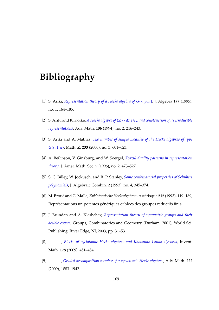## **Bibliography**

- [1] S. Ariki, *[Representation theory of a Hecke algebra of](http://dx.doi.org/10.1006/jabr.1995.1292)*  $G(r, p, n)$ , J. Algebra 177 (1995), no. 1, 164–185.
- [2] S. Ariki and K. Koike, *A Hecke algebra of*  $(\mathbb{Z}/r\mathbb{Z})\wr\mathfrak{S}_n$  *[and construction of its irreducible](http://dx.doi.org/10.1006/aima.1994.1057) [representations](http://dx.doi.org/10.1006/aima.1994.1057)*, Adv. Math. **106** (1994), no. 2, 216–243.
- <span id="page-168-0"></span>[3] S. Ariki and A. Mathas, *[The number of simple modules of the Hecke algebras of type](http://dx.doi.org/10.1007/s002090050489)*  $G(r, 1, n)$ , Math. Z. 233 (2000), no. 3, 601–623.
- [4] A. Beilinson, V. Ginzburg, and W. Soergel, *[Koszul duality patterns in representation](http://dx.doi.org/10.1090/S0894-0347-96-00192-0) [theory](http://dx.doi.org/10.1090/S0894-0347-96-00192-0)*, J. Amer. Math. Soc. **9** (1996), no. 2, 473–527.
- [5] S. C. Billey, W. Jockusch, and R. P. Stanley, *[Some combinatorial properties of Schubert](http://dx.doi.org/10.1023/A:1022419800503) [polynomials](http://dx.doi.org/10.1023/A:1022419800503)*, J. Algebraic Combin. **2** (1993), no. 4, 345–374.
- [6] M. Broué and G. Malle, Zyklotomische Heckealgebren, Astérisque 212 (1993), 119-189, Représentations unipotentes génériques et blocs des groupes réductifs finis.
- [7] J. Brundan and A. Kleshchev, *[Representation theory of symmetric groups and their](http://dx.doi.org/10.1142/9789812564481_0003) [double covers](http://dx.doi.org/10.1142/9789812564481_0003)*, Groups, Combinatorics and Geometry (Durham, 2001), World Sci. Publishing, River Edge, NJ, 2003, pp. 31–53.
- [8] , *[Blocks of cyclotomic Hecke algebras and Khovanov–Lauda algebras](http://dx.doi.org/10.1007/s00222-009-0204-8)*, Invent. Math. **178** (2009), 451–484.
- <span id="page-168-1"></span>[9] , *[Graded decomposition numbers for cyclotomic Hecke algebras](http://dx.doi.org/10.1016/j.aim.2009.06.018)*, Adv. Math. **222** (2009), 1883–1942.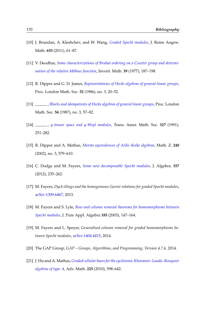- <span id="page-169-0"></span>[10] J. Brundan, A. Kleshchev, and W. Wang, *[Graded Specht modules](http://dx.doi.org/10.1515/CRELLE.2011.033)*, J. Reine Angew. Math. **655** (2011), 61–87.
- [11] V. Deodhar, *[Some characterizations of Bruhat ordering on a Coxeter group and determi](http://dx.doi.org/10.1007/BF01390109)[nation of the relative M¨obius function](http://dx.doi.org/10.1007/BF01390109)*, Invent. Math. **39** (1977), 187–198.
- [12] R. Dipper and G. D. James, *[Representations of Hecke algebras of general linear groups](http://dx.doi.org/10.1112/plms/s3-52.1.20)*, Proc. London Math. Soc. **52** (1986), no. 3, 20–52.
- [13] , *[Blocks and idempotents of Hecke algebras of general linear groups](http://dx.doi.org/10.1112/plms/s3-54.1.57)*, Proc. London Math. Soc. **54** (1987), no. 3, 57–82.
- [14] , q*[-tensor space and](http://dx.doi.org/10.2307/2001842)* q*-Weyl modules*, Trans. Amer. Math. Soc. **327** (1991), 251–282.
- [15] R. Dipper and A. Mathas, *[Morita equivalences of Ariki–Koike algebras](http://dx.doi.org/10.1007/s002090100371)*, Math. Z. **240** (2002), no. 3, 579–610.
- [16] C. Dodge and M. Fayers, *[Some new decomposable Specht modules](http://dx.doi.org/10.1016/j.jalgebra.2012.01.035)*, J. Algebra. **357** (2012), 235–262.
- [17] M. Fayers, *Dyck tilings and the homogeneous Garnir relations for graded Specht modules*, [arXiv:1309.6467,](http://arxiv.org/abs/1309.6467) 2013.
- [18] M. Fayers and S. Lyle, *[Row and column removal theorems for homomorphisms between](http://dx.doi.org/10.1016/S0022-4049(03)00099-9) [Specht modules](http://dx.doi.org/10.1016/S0022-4049(03)00099-9)*, J. Pure Appl. Algebra **185** (2003), 147–164.
- [19] M. Fayers and L. Speyer, *Generalised column removal for graded homomorphisms between Specht modules*, [arXiv:1404.4415,](http://arxiv.org/abs/1404.4415) 2014.
- [20] The GAP Group, *GAP Groups, Algorithms, and Programming, Version 4.7.6*, 2014.
- [21] J. Hu and A.Mathas, *[Graded cellular bases for the cyclotomic Khovanov–Lauda–Rouquier](http://dx.doi.org/10.1016/j.aim.2010.03.002) [algebras of type](http://dx.doi.org/10.1016/j.aim.2010.03.002)* A, Adv. Math. **225** (2010), 598–642.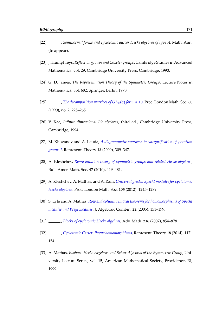- <span id="page-170-3"></span>[22] , *Seminormal forms and cyclotomic quiver Hecke algebras of type* A, Math. Ann. (to appear).
- [23] J. Humphreys, *Reflection groups and Coxeter groups*, Cambridge Studies in Advanced Mathematics, vol. 29, Cambridge University Press, Cambridge, 1990.
- <span id="page-170-0"></span>[24] G. D. James, *The Representation Theory of the Symmetric Groups*, Lecture Notes in Mathematics, vol. 682, Springer, Berlin, 1978.
- [25]  $\_\_\_\_\_$ , *[The decomposition matrices of](http://dx.doi.org/10.1112/plms/s3-60.2.225)*  $GL_n(q)$  *for*  $n \leq 10$ , Proc. London Math. Soc. **60** (1990), no. 2, 225–265.
- [26] V. Kac, *Infinite dimensional Lie algebras*, third ed., Cambridge University Press, Cambridge, 1994.
- [27] M. Khovanov and A. Lauda, *[A diagrammatic approach to categorification of quantum](http://dx.doi.org/10.1090/S1088-4165-09-00346-X) [groups I](http://dx.doi.org/10.1090/S1088-4165-09-00346-X)*, Represent. Theory **13** (2009), 309–347.
- <span id="page-170-4"></span>[28] A. Kleshchev, *[Representation theory of symmetric groups and related Hecke algebras](http://dx.doi.org/10.1090/S0273-0979-09-01277-4)*, Bull. Amer. Math. Soc. **47** (2010), 419–481.
- <span id="page-170-1"></span>[29] A. Kleshchev, A. Mathas, and A. Ram, *[Universal graded Specht modules for cyclotomic](http://dx.doi.org/10.1112/plms/pds019) [Hecke algebras](http://dx.doi.org/10.1112/plms/pds019)*, Proc. London Math. Soc. **105** (2012), 1245–1289.
- [30] S. Lyle and A. Mathas, *[Row and column removal theorems for homomorphisms of Specht](http://dx.doi.org/10.1007/s10801-005-2511-5) [modules and Weyl modules](http://dx.doi.org/10.1007/s10801-005-2511-5)*, J. Algebraic Combin. **22** (2005), 151–179.
- [31] , *[Blocks of cyclotomic Hecke algebras](http://dx.doi.org/10.1016/j.aim.2007.06.008)*, Adv. Math. **216** (2007), 854–878.
- [32] , *[Cyclotomic Carter–Payne homomorphisms](http://dx.doi.org/10.1090/S1088-4165-2014-00450-3)*, Represent. Theory **18** (2014), 117– 154.
- <span id="page-170-2"></span>[33] A. Mathas, *Iwahori–Hecke Algebras and Schur Algebras of the Symmetric Group*, University Lecture Series, vol. 15, American Mathematical Society, Providence, RI, 1999.